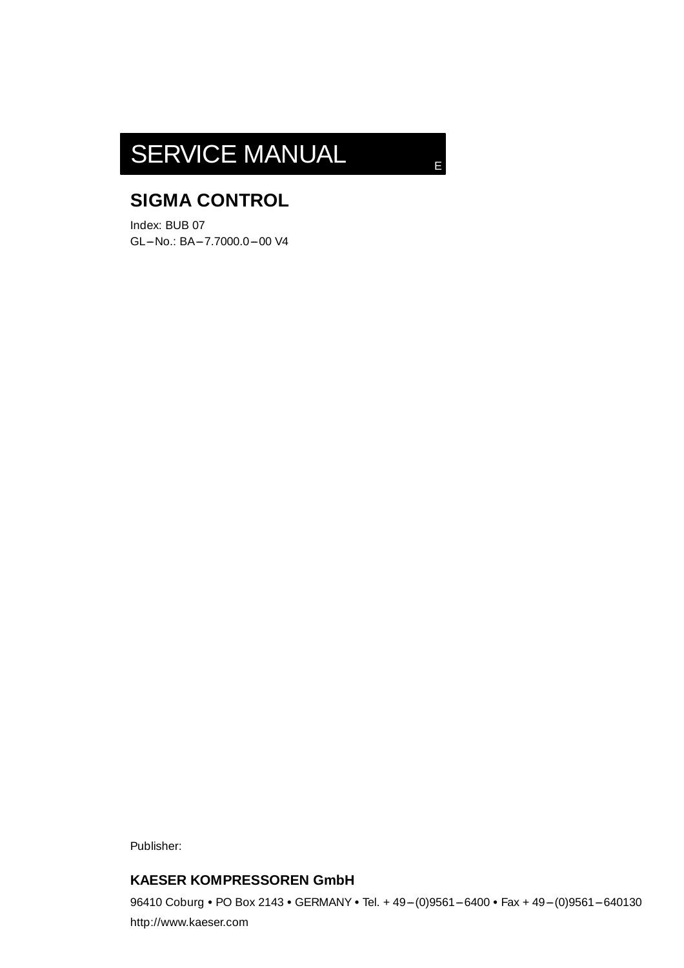# SERVICE MANUAL

## **SIGMA CONTROL**

Index: BUB 07 GL-No.: BA-7.7000.0-00 V4

Publisher:

## **KAESER KOMPRESSOREN GmbH**

96410 Coburg · PO Box 2143 · GERMANY · Tel. + 49-(0)9561-6400 · Fax + 49-(0)9561-640130 http://www.kaeser.com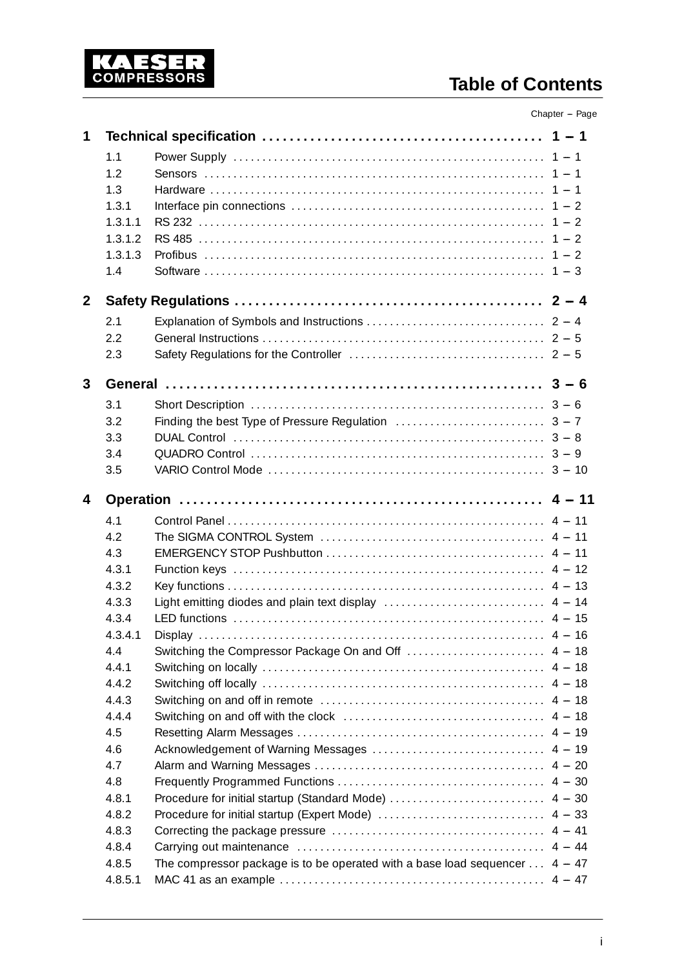

|                         | Chapter - Page |                                                                                                                                  |  |
|-------------------------|----------------|----------------------------------------------------------------------------------------------------------------------------------|--|
| 1                       |                | Technical specification $\ldots \ldots \ldots \ldots \ldots \ldots \ldots \ldots \ldots \ldots \ldots \ldots \ldots \quad 1 - 1$ |  |
|                         | 1.1            |                                                                                                                                  |  |
|                         | 1.2            |                                                                                                                                  |  |
|                         | 1.3            |                                                                                                                                  |  |
|                         | 1.3.1          |                                                                                                                                  |  |
|                         | 1.3.1.1        |                                                                                                                                  |  |
|                         | 1.3.1.2        |                                                                                                                                  |  |
|                         | 1.3.1.3        |                                                                                                                                  |  |
|                         | 1.4            |                                                                                                                                  |  |
| $\overline{\mathbf{2}}$ |                |                                                                                                                                  |  |
|                         | 2.1            |                                                                                                                                  |  |
|                         | 2.2            |                                                                                                                                  |  |
|                         |                |                                                                                                                                  |  |
|                         | 2.3            | Safety Regulations for the Controller $\ldots \ldots \ldots \ldots \ldots \ldots \ldots \ldots \ldots$ 2 - 5                     |  |
| 3                       |                |                                                                                                                                  |  |
|                         | 3.1            |                                                                                                                                  |  |
|                         | 3.2            | Finding the best Type of Pressure Regulation $\ldots \ldots \ldots \ldots \ldots \ldots \ldots \quad 3-7$                        |  |
|                         | 3.3            |                                                                                                                                  |  |
|                         | 3.4            |                                                                                                                                  |  |
|                         | 3.5            |                                                                                                                                  |  |
|                         |                |                                                                                                                                  |  |
| 4                       |                |                                                                                                                                  |  |
|                         | 4.1            |                                                                                                                                  |  |
|                         | 4.2            |                                                                                                                                  |  |
|                         | 4.3            |                                                                                                                                  |  |
|                         | 4.3.1          |                                                                                                                                  |  |
|                         | 4.3.2          |                                                                                                                                  |  |
|                         | 4.3.3          |                                                                                                                                  |  |
|                         | 4.3.4          |                                                                                                                                  |  |
|                         | 4.3.4.1        |                                                                                                                                  |  |
|                         | 4.4            |                                                                                                                                  |  |
|                         | 4.4.1          |                                                                                                                                  |  |
|                         | 4.4.2          |                                                                                                                                  |  |
|                         | 4.4.3          | Switching on and off in remote $\dots\dots\dots\dots\dots\dots\dots\dots\dots\dots\dots\dots\dots$ 4 - 18                        |  |
|                         | 4.4.4          |                                                                                                                                  |  |
|                         | 4.5            |                                                                                                                                  |  |
|                         | 4.6            |                                                                                                                                  |  |
|                         | 4.7            |                                                                                                                                  |  |
|                         | 4.8            |                                                                                                                                  |  |
|                         | 4.8.1          |                                                                                                                                  |  |
|                         | 4.8.2          |                                                                                                                                  |  |
|                         | 4.8.3          |                                                                                                                                  |  |
|                         | 4.8.4          |                                                                                                                                  |  |
|                         | 4.8.5          | The compressor package is to be operated with a base load sequencer $4 - 47$                                                     |  |
|                         | 4.8.5.1        | MAC 41 as an example $\dots \dots \dots \dots \dots \dots \dots \dots \dots \dots \dots \dots \dots \dots \dots \cdot 4 - 47$    |  |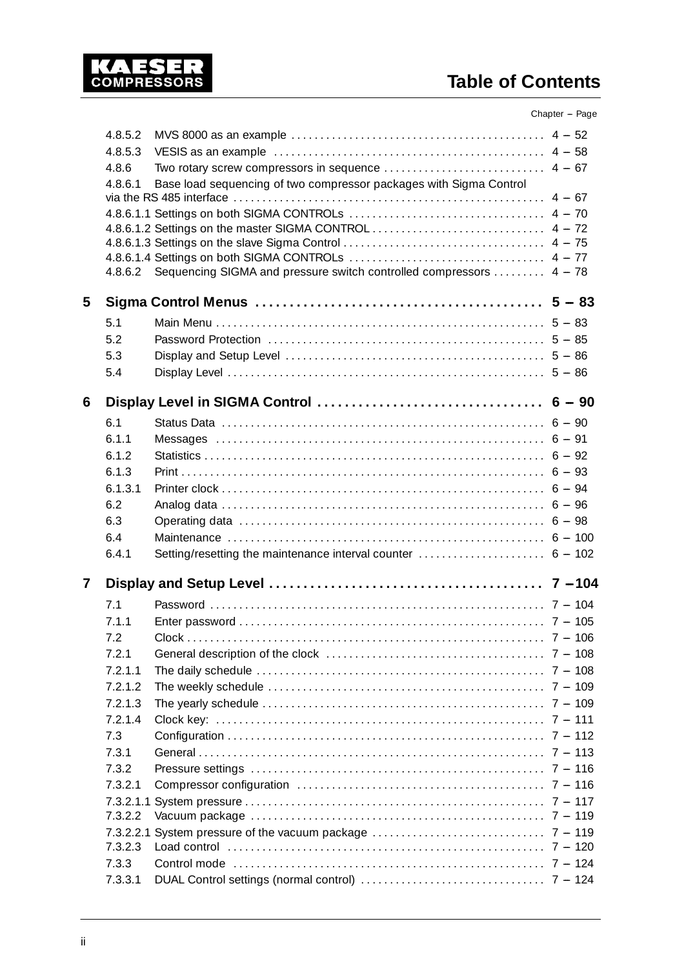

|                |         |                                                                                                                                   | Chapter - Page |
|----------------|---------|-----------------------------------------------------------------------------------------------------------------------------------|----------------|
|                | 4.8.5.2 |                                                                                                                                   |                |
|                | 4.8.5.3 |                                                                                                                                   |                |
|                | 4.8.6   |                                                                                                                                   |                |
|                | 4.8.6.1 | Base load sequencing of two compressor packages with Sigma Control                                                                |                |
|                |         |                                                                                                                                   |                |
|                |         |                                                                                                                                   |                |
|                |         |                                                                                                                                   |                |
|                |         |                                                                                                                                   |                |
|                | 4.8.6.2 | Sequencing SIGMA and pressure switch controlled compressors  4 - 78                                                               |                |
| 5              |         |                                                                                                                                   |                |
|                | 5.1     |                                                                                                                                   |                |
|                | 5.2     |                                                                                                                                   |                |
|                | 5.3     | Display and Setup Level $\ldots \ldots \ldots \ldots \ldots \ldots \ldots \ldots \ldots \ldots \ldots \ldots \ldots 5 - 86$       |                |
|                | 5.4     |                                                                                                                                   |                |
| 6              |         |                                                                                                                                   |                |
|                | 6.1     |                                                                                                                                   |                |
|                | 6.1.1   |                                                                                                                                   |                |
|                | 6.1.2   |                                                                                                                                   |                |
|                | 6.1.3   |                                                                                                                                   |                |
|                | 6.1.3.1 |                                                                                                                                   |                |
|                | 6.2     |                                                                                                                                   |                |
|                | 6.3     |                                                                                                                                   |                |
|                | 6.4     |                                                                                                                                   |                |
|                | 6.4.1   | Setting/resetting the maintenance interval counter $\ldots \ldots \ldots \ldots \ldots \ldots$ 6 - 102                            |                |
| $\overline{7}$ |         |                                                                                                                                   |                |
|                |         |                                                                                                                                   |                |
|                | 7.1     |                                                                                                                                   |                |
|                | 7.1.1   |                                                                                                                                   |                |
|                | 7.2     |                                                                                                                                   |                |
|                | 7.2.1   |                                                                                                                                   |                |
|                | 7.2.1.1 |                                                                                                                                   |                |
|                | 7.2.1.2 |                                                                                                                                   |                |
|                | 7.2.1.3 |                                                                                                                                   |                |
|                | 7.2.1.4 |                                                                                                                                   |                |
|                | 7.3     |                                                                                                                                   |                |
|                | 7.3.1   |                                                                                                                                   |                |
|                | 7.3.2   |                                                                                                                                   |                |
|                | 7.3.2.1 | Compressor configuration $\ldots \ldots \ldots \ldots \ldots \ldots \ldots \ldots \ldots \ldots \ldots \ldots \ldots \quad 7-116$ |                |
|                |         |                                                                                                                                   |                |
|                | 7.3.2.2 |                                                                                                                                   |                |
|                | 7.3.2.3 |                                                                                                                                   |                |
|                | 7.3.3   |                                                                                                                                   |                |
|                | 7.3.3.1 |                                                                                                                                   |                |
|                |         |                                                                                                                                   |                |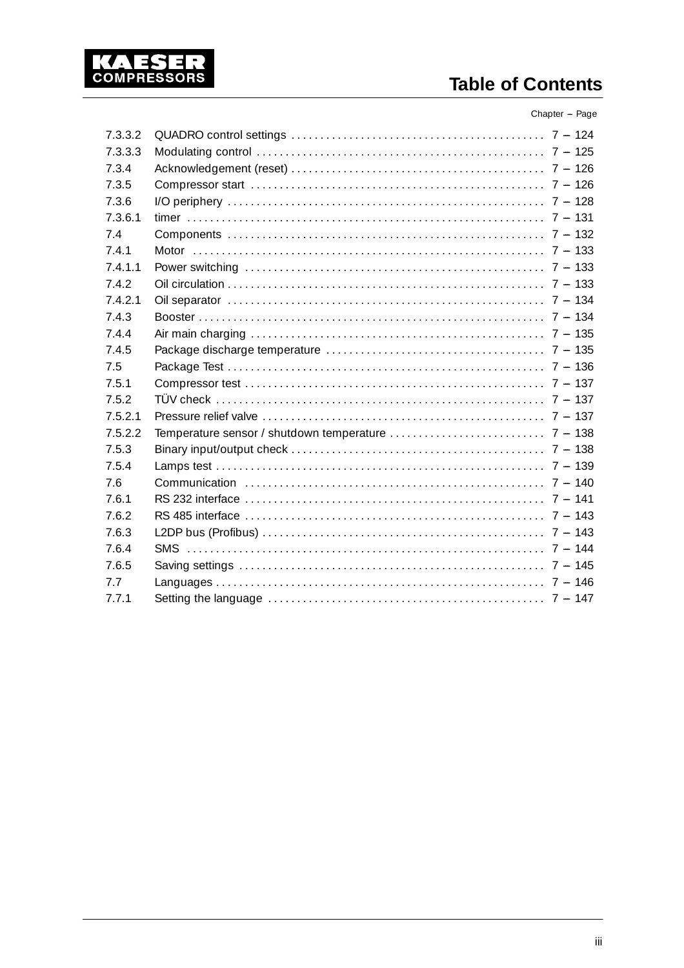

|         |  | Chapter - Page |
|---------|--|----------------|
| 7.3.3.2 |  |                |
| 7.3.3.3 |  |                |
| 7.3.4   |  |                |
| 7.3.5   |  |                |
| 7.3.6   |  |                |
| 7.3.6.1 |  |                |
| 7.4     |  |                |
| 7.4.1   |  |                |
| 7.4.1.1 |  |                |
| 7.4.2   |  |                |
| 7.4.2.1 |  |                |
| 7.4.3   |  |                |
| 7.4.4   |  |                |
| 7.4.5   |  |                |
| 7.5     |  |                |
| 7.5.1   |  |                |
| 7.5.2   |  |                |
| 7.5.2.1 |  |                |
| 7.5.2.2 |  |                |
| 7.5.3   |  |                |
| 7.5.4   |  |                |
| 7.6     |  |                |
| 7.6.1   |  |                |
| 7.6.2   |  |                |
| 7.6.3   |  |                |
| 7.6.4   |  |                |
| 7.6.5   |  |                |
| 7.7     |  |                |
| 7.7.1   |  |                |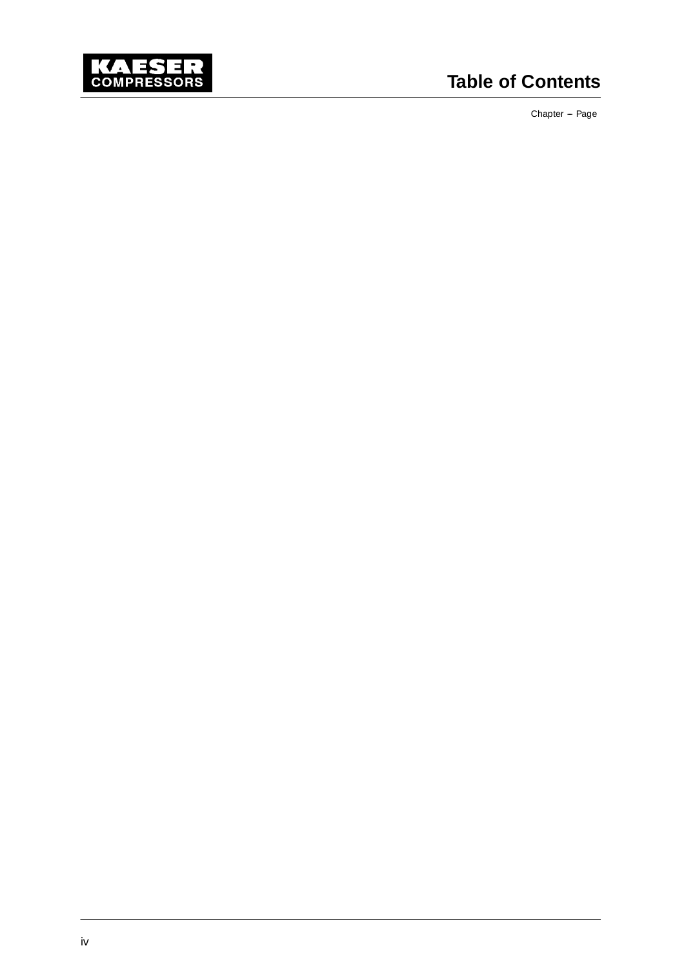

Chapter - Page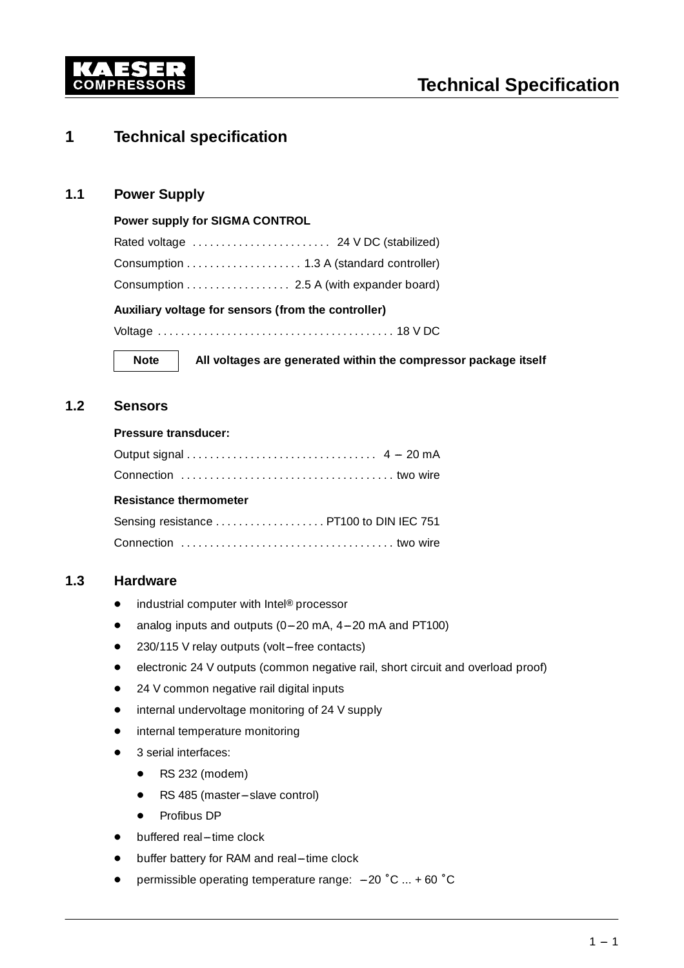

## **1 Technical specification**

**1.1 Power Supply**

### **Power supply for SIGMA CONTROL**

| <b>Note</b>                                         | All voltages are generated within the compressor package itself |  |  |  |  |
|-----------------------------------------------------|-----------------------------------------------------------------|--|--|--|--|
|                                                     |                                                                 |  |  |  |  |
| Auxiliary voltage for sensors (from the controller) |                                                                 |  |  |  |  |
|                                                     | Consumption 2.5 A (with expander board)                         |  |  |  |  |
|                                                     |                                                                 |  |  |  |  |
|                                                     |                                                                 |  |  |  |  |

## **1.2 Sensors**

#### **Pressure transducer:**

| <b>Resistance thermometer</b>            |  |
|------------------------------------------|--|
| Sensing resistance  PT100 to DIN IEC 751 |  |
| Connection two wire                      |  |

## **1.3 Hardware**

- $\bullet$  industrial computer with Intel<sup>®</sup> processor
- $\bullet$  analog inputs and outputs (0-20 mA, 4-20 mA and PT100)
- 230/115 V relay outputs (volt-free contacts)
- electronic 24 V outputs (common negative rail, short circuit and overload proof)
- 24 V common negative rail digital inputs
- internal undervoltage monitoring of 24 V supply
- internal temperature monitoring
- 3 serial interfaces:
	- $\bullet$  RS 232 (modem)
	- RS 485 (master-slave control)
	- Profibus DP
- buffered real-time clock
- buffer battery for RAM and real-time clock
- permissible operating temperature range:  $-20$  °C  $...$  + 60 °C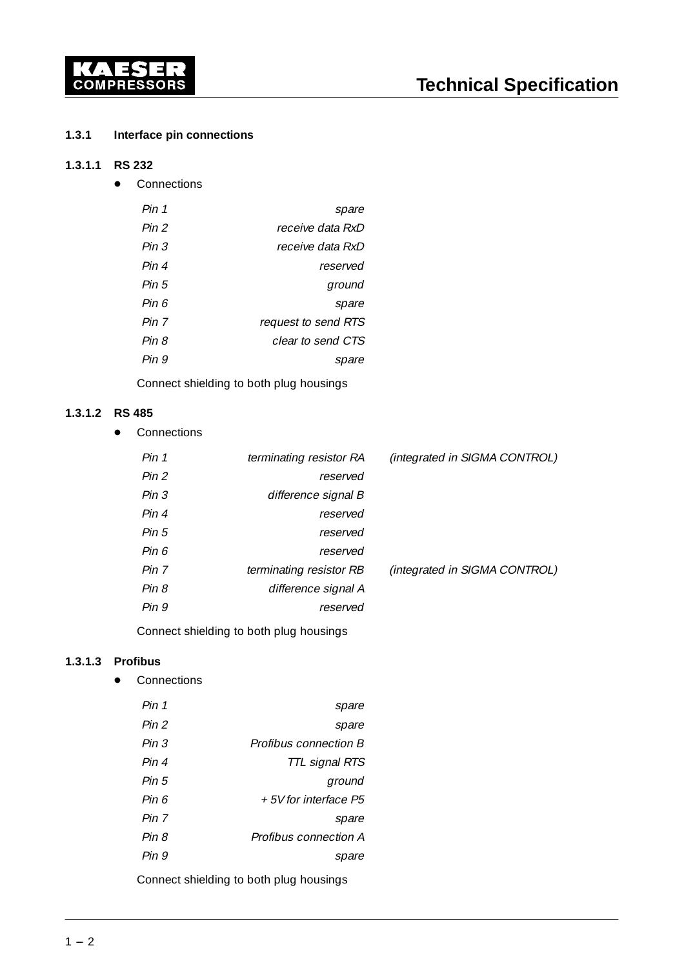

## **1.3.1 Interface pin connections**

#### **1.3.1.1 RS 232**

**•** Connections

| spare               | Pin 1 |
|---------------------|-------|
| receive data RxD    | Pin 2 |
| receive data RxD    | Pin 3 |
| reserved            | Pin 4 |
| ground              | Pin 5 |
| spare               | Pin 6 |
| request to send RTS | Pin 7 |
| clear to send CTS   | Pin 8 |
|                     | Pin 9 |
|                     |       |

Connect shielding to both plug housings

## **1.3.1.2 RS 485**

• Connections

| Pin 1 | terminating resistor RA | (integrated in SIGMA CONTROL) |
|-------|-------------------------|-------------------------------|
| Pin 2 | reserved                |                               |
| Pin 3 | difference signal B     |                               |
| Pin 4 | reserved                |                               |
| Pin 5 | reserved                |                               |
| Pin 6 | reserved                |                               |
| Pin 7 | terminating resistor RB | (integrated in SIGMA CONTROL) |
| Pin 8 | difference signal A     |                               |
| Pin 9 | reserved                |                               |
|       |                         |                               |

Connect shielding to both plug housings

## **1.3.1.3 Profibus**

**•** Connections

| spare                        | Pin 1 |
|------------------------------|-------|
| spare                        | Pin 2 |
| Profibus connection B        | Pin 3 |
| TTL signal RTS               | Pin 4 |
| ground                       | Pin 5 |
| +5V for interface P5         | Pin 6 |
| spare                        | Pin 7 |
| <b>Profibus connection A</b> | Pin 8 |
| spare                        | Pin 9 |
|                              |       |

Connect shielding to both plug housings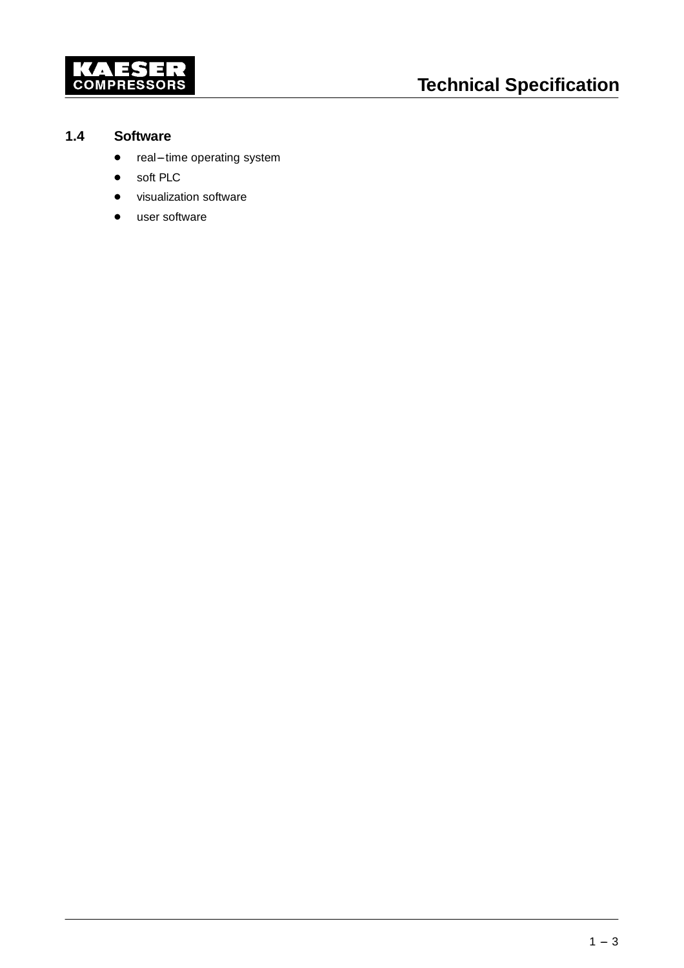

## **1.4 Software**

- $\bullet$  real-time operating system
- soft PLC
- $\bullet$  visualization software
- user software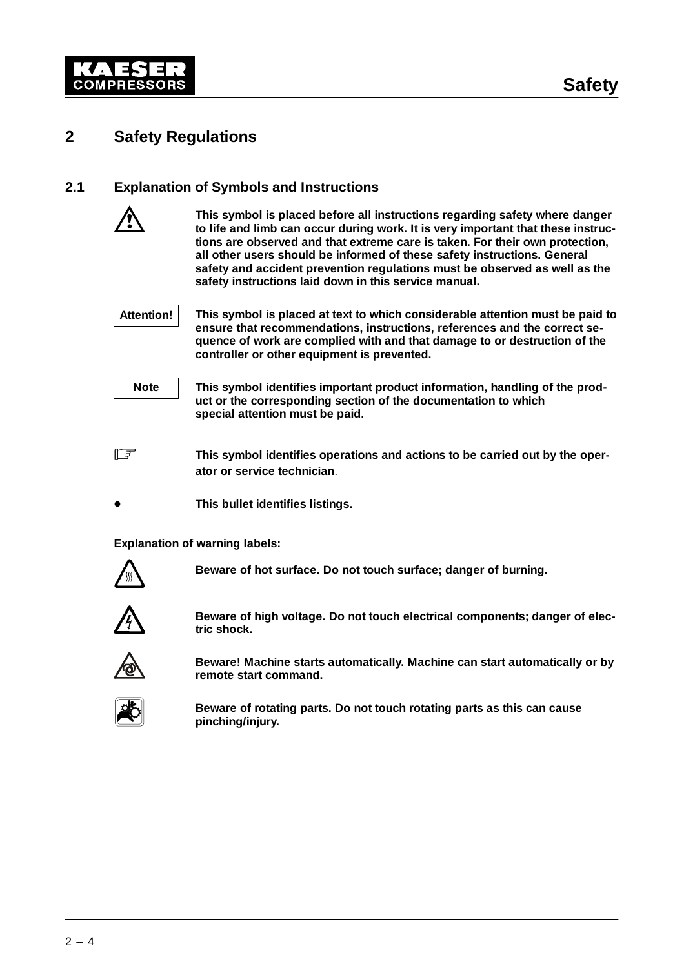

## **2 Safety Regulations**

## **2.1 Explanation of Symbols and Instructions**

**This symbol is placed before all instructions regarding safety where danger to life and limb can occur during work. It is very important that these instructions are observed and that extreme care is taken. For their own protection, all other users should be informed of these safety instructions. General safety and accident prevention regulations must be observed as well as the safety instructions laid down in this service manual.**



**This symbol is placed at text to which considerable attention must be paid to ensure that recommendations, instructions, references and the correct sequence of work are complied with and that damage to or destruction of the controller or other equipment is prevented.**

- **This symbol identifies important product information, handling of the product or the corresponding section of the documentation to which special attention must be paid. Note**
- **This symbol identifies operations and actions to be carried out by the operator or service technician**.
	- **This bullet identifies listings.**

**Explanation of warning labels:**



**Beware of hot surface. Do not touch surface; danger of burning.**



**Beware of high voltage. Do not touch electrical components; danger of electric shock.**



**Beware! Machine starts automatically. Machine can start automatically or by remote start command.**



**Beware of rotating parts. Do not touch rotating parts as this can cause pinching/injury.**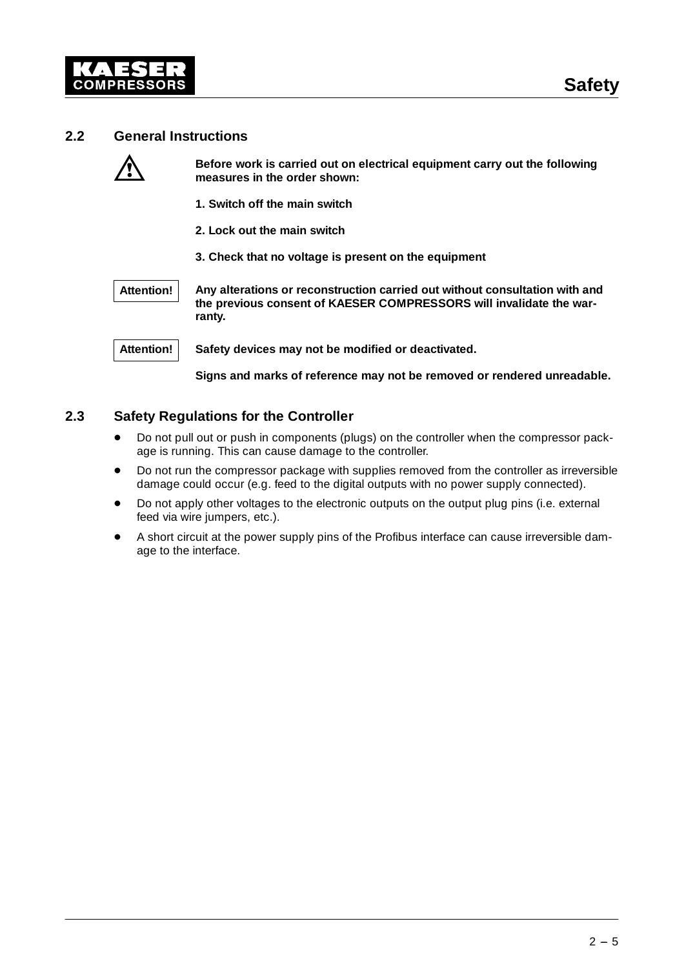## **2.2 General Instructions**



**Before work is carried out on electrical equipment carry out the following measures in the order shown:**

- **1. Switch off the main switch**
- **2. Lock out the main switch**
- **3. Check that no voltage is present on the equipment**

**Any alterations or reconstruction carried out without consultation with and the previous consent of KAESER COMPRESSORS will invalidate the warranty. Attention!**

**Attention!**

**Safety devices may not be modified or deactivated.**

**Signs and marks of reference may not be removed or rendered unreadable.**

## **2.3 Safety Regulations for the Controller**

- Do not pull out or push in components (plugs) on the controller when the compressor package is running. This can cause damage to the controller.
- Do not run the compressor package with supplies removed from the controller as irreversible damage could occur (e.g. feed to the digital outputs with no power supply connected).
- Do not apply other voltages to the electronic outputs on the output plug pins (i.e. external feed via wire jumpers, etc.).
- A short circuit at the power supply pins of the Profibus interface can cause irreversible damage to the interface.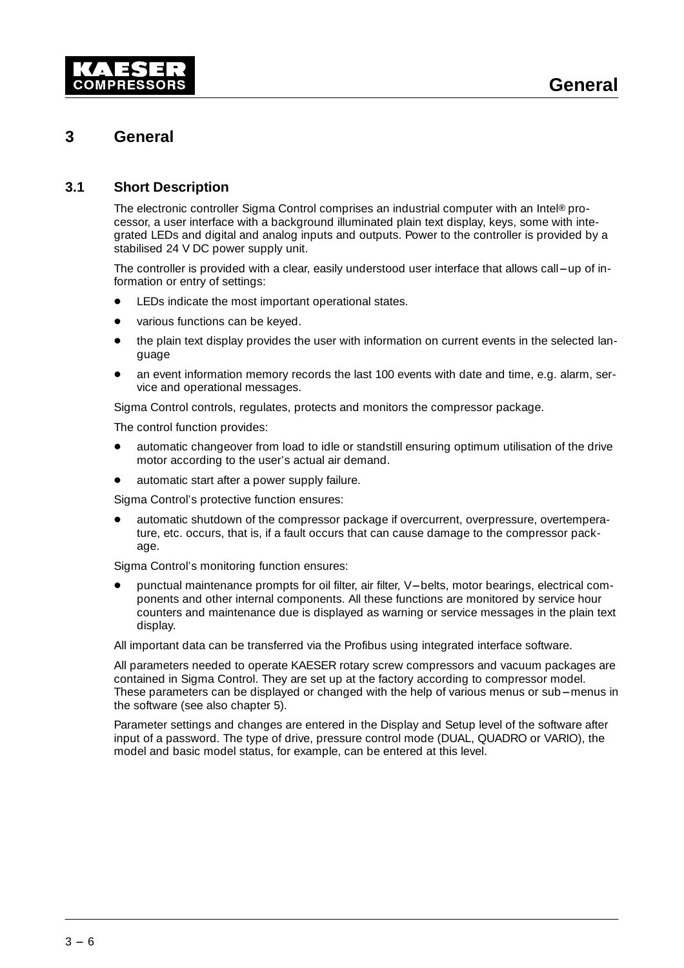## **3 General**

## **3.1 Short Description**

The electronic controller Sigma Control comprises an industrial computer with an Intel<sup>®</sup> processor, a user interface with a background illuminated plain text display, keys, some with integrated LEDs and digital and analog inputs and outputs. Power to the controller is provided by a stabilised 24 V DC power supply unit.

The controller is provided with a clear, easily understood user interface that allows call-up of information or entry of settings:

- LEDs indicate the most important operational states.
- various functions can be keyed.
- the plain text display provides the user with information on current events in the selected language
- an event information memory records the last 100 events with date and time, e.g. alarm, service and operational messages.

Sigma Control controls, regulates, protects and monitors the compressor package.

The control function provides:

- automatic changeover from load to idle or standstill ensuring optimum utilisation of the drive motor according to the user's actual air demand.
- automatic start after a power supply failure.

Sigma Control's protective function ensures:

- automatic shutdown of the compressor package if overcurrent, overpressure, overtemperature, etc. occurs, that is, if a fault occurs that can cause damage to the compressor package.

Sigma Control's monitoring function ensures:

punctual maintenance prompts for oil filter, air filter, V-belts, motor bearings, electrical components and other internal components. All these functions are monitored by service hour counters and maintenance due is displayed as warning or service messages in the plain text display.

All important data can be transferred via the Profibus using integrated interface software.

All parameters needed to operate KAESER rotary screw compressors and vacuum packages are contained in Sigma Control. They are set up at the factory according to compressor model. These parameters can be displayed or changed with the help of various menus or sub-menus in the software (see also chapter 5).

Parameter settings and changes are entered in the Display and Setup level of the software after input of a password. The type of drive, pressure control mode (DUAL, QUADRO or VARIO), the model and basic model status, for example, can be entered at this level.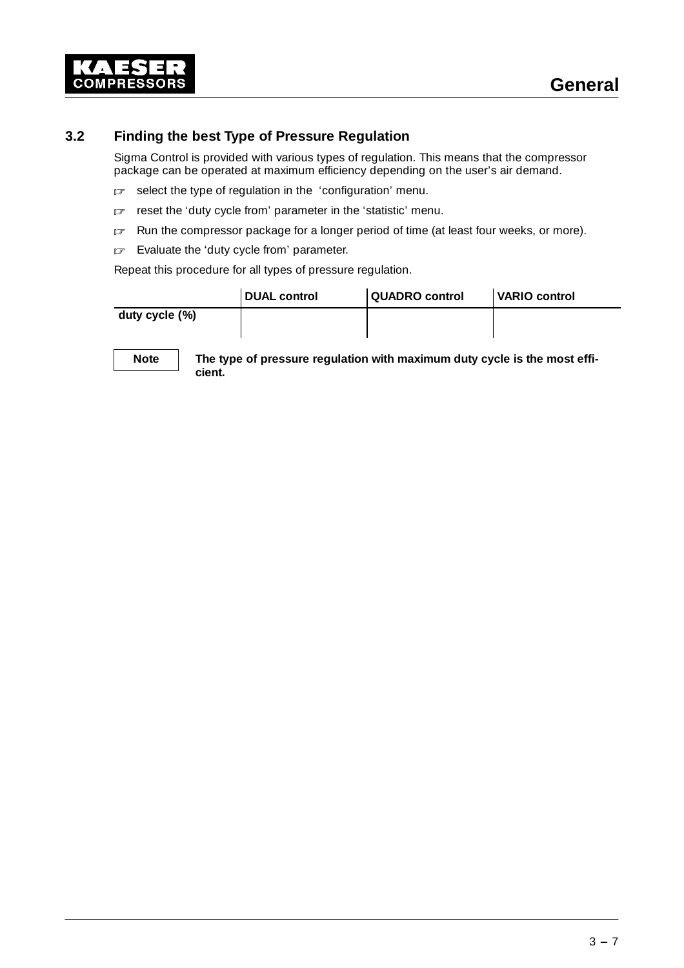## **3.2 Finding the best Type of Pressure Regulation**

Sigma Control is provided with various types of regulation. This means that the compressor package can be operated at maximum efficiency depending on the user's air demand.

- $F$  select the type of regulation in the 'configuration' menu.
- $\mathbb{F}$  reset the 'duty cycle from' parameter in the 'statistic' menu.
- $F$  Run the compressor package for a longer period of time (at least four weeks, or more).
- $F$  Evaluate the 'duty cycle from' parameter.

Repeat this procedure for all types of pressure regulation.

|                | <b>DUAL control</b> | QUADRO control | VARIO control |
|----------------|---------------------|----------------|---------------|
| duty cycle (%) |                     |                |               |

**Note**

**The type of pressure regulation with maximum duty cycle is the most efficient.**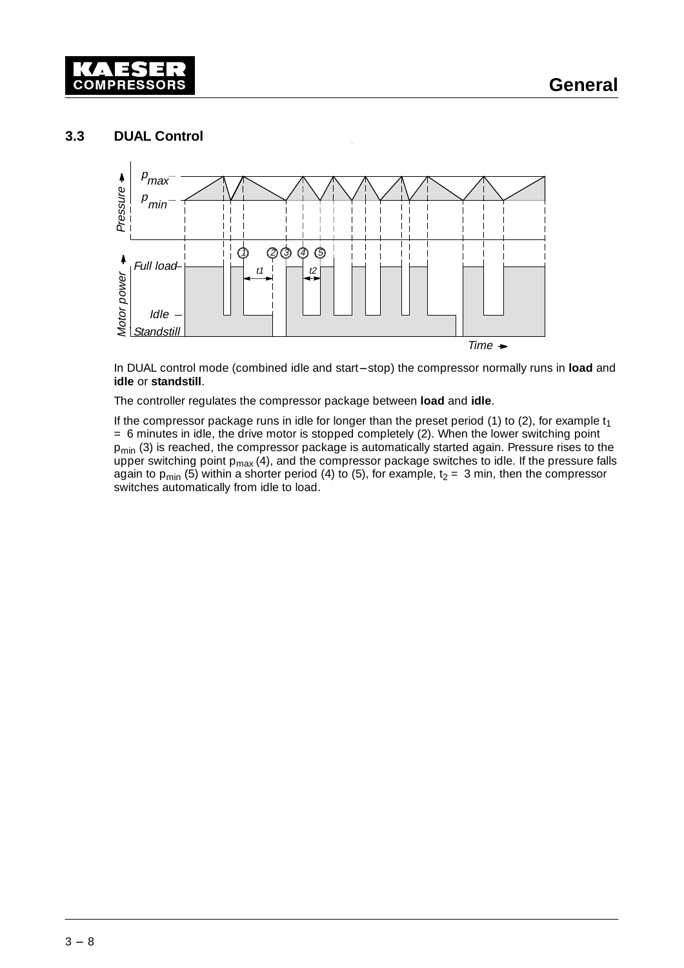## **3.3 DUAL Control**

C s

**COMPRES** 



In DUAL control mode (combined idle and start-stop) the compressor normally runs in **load** and **idle** or **standstill**.

The controller regulates the compressor package between **load** and **idle**.

If the compressor package runs in idle for longer than the preset period (1) to (2), for example  $t_1$ = 6 minutes in idle, the drive motor is stopped completely (2). When the lower switching point  $p_{min}$  (3) is reached, the compressor package is automatically started again. Pressure rises to the upper switching point  $p_{max}(4)$ , and the compressor package switches to idle. If the pressure falls again to p<sub>min</sub> (5) within a shorter period (4) to (5), for example,  $t_2 = 3$  min, then the compressor switches automatically from idle to load.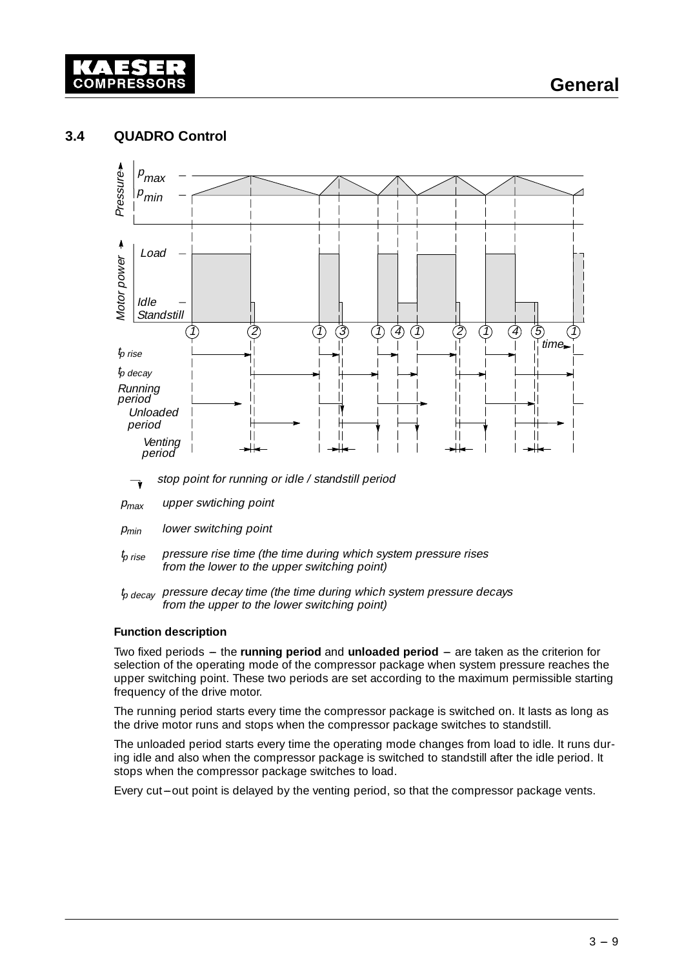# **COMPR**

## **3.4 QUADRO Control**



stop point for running or idle / standstill period ٦

- $p_{\text{max}}$  upper swtiching point
- p<sub>min</sub> lower switching point
- $t_{p\text{ rise}}$  pressure rise time (the time during which system pressure rises from the lower to the upper switching point)
- $t_{p \text{ decay}}$  pressure decay time (the time during which system pressure decays from the upper to the lower switching point)

#### **Function description**

Two fixed periods - the **running period** and **unloaded period** - are taken as the criterion for selection of the operating mode of the compressor package when system pressure reaches the upper switching point. These two periods are set according to the maximum permissible starting frequency of the drive motor.

The running period starts every time the compressor package is switched on. It lasts as long as the drive motor runs and stops when the compressor package switches to standstill.

The unloaded period starts every time the operating mode changes from load to idle. It runs during idle and also when the compressor package is switched to standstill after the idle period. It stops when the compressor package switches to load.

Every cut--out point is delayed by the venting period, so that the compressor package vents.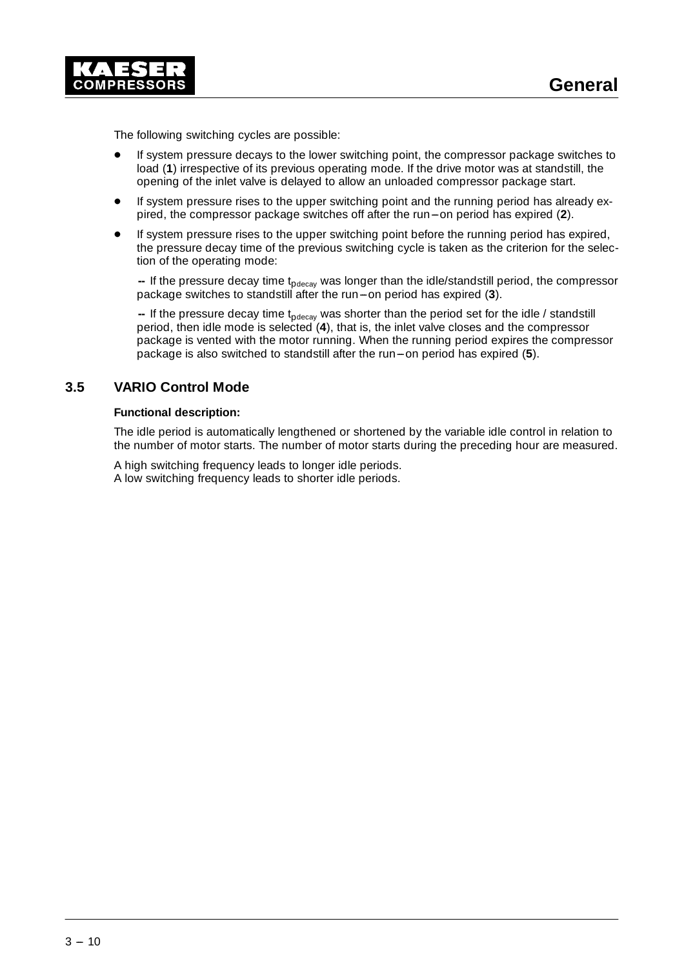The following switching cycles are possible:

- If system pressure decays to the lower switching point, the compressor package switches to load (**1**) irrespective of its previous operating mode. If the drive motor was at standstill, the opening of the inlet valve is delayed to allow an unloaded compressor package start.
- If system pressure rises to the upper switching point and the running period has already expired, the compressor package switches off after the run-on period has expired (2).
- If system pressure rises to the upper switching point before the running period has expired, the pressure decay time of the previous switching cycle is taken as the criterion for the selection of the operating mode:

- If the pressure decay time t<sub>pdecay</sub> was longer than the idle/standstill period, the compressor package switches to standstill after the run-on period has expired (3).

- If the pressure decay time t<sub>pdecay</sub> was shorter than the period set for the idle / standstill period, then idle mode is selected (**4**), that is, the inlet valve closes and the compressor package is vented with the motor running. When the running period expires the compressor package is also switched to standstill after the run-on period has expired (5).

## **3.5 VARIO Control Mode**

#### **Functional description:**

The idle period is automatically lengthened or shortened by the variable idle control in relation to the number of motor starts. The number of motor starts during the preceding hour are measured.

A high switching frequency leads to longer idle periods. A low switching frequency leads to shorter idle periods.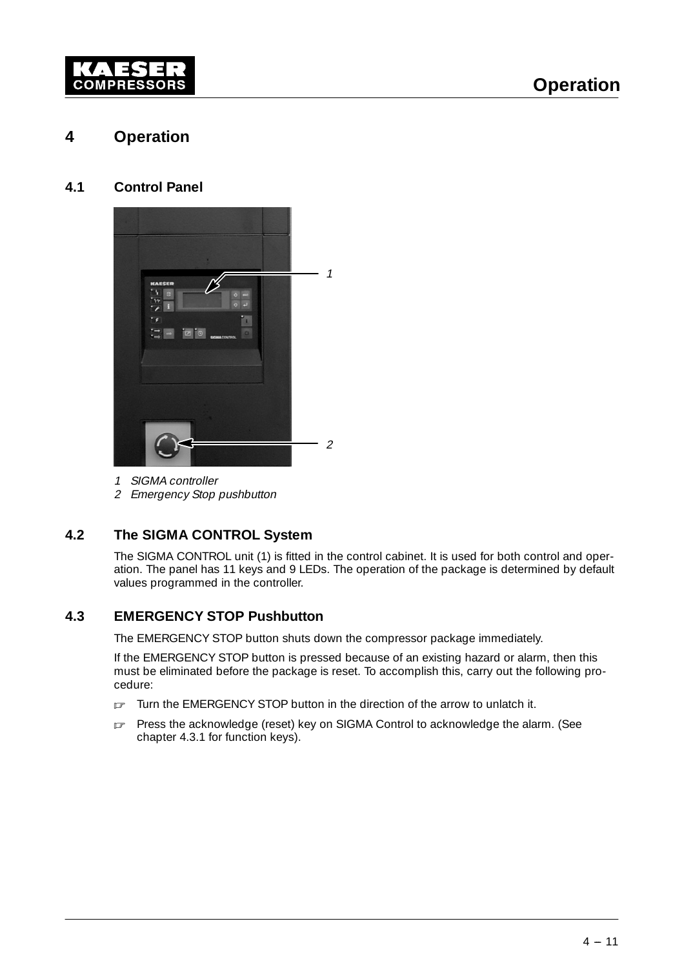## **COMPR** Ŀ

## **Operation**

## **4 Operation**

## **4.1 Control Panel**



1 SIGMA controller 2 Emergency Stop pushbutton

## **4.2 The SIGMA CONTROL System**

The SIGMA CONTROL unit (1) is fitted in the control cabinet. It is used for both control and operation. The panel has 11 keys and 9 LEDs. The operation of the package is determined by default values programmed in the controller.

## **4.3 EMERGENCY STOP Pushbutton**

The EMERGENCY STOP button shuts down the compressor package immediately.

If the EMERGENCY STOP button is pressed because of an existing hazard or alarm, then this must be eliminated before the package is reset. To accomplish this, carry out the following procedure:

- $\mathbb{F}$  Turn the EMERGENCY STOP button in the direction of the arrow to unlatch it.
- F Press the acknowledge (reset) key on SIGMA Control to acknowledge the alarm. (See chapter 4.3.1 for function keys).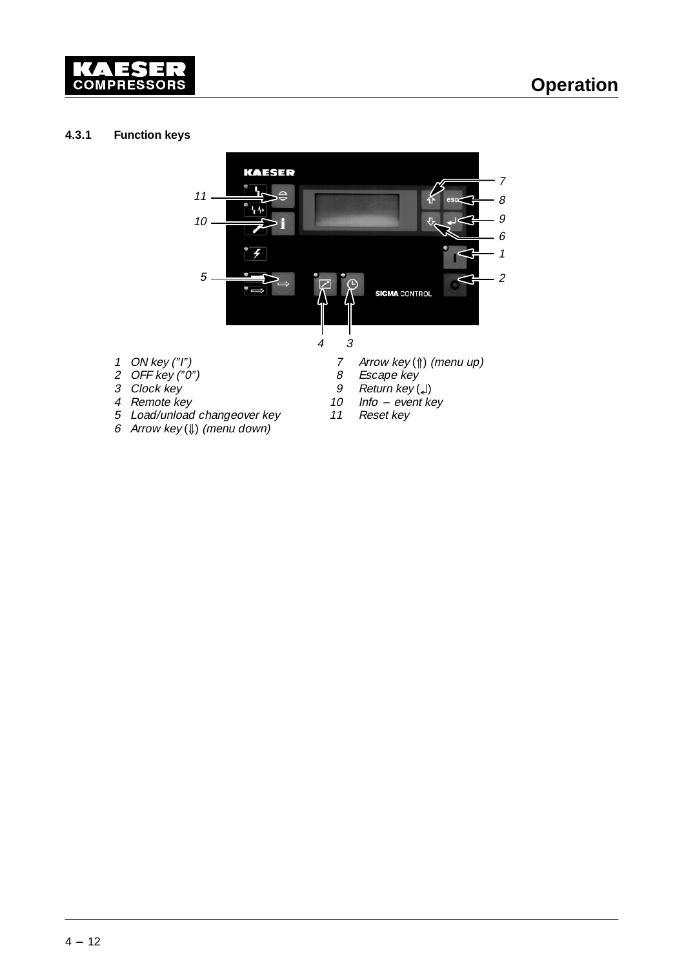

## **4.3.1 Function keys**



- 
- 
- 
- 
- 5 Load/unload changeover key 11
- Arrow key  $(\Downarrow)$  (menu down)
- 
- Clock key <sup>9</sup> Return key (¤)
- Remote key 10 Info --- event key
	-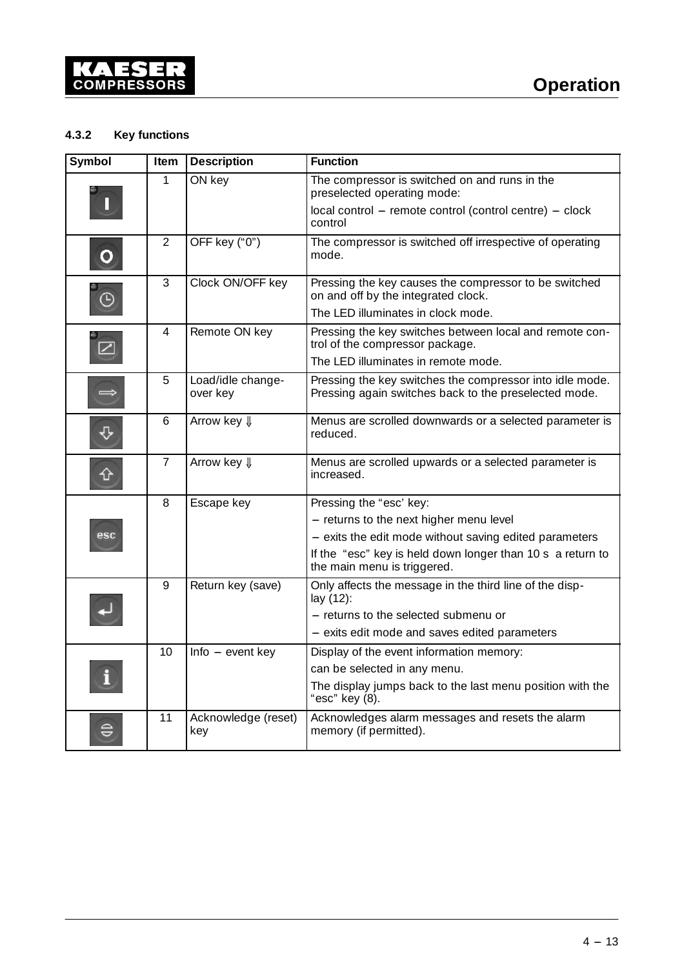## **4.3.2 Key functions**

| <b>Symbol</b> | Item           | <b>Description</b>            | <b>Function</b>                                                                                                                    |
|---------------|----------------|-------------------------------|------------------------------------------------------------------------------------------------------------------------------------|
|               | $\mathbf{1}$   | ON key                        | The compressor is switched on and runs in the<br>preselected operating mode:                                                       |
| 0             |                |                               | local control - remote control (control centre) - clock<br>control                                                                 |
| $\mathbf{o}$  | $\overline{2}$ | OFF key ("0")                 | The compressor is switched off irrespective of operating<br>mode.                                                                  |
| $\Theta$      | 3              | Clock ON/OFF key              | Pressing the key causes the compressor to be switched<br>on and off by the integrated clock.<br>The LED illuminates in clock mode. |
|               | 4              | Remote ON key                 | Pressing the key switches between local and remote con-                                                                            |
| ø             |                |                               | trol of the compressor package.                                                                                                    |
|               |                |                               | The LED illuminates in remote mode.                                                                                                |
|               | 5              | Load/idle change-<br>over key | Pressing the key switches the compressor into idle mode.<br>Pressing again switches back to the preselected mode.                  |
| ⇩             | 6              | Arrow key ↓                   | Menus are scrolled downwards or a selected parameter is<br>reduced.                                                                |
| ⇧             | $\overline{7}$ | Arrow key $\Downarrow$        | Menus are scrolled upwards or a selected parameter is<br>increased.                                                                |
|               | 8              | Escape key                    | Pressing the "esc' key:                                                                                                            |
|               |                |                               | - returns to the next higher menu level                                                                                            |
| esc           |                |                               | - exits the edit mode without saving edited parameters                                                                             |
|               |                |                               | If the "esc" key is held down longer than 10 s a return to<br>the main menu is triggered.                                          |
|               | 9              | Return key (save)             | Only affects the message in the third line of the disp-<br>lay (12):                                                               |
|               |                |                               | - returns to the selected submenu or                                                                                               |
|               |                |                               | - exits edit mode and saves edited parameters                                                                                      |
|               | 10             | $Info - event key$            | Display of the event information memory:                                                                                           |
|               |                |                               | can be selected in any menu.                                                                                                       |
|               |                |                               | The display jumps back to the last menu position with the<br>"esc" key (8).                                                        |
| $\oplus$      | 11             | Acknowledge (reset)<br>key    | Acknowledges alarm messages and resets the alarm<br>memory (if permitted).                                                         |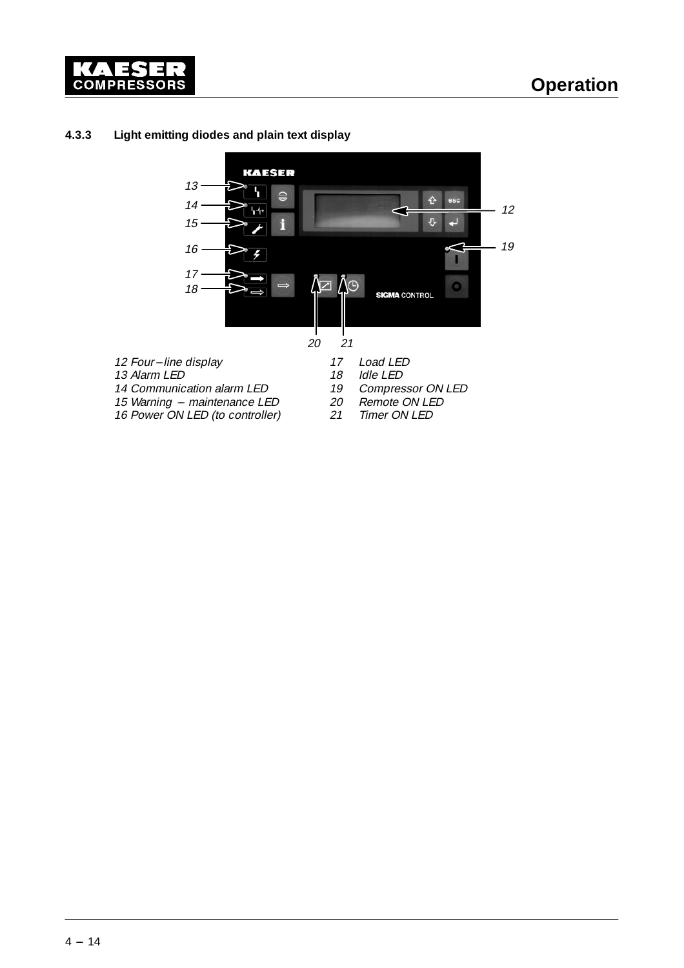

## **4.3.3 Light emitting diodes and plain text display**

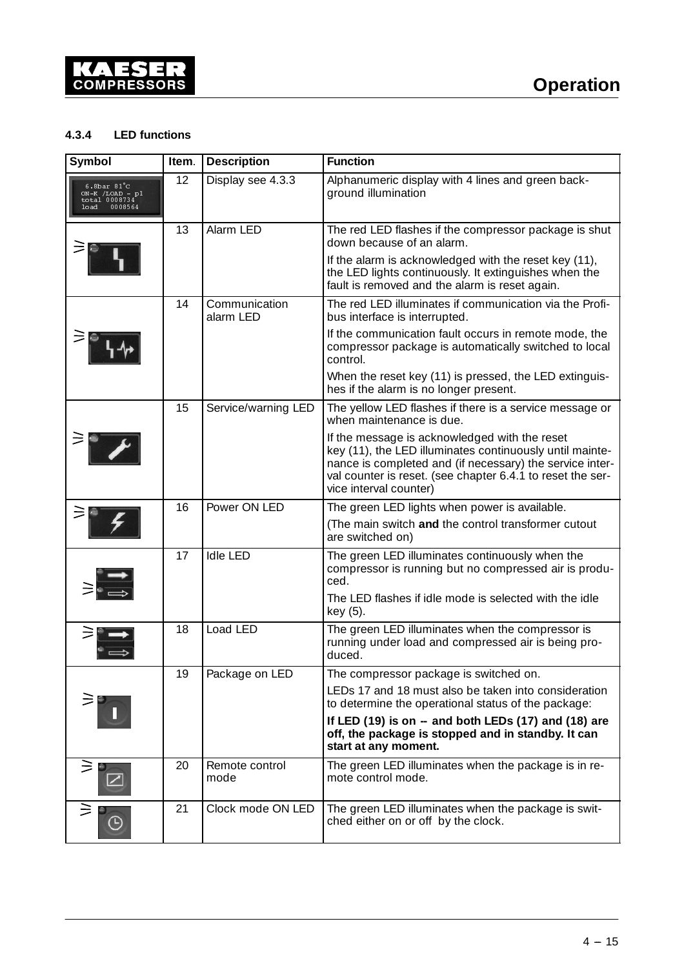## **4.3.4 LED functions**

| <b>Symbol</b>                                                      | Item. | <b>Description</b>         | <b>Function</b>                                                                                                                                                                                                                                               |
|--------------------------------------------------------------------|-------|----------------------------|---------------------------------------------------------------------------------------------------------------------------------------------------------------------------------------------------------------------------------------------------------------|
| 6.8bar 81°C<br>ON-K /LOAD - p1<br>total 0008734<br>0008564<br>load | 12    | Display see 4.3.3          | Alphanumeric display with 4 lines and green back-<br>ground illumination                                                                                                                                                                                      |
|                                                                    | 13    | Alarm LED                  | The red LED flashes if the compressor package is shut<br>down because of an alarm.                                                                                                                                                                            |
|                                                                    |       |                            | If the alarm is acknowledged with the reset key (11),<br>the LED lights continuously. It extinguishes when the<br>fault is removed and the alarm is reset again.                                                                                              |
|                                                                    | 14    | Communication<br>alarm LED | The red LED illuminates if communication via the Profi-<br>bus interface is interrupted.                                                                                                                                                                      |
|                                                                    |       |                            | If the communication fault occurs in remote mode, the<br>compressor package is automatically switched to local<br>control.                                                                                                                                    |
|                                                                    |       |                            | When the reset key (11) is pressed, the LED extinguis-<br>hes if the alarm is no longer present.                                                                                                                                                              |
|                                                                    | 15    | Service/warning LED        | The yellow LED flashes if there is a service message or<br>when maintenance is due.                                                                                                                                                                           |
|                                                                    |       |                            | If the message is acknowledged with the reset<br>key (11), the LED illuminates continuously until mainte-<br>nance is completed and (if necessary) the service inter-<br>val counter is reset. (see chapter 6.4.1 to reset the ser-<br>vice interval counter) |
|                                                                    | 16    | Power ON LED               | The green LED lights when power is available.                                                                                                                                                                                                                 |
| $\geq$                                                             |       |                            | (The main switch and the control transformer cutout<br>are switched on)                                                                                                                                                                                       |
| $\geq$                                                             | 17    | <b>Idle LED</b>            | The green LED illuminates continuously when the<br>compressor is running but no compressed air is produ-<br>ced.                                                                                                                                              |
|                                                                    |       |                            | The LED flashes if idle mode is selected with the idle<br>key (5).                                                                                                                                                                                            |
|                                                                    | 18    | Load LED                   | The green LED illuminates when the compressor is<br>running under load and compressed air is being pro-<br>duced.                                                                                                                                             |
|                                                                    | 19    | Package on LED             | The compressor package is switched on.                                                                                                                                                                                                                        |
|                                                                    |       |                            | LEDs 17 and 18 must also be taken into consideration<br>to determine the operational status of the package:                                                                                                                                                   |
|                                                                    |       |                            | If LED $(19)$ is on - and both LEDs $(17)$ and $(18)$ are<br>off, the package is stopped and in standby. It can<br>start at any moment.                                                                                                                       |
| ≡                                                                  | 20    | Remote control<br>mode     | The green LED illuminates when the package is in re-<br>mote control mode.                                                                                                                                                                                    |
| Œ                                                                  | 21    | Clock mode ON LED          | The green LED illuminates when the package is swit-<br>ched either on or off by the clock.                                                                                                                                                                    |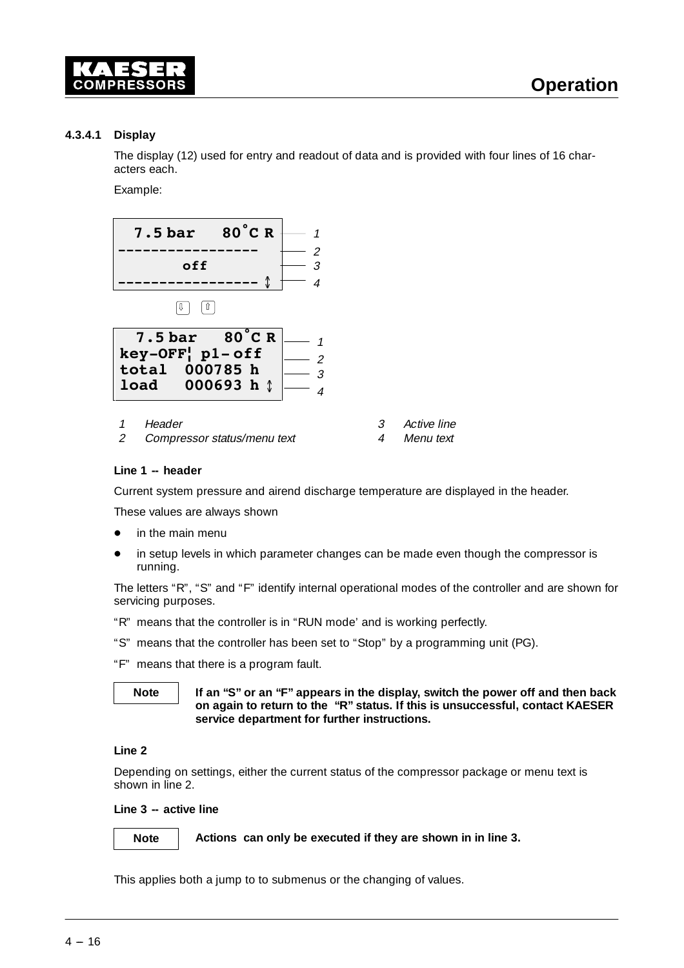

#### **4.3.4.1 Display**

The display (12) used for entry and readout of data and is provided with four lines of 16 characters each.

Example:

| $80^{\circ}$ C R<br>$7.5\,\mathrm{bar}$                                                               |   |
|-------------------------------------------------------------------------------------------------------|---|
| off                                                                                                   | 3 |
|                                                                                                       |   |
| $7.5 \,\text{bar}$ 80 $\degree$ CR<br>$key-OFF'$ $p1-off$<br>total 000785 h<br><b>load</b> 000693 h 1 | 3 |

1 Header 3 Active line

- 2 Compressor status/menu text 4 Menu text
- -

#### **Line 1 -- header**

Current system pressure and airend discharge temperature are displayed in the header.

These values are always shown

- in the main menu
- in setup levels in which parameter changes can be made even though the compressor is running.

The letters "R", "S" and "F" identify internal operational modes of the controller and are shown for servicing purposes.

- "R" means that the controller is in "RUN mode' and is working perfectly.
- "S" means that the controller has been set to "Stop" by a programming unit (PG).
- "F" means that there is a program fault.

**Note**

**If an "S" or an "F" appears in the display, switch the power off and then back on again to return to the "R" status. If this is unsuccessful, contact KAESER service department for further instructions.**

#### **Line 2**

Depending on settings, either the current status of the compressor package or menu text is shown in line 2.

#### **Line 3 -- active line**

**Note**

**Actions can only be executed if they are shown in in line 3.**

This applies both a jump to to submenus or the changing of values.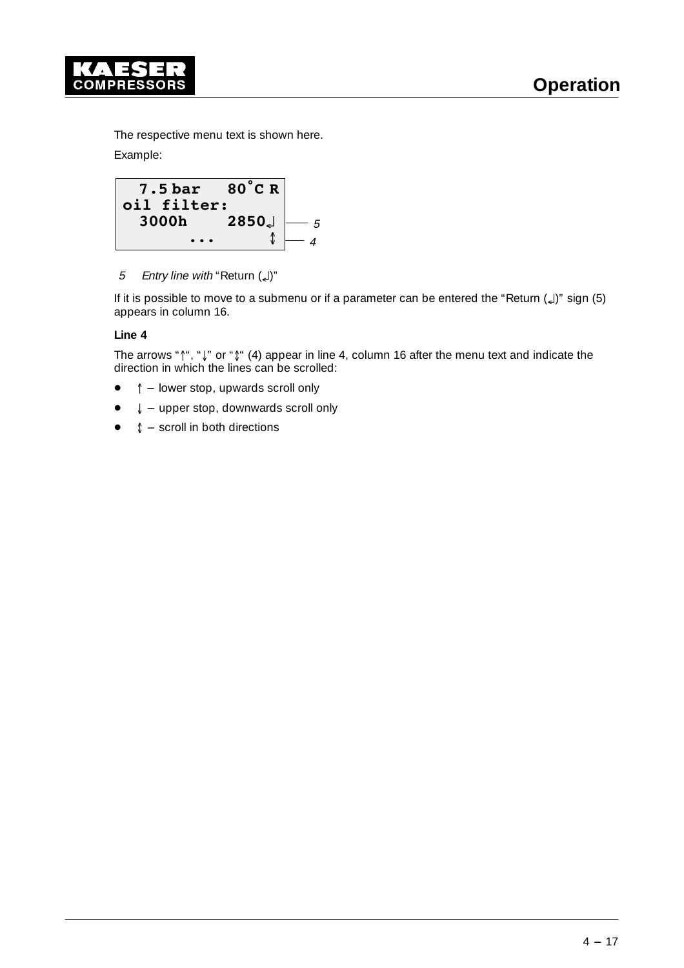The respective menu text is shown here. Example:

| 7.5 bar     | 80°C R       |
|-------------|--------------|
| oil filter: |              |
| 3000h       | 2850         |
| ...         | $\sqrt[5]{}$ |
| ...         | $\sqrt[5]{}$ |

5 Entry line with "Return  $(\Box)$ "

If it is possible to move to a submenu or if a parameter can be entered the "Return  $(2)$ " sign (5) appears in column 16.

## **Line 4**

**COMPRESSOR** 

The arrows " $\uparrow$ ", " $\downarrow$ " or " $\uparrow$ " (4) appear in line 4, column 16 after the menu text and indicate the direction in which the lines can be scrolled:

- $\bullet$   $\uparrow$  lower stop, upwards scroll only
- $\bullet$   $\downarrow$  upper stop, downwards scroll only
- $\bullet$   $\uparrow$  scroll in both directions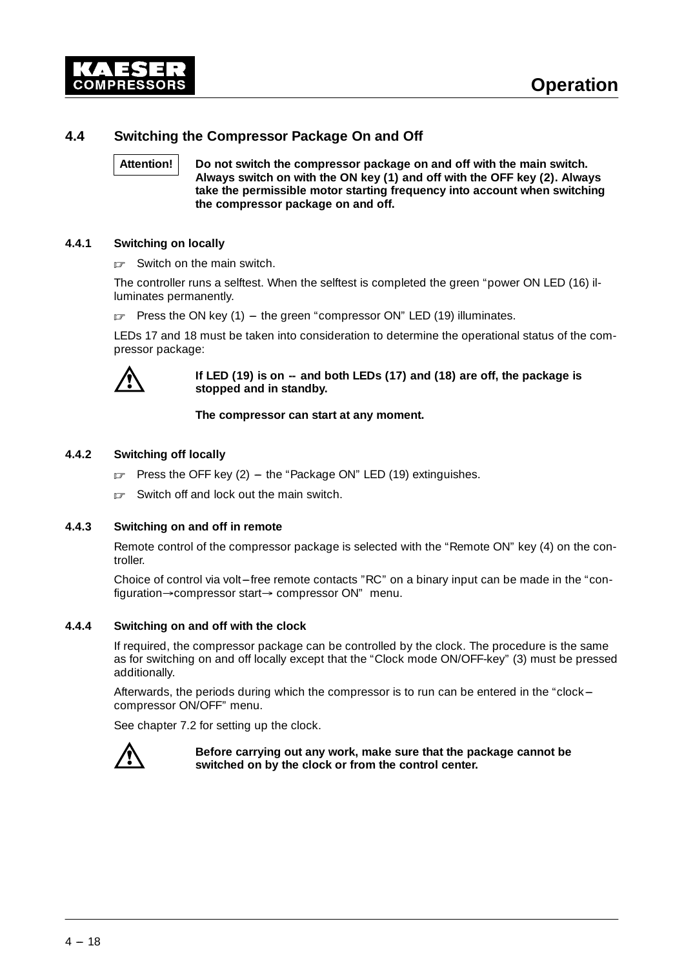

## **4.4 Switching the Compressor Package On and Off**

#### **Attention!**

**Do not switch the compressor package on and off with the main switch. Always switch on with the ON key (1) and off with the OFF key (2). Always take the permissible motor starting frequency into account when switching the compressor package on and off.**

#### **4.4.1 Switching on locally**

 $\mathbb{F}$  Switch on the main switch.

The controller runs a selftest. When the selftest is completed the green "power ON LED (16) illuminates permanently.

 $\mathbb{F}$  Press the ON key (1) – the green "compressor ON" LED (19) illuminates.

LEDs 17 and 18 must be taken into consideration to determine the operational status of the compressor package:



#### **If LED (19) is on -- and both LEDs (17) and (18) are off, the package is stopped and in standby.**

#### **The compressor can start at any moment.**

#### **4.4.2 Switching off locally**

- $F$  Press the OFF key (2) the "Package ON" LED (19) extinguishes.
- $\mathbb{F}$  Switch off and lock out the main switch.

#### **4.4.3 Switching on and off in remote**

Remote control of the compressor package is selected with the "Remote ON" key (4) on the controller.

Choice of control via volt-free remote contacts "RC" on a binary input can be made in the "configuration $\rightarrow$  compressor start $\rightarrow$  compressor ON" menu.

#### **4.4.4 Switching on and off with the clock**

If required, the compressor package can be controlled by the clock. The procedure is the same as for switching on and off locally except that the "Clock mode ON/OFF-key" (3) must be pressed additionally.

Afterwards, the periods during which the compressor is to run can be entered in the "clockcompressor ON/OFF" menu.

See chapter 7.2 for setting up the clock.



**Before carrying out any work, make sure that the package cannot be switched on by the clock or from the control center.**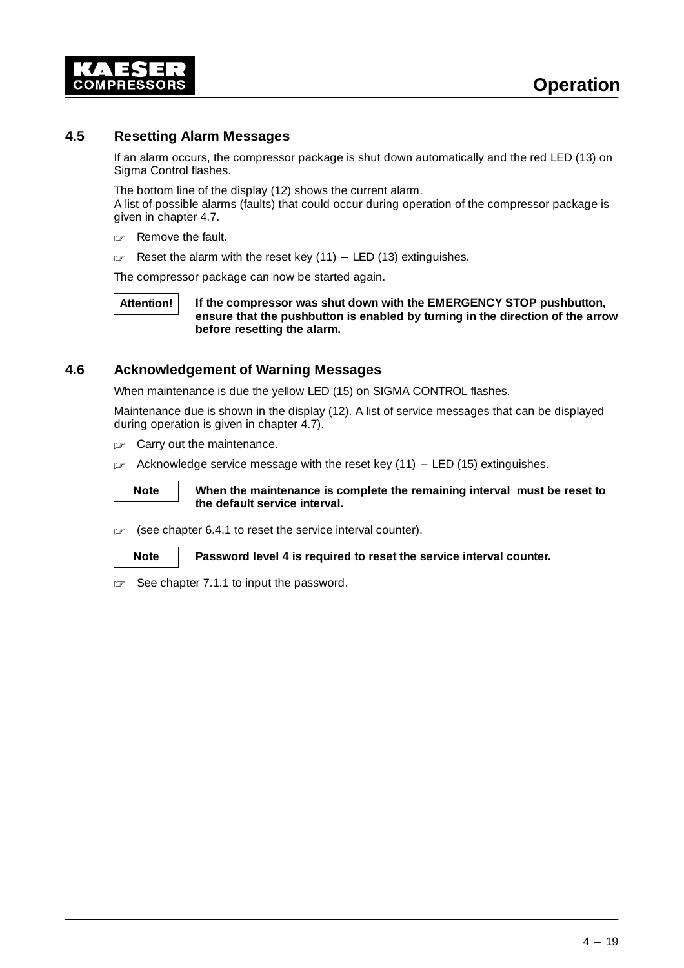

## **4.5 Resetting Alarm Messages**

If an alarm occurs, the compressor package is shut down automatically and the red LED (13) on Sigma Control flashes.

The bottom line of the display (12) shows the current alarm. A list of possible alarms (faults) that could occur during operation of the compressor package is given in chapter 4.7.

- $F$  Remove the fault.
- $\mathbb{F}$  Reset the alarm with the reset key (11) LED (13) extinguishes.

The compressor package can now be started again.

**Attention!**

**If the compressor was shut down with the EMERGENCY STOP pushbutton, ensure that the pushbutton is enabled by turning in the direction of the arrow before resetting the alarm.**

## **4.6 Acknowledgement of Warning Messages**

When maintenance is due the yellow LED (15) on SIGMA CONTROL flashes.

Maintenance due is shown in the display (12). A list of service messages that can be displayed during operation is given in chapter 4.7).

- $\mathbb{F}$  Carry out the maintenance.
- $\mathbb{F}$  Acknowledge service message with the reset key (11) LED (15) extinguishes.



**Note**

**When the maintenance is complete the remaining interval must be reset to the default service interval.**

 $\mathbb{F}$  (see chapter 6.4.1 to reset the service interval counter).

**Password level 4 is required to reset the service interval counter.**

 $F$  See chapter 7.1.1 to input the password.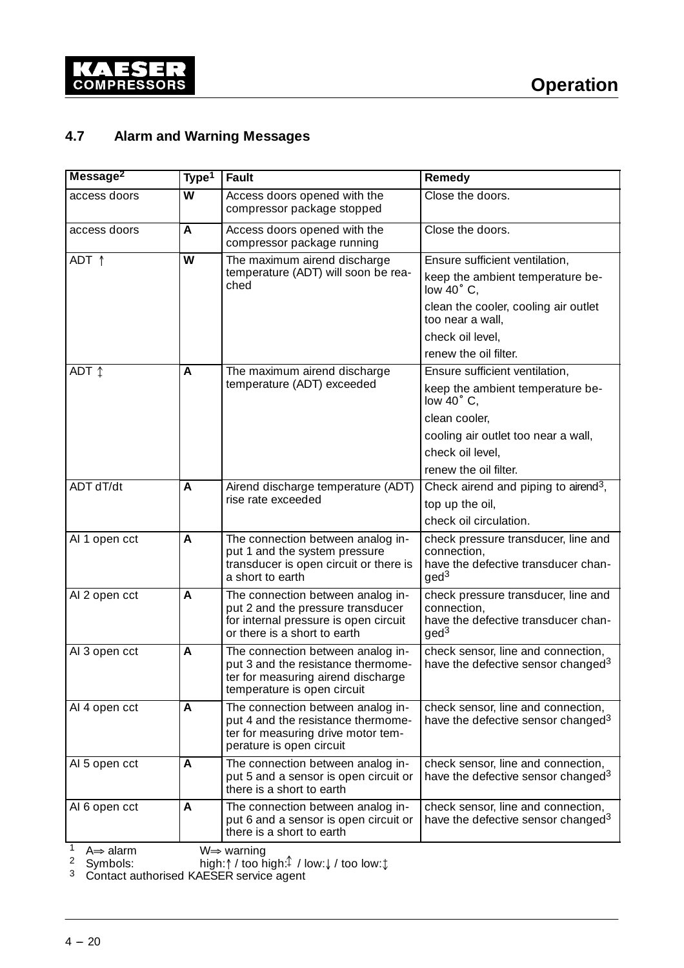## **4.7 Alarm and Warning Messages**

| Message <sup>2</sup>  | Type <sup>1</sup> | <b>Fault</b>                                                                                                                                    | Remedy                                                                                                        |
|-----------------------|-------------------|-------------------------------------------------------------------------------------------------------------------------------------------------|---------------------------------------------------------------------------------------------------------------|
| access doors          | W                 | Access doors opened with the<br>compressor package stopped                                                                                      | Close the doors.                                                                                              |
| access doors          | A                 | Access doors opened with the<br>compressor package running                                                                                      | Close the doors.                                                                                              |
| ADT ↑                 | W                 | The maximum airend discharge                                                                                                                    | Ensure sufficient ventilation,                                                                                |
|                       |                   | temperature (ADT) will soon be rea-<br>ched                                                                                                     | keep the ambient temperature be-<br>low $40^\circ$ C.                                                         |
|                       |                   |                                                                                                                                                 | clean the cooler, cooling air outlet<br>too near a wall,                                                      |
|                       |                   |                                                                                                                                                 | check oil level,                                                                                              |
|                       |                   |                                                                                                                                                 | renew the oil filter.                                                                                         |
| ADT 1                 | A                 | The maximum airend discharge                                                                                                                    | Ensure sufficient ventilation,                                                                                |
|                       |                   | temperature (ADT) exceeded                                                                                                                      | keep the ambient temperature be-<br>low $40^\circ$ C,                                                         |
|                       |                   |                                                                                                                                                 | clean cooler,                                                                                                 |
|                       |                   |                                                                                                                                                 | cooling air outlet too near a wall,                                                                           |
|                       |                   |                                                                                                                                                 | check oil level,                                                                                              |
|                       |                   |                                                                                                                                                 | renew the oil filter.                                                                                         |
| ADT dT/dt             | A                 | Airend discharge temperature (ADT)                                                                                                              | Check airend and piping to airend <sup>3</sup> ,                                                              |
|                       |                   | rise rate exceeded                                                                                                                              | top up the oil,                                                                                               |
|                       |                   |                                                                                                                                                 | check oil circulation.                                                                                        |
| Al 1 open cct         | A                 | The connection between analog in-<br>put 1 and the system pressure<br>transducer is open circuit or there is<br>a short to earth                | check pressure transducer, line and<br>connection,<br>have the defective transducer chan-<br>ged <sup>3</sup> |
| Al 2 open cct         | A                 | The connection between analog in-<br>put 2 and the pressure transducer<br>for internal pressure is open circuit<br>or there is a short to earth | check pressure transducer, line and<br>connection,<br>have the defective transducer chan-<br>ged <sup>3</sup> |
| Al 3 open cct         | A                 | The connection between analog in-<br>put 3 and the resistance thermome-<br>ter for measuring airend discharge<br>temperature is open circuit    | check sensor, line and connection,<br>have the defective sensor changed <sup>3</sup>                          |
| Al 4 open cct         | A                 | The connection between analog in-<br>put 4 and the resistance thermome-<br>ter for measuring drive motor tem-<br>perature is open circuit       | check sensor, line and connection,<br>have the defective sensor changed <sup>3</sup>                          |
| Al 5 open cct         | A                 | The connection between analog in-<br>put 5 and a sensor is open circuit or<br>there is a short to earth                                         | check sensor, line and connection,<br>have the defective sensor changed <sup>3</sup>                          |
| Al 6 open cct         | A                 | The connection between analog in-<br>put 6 and a sensor is open circuit or<br>there is a short to earth                                         | check sensor, line and connection,<br>have the defective sensor changed <sup>3</sup>                          |
| $A \Rightarrow$ alarm |                   | $W \Rightarrow$ warning                                                                                                                         |                                                                                                               |

<sup>2</sup> Symbols: high:↑/ too high:  $\uparrow$  / low:↓/ too low: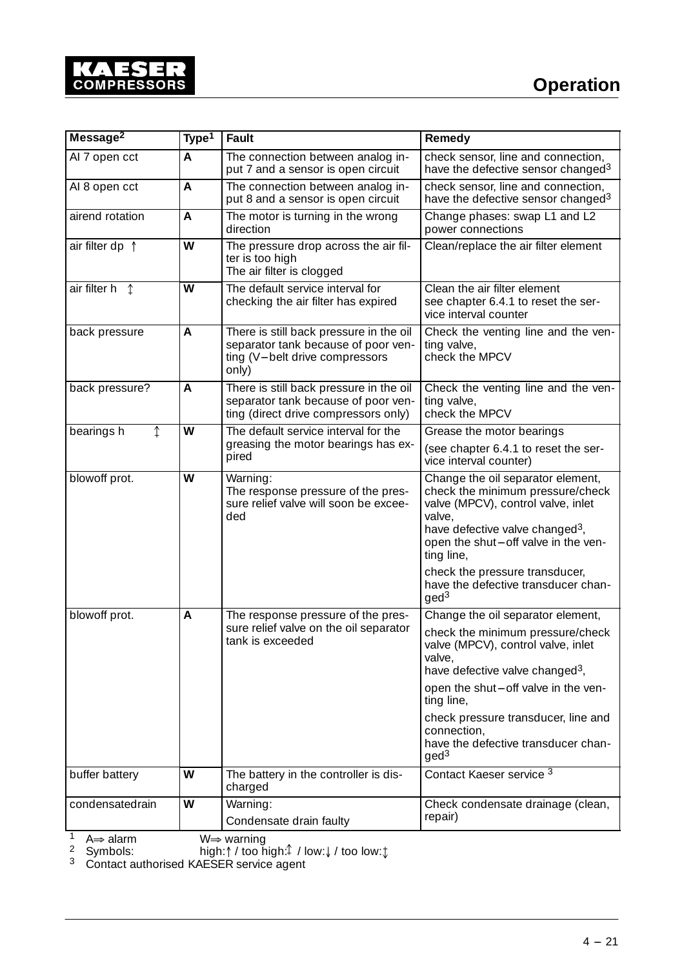| Message <sup>2</sup>      | Type <sup>1</sup> | <b>Fault</b>                                                                                                              | Remedy                                                                                                                                                                                                                    |
|---------------------------|-------------------|---------------------------------------------------------------------------------------------------------------------------|---------------------------------------------------------------------------------------------------------------------------------------------------------------------------------------------------------------------------|
| Al 7 open cct             | A                 | The connection between analog in-<br>put 7 and a sensor is open circuit                                                   | check sensor, line and connection,<br>have the defective sensor changed <sup>3</sup>                                                                                                                                      |
| Al 8 open cct             | A                 | The connection between analog in-<br>put 8 and a sensor is open circuit                                                   | check sensor, line and connection,<br>have the defective sensor changed <sup>3</sup>                                                                                                                                      |
| airend rotation           | A                 | The motor is turning in the wrong<br>direction                                                                            | Change phases: swap L1 and L2<br>power connections                                                                                                                                                                        |
| air filter dp $\uparrow$  | W                 | The pressure drop across the air fil-<br>ter is too high<br>The air filter is clogged                                     | Clean/replace the air filter element                                                                                                                                                                                      |
| air filter $h$ $\uparrow$ | W                 | The default service interval for<br>checking the air filter has expired                                                   | Clean the air filter element<br>see chapter 6.4.1 to reset the ser-<br>vice interval counter                                                                                                                              |
| back pressure             | A                 | There is still back pressure in the oil<br>separator tank because of poor ven-<br>ting (V-belt drive compressors<br>only) | Check the venting line and the ven-<br>ting valve,<br>check the MPCV                                                                                                                                                      |
| back pressure?            | A                 | There is still back pressure in the oil<br>separator tank because of poor ven-<br>ting (direct drive compressors only)    | Check the venting line and the ven-<br>ting valve,<br>check the MPCV                                                                                                                                                      |
| $\uparrow$<br>bearings h  | W                 | The default service interval for the<br>greasing the motor bearings has ex-<br>pired                                      | Grease the motor bearings<br>(see chapter 6.4.1 to reset the ser-<br>vice interval counter)                                                                                                                               |
| blowoff prot.             | W                 | Warning:<br>The response pressure of the pres-<br>sure relief valve will soon be excee-<br>ded                            | Change the oil separator element,<br>check the minimum pressure/check<br>valve (MPCV), control valve, inlet<br>valve,<br>have defective valve changed <sup>3</sup> ,<br>open the shut-off valve in the ven-<br>ting line, |
|                           |                   |                                                                                                                           | check the pressure transducer,<br>have the defective transducer chan-<br>ged <sup>3</sup>                                                                                                                                 |
| blowoff prot.             | A                 | The response pressure of the pres-                                                                                        | Change the oil separator element,                                                                                                                                                                                         |
|                           |                   | sure relief valve on the oil separator<br>tank is exceeded                                                                | check the minimum pressure/check<br>valve (MPCV), control valve, inlet<br>valve,<br>have defective valve changed <sup>3</sup> ,                                                                                           |
|                           |                   |                                                                                                                           | open the shut-off valve in the ven-<br>ting line,                                                                                                                                                                         |
|                           |                   |                                                                                                                           | check pressure transducer, line and<br>connection,<br>have the defective transducer chan-<br>ged <sup>3</sup>                                                                                                             |
| buffer battery            | W                 | The battery in the controller is dis-<br>charged                                                                          | Contact Kaeser service <sup>3</sup>                                                                                                                                                                                       |
| condensatedrain           | W                 | Warning:                                                                                                                  | Check condensate drainage (clean,                                                                                                                                                                                         |
|                           |                   | Condensate drain faulty                                                                                                   | repair)                                                                                                                                                                                                                   |

<sup>2</sup> Symbols: high:↑/ too high: $\hat{A}$  / low:↓/ too low:

<sup>3</sup> Contact authorised KAESER service agent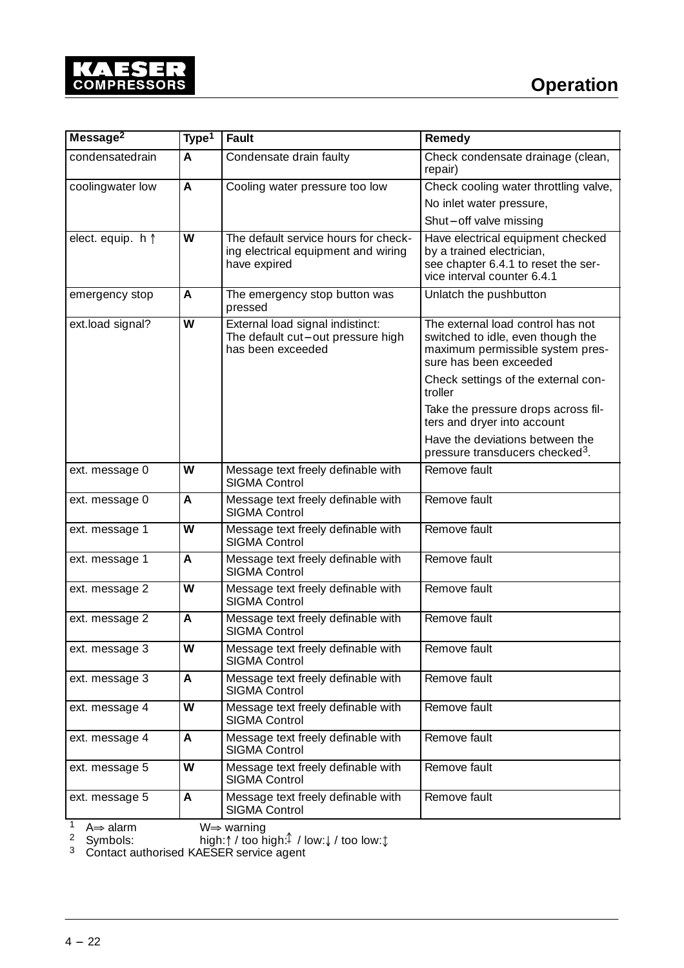

| Message <sup>2</sup> | Type <sup>1</sup> | <b>Fault</b>                                                                                | Remedy                                                                                                                               |
|----------------------|-------------------|---------------------------------------------------------------------------------------------|--------------------------------------------------------------------------------------------------------------------------------------|
| condensatedrain      | A                 | Condensate drain faulty                                                                     | Check condensate drainage (clean,<br>repair)                                                                                         |
| coolingwater low     | A                 | Cooling water pressure too low                                                              | Check cooling water throttling valve,                                                                                                |
|                      |                   |                                                                                             | No inlet water pressure,                                                                                                             |
|                      |                   |                                                                                             | Shut-off valve missing                                                                                                               |
| elect. equip. h 1    | W                 | The default service hours for check-<br>ing electrical equipment and wiring<br>have expired | Have electrical equipment checked<br>by a trained electrician,<br>see chapter 6.4.1 to reset the ser-<br>vice interval counter 6.4.1 |
| emergency stop       | A                 | The emergency stop button was<br>pressed                                                    | Unlatch the pushbutton                                                                                                               |
| ext.load signal?     | W                 | External load signal indistinct:<br>The default cut-out pressure high<br>has been exceeded  | The external load control has not<br>switched to idle, even though the<br>maximum permissible system pres-<br>sure has been exceeded |
|                      |                   |                                                                                             | Check settings of the external con-<br>troller                                                                                       |
|                      |                   |                                                                                             | Take the pressure drops across fil-<br>ters and dryer into account                                                                   |
|                      |                   |                                                                                             | Have the deviations between the<br>pressure transducers checked <sup>3</sup> .                                                       |
| ext. message 0       | W                 | Message text freely definable with<br><b>SIGMA Control</b>                                  | Remove fault                                                                                                                         |
| ext. message 0       | A                 | Message text freely definable with<br><b>SIGMA Control</b>                                  | Remove fault                                                                                                                         |
| ext. message 1       | W                 | Message text freely definable with<br><b>SIGMA Control</b>                                  | Remove fault                                                                                                                         |
| ext. message 1       | A                 | Message text freely definable with<br><b>SIGMA Control</b>                                  | Remove fault                                                                                                                         |
| ext. message 2       | W                 | Message text freely definable with<br>SIGMA Control                                         | Remove fault                                                                                                                         |
| ext. message 2       | A                 | Message text freely definable with<br><b>SIGMA Control</b>                                  | Remove fault                                                                                                                         |
| ext. message 3       | W                 | Message text freely definable with<br><b>SIGMA Control</b>                                  | Remove fault                                                                                                                         |
| ext. message 3       | A                 | Message text freely definable with<br>SIGMA Control                                         | Remove fault                                                                                                                         |
| ext. message 4       | W                 | Message text freely definable with<br><b>SIGMA Control</b>                                  | Remove fault                                                                                                                         |
| ext. message 4       | A                 | Message text freely definable with<br><b>SIGMA Control</b>                                  | Remove fault                                                                                                                         |
| ext. message 5       | W                 | Message text freely definable with<br><b>SIGMA Control</b>                                  | Remove fault                                                                                                                         |
| ext. message 5       | A                 | Message text freely definable with<br><b>SIGMA Control</b>                                  | Remove fault                                                                                                                         |

<sup>2</sup> Symbols: high:↑/ too high:  $\uparrow$  / low:↓/ too low: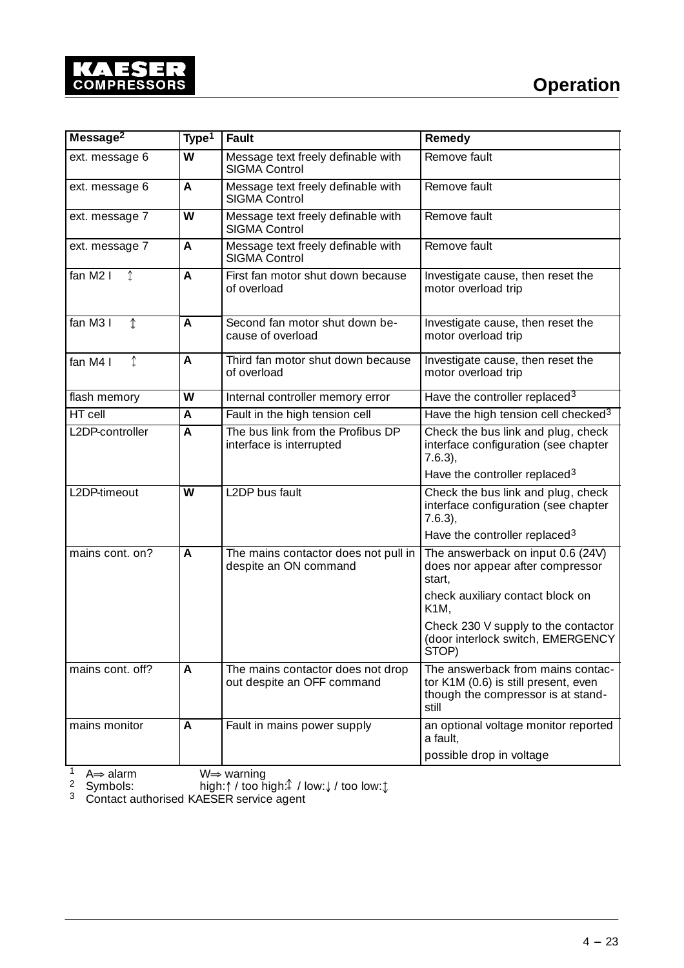## $\equiv$ **COMPRESSORS**

| Message <sup>2</sup>   | Type <sup>1</sup> | <b>Fault</b>                                                    | Remedy                                                                                                                   |
|------------------------|-------------------|-----------------------------------------------------------------|--------------------------------------------------------------------------------------------------------------------------|
| ext. message 6         | W                 | Message text freely definable with<br><b>SIGMA Control</b>      | Remove fault                                                                                                             |
| ext. message 6         | A                 | Message text freely definable with<br><b>SIGMA Control</b>      | Remove fault                                                                                                             |
| ext. message 7         | W                 | Message text freely definable with<br><b>SIGMA Control</b>      | Remove fault                                                                                                             |
| ext. message 7         | A                 | Message text freely definable with<br><b>SIGMA Control</b>      | Remove fault                                                                                                             |
| fan M2 I<br>↥          | A                 | First fan motor shut down because<br>of overload                | Investigate cause, then reset the<br>motor overload trip                                                                 |
| fan M3 I<br>$\uparrow$ | A                 | Second fan motor shut down be-<br>cause of overload             | Investigate cause, then reset the<br>motor overload trip                                                                 |
| ↥<br>fan M4 I          | A                 | Third fan motor shut down because<br>of overload                | Investigate cause, then reset the<br>motor overload trip                                                                 |
| flash memory           | W                 | Internal controller memory error                                | Have the controller replaced <sup>3</sup>                                                                                |
| <b>HT</b> cell         | A                 | Fault in the high tension cell                                  | Have the high tension cell checked <sup>3</sup>                                                                          |
| L2DP-controller        | A                 | The bus link from the Profibus DP<br>interface is interrupted   | Check the bus link and plug, check<br>interface configuration (see chapter<br>$7.6.3$ ),                                 |
|                        |                   |                                                                 | Have the controller replaced <sup>3</sup>                                                                                |
| L2DP-timeout           | W                 | L2DP bus fault                                                  | Check the bus link and plug, check<br>interface configuration (see chapter<br>$7.6.3$ ),                                 |
|                        |                   |                                                                 | Have the controller replaced <sup>3</sup>                                                                                |
| mains cont. on?        | A                 | The mains contactor does not pull in<br>despite an ON command   | The answerback on input 0.6 (24V)<br>does nor appear after compressor<br>start,                                          |
|                        |                   |                                                                 | check auxiliary contact block on<br>K <sub>1</sub> M,                                                                    |
|                        |                   |                                                                 | Check 230 V supply to the contactor<br>(door interlock switch, EMERGENCY<br>STOP)                                        |
| mains cont. off?       | A                 | The mains contactor does not drop<br>out despite an OFF command | The answerback from mains contac-<br>tor K1M (0.6) is still present, even<br>though the compressor is at stand-<br>still |
| mains monitor          | A                 | Fault in mains power supply                                     | an optional voltage monitor reported<br>a fault,                                                                         |
|                        |                   |                                                                 | possible drop in voltage                                                                                                 |

1 A $\Rightarrow$  alarm W $\Rightarrow$  warning

<sup>2</sup> Symbols: high:↑/ too high: $\hat{A}$  / low:↓/ too low:

<sup>3</sup> Contact authorised KAESER service agent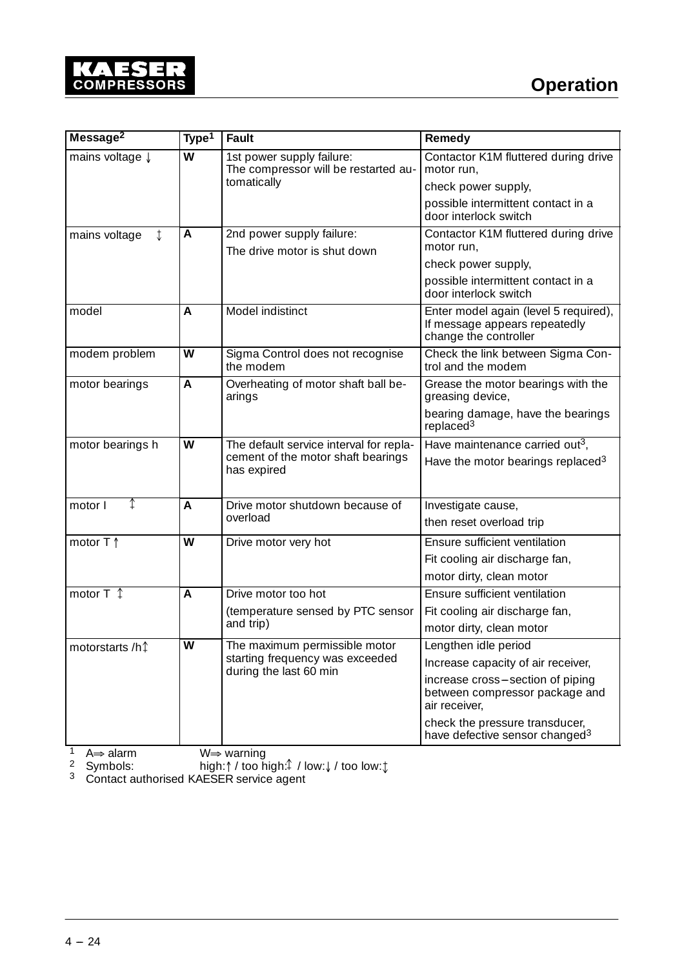

| Message <sup>2</sup>                              | Type <sup>1</sup>       | <b>Fault</b>                                                                                 | Remedy                                                                                          |
|---------------------------------------------------|-------------------------|----------------------------------------------------------------------------------------------|-------------------------------------------------------------------------------------------------|
| mains voltage ↓                                   | W                       | 1st power supply failure:<br>The compressor will be restarted au-                            | Contactor K1M fluttered during drive<br>motor run,                                              |
|                                                   |                         | tomatically                                                                                  | check power supply,                                                                             |
|                                                   |                         |                                                                                              | possible intermittent contact in a<br>door interlock switch                                     |
| mains voltage<br>$\downarrow$                     | A                       | 2nd power supply failure:<br>The drive motor is shut down                                    | Contactor K1M fluttered during drive<br>motor run,                                              |
|                                                   |                         |                                                                                              | check power supply,                                                                             |
|                                                   |                         |                                                                                              | possible intermittent contact in a<br>door interlock switch                                     |
| model                                             | A                       | Model indistinct                                                                             | Enter model again (level 5 required),<br>If message appears repeatedly<br>change the controller |
| modem problem                                     | W                       | Sigma Control does not recognise<br>the modem                                                | Check the link between Sigma Con-<br>trol and the modem                                         |
| motor bearings                                    | A                       | Overheating of motor shaft ball be-<br>arings                                                | Grease the motor bearings with the<br>greasing device,                                          |
|                                                   |                         |                                                                                              | bearing damage, have the bearings<br>replaced <sup>3</sup>                                      |
| motor bearings h                                  | W                       | The default service interval for repla-<br>cement of the motor shaft bearings<br>has expired | Have maintenance carried out <sup>3</sup> ,                                                     |
|                                                   |                         |                                                                                              | Have the motor bearings replaced <sup>3</sup>                                                   |
| motor I                                           | A                       | Drive motor shutdown because of<br>overload                                                  | Investigate cause,                                                                              |
|                                                   |                         |                                                                                              | then reset overload trip                                                                        |
| motor $T$ $\uparrow$                              | W                       | Drive motor very hot                                                                         | Ensure sufficient ventilation                                                                   |
|                                                   |                         |                                                                                              | Fit cooling air discharge fan,                                                                  |
|                                                   |                         |                                                                                              | motor dirty, clean motor                                                                        |
| motor $T$ $\uparrow$                              | A                       | Drive motor too hot                                                                          | Ensure sufficient ventilation                                                                   |
|                                                   |                         | (temperature sensed by PTC sensor<br>and trip)                                               | Fit cooling air discharge fan,                                                                  |
|                                                   |                         |                                                                                              | motor dirty, clean motor                                                                        |
| motorstarts $/h$ <sup><math>\uparrow</math></sup> | $\overline{\mathsf{W}}$ | The maximum permissible motor<br>starting frequency was exceeded                             | Lengthen idle period                                                                            |
|                                                   |                         | during the last 60 min                                                                       | Increase capacity of air receiver,                                                              |
|                                                   |                         |                                                                                              | increase cross-section of piping<br>between compressor package and<br>air receiver,             |
|                                                   |                         |                                                                                              | check the pressure transducer,<br>have defective sensor changed <sup>3</sup>                    |

<sup>2</sup> Symbols: high:↑/ too high: $\hat{A}$  / low:↓/ too low: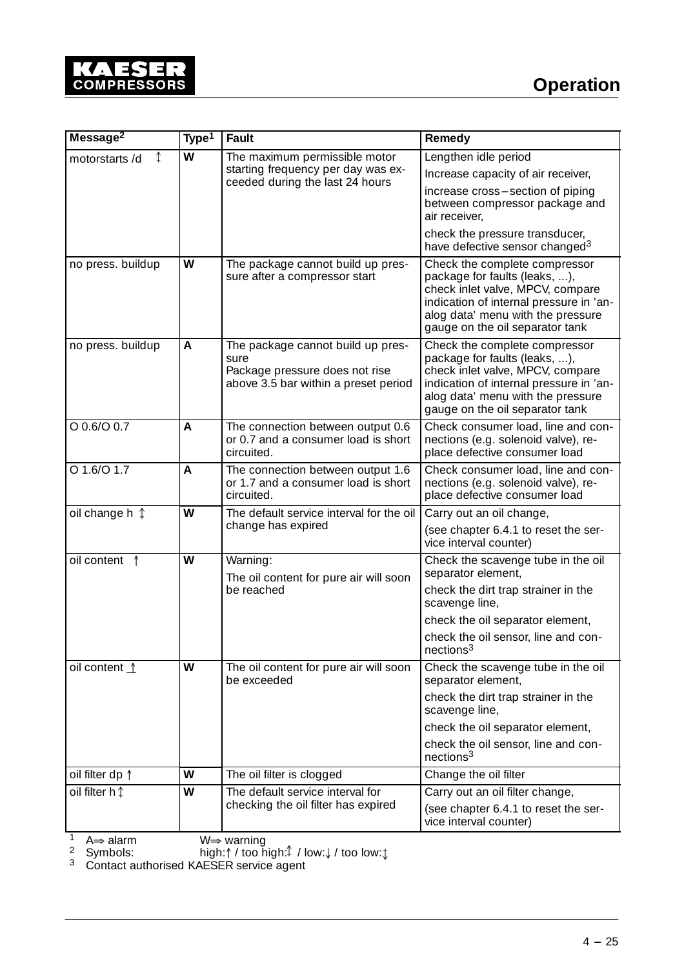## $\overline{a}$ **COMPRESSORS**

| Message <sup>2</sup>    | Type <sup>1</sup>       | <b>Fault</b>                                                                                                        | Remedy                                                                                                                                                                                                                |
|-------------------------|-------------------------|---------------------------------------------------------------------------------------------------------------------|-----------------------------------------------------------------------------------------------------------------------------------------------------------------------------------------------------------------------|
| T<br>motorstarts/d      | $\overline{\mathsf{w}}$ | The maximum permissible motor<br>starting frequency per day was ex-<br>ceeded during the last 24 hours              | Lengthen idle period<br>Increase capacity of air receiver,                                                                                                                                                            |
|                         |                         |                                                                                                                     | increase cross-section of piping<br>between compressor package and<br>air receiver,                                                                                                                                   |
|                         |                         |                                                                                                                     | check the pressure transducer,<br>have defective sensor changed <sup>3</sup>                                                                                                                                          |
| no press. buildup       | W                       | The package cannot build up pres-<br>sure after a compressor start                                                  | Check the complete compressor<br>package for faults (leaks, ),<br>check inlet valve, MPCV, compare<br>indication of internal pressure in 'an-<br>alog data' menu with the pressure<br>gauge on the oil separator tank |
| no press. buildup       | A                       | The package cannot build up pres-<br>sure<br>Package pressure does not rise<br>above 3.5 bar within a preset period | Check the complete compressor<br>package for faults (leaks, ),<br>check inlet valve, MPCV, compare<br>indication of internal pressure in 'an-<br>alog data' menu with the pressure<br>gauge on the oil separator tank |
| O 0.6/O 0.7             | A                       | The connection between output 0.6<br>or 0.7 and a consumer load is short<br>circuited.                              | Check consumer load, line and con-<br>nections (e.g. solenoid valve), re-<br>place defective consumer load                                                                                                            |
| O 1.6/O 1.7             | A                       | The connection between output 1.6<br>or 1.7 and a consumer load is short<br>circuited.                              | Check consumer load, line and con-<br>nections (e.g. solenoid valve), re-<br>place defective consumer load                                                                                                            |
| oil change $h \uparrow$ | W                       | The default service interval for the oil<br>change has expired                                                      | Carry out an oil change,                                                                                                                                                                                              |
|                         |                         |                                                                                                                     | (see chapter 6.4.1 to reset the ser-<br>vice interval counter)                                                                                                                                                        |
| oil content 1           | W                       | Warning:<br>The oil content for pure air will soon<br>be reached                                                    | Check the scavenge tube in the oil<br>separator element,                                                                                                                                                              |
|                         |                         |                                                                                                                     | check the dirt trap strainer in the<br>scavenge line,                                                                                                                                                                 |
|                         |                         |                                                                                                                     | check the oil separator element,                                                                                                                                                                                      |
|                         |                         |                                                                                                                     | check the oil sensor, line and con-<br>nections <sup>3</sup>                                                                                                                                                          |
| oil content $1$         | W                       | The oil content for pure air will soon<br>be exceeded                                                               | Check the scavenge tube in the oil<br>separator element,                                                                                                                                                              |
|                         |                         |                                                                                                                     | check the dirt trap strainer in the<br>scavenge line,                                                                                                                                                                 |
|                         |                         |                                                                                                                     | check the oil separator element,                                                                                                                                                                                      |
|                         |                         |                                                                                                                     | check the oil sensor, line and con-<br>nections <sup>3</sup>                                                                                                                                                          |
| oil filter dp 1         | W                       | The oil filter is clogged                                                                                           | Change the oil filter                                                                                                                                                                                                 |
| oil filter $h \uparrow$ | W                       | The default service interval for                                                                                    | Carry out an oil filter change,                                                                                                                                                                                       |
|                         |                         | checking the oil filter has expired                                                                                 | (see chapter 6.4.1 to reset the ser-<br>vice interval counter)                                                                                                                                                        |

1 A $\Rightarrow$  alarm W $\Rightarrow$  warning

<sup>2</sup> Symbols: high:↑/ too high: / low:↓/ too low: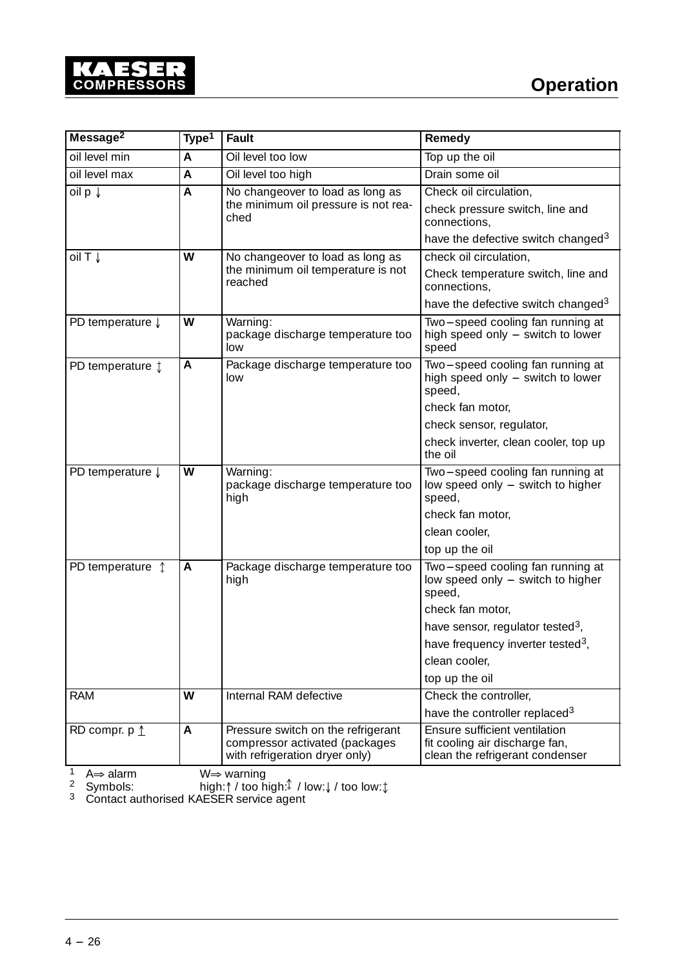| Message <sup>2</sup>          | Type <sup>1</sup> | <b>Fault</b>                                                                                           | Remedy                                                                                             |
|-------------------------------|-------------------|--------------------------------------------------------------------------------------------------------|----------------------------------------------------------------------------------------------------|
| oil level min                 | A                 | Oil level too low                                                                                      | Top up the oil                                                                                     |
| oil level max                 | A                 | Oil level too high                                                                                     | Drain some oil                                                                                     |
| oil p $\downarrow$            | A                 | No changeover to load as long as                                                                       | Check oil circulation,                                                                             |
|                               |                   | the minimum oil pressure is not rea-<br>ched                                                           | check pressure switch, line and<br>connections,                                                    |
|                               |                   |                                                                                                        | have the defective switch changed <sup>3</sup>                                                     |
| oil T ↓                       | W                 | No changeover to load as long as<br>the minimum oil temperature is not<br>reached                      | check oil circulation,                                                                             |
|                               |                   |                                                                                                        | Check temperature switch, line and<br>connections,                                                 |
|                               |                   |                                                                                                        | have the defective switch changed <sup>3</sup>                                                     |
| PD temperature $\downarrow$   | W                 | Warning:<br>package discharge temperature too<br>low                                                   | Two-speed cooling fan running at<br>high speed only - switch to lower<br>speed                     |
| PD temperature $t$            | A                 | Package discharge temperature too<br>low                                                               | Two-speed cooling fan running at<br>high speed only - switch to lower<br>speed,                    |
|                               |                   |                                                                                                        | check fan motor,                                                                                   |
|                               |                   |                                                                                                        | check sensor, regulator,                                                                           |
|                               |                   |                                                                                                        | check inverter, clean cooler, top up<br>the oil                                                    |
| PD temperature $\downarrow$   | W                 | Warning:<br>package discharge temperature too<br>high                                                  | Two-speed cooling fan running at<br>low speed only - switch to higher<br>speed,                    |
|                               |                   |                                                                                                        | check fan motor,                                                                                   |
|                               |                   |                                                                                                        | clean cooler,                                                                                      |
|                               |                   |                                                                                                        | top up the oil                                                                                     |
| PD temperature $\uparrow$     | A                 | Package discharge temperature too<br>high                                                              | Two-speed cooling fan running at<br>low speed only - switch to higher<br>speed,                    |
|                               |                   |                                                                                                        | check fan motor,                                                                                   |
|                               |                   |                                                                                                        | have sensor, regulator tested <sup>3</sup> ,                                                       |
|                               |                   |                                                                                                        | have frequency inverter tested <sup>3</sup> ,                                                      |
|                               |                   |                                                                                                        | clean cooler.                                                                                      |
|                               |                   |                                                                                                        | top up the oil                                                                                     |
| <b>RAM</b>                    | W                 | Internal RAM defective                                                                                 | Check the controller,                                                                              |
|                               |                   |                                                                                                        | have the controller replaced <sup>3</sup>                                                          |
| RD compr. $p \nightharpoonup$ | A                 | Pressure switch on the refrigerant<br>compressor activated (packages<br>with refrigeration dryer only) | Ensure sufficient ventilation<br>fit cooling air discharge fan,<br>clean the refrigerant condenser |

<sup>2</sup> Symbols: high:↑/ too high: <sup>↑</sup> / low:↓/ too low: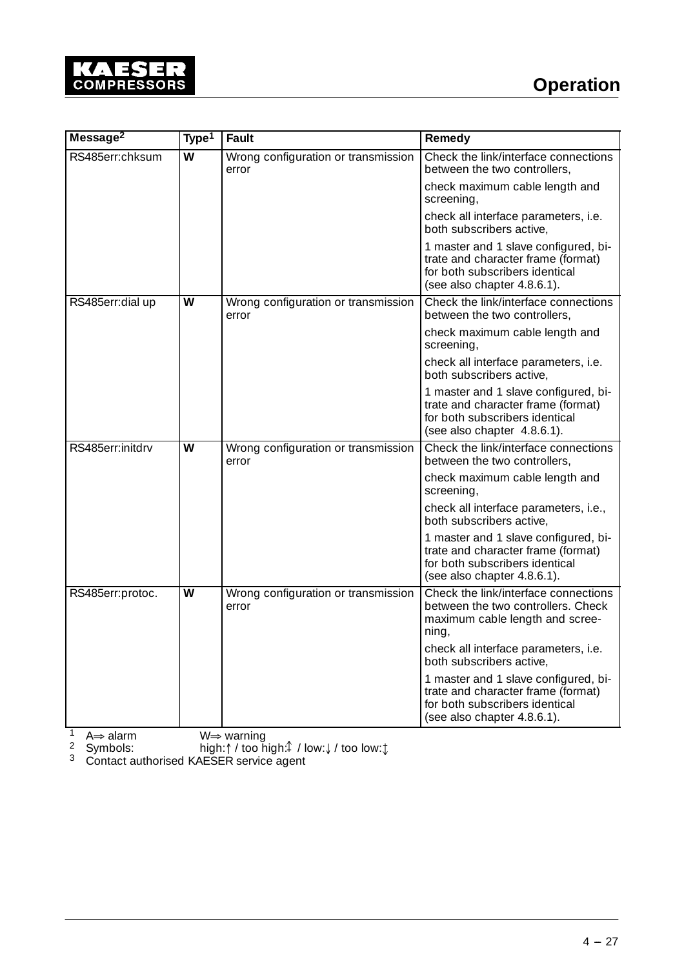

| Message <sup>2</sup> | Type <sup>1</sup>       | <b>Fault</b>                                 | Remedy                                                                                                                                      |
|----------------------|-------------------------|----------------------------------------------|---------------------------------------------------------------------------------------------------------------------------------------------|
| RS485err:chksum      | W                       | Wrong configuration or transmission<br>error | Check the link/interface connections<br>between the two controllers,                                                                        |
|                      |                         |                                              | check maximum cable length and<br>screening,                                                                                                |
|                      |                         |                                              | check all interface parameters, i.e.<br>both subscribers active,                                                                            |
|                      |                         |                                              | 1 master and 1 slave configured, bi-<br>trate and character frame (format)<br>for both subscribers identical<br>(see also chapter 4.8.6.1). |
| RS485err:dial up     | W                       | Wrong configuration or transmission<br>error | Check the link/interface connections<br>between the two controllers,                                                                        |
|                      |                         |                                              | check maximum cable length and<br>screening,                                                                                                |
|                      |                         |                                              | check all interface parameters, i.e.<br>both subscribers active,                                                                            |
|                      |                         |                                              | 1 master and 1 slave configured, bi-<br>trate and character frame (format)<br>for both subscribers identical<br>(see also chapter 4.8.6.1). |
| RS485err:initdrv     | $\overline{\mathsf{w}}$ | Wrong configuration or transmission<br>error | Check the link/interface connections<br>between the two controllers,                                                                        |
|                      |                         |                                              | check maximum cable length and<br>screening,                                                                                                |
|                      |                         |                                              | check all interface parameters, i.e.,<br>both subscribers active,                                                                           |
|                      |                         |                                              | 1 master and 1 slave configured, bi-<br>trate and character frame (format)<br>for both subscribers identical<br>(see also chapter 4.8.6.1). |
| RS485err:protoc.     | W                       | Wrong configuration or transmission<br>error | Check the link/interface connections<br>between the two controllers. Check<br>maximum cable length and scree-<br>ning,                      |
|                      |                         |                                              | check all interface parameters, i.e.<br>both subscribers active,                                                                            |
|                      |                         |                                              | 1 master and 1 slave configured, bi-<br>trate and character frame (format)<br>for both subscribers identical<br>(see also chapter 4.8.6.1). |

<sup>2</sup> Symbols: high:↑/ too high: <sup>↑</sup> / low:↓/ too low: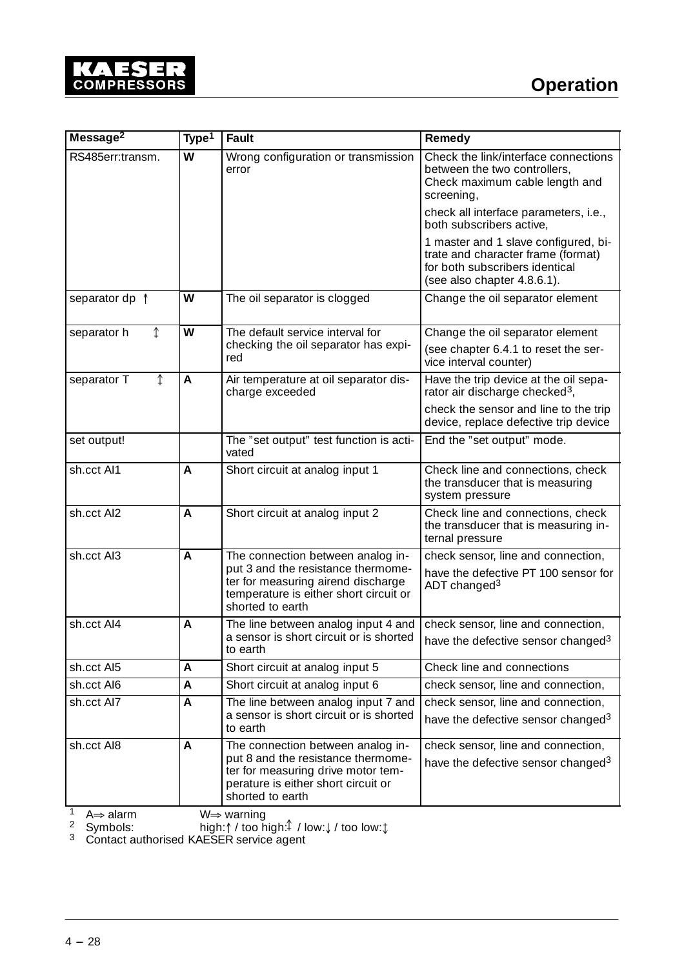| Message <sup>2</sup>      | Type <sup>1</sup>       | <b>Fault</b>                                                                                                                                                                | Remedy                                                                                                                                      |
|---------------------------|-------------------------|-----------------------------------------------------------------------------------------------------------------------------------------------------------------------------|---------------------------------------------------------------------------------------------------------------------------------------------|
| RS485err:transm.          | $\overline{\mathsf{w}}$ | Wrong configuration or transmission<br>error                                                                                                                                | Check the link/interface connections<br>between the two controllers,<br>Check maximum cable length and<br>screening,                        |
|                           |                         |                                                                                                                                                                             | check all interface parameters, i.e.,<br>both subscribers active,                                                                           |
|                           |                         |                                                                                                                                                                             | 1 master and 1 slave configured, bi-<br>trate and character frame (format)<br>for both subscribers identical<br>(see also chapter 4.8.6.1). |
| separator dp 1            | W                       | The oil separator is clogged                                                                                                                                                | Change the oil separator element                                                                                                            |
| $\uparrow$<br>separator h | W                       | The default service interval for                                                                                                                                            | Change the oil separator element                                                                                                            |
|                           |                         | checking the oil separator has expi-<br>red                                                                                                                                 | (see chapter 6.4.1 to reset the ser-<br>vice interval counter)                                                                              |
| separator T<br>↥          | A                       | Air temperature at oil separator dis-<br>charge exceeded                                                                                                                    | Have the trip device at the oil sepa-<br>rator air discharge checked <sup>3</sup> ,                                                         |
|                           |                         |                                                                                                                                                                             | check the sensor and line to the trip<br>device, replace defective trip device                                                              |
| set output!               |                         | The "set output" test function is acti-<br>vated                                                                                                                            | End the "set output" mode.                                                                                                                  |
| sh.cct Al1                | A                       | Short circuit at analog input 1                                                                                                                                             | Check line and connections, check<br>the transducer that is measuring<br>system pressure                                                    |
| sh.cct Al2                | A                       | Short circuit at analog input 2                                                                                                                                             | Check line and connections, check<br>the transducer that is measuring in-<br>ternal pressure                                                |
| sh.cct AI3                | A                       | The connection between analog in-<br>put 3 and the resistance thermome-<br>ter for measuring airend discharge<br>temperature is either short circuit or<br>shorted to earth | check sensor, line and connection,<br>have the defective PT 100 sensor for<br>ADT changed <sup>3</sup>                                      |
| sh.cct Al4                | A                       | The line between analog input 4 and<br>a sensor is short circuit or is shorted<br>to earth                                                                                  | check sensor, line and connection,<br>have the defective sensor changed <sup>3</sup>                                                        |
| sh.cct AI5                | A                       | Short circuit at analog input 5                                                                                                                                             | Check line and connections                                                                                                                  |
| sh.cct AI6                | A                       | Short circuit at analog input 6                                                                                                                                             | check sensor, line and connection,                                                                                                          |
| sh.cct AI7                | A                       | The line between analog input 7 and<br>a sensor is short circuit or is shorted<br>to earth                                                                                  | check sensor, line and connection,<br>have the defective sensor changed <sup>3</sup>                                                        |
| sh.cct AI8                | A                       | The connection between analog in-<br>put 8 and the resistance thermome-<br>ter for measuring drive motor tem-<br>perature is either short circuit or<br>shorted to earth    | check sensor, line and connection,<br>have the defective sensor changed <sup>3</sup>                                                        |

<sup>2</sup> Symbols: high:↑/ too high: <sup>↑</sup> / low:↓/ too low: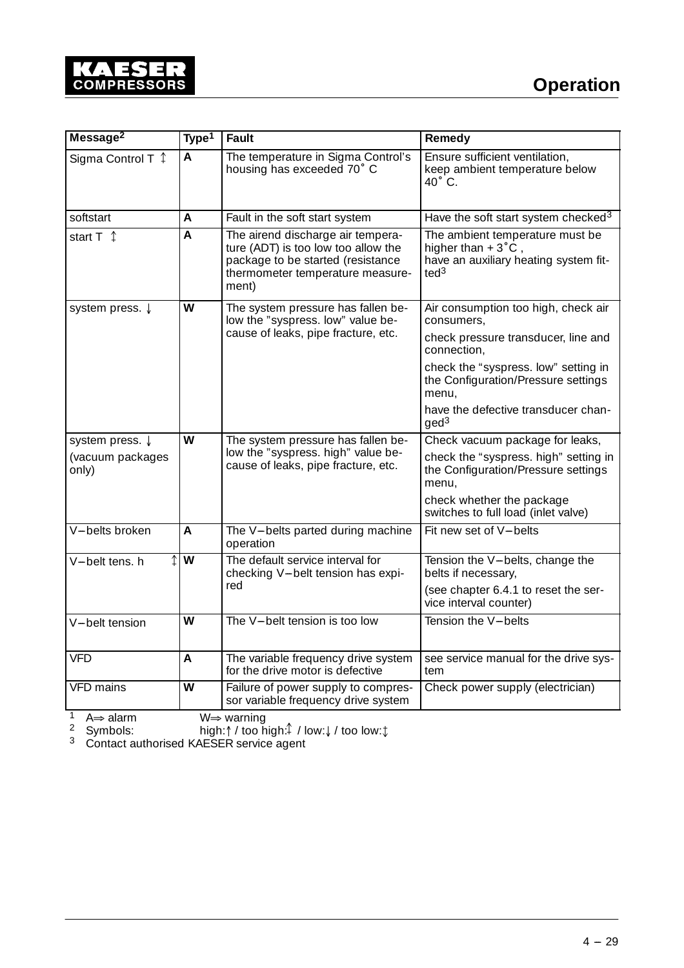| Message <sup>2</sup>         | Type <sup>1</sup>       | <b>Fault</b>                                                                                                                                               | Remedy                                                                                                             |
|------------------------------|-------------------------|------------------------------------------------------------------------------------------------------------------------------------------------------------|--------------------------------------------------------------------------------------------------------------------|
| Sigma Control T 1            | A                       | The temperature in Sigma Control's<br>housing has exceeded 70° C                                                                                           | Ensure sufficient ventilation,<br>keep ambient temperature below<br>$40^\circ$ C.                                  |
| softstart                    | A                       | Fault in the soft start system                                                                                                                             | Have the soft start system checked <sup>3</sup>                                                                    |
| start $T$ $\hat{\perp}$      | A                       | The airend discharge air tempera-<br>ture (ADT) is too low too allow the<br>package to be started (resistance<br>thermometer temperature measure-<br>ment) | The ambient temperature must be<br>higher than $+3^{\circ}$ C,<br>have an auxiliary heating system fit-<br>ted $3$ |
| system press. ↓              | $\overline{\mathsf{w}}$ | The system pressure has fallen be-<br>low the "syspress. low" value be-<br>cause of leaks, pipe fracture, etc.                                             | Air consumption too high, check air<br>consumers,                                                                  |
|                              |                         |                                                                                                                                                            | check pressure transducer, line and<br>connection,                                                                 |
|                              |                         |                                                                                                                                                            | check the "syspress. low" setting in<br>the Configuration/Pressure settings<br>menu,                               |
|                              |                         |                                                                                                                                                            | have the defective transducer chan-<br>ged <sup>3</sup>                                                            |
| system press. ↓              | W                       | The system pressure has fallen be-                                                                                                                         | Check vacuum package for leaks,                                                                                    |
| (vacuum packages<br>only)    |                         | low the "syspress. high" value be-<br>cause of leaks, pipe fracture, etc.                                                                                  | check the "syspress. high" setting in<br>the Configuration/Pressure settings<br>menu,                              |
|                              |                         |                                                                                                                                                            | check whether the package<br>switches to full load (inlet valve)                                                   |
| V-belts broken               | A                       | The V-belts parted during machine<br>operation                                                                                                             | Fit new set of V-belts                                                                                             |
| $\uparrow$<br>V-belt tens. h | $\overline{\mathsf{w}}$ | The default service interval for<br>checking V-belt tension has expi-                                                                                      | Tension the V-belts, change the<br>belts if necessary,                                                             |
|                              |                         | red                                                                                                                                                        | (see chapter 6.4.1 to reset the ser-<br>vice interval counter)                                                     |
| V-belt tension               | $\overline{\mathsf{W}}$ | The V-belt tension is too low                                                                                                                              | Tension the V-belts                                                                                                |
| <b>VFD</b>                   | A                       | The variable frequency drive system<br>for the drive motor is defective                                                                                    | see service manual for the drive sys-<br>tem                                                                       |
| <b>VFD</b> mains             | $\overline{\mathsf{w}}$ | Failure of power supply to compres-<br>sor variable frequency drive system                                                                                 | Check power supply (electrician)                                                                                   |

<sup>2</sup> Symbols: high:↑/ too high: <sup>↑</sup> / low:↓/ too low: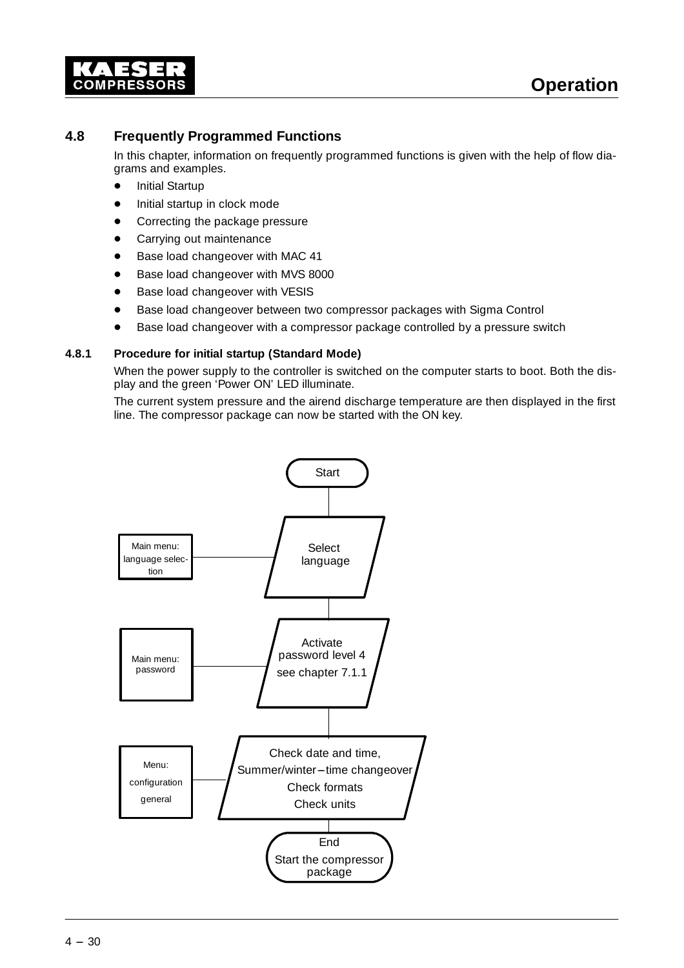## **4.8 Frequently Programmed Functions**

In this chapter, information on frequently programmed functions is given with the help of flow diagrams and examples.

- Initial Startup
- Initial startup in clock mode
- Correcting the package pressure
- Carrying out maintenance
- Base load changeover with MAC 41
- Base load changeover with MVS 8000
- Base load changeover with VESIS
- Base load changeover between two compressor packages with Sigma Control
- Base load changeover with a compressor package controlled by a pressure switch

#### **4.8.1 Procedure for initial startup (Standard Mode)**

When the power supply to the controller is switched on the computer starts to boot. Both the display and the green 'Power ON' LED illuminate.

The current system pressure and the airend discharge temperature are then displayed in the first line. The compressor package can now be started with the ON key.

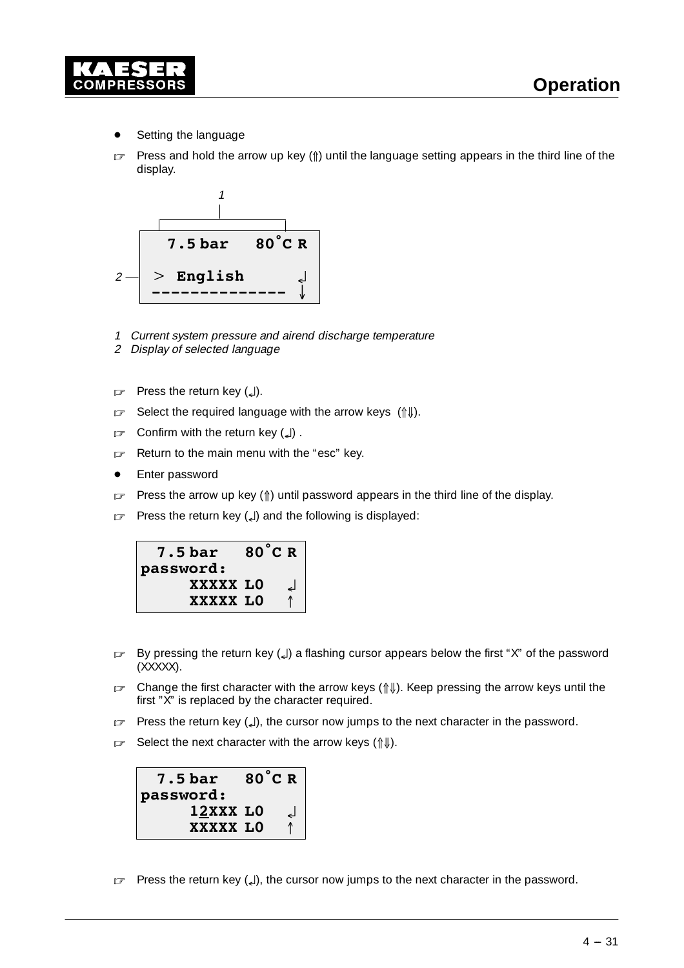

- Setting the language
- **Press and hold the arrow up key (f) until the language setting appears in the third line of the** display.



- 1 Current system pressure and airend discharge temperature
- 2 Display of selected language
- $F$  Press the return key (1).
- $\mathbb{F}$  Select the required language with the arrow keys (11).
- $\mathbb{F}$  Confirm with the return key ( $\downarrow$ ).
- $F$  Return to the main menu with the "esc" key.
- Enter password
- **Press the arrow up key (f) until password appears in the third line of the display.**
- $\mathbb{F}$  Press the return key ( $\downarrow$ ) and the following is displayed:



- By pressing the return key ( $\downarrow$ ) a flashing cursor appears below the first "X" of the password (XXXXX).
- $\mathbb{F}$  Change the first character with the arrow keys ( $\Uparrow \mathbb{I}$ ). Keep pressing the arrow keys until the first "X" is replaced by the character required.
- Press the return key (1), the cursor now jumps to the next character in the password.
- $\mathbb{F}$  Select the next character with the arrow keys ( $\mathcal{L}(\mathcal{V})$ ).

| 7.5 <sub>bar</sub> | $80^{\circ}$ CR |
|--------------------|-----------------|
| password:          |                 |
| 12XXX LO           |                 |
| XXXXX LO           |                 |

 $F$  Press the return key ( $\downarrow$ ), the cursor now jumps to the next character in the password.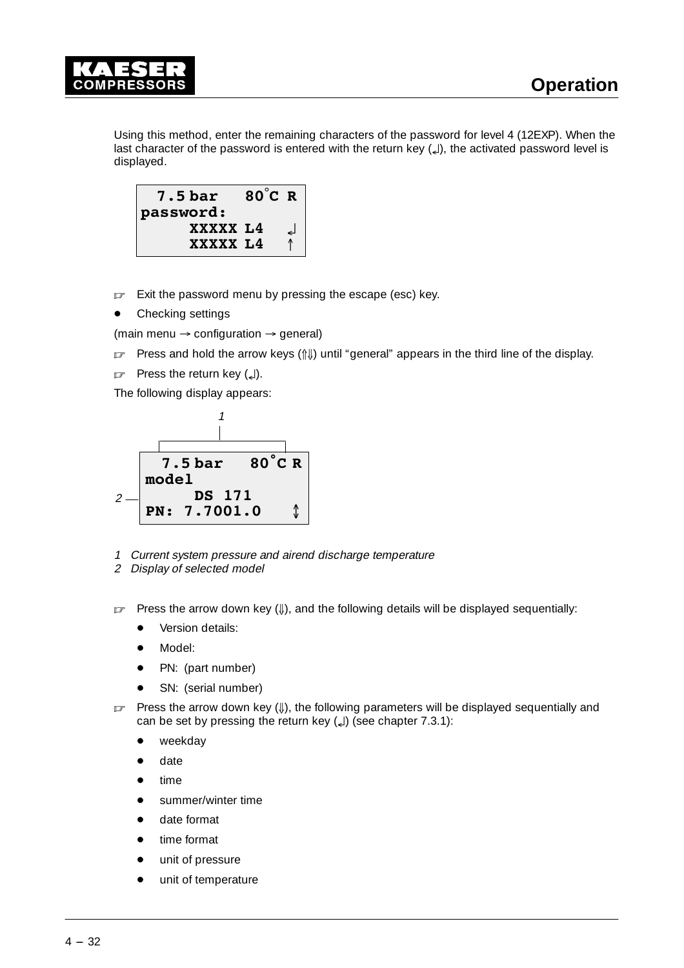Using this method, enter the remaining characters of the password for level 4 (12EXP). When the last character of the password is entered with the return key  $(L)$ , the activated password level is displayed.

| $80^{\circ}$ C R<br>XXXXX L4<br>XXXXX L4 |
|------------------------------------------|

- $F$  Exit the password menu by pressing the escape (esc) key.
- Checking settings
- (main menu  $\rightarrow$  configuration  $\rightarrow$  general)
- **Press and hold the arrow keys (** $\parallel \Downarrow$ ) until "general" appears in the third line of the display.
- $F$  Press the return key ( $\Box$ ).

The following display appears:



- 1 Current system pressure and airend discharge temperature
- 2 Display of selected model
- $F$  Press the arrow down key ( $\Downarrow$ ), and the following details will be displayed sequentially:
	- Version details:
	- Model:
	- PN: (part number)
	- SN: (serial number)
- **Press the arrow down key (** $\Downarrow$ ), the following parameters will be displayed sequentially and can be set by pressing the return key  $(L)$  (see chapter 7.3.1):
	- weekday
	- date
	- time
	- summer/winter time
	- $\bullet$  date format
	- $\bullet$  time format
	- $\bullet$  unit of pressure
	- unit of temperature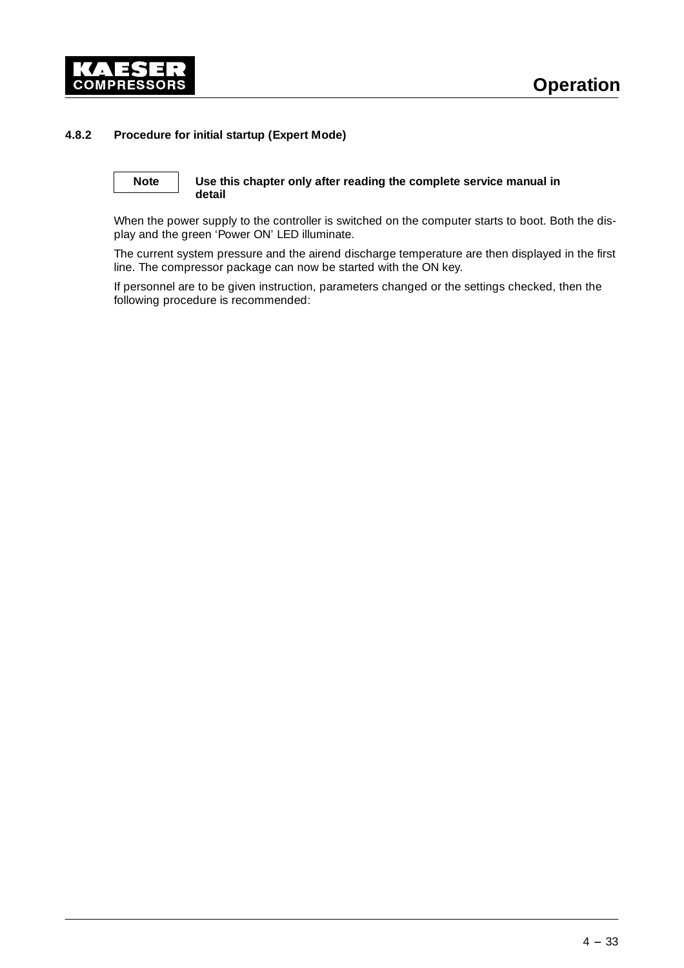

#### **4.8.2 Procedure for initial startup (Expert Mode)**



#### **Use this chapter only after reading the complete service manual in detail**

When the power supply to the controller is switched on the computer starts to boot. Both the display and the green 'Power ON' LED illuminate.

The current system pressure and the airend discharge temperature are then displayed in the first line. The compressor package can now be started with the ON key.

If personnel are to be given instruction, parameters changed or the settings checked, then the following procedure is recommended: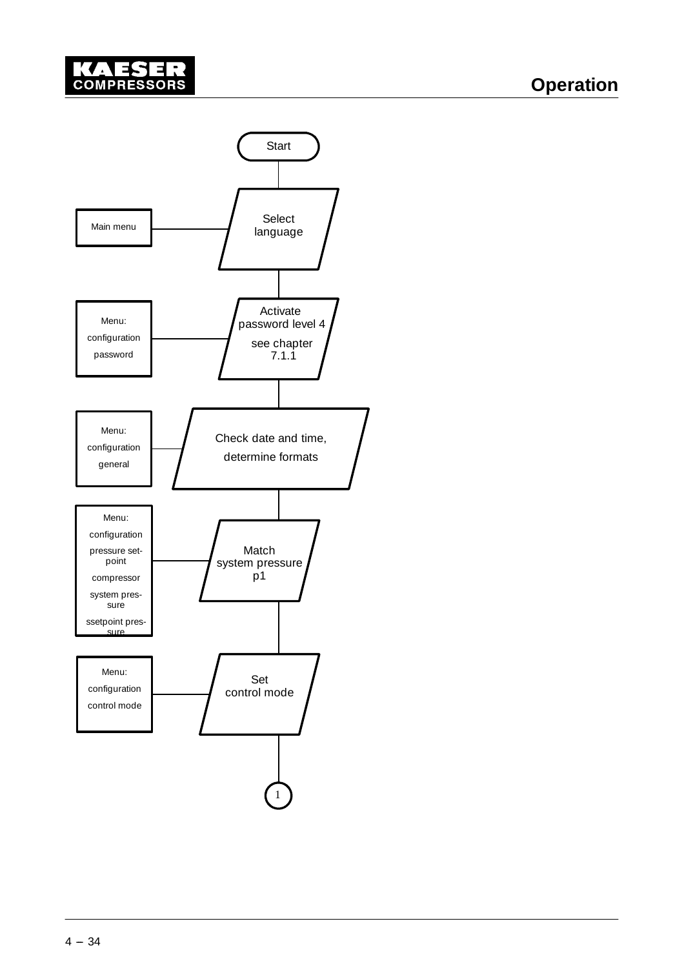

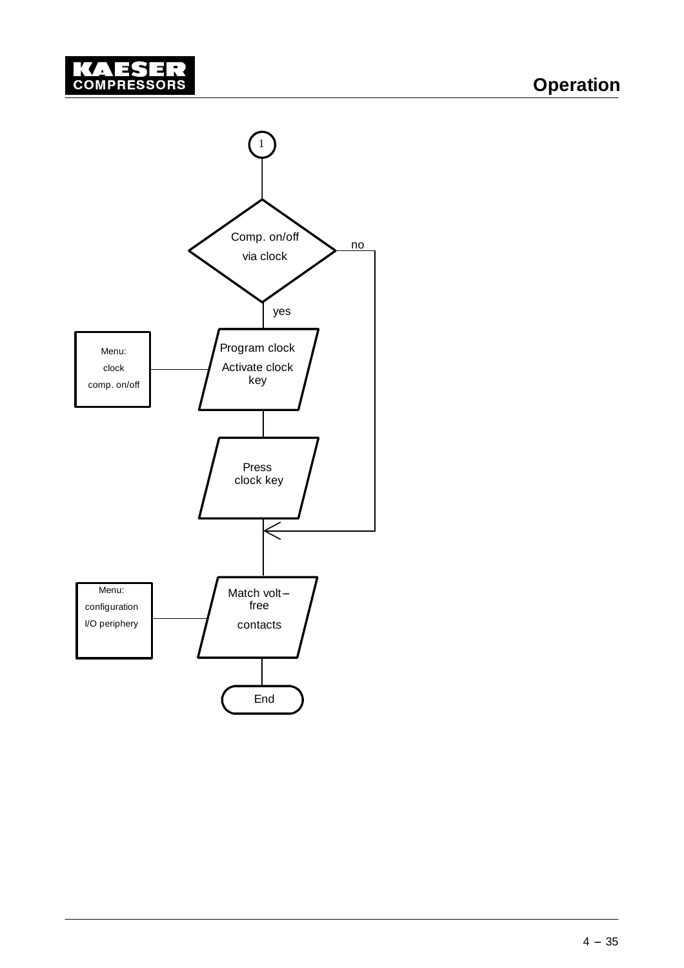

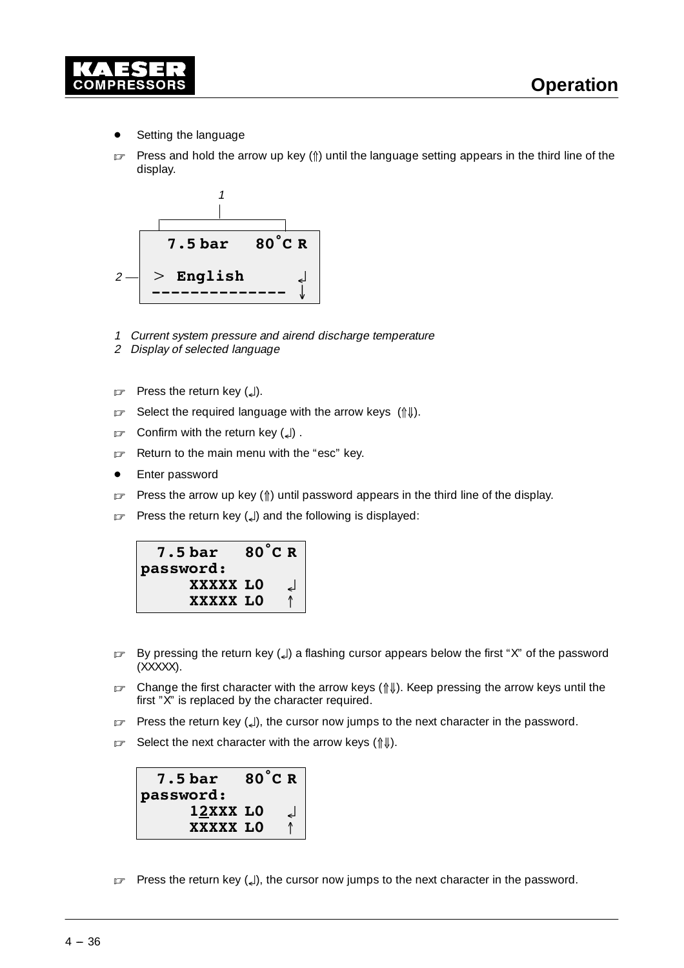

- Setting the language
- **Press and hold the arrow up key (f) until the language setting appears in the third line of the** display.



- 1 Current system pressure and airend discharge temperature
- 2 Display of selected language
- $F$  Press the return key (1).
- $\mathbb{F}$  Select the required language with the arrow keys (11).
- $\mathbb{F}$  Confirm with the return key ( $\downarrow$ ).
- $F$  Return to the main menu with the "esc" key.
- Enter password
- **Press the arrow up key (f) until password appears in the third line of the display.**
- $\mathbb{F}$  Press the return key ( $\downarrow$ ) and the following is displayed:



- By pressing the return key ( $\downarrow$ ) a flashing cursor appears below the first "X" of the password (XXXXX).
- $\Box$  Change the first character with the arrow keys ( $\Uparrow \Downarrow$ ). Keep pressing the arrow keys until the first "X" is replaced by the character required.
- Press the return key (1), the cursor now jumps to the next character in the password.
- $\mathbb{F}$  Select the next character with the arrow keys ( $\mathcal{L}(\mathcal{V})$ ).

| 7.5 <sub>bar</sub> | $80^{\circ}$ CR |
|--------------------|-----------------|
| password:          |                 |
| 12XXX LO           |                 |
| XXXXX LO           |                 |

 $F$  Press the return key ( $\downarrow$ ), the cursor now jumps to the next character in the password.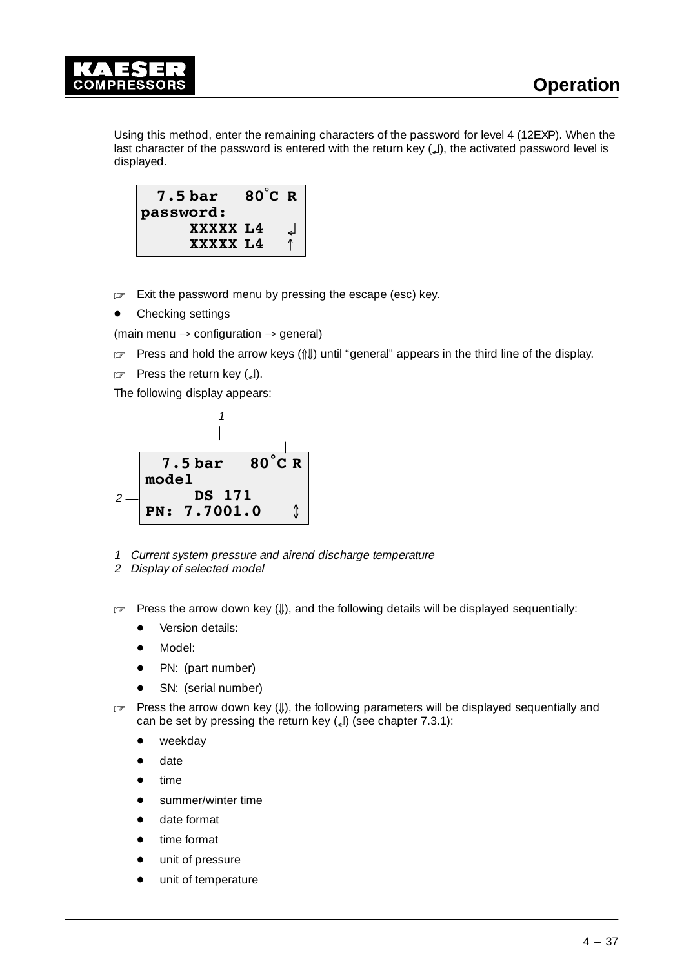Using this method, enter the remaining characters of the password for level 4 (12EXP). When the last character of the password is entered with the return key  $\Box$ ), the activated password level is displayed.

| $80^{\circ}$ C R<br>XXXXX L4<br>XXXXX L4 |
|------------------------------------------|

- $F$  Exit the password menu by pressing the escape (esc) key.
- Checking settings
- (main menu  $\rightarrow$  configuration  $\rightarrow$  general)
- **Press and hold the arrow keys (** $\parallel \Downarrow$ ) until "general" appears in the third line of the display.
- $F$  Press the return key ( $\Box$ ).

The following display appears:



- 1 Current system pressure and airend discharge temperature
- 2 Display of selected model
- $F$  Press the arrow down key ( $\Downarrow$ ), and the following details will be displayed sequentially:
	- Version details:
	- Model:
	- PN: (part number)
	- SN: (serial number)
- **Press the arrow down key (** $\Downarrow$ ), the following parameters will be displayed sequentially and can be set by pressing the return key  $(L)$  (see chapter 7.3.1):
	- weekday
	- date
	- time
	- summer/winter time
	- $\bullet$  date format
	- $\bullet$  time format
	- $\bullet$  unit of pressure
	- unit of temperature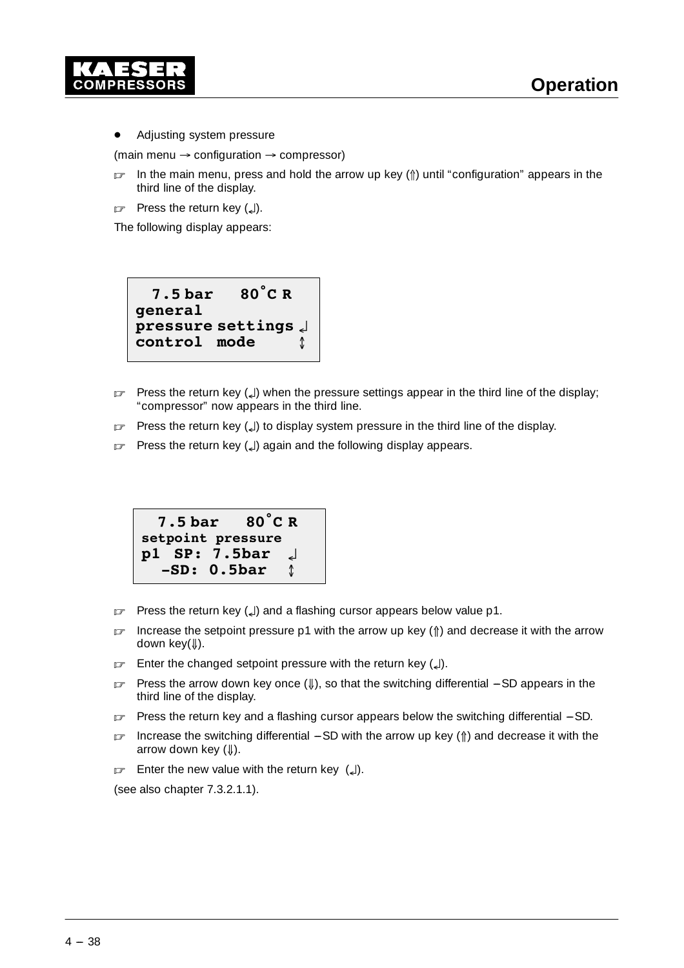

Adjusting system pressure

(main menu  $\rightarrow$  configuration  $\rightarrow$  compressor)

- In the main menu, press and hold the arrow up key (t) until "configuration" appears in the third line of the display.
- $\mathbb{F}$  Press the return key (1).

The following display appears:

 $7.5 \text{ bar}$  80 $^{\circ}$ C R **general pressure settings FRAUGHER** CONTROL **ROOT** 

- Press the return key ( $\downarrow$ ) when the pressure settings appear in the third line of the display; "compressor" now appears in the third line.
- Press the return key ( $\downarrow$ ) to display system pressure in the third line of the display.
- F Press the return key (U) again and the following display appears.



- Press the return key ( $\downarrow$ ) and a flashing cursor appears below value p1.
- Increase the setpoint pressure p1 with the arrow up key ( $\Uparrow$ ) and decrease it with the arrow down key(Ä).
- Enter the changed setpoint pressure with the return key ( $\downarrow$ ).
- **Press the arrow down key once (** $\Downarrow$ ), so that the switching differential  $-SD$  appears in the third line of the display.
- **Press the return key and a flashing cursor appears below the switching differential -SD.**
- Increase the switching differential  $-SD$  with the arrow up key ( $\Uparrow$ ) and decrease it with the arrow down key  $(\Downarrow)$ .
- Enter the new value with the return key  $(2)$ .

(see also chapter 7.3.2.1.1).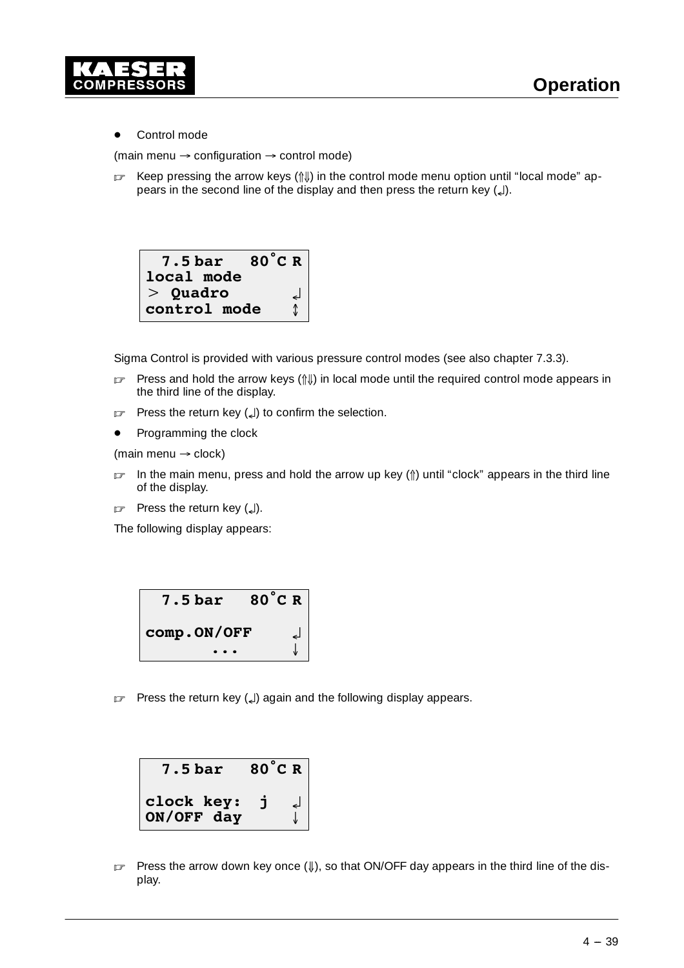

Control mode

(main menu  $\rightarrow$  configuration  $\rightarrow$  control mode)

 $\mathbb{F}$  Keep pressing the arrow keys ( $\mathbb{N}$ ) in the control mode menu option until "local mode" appears in the second line of the display and then press the return key  $(L)$ .



Sigma Control is provided with various pressure control modes (see also chapter 7.3.3).

- $F$  Press and hold the arrow keys ( $\parallel \Downarrow$ ) in local mode until the required control mode appears in the third line of the display.
- $\mathbb{F}$  Press the return key (U) to confirm the selection.
- Programming the clock

(main menu  $\rightarrow$  clock)

- $\mathbb{F}$  In the main menu, press and hold the arrow up key (t) until "clock" appears in the third line of the display.
- $\mathbb{F}$  Press the return key ( $\downarrow$ ).

The following display appears:

| 7.5 <sub>bar</sub>      | $80^{\circ}$ CR |  |
|-------------------------|-----------------|--|
| comp.ON/OFF             |                 |  |
| $\bullet\bullet\bullet$ |                 |  |

 $\mathbb{F}$  Press the return key ( $\downarrow$ ) again and the following display appears.

```
7.5 \text{ bar} 80^{\circ}CR
clock key: j \downarrow212 ON/OFF day
```
Press the arrow down key once  $(\Downarrow)$ , so that ON/OFF day appears in the third line of the display.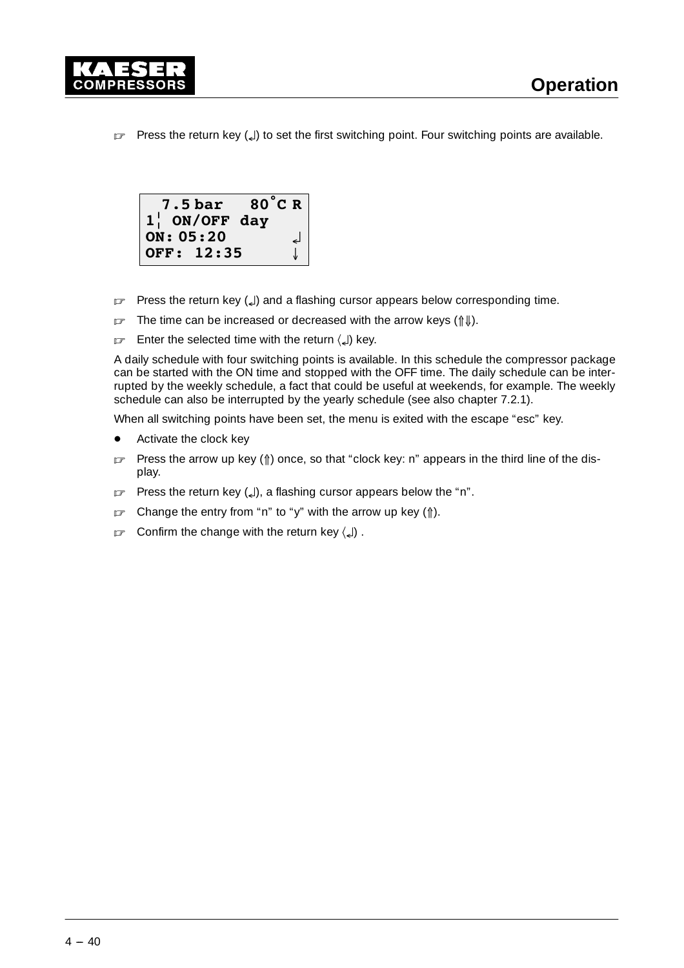

Press the return key ( $\downarrow$ ) to set the first switching point. Four switching points are available.

 $7.5 \text{ bar}$  80 $^{\circ}$ CR  $1\frac{1}{2}$  ON/OFF day  $ON: 05:20$ OFF: 12:35

- Press the return key ( $\downarrow$ ) and a flashing cursor appears below corresponding time.
- $\mathbb{F}$  The time can be increased or decreased with the arrow keys ( $\mathcal{L}(\mathcal{L})$ ).
- Enter the selected time with the return  $\langle \underline{\ } \rangle$  key.

A daily schedule with four switching points is available. In this schedule the compressor package can be started with the ON time and stopped with the OFF time. The daily schedule can be interrupted by the weekly schedule, a fact that could be useful at weekends, for example. The weekly schedule can also be interrupted by the yearly schedule (see also chapter 7.2.1).

When all switching points have been set, the menu is exited with the escape "esc" key.

- Activate the clock key
- $F$  Press the arrow up key ( $\uparrow$ ) once, so that "clock key: n" appears in the third line of the display.
- $\mathbb{F}$  Press the return key (1), a flashing cursor appears below the "n".
- $\mathbb{F}$  Change the entry from "n" to "y" with the arrow up key (1).
- $\mathbb{F}$  Confirm the change with the return key  $\langle \mathbf{I} \rangle$ .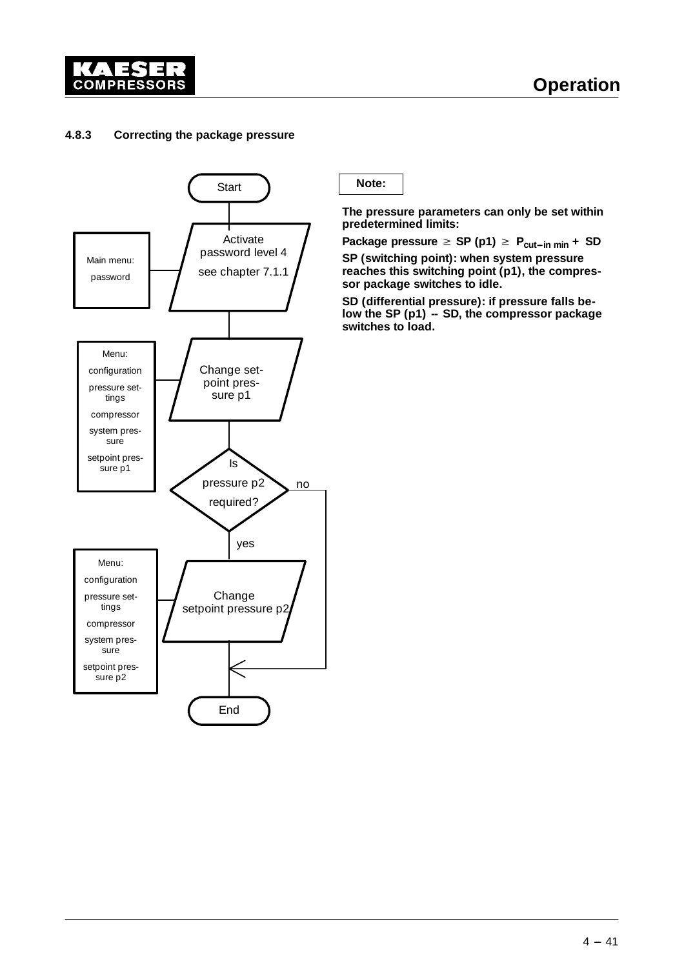### **4.8.3 Correcting the package pressure**

**COMPRESSOR** 



| Note: |
|-------|
|-------|

**The pressure parameters can only be set within predetermined limits:**

 $Package pressure \geq SP(p1) \geq P_{cut-in,min} + SD$ **SP (switching point): when system pressure reaches this switching point (p1), the compressor package switches to idle.**

**SD (differential pressure): if pressure falls below the SP (p1) -- SD, the compressor package switches to load.**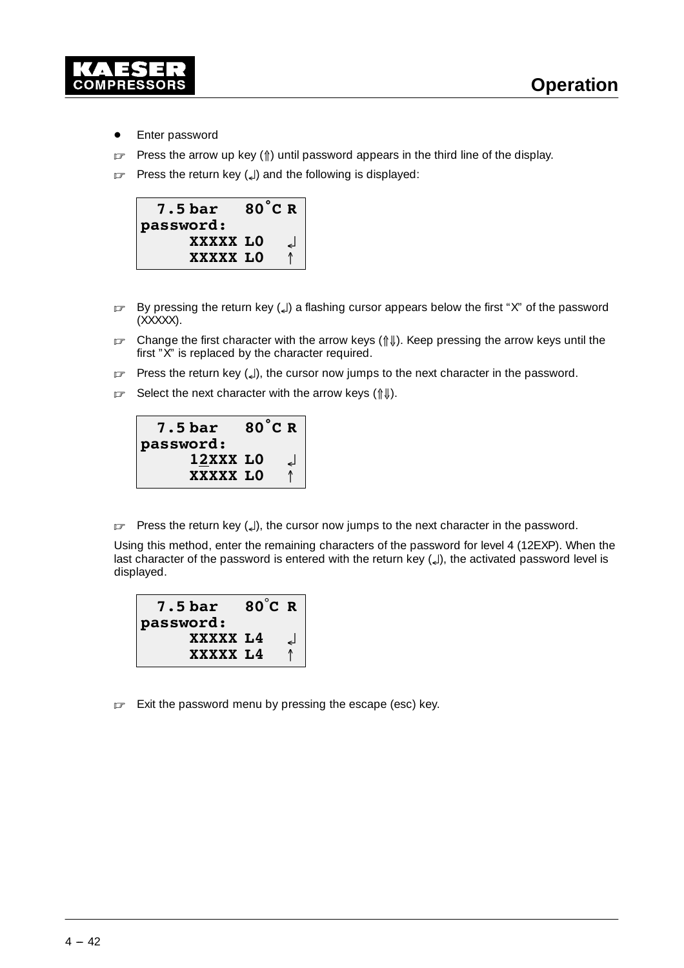

- Enter password
- **Press the arrow up key (f) until password appears in the third line of the display.**
- $\mathbb{F}$  Press the return key (1) and the following is displayed:



- By pressing the return key ( $\downarrow$ ) a flashing cursor appears below the first "X" of the password (XXXXX).
- $\mathbb{F}$  Change the first character with the arrow keys ( $\mathbb{N}$ ). Keep pressing the arrow keys until the first "X" is replaced by the character required.
- $\mathbb{F}$  Press the return key ( $\downarrow$ ), the cursor now jumps to the next character in the password.
- $\mathbb{F}$  Select the next character with the arrow keys ( $\mathcal{L}$ ).

| <b>7.5 bar</b><br>password: | $80^{\circ}$ CR |
|-----------------------------|-----------------|
| 12XXX LO                    |                 |
| XXXXX LO                    | ↑               |

**Press the return key (** $\Box$ ), the cursor now jumps to the next character in the password.

Using this method, enter the remaining characters of the password for level 4 (12EXP). When the last character of the password is entered with the return key  $(\downarrow)$ , the activated password level is displayed.

| 7.5 <sub>bar</sub> | $80^{\circ}$ C R |  |
|--------------------|------------------|--|
| password:          |                  |  |
| XXXXX L4           |                  |  |
| XXXXX L4           |                  |  |

 $F$  Exit the password menu by pressing the escape (esc) key.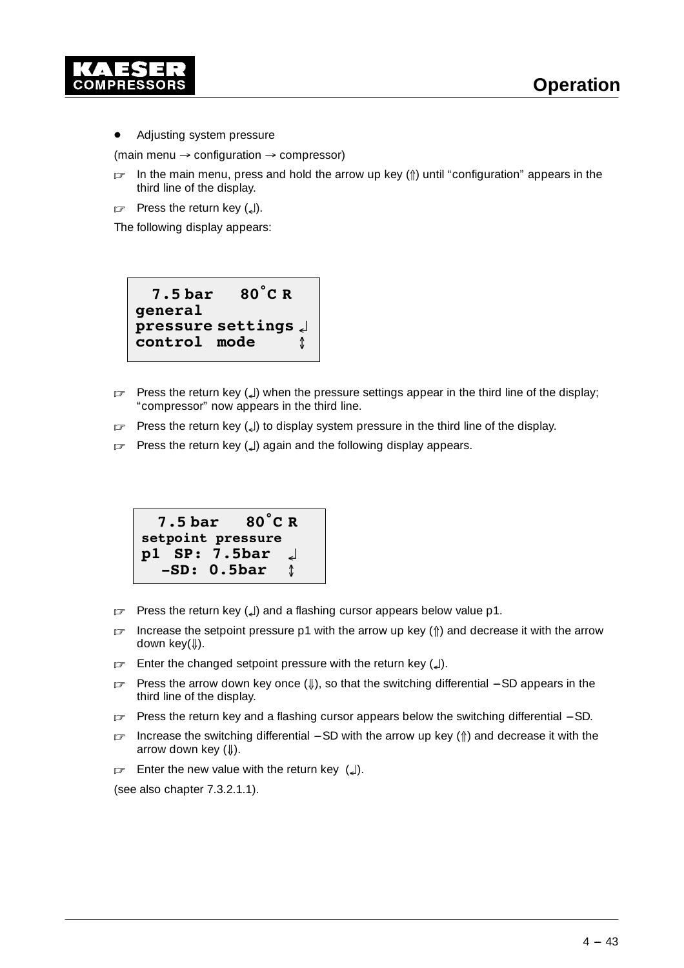

Adjusting system pressure

(main menu  $\rightarrow$  configuration  $\rightarrow$  compressor)

- In the main menu, press and hold the arrow up key (t) until "configuration" appears in the third line of the display.
- $\mathbb{F}$  Press the return key (1).

The following display appears:

 $7.5 \,\text{bar}$   $80^{\circ} \text{C}$  R **general pressure settings FRAUGHER** CONTROL **ROOT** 

- Press the return key ( $\downarrow$ ) when the pressure settings appear in the third line of the display; "compressor" now appears in the third line.
- Press the return key ( $\downarrow$ ) to display system pressure in the third line of the display.
- Press the return key (<) again and the following display appears.



- Press the return key ( $\downarrow$ ) and a flashing cursor appears below value p1.
- Increase the setpoint pressure p1 with the arrow up key ( $\Uparrow$ ) and decrease it with the arrow down key(Ä).
- Enter the changed setpoint pressure with the return key ( $\downarrow$ ).
- **Press the arrow down key once (** $\Downarrow$ ), so that the switching differential  $-SD$  appears in the third line of the display.
- **Press the return key and a flashing cursor appears below the switching differential -SD.**
- Increase the switching differential  $-SD$  with the arrow up key ( $\Uparrow$ ) and decrease it with the arrow down key  $(\Downarrow)$ .
- Enter the new value with the return key  $(2)$ .

(see also chapter 7.3.2.1.1).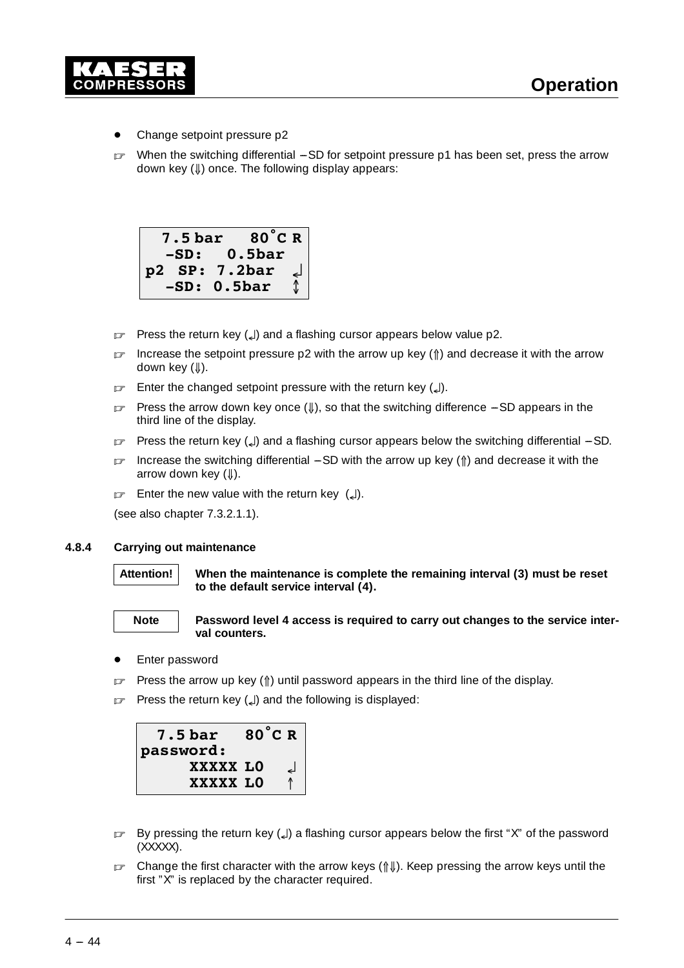

- Change setpoint pressure p2
- $\mathbb{F}$  When the switching differential  $-SD$  for setpoint pressure p1 has been set, press the arrow down key  $(\Downarrow)$  once. The following display appears:

 $7.5 \,\text{bar}$   $80^{\circ} \text{C}$  R  $-SD: 0.5bar$ **p2 SP: 7.2bar**  $-SD: 0.5bar$ 

- **Press the return key (4) and a flashing cursor appears below value p2.**
- Increase the setpoint pressure p2 with the arrow up key ( $\Uparrow$ ) and decrease it with the arrow down key (Ä).
- Enter the changed setpoint pressure with the return key ( $\Box$ ).
- **Press the arrow down key once (** $\parallel$ ), so that the switching difference  $-SD$  appears in the third line of the display.
- $F$  Press the return key ( $\downarrow$ ) and a flashing cursor appears below the switching differential -SD.
- Increase the switching differential  $-SD$  with the arrow up key ( $\Uparrow$ ) and decrease it with the arrow down key (Ä).
- $\mathbb{F}$  Enter the new value with the return key ( $\downarrow$ ).

(see also chapter 7.3.2.1.1).

#### **4.8.4 Carrying out maintenance**

```
Attention!
```
**When the maintenance is complete the remaining interval (3) must be reset to the default service interval (4).**



**Password level 4 access is required to carry out changes to the service interval counters.**

- Enter password
- $\mathbb{F}$  Press the arrow up key ( $\Uparrow$ ) until password appears in the third line of the display.
- $\mathbb{F}$  Press the return key (1) and the following is displayed:



- By pressing the return key (U) a flashing cursor appears below the first "X" of the password (XXXXX).
- $\Box$  Change the first character with the arrow keys ( $\Uparrow \Downarrow$ ). Keep pressing the arrow keys until the first "X" is replaced by the character required.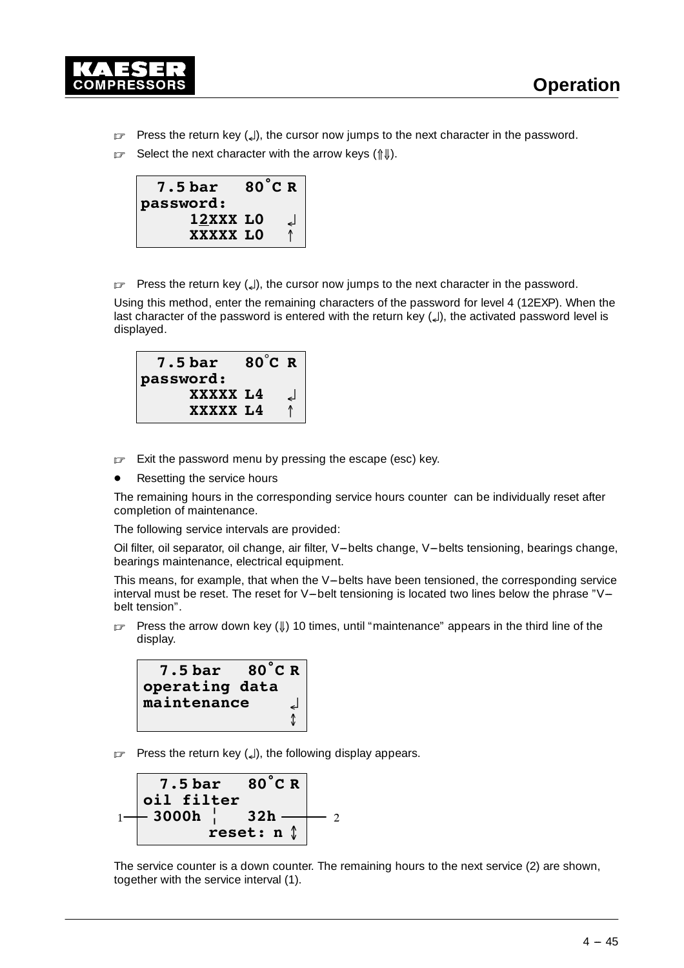- Press the return key ( $\downarrow$ ), the cursor now jumps to the next character in the password.
- $\mathbb{F}$  Select the next character with the arrow keys ( $\mathcal{L}(\mathcal{L})$ ).

| 7.5 <sub>bar</sub> | $80^{\circ}$ CR |
|--------------------|-----------------|
| password:          |                 |
| 12XXX LO           |                 |
| XXXXX LO           |                 |

Press the return key (1), the cursor now jumps to the next character in the password.

Using this method, enter the remaining characters of the password for level 4 (12EXP). When the last character of the password is entered with the return key  $\downarrow$ ), the activated password level is displayed.



- $F$  Exit the password menu by pressing the escape (esc) key.
- Resetting the service hours

The remaining hours in the corresponding service hours counter can be individually reset after completion of maintenance.

The following service intervals are provided:

Oil filter, oil separator, oil change, air filter, V-belts change, V-belts tensioning, bearings change, bearings maintenance, electrical equipment.

This means, for example, that when the  $V$ -belts have been tensioned, the corresponding service interval must be reset. The reset for V-belt tensioning is located two lines below the phrase "Vbelt tension".

**Press the arrow down key (** $\Downarrow$ **) 10 times, until "maintenance" appears in the third line of the** display.



 $\mathbb{F}$  Press the return key (U), the following display appears.



The service counter is a down counter. The remaining hours to the next service (2) are shown, together with the service interval (1).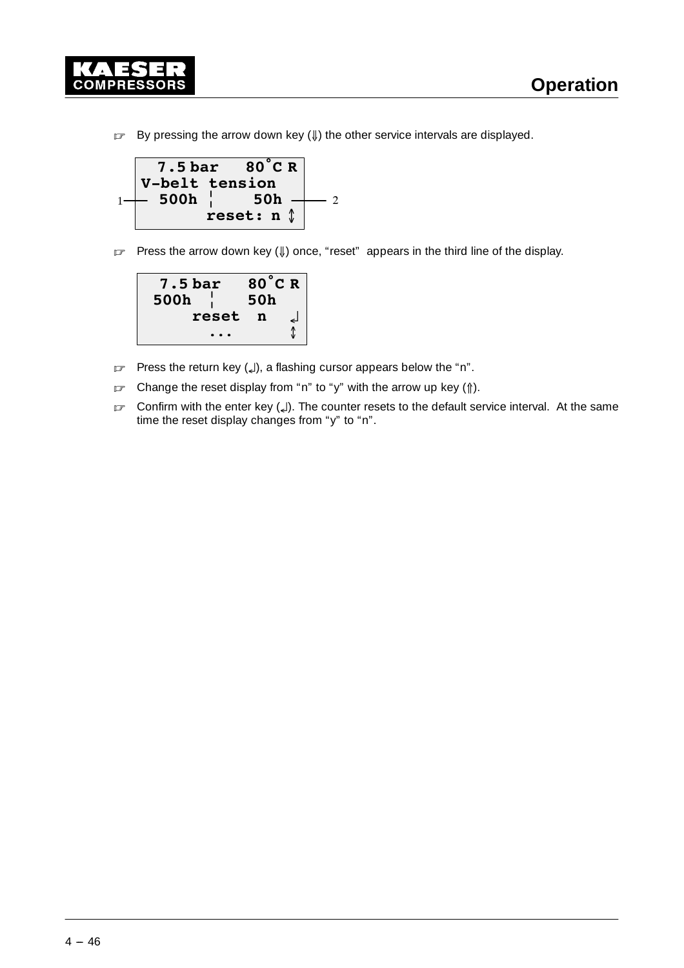

 $\mathbb{F}$  By pressing the arrow down key ( $\Downarrow$ ) the other service intervals are displayed.



 $F$  Press the arrow down key ( $\Downarrow$ ) once, "reset" appears in the third line of the display.



- Fress the return key (U), a flashing cursor appears below the "n".
- $\mathbb{F}$  Change the reset display from "n" to "y" with the arrow up key ( $\Uparrow$ ).
- $\mathbb{F}$  Confirm with the enter key (<). The counter resets to the default service interval. At the same time the reset display changes from "y" to "n".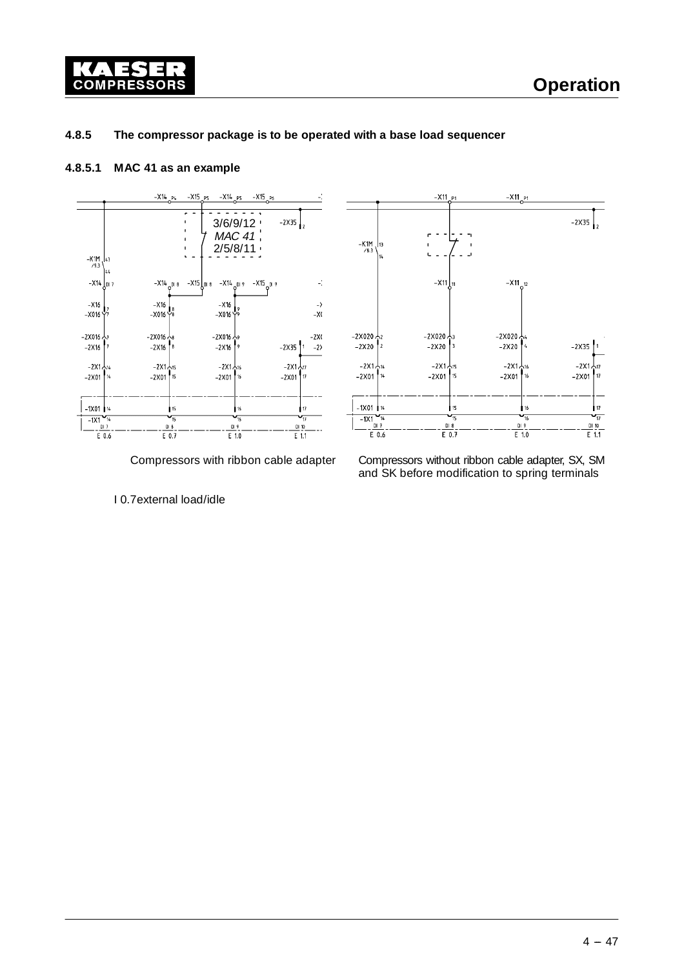# **4.8.5 The compressor package is to be operated with a base load sequencer**

#### **4.8.5.1 MAC 41 as an example**



I 0.7external load/idle

Compressors with ribbon cable adapter Compressors without ribbon cable adapter, SX, SM and SK before modification to spring terminals

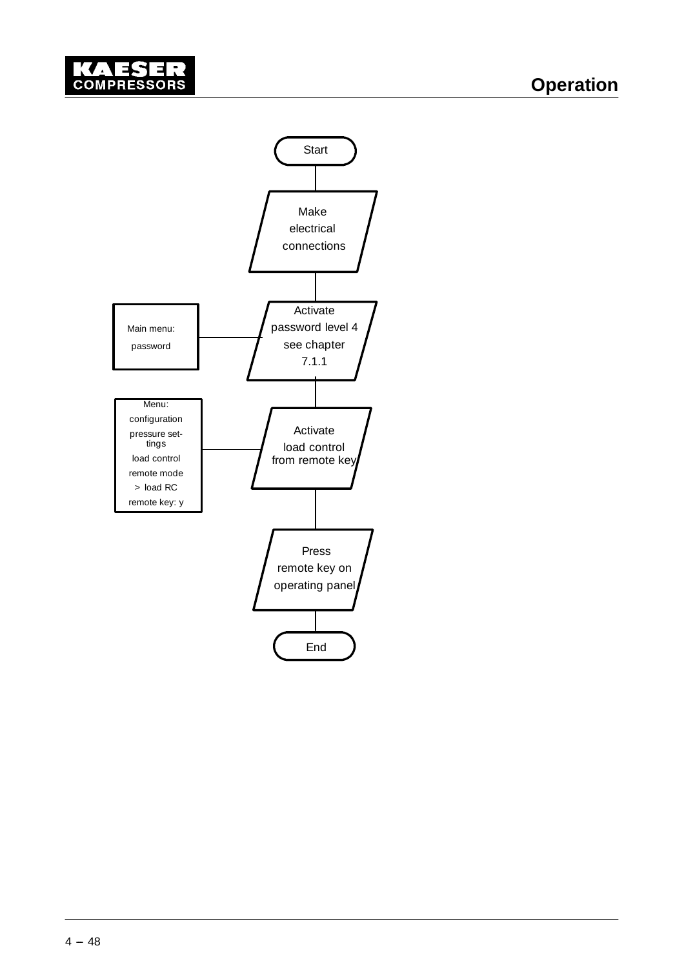

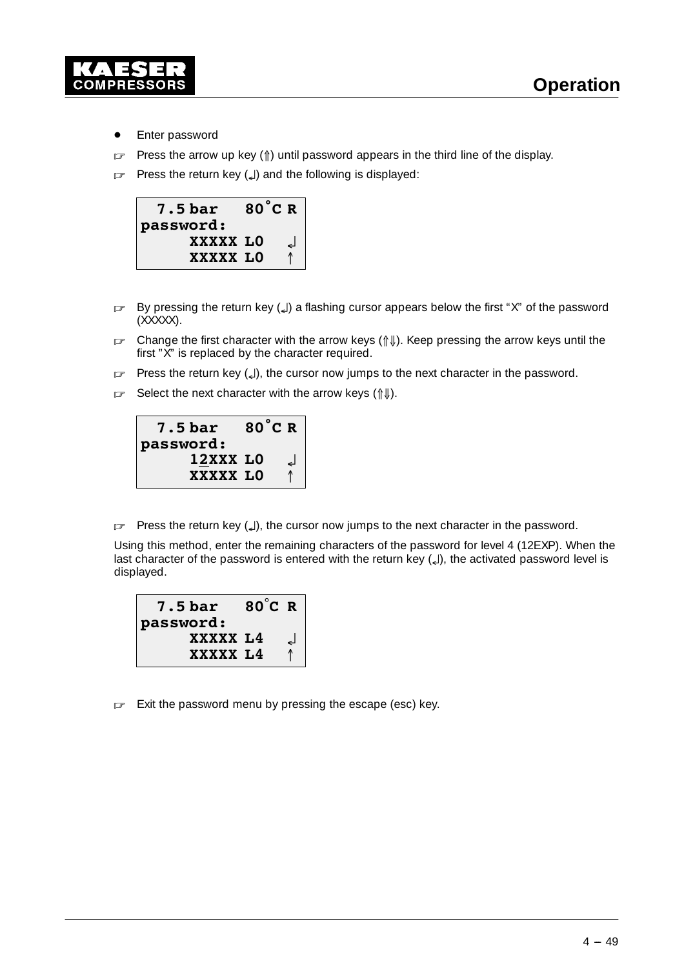

- Enter password
- **Press the arrow up key (** $\uparrow$ ) until password appears in the third line of the display.
- $\mathbb{F}$  Press the return key (1) and the following is displayed:



- By pressing the return key ( $\downarrow$ ) a flashing cursor appears below the first "X" of the password (XXXXX).
- $\mathbb{F}$  Change the first character with the arrow keys ( $\mathbb{N}$ ). Keep pressing the arrow keys until the first "X" is replaced by the character required.
- $\mathbb{F}$  Press the return key ( $\downarrow$ ), the cursor now jumps to the next character in the password.
- $\mathbb{F}$  Select the next character with the arrow keys ( $\mathcal{L}$ ).

| <b>7.5 bar</b><br>password: | $80^{\circ}$ CR |
|-----------------------------|-----------------|
| 12XXX LO                    |                 |
| XXXXX LO                    | ↑               |

**Press the return key (** $\Box$ ), the cursor now jumps to the next character in the password.

Using this method, enter the remaining characters of the password for level 4 (12EXP). When the last character of the password is entered with the return key  $(\downarrow)$ , the activated password level is displayed.

| 7.5 <sub>bar</sub> | $80^{\circ}$ CR |   |
|--------------------|-----------------|---|
| password:          |                 |   |
| XXXXX L4           |                 | ┙ |
| XXXXX L4           |                 | ↑ |

 $F$  Exit the password menu by pressing the escape (esc) key.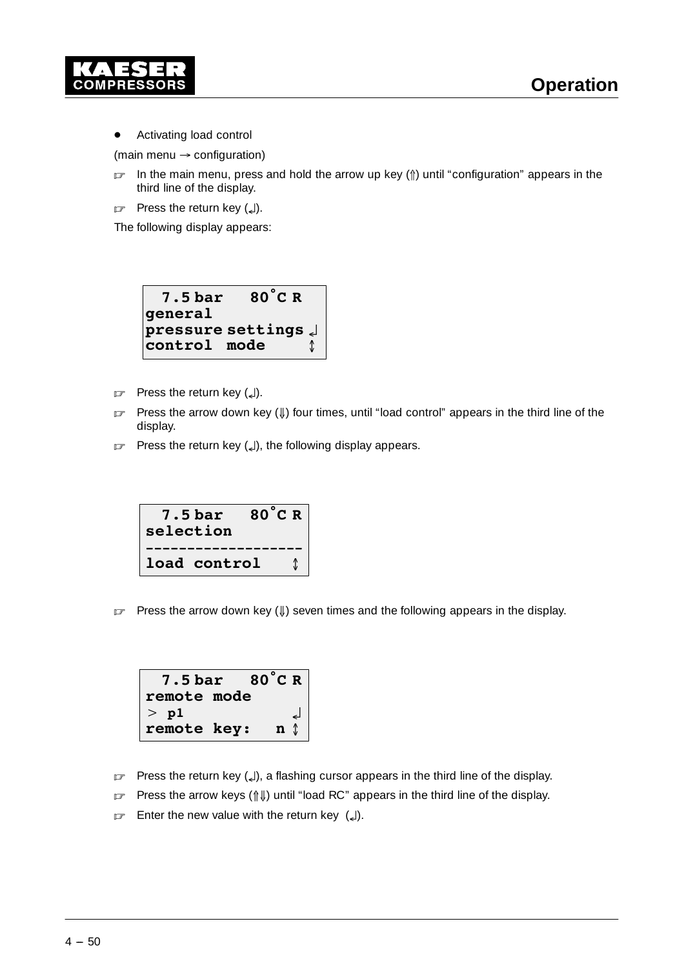

• Activating load control

(main menu  $\rightarrow$  configuration)

- In the main menu, press and hold the arrow up key ( $\Uparrow$ ) until "configuration" appears in the third line of the display.
- $\mathbb{F}$  Press the return key ( $\downarrow$ ).

The following display appears:

 $7.5 \,\text{bar}$   $80^{\circ} \text{C}$  R **general pressure settings FRAUD CONTINUE CONTINUE** 

- $\Box$  Press the return key (
- Press the arrow down key ( $\Downarrow$ ) four times, until "load control" appears in the third line of the display.
- $\mathbb{F}$  Press the return key (U), the following display appears.

 $7.5 \,\text{bar}$   $80^{\circ} \text{C}$  R selection ---------**load control** 1

**Press the arrow down key (** $\Downarrow$ ) seven times and the following appears in the display.

| 7.5 <sub>bar</sub> | $80^{\circ}$ C R          |
|--------------------|---------------------------|
| remote mode        |                           |
| $>$ p1             | لے                        |
| remote key:        | $\mathbf{n}$ $\mathbf{r}$ |

- Press the return key ( $\Box$ ), a flashing cursor appears in the third line of the display.
- **Press the arrow keys (** $\|\|\$ ) until "load RC" appears in the third line of the display.
- Enter the new value with the return key  $(1)$ .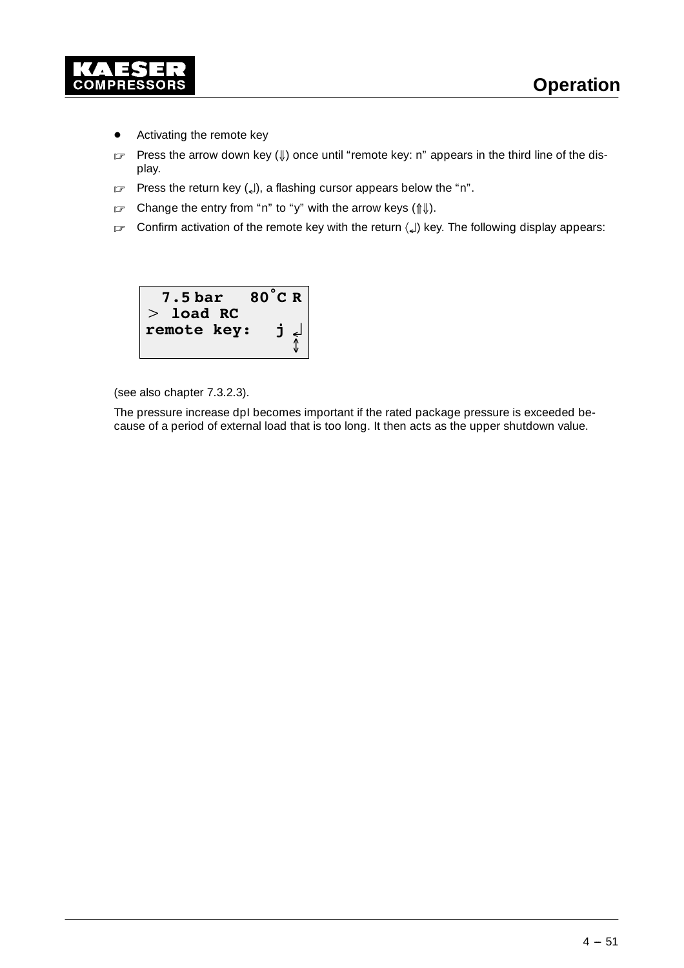

- **•** Activating the remote key
- **Press the arrow down key (** $\Downarrow$ **) once until "remote key: n" appears in the third line of the dis**play.
- **Press the return key (**a), a flashing cursor appears below the "n".
- $\mathbb{F}$  Change the entry from "n" to "y" with the arrow keys ( $\mathcal{L}$ ).
- Confirm activation of the remote key with the return  $\langle z \rangle$  key. The following display appears:



(see also chapter 7.3.2.3).

The pressure increase dpI becomes important if the rated package pressure is exceeded because of a period of external load that is too long. It then acts as the upper shutdown value.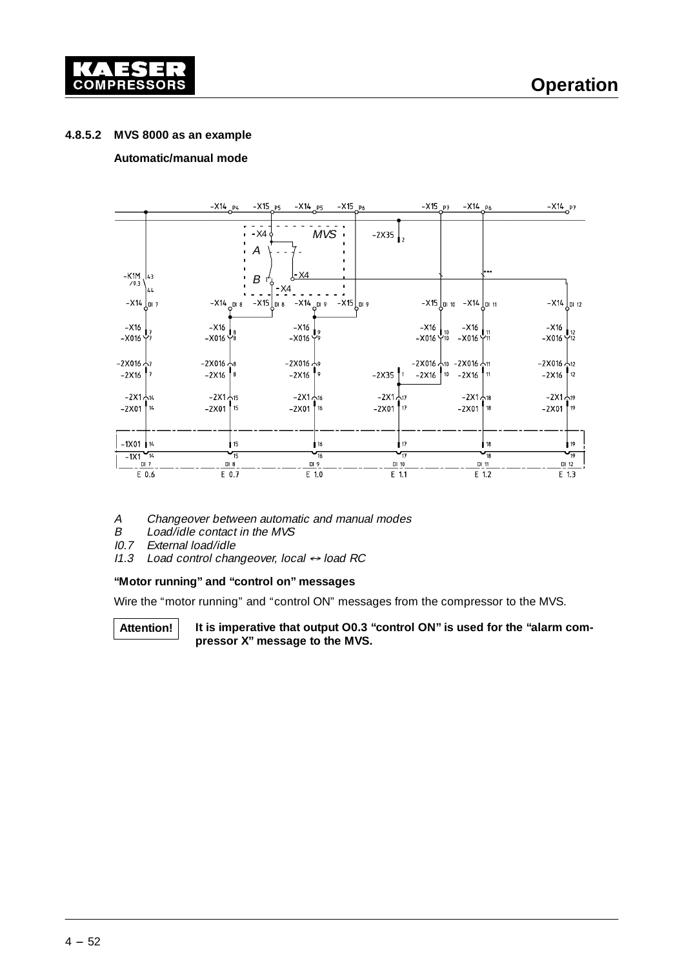

### **4.8.5.2 MVS 8000 as an example**

#### **Automatic/manual mode**



- A Changeover between automatic and manual modes
- B Load/idle contact in the MVS
- I0.7 External load/idle
- $11.3$  Load control changeover, local  $\leftrightarrow$  load RC

#### **"Motor running" and "control on" messages**

Wire the "motor running" and "control ON" messages from the compressor to the MVS.

**It is imperative that output O0.3 "control ON" is used for the "alarm compressor X" message to the MVS. Attention!**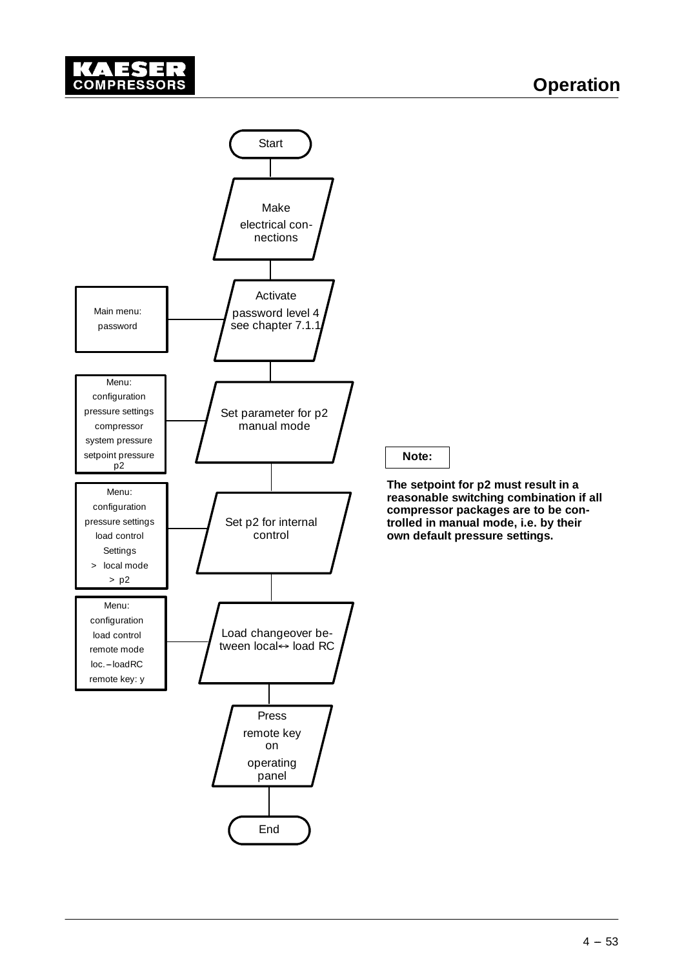



# **Note:**

**The setpoint for p2 must result in a reasonable switching combination if all compressor packages are to be controlled in manual mode, i.e. by their own default pressure settings.**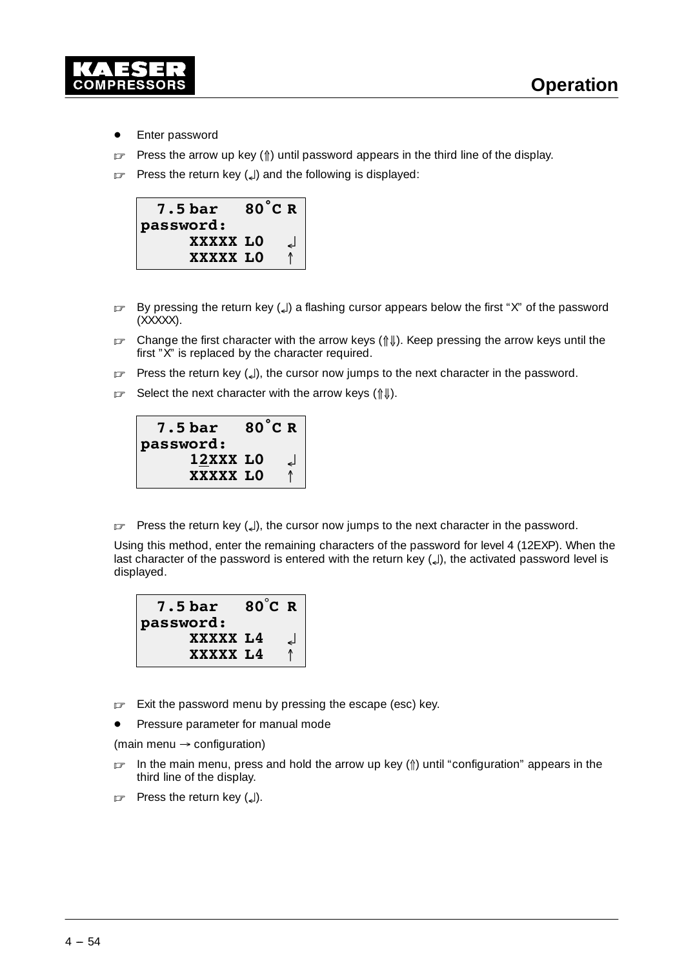

- Enter password
- **Press the arrow up key (** $\uparrow$ ) until password appears in the third line of the display.
- $\mathbb{F}$  Press the return key ( $\Box$ ) and the following is displayed:



- By pressing the return key ( $\downarrow$ ) a flashing cursor appears below the first "X" of the password (XXXXX).
- $\mathbb{F}$  Change the first character with the arrow keys ( $\mathbb{N}$ ). Keep pressing the arrow keys until the first "X" is replaced by the character required.
- $\mathbb{F}$  Press the return key ( $\downarrow$ ), the cursor now jumps to the next character in the password.
- $\mathbb{F}$  Select the next character with the arrow keys ( $\mathcal{L}$ ).

| <b>7.5 bar</b> | $80^{\circ}$ CR |
|----------------|-----------------|
| password:      |                 |
| 12XXX LO       |                 |
| XXXXX LO       | ↑               |

**Press the return key (** $\Box$ ), the cursor now jumps to the next character in the password.

Using this method, enter the remaining characters of the password for level 4 (12EXP). When the last character of the password is entered with the return key  $(\downarrow)$ , the activated password level is displayed.

| 7.5 <sub>bar</sub> | $80^{\circ}$ C R |  |
|--------------------|------------------|--|
| password:          |                  |  |
| XXXXX L4           |                  |  |
| XXXXX L4           |                  |  |

- $F$  Exit the password menu by pressing the escape (esc) key.
- Pressure parameter for manual mode

(main menu  $\rightarrow$  configuration)

- In the main menu, press and hold the arrow up key ( $\Uparrow$ ) until "configuration" appears in the third line of the display.
- $F$  Press the return key ( $\Box$ ).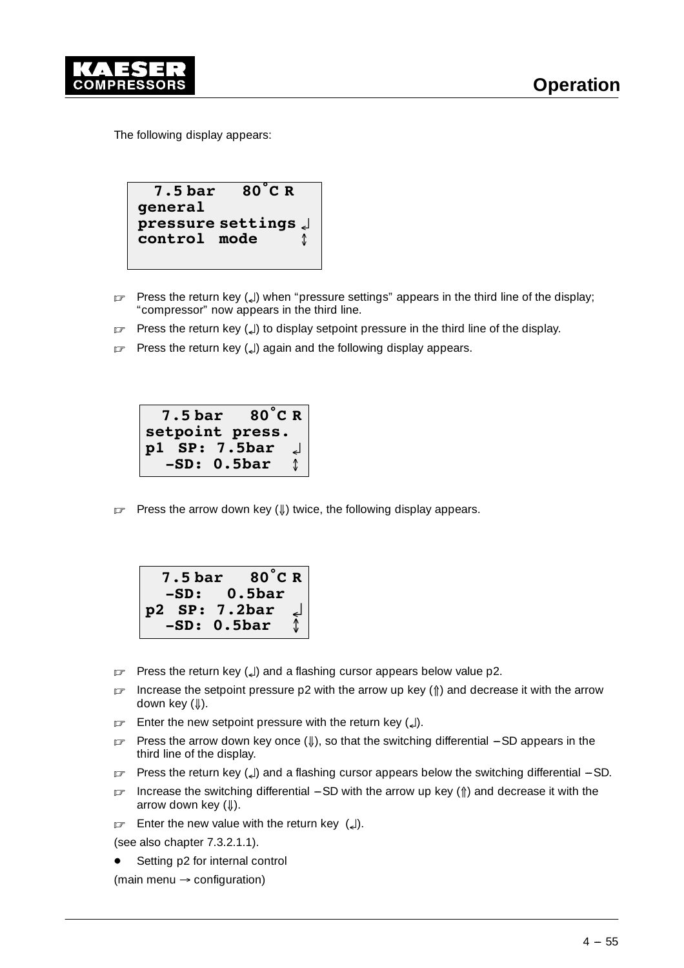

The following display appears:

```
\overline{7.5 \text{ bar}} 80<sup>°</sup>C R
general
pressure settings
FRAUD CONTROL MODE
```
- **Press the return key (** $\Box$ ) when "pressure settings" appears in the third line of the display; "compressor" now appears in the third line.
- Press the return key ( $\downarrow$ ) to display setpoint pressure in the third line of the display.
- **Press the return key (4) again and the following display appears.**

 $7.5 \,\text{bar}$   $80^{\circ} \text{C}$  R setpoint press. **p1 SP: 7.5bar**  $\downarrow$ **-SD: 0.5bar** 1

**Press the arrow down key (** $\parallel$ **) twice, the following display appears.** 



- $\mathbb{F}$  Press the return key (1) and a flashing cursor appears below value p2.
- Increase the setpoint pressure p2 with the arrow up key ( $\hat{a}$ ) and decrease it with the arrow down key ( $\Downarrow$ ).
- Enter the new setpoint pressure with the return key ( $\Box$ ).
- Press the arrow down key once  $(\Downarrow)$ , so that the switching differential  $-SD$  appears in the third line of the display.
- $F$  Press the return key ( $\Box$ ) and a flashing cursor appears below the switching differential  $-SD$ .
- Increase the switching differential  $-SD$  with the arrow up key ( $\Uparrow$ ) and decrease it with the arrow down key  $(\Downarrow)$ .
- Enter the new value with the return key ( $\Box$ ).
- (see also chapter 7.3.2.1.1).
- Setting p2 for internal control
- (main menu  $\rightarrow$  configuration)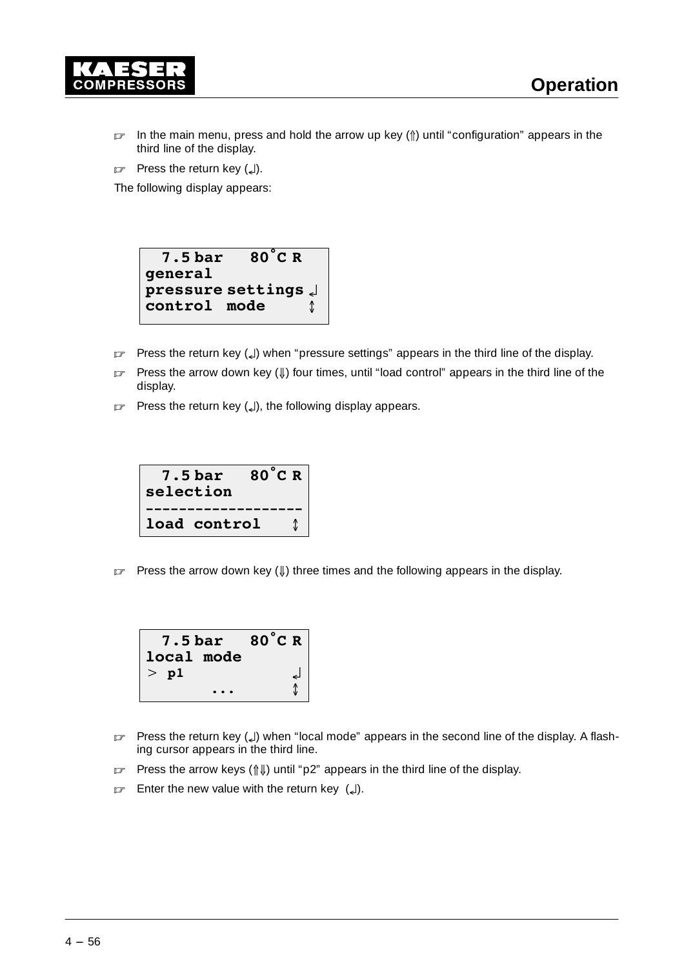

- $\mathbb{F}$  In the main menu, press and hold the arrow up key ( $\mathbb{I}$ ) until "configuration" appears in the third line of the display.
- $F$  Press the return key ( $\downarrow$ ).

The following display appears:

 $7.5 \,\text{bar}$   $80^{\circ} \text{C}$  R **general pressure settings FRAUE CONTROL MODE CONTROL** 

- $F$  Press the return key ( $\downarrow$ ) when "pressure settings" appears in the third line of the display.
- $\mathbb{F}$  Press the arrow down key ( $\Downarrow$ ) four times, until "load control" appears in the third line of the display.
- $\mathbb{F}$  Press the return key ( $\downarrow$ ), the following display appears.

| 7.5 <sub>bar</sub><br>selection | $80^{\circ}$ CR |
|---------------------------------|-----------------|
| load control                    |                 |

**Press the arrow down key (** $\downarrow$ ) three times and the following appears in the display.

| 7.5 <sub>bar</sub> | $80^{\circ}$ CR |
|--------------------|-----------------|
| local mode         |                 |
| p1                 |                 |
|                    |                 |

- $\mathbb{F}$  Press the return key ( $\downarrow$ ) when "local mode" appears in the second line of the display. A flashing cursor appears in the third line.
- **Press the arrow keys (** $\|\|\$ ) until "p2" appears in the third line of the display.
- Enter the new value with the return key  $(1)$ .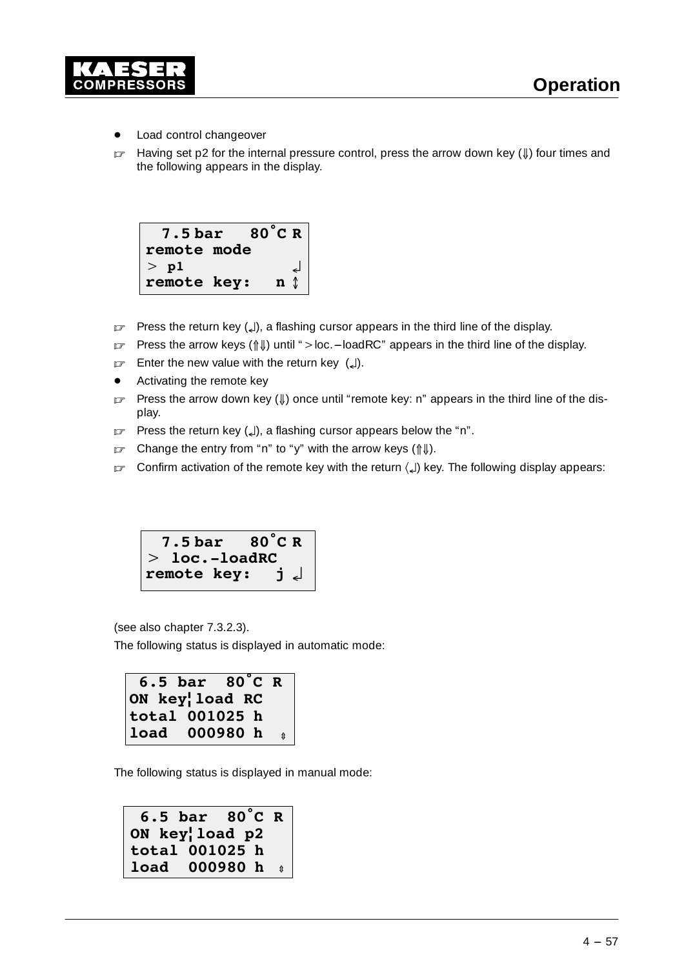

- Load control changeover
- Having set p2 for the internal pressure control, press the arrow down key ( $\parallel$ ) four times and the following appears in the display.

 $7.5 \text{ bar}$  80 $^{\circ}$ CR remote mode  $>$   $p1$ remote key: n 1

- $\mathbb{F}$  Press the return key (U), a flashing cursor appears in the third line of the display.
- **Press the arrow keys (fill) until "** > loc. loadRC" appears in the third line of the display.
- Enter the new value with the return key  $(1)$ .
- Activating the remote key
- $F$  Press the arrow down key ( $\Downarrow$ ) once until "remote key: n" appears in the third line of the display.
- $\mathbb{F}$  Press the return key (1), a flashing cursor appears below the "n".
- $\mathbb{F}$  Change the entry from "n" to "y" with the arrow keys ( $\mathcal{L}$ ).
- Confirm activation of the remote key with the return  $\langle z \rangle$  key. The following display appears:

 $7.5 \,\text{bar}$   $80^{\circ} \text{C}$  R **CORPORE SEXTLE SEXTLE SEXTLE SEXTLE**<br>**CORPORE SEXTLE SEXTLE SEXTLE SEXTLE SEXTLE SEXTLE** remote key:

(see also chapter 7.3.2.3).

The following status is displayed in automatic mode:

**6.5 bar 80°C R 201 key**, load RC **total 001025 h Load** 000980 h  $_{*}$ 

The following status is displayed in manual mode:

```
6.5 \text{ bar} 80^{\circ} \text{C} R
21 ORDG \alphaP \alphaP \alphaP \alphaP \alphatotal 001025 h
load 000980 h
```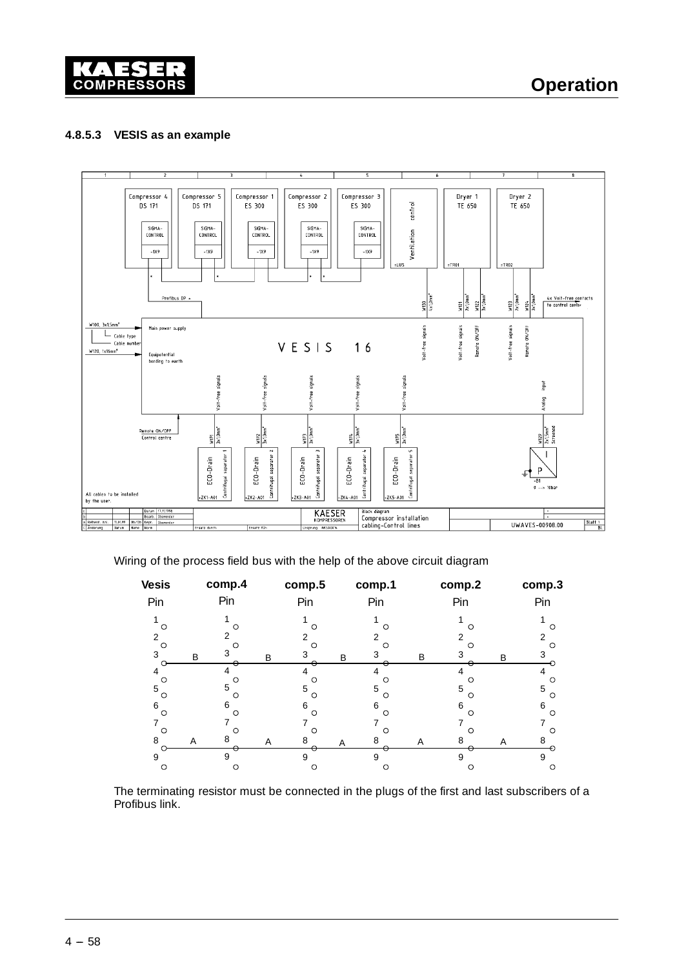

## **4.8.5.3 VESIS as an example**



Wiring of the process field bus with the help of the above circuit diagram

| <b>Vesis</b>                |   | comp.4 |   | comp.5 |   | comp.1 |   | comp.2 |   | comp.3 |
|-----------------------------|---|--------|---|--------|---|--------|---|--------|---|--------|
| Pin                         |   | Pin    |   | Pin    |   | Pin    |   | Pin    |   | Pin    |
|                             |   |        |   | ∩      |   |        |   |        |   |        |
| $\overline{2}$<br>$\subset$ |   | 2      |   | 2      |   | 2      |   | 2      |   | 2      |
| 3                           | B |        | B | 3      | B | 3      | B | 3      | B | 3      |
| 4                           |   |        |   |        |   |        |   | 4      |   |        |
| 5<br>┌                      |   | 5      |   | 5<br>∩ |   | 5      |   | 5      |   | 5      |
| 6<br>$\subset$              |   | 6      |   | 6<br>∩ |   | 6      |   | 6      |   | 6<br>∩ |
| $\cap$                      |   |        |   |        |   |        |   |        |   | ∩      |
| 8                           | A | 8      | Α | 8      | A | 8      | A | 8      | A |        |
| 9                           |   | 9      |   | 9      |   | 9      |   | 9      |   | 9      |
| $\circ$                     |   | O      |   | O      |   | ∩      |   |        |   | O      |

The terminating resistor must be connected in the plugs of the first and last subscribers of a Profibus link.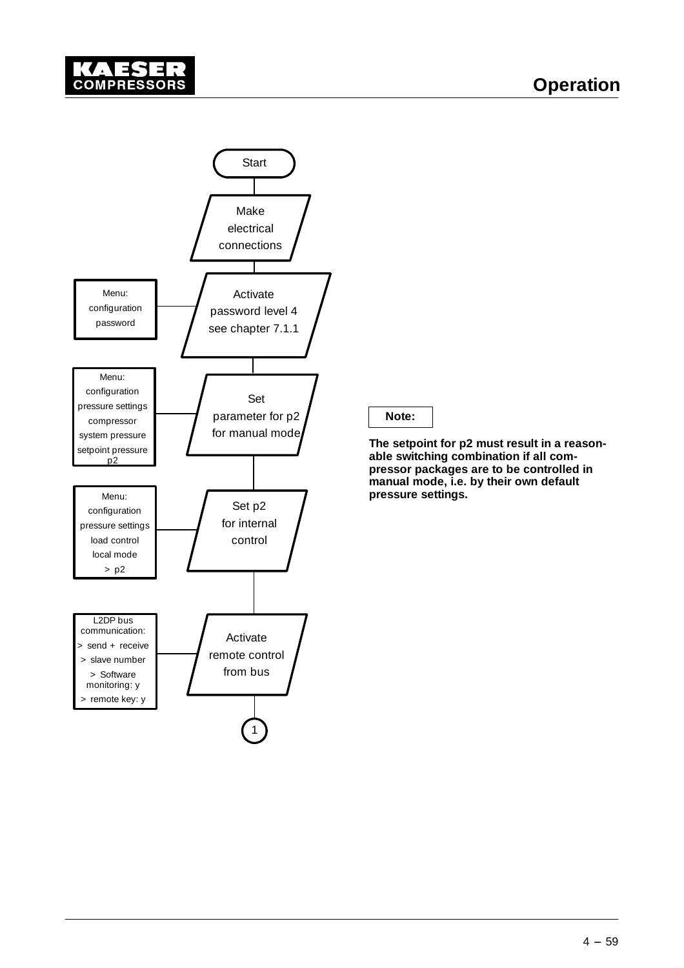# **Operation**



**COMPRESSORS** 

#### **Note:**

**The setpoint for p2 must result in a reasonable switching combination if all compressor packages are to be controlled in manual mode, i.e. by their own default pressure settings.**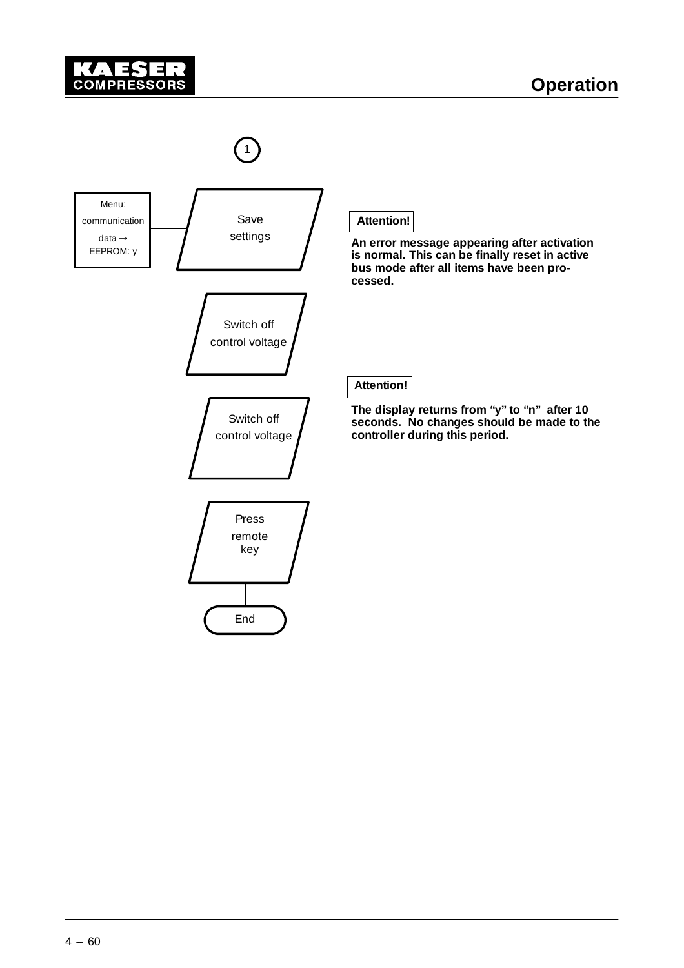

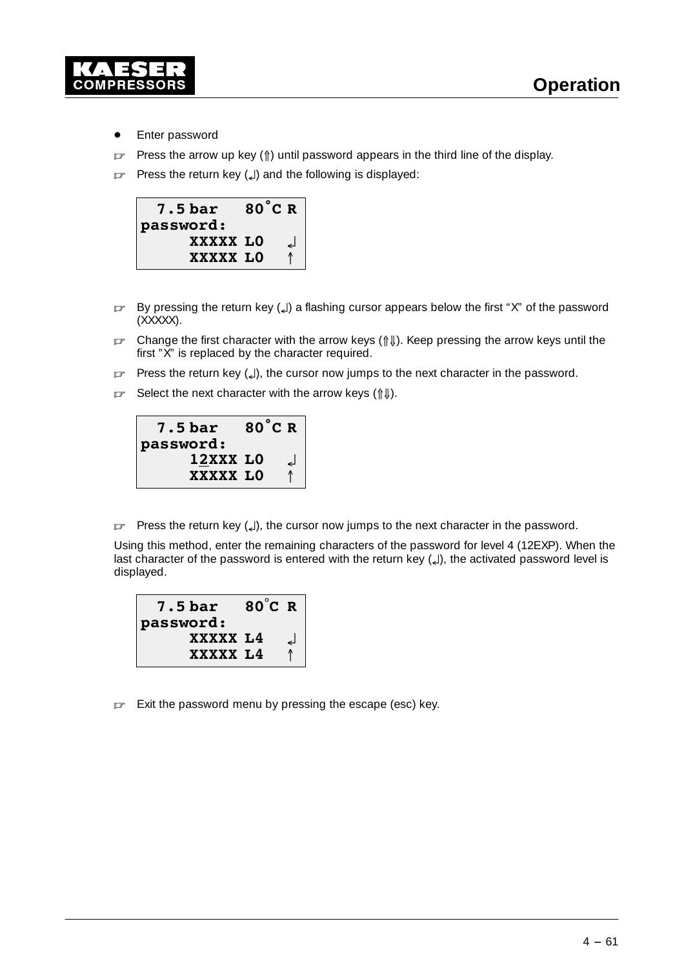

- Enter password
- **Press the arrow up key (** $\uparrow$ ) until password appears in the third line of the display.
- $\mathbb{F}$  Press the return key (1) and the following is displayed:



- By pressing the return key ( $\downarrow$ ) a flashing cursor appears below the first "X" of the password (XXXXX).
- $\mathbb{F}$  Change the first character with the arrow keys ( $\mathbb{N}$ ). Keep pressing the arrow keys until the first "X" is replaced by the character required.
- $\mathbb{F}$  Press the return key ( $\downarrow$ ), the cursor now jumps to the next character in the password.
- $\mathbb{F}$  Select the next character with the arrow keys ( $\mathcal{L}$ ).

| <b>7.5 bar</b><br>password: | $80^{\circ}$ CR |
|-----------------------------|-----------------|
| 12XXX LO                    |                 |
| XXXXX LO                    | ↑               |

**Press the return key (** $\Box$ ), the cursor now jumps to the next character in the password.

Using this method, enter the remaining characters of the password for level 4 (12EXP). When the last character of the password is entered with the return key  $(\downarrow)$ , the activated password level is displayed.

| 7.5 <sub>bar</sub> | $80^{\circ}$ CR |   |
|--------------------|-----------------|---|
| password:          |                 |   |
| XXXXX L4           |                 | ┙ |
| XXXXX L4           |                 | ↑ |

 $F$  Exit the password menu by pressing the escape (esc) key.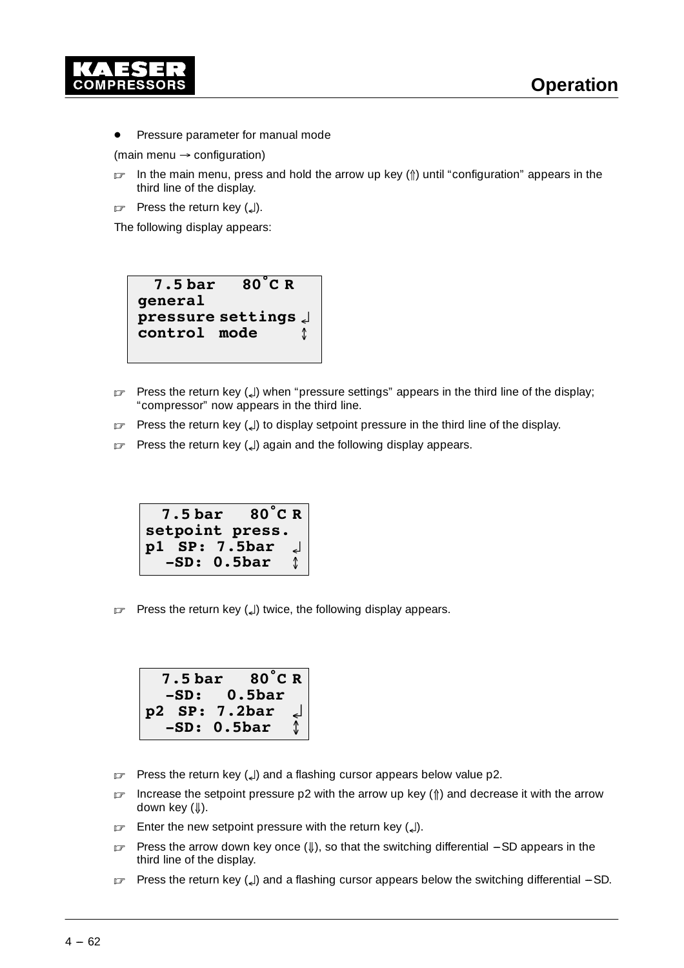• Pressure parameter for manual mode

(main menu  $\rightarrow$  configuration)

**COMP** 

- In the main menu, press and hold the arrow up key (t) until "configuration" appears in the third line of the display.
- $F$  Press the return key (2).

The following display appears:

```
\overline{7.5 \text{ bar}} 80<sup>°</sup>C R
general
pressure settings
FRAUD CONTINUE PROPER
```
- Press the return key ( $\downarrow$ ) when "pressure settings" appears in the third line of the display; "compressor" now appears in the third line.
- Press the return key ( $\downarrow$ ) to display setpoint pressure in the third line of the display.
- $\mathbb{F}$  Press the return key ( $\downarrow$ ) again and the following display appears.

 $7.5 \,\text{bar}$   $80^{\circ} \text{C}$  R setpoint press. **p1 SP: 7.5bar**  $\Box$ **-SD: 0.5bar** 1

 $\mathbb{F}$  Press the return key ( $\downarrow$ ) twice, the following display appears.

| $80^{\circ}$ CR<br><b>7.5 bar</b> |    |
|-----------------------------------|----|
| 0.5 <sub>bar</sub><br>-SD:        |    |
| p2 SP: 7.2bar                     | لج |
| $-SD: 0.5bar$                     | ⇕  |

- Press the return key ( $\downarrow$ ) and a flashing cursor appears below value p2.
- Increase the setpoint pressure p2 with the arrow up key ( $\Uparrow$ ) and decrease it with the arrow down key ( $\parallel$ ).
- Enter the new setpoint pressure with the return key ( $\Box$ ).
- **Press the arrow down key once (** $\Downarrow$ ), so that the switching differential  $-SD$  appears in the third line of the display.
- $F$  Press the return key ( $\downarrow$ ) and a flashing cursor appears below the switching differential -SD.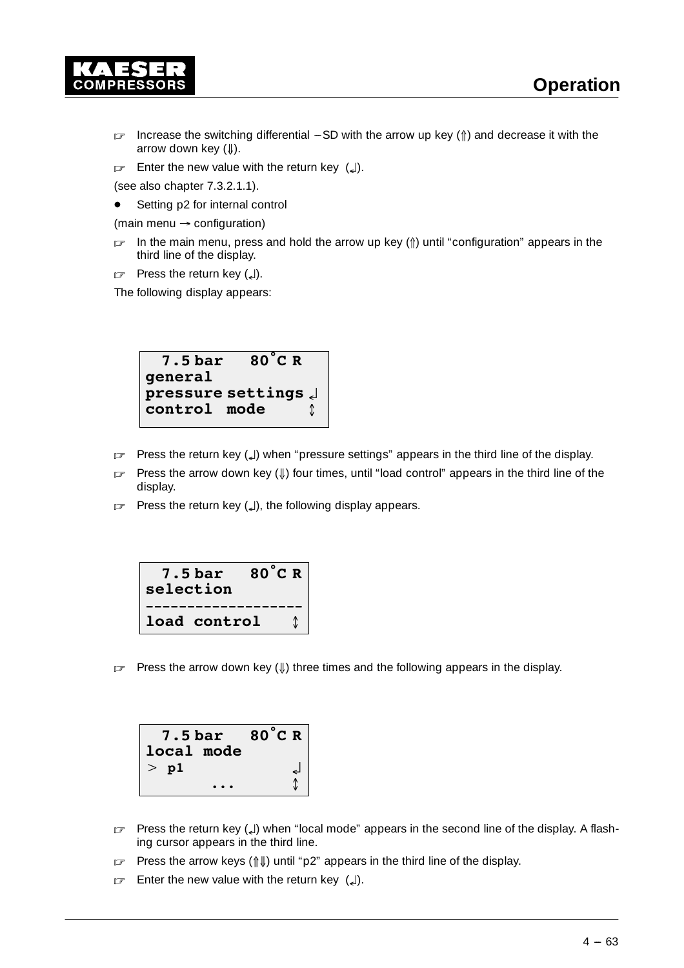- Increase the switching differential  $-SD$  with the arrow up key ( $\Uparrow$ ) and decrease it with the arrow down key  $(\Downarrow)$ .
- $\mathbb{F}$  Enter the new value with the return key ( $\downarrow$ ).

(see also chapter 7.3.2.1.1).

**COMPR** 

• Setting p2 for internal control

(main menu  $\rightarrow$  configuration)

- $\mathbb{F}$  In the main menu, press and hold the arrow up key ( $\mathbb{I}$ ) until "configuration" appears in the third line of the display.
- $\mathbb{F}$  Press the return key ( $\downarrow$ ).

The following display appears:

 $\overline{7.5 \text{ bar}}$  80<sup>°</sup>C R **general pressure settings FRAUE CONTROL MODE CONTROL** 

- Press the return key ( $\downarrow$ ) when "pressure settings" appears in the third line of the display.
- $\mathbb{F}$  Press the arrow down key ( $\parallel$ ) four times, until "load control" appears in the third line of the display.
- $\mathbb{F}$  Press the return key ( $\downarrow$ ), the following display appears.

| <b>7.5 bar</b><br>selection | $80^{\circ}$ CR |  |
|-----------------------------|-----------------|--|
| load control                |                 |  |

**Press the arrow down key (** $\Downarrow$ ) three times and the following appears in the display.

| <b>7.5 bar</b> | $80^{\circ}$ CR |  |
|----------------|-----------------|--|
| local mode     |                 |  |
| p1             |                 |  |
|                |                 |  |

- Press the return key ( $\Box$ ) when "local mode" appears in the second line of the display. A flashing cursor appears in the third line.
- **Press the arrow keys (** $\|\|\$ ) until "p2" appears in the third line of the display.
- Enter the new value with the return key  $(1)$ .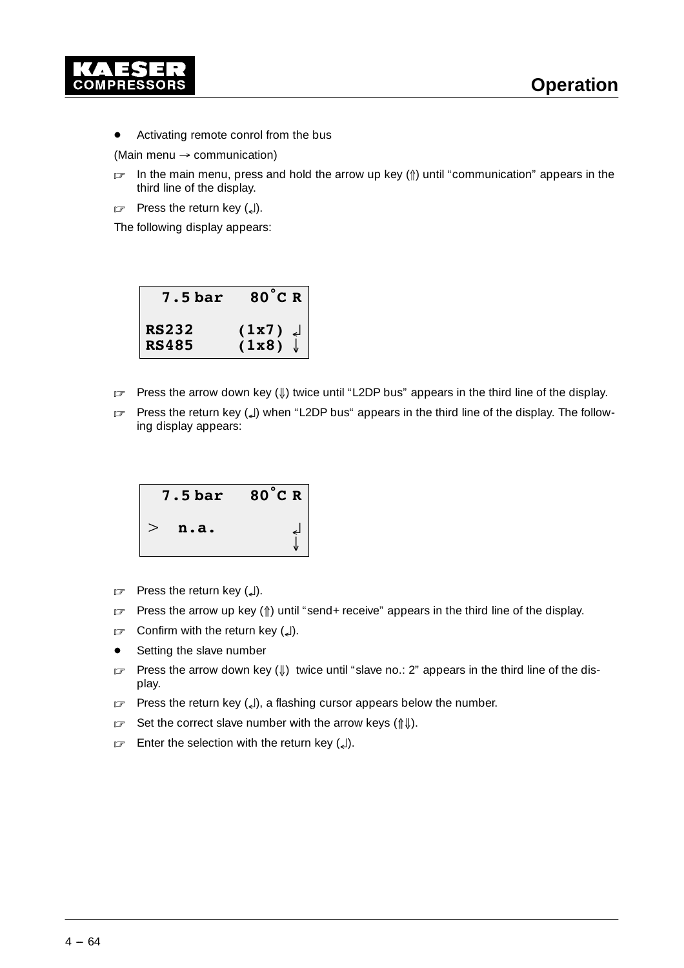- Activating remote conrol from the bus

(Main menu  $\rightarrow$  communication)

COMPR

- In the main menu, press and hold the arrow up key ( $\Uparrow$ ) until "communication" appears in the third line of the display.
- $\mathbb{F}$  Press the return key ( $\downarrow$ ).

The following display appears:

| <b>7.5 bar</b> | $80^{\circ}$ CR |
|----------------|-----------------|
| <b>RS232</b>   | (1x7)           |
| <b>RS485</b>   | (1x8)           |

- **Press the arrow down key (** $\parallel$ ) twice until "L2DP bus" appears in the third line of the display.
- Fress the return key (U) when "L2DP bus" appears in the third line of the display. The following display appears:



- $\mathbb{F}$  Press the return key ( $\downarrow$ ).
- **Press the arrow up key (f) until "send+ receive" appears in the third line of the display.**
- $\mathbb{F}$  Confirm with the return key (
- Setting the slave number
- $\mathbb{F}$  Press the arrow down key ( $\Downarrow$ ) twice until "slave no.: 2" appears in the third line of the display.
- $\mathbb{F}$  Press the return key ( $\downarrow$ ), a flashing cursor appears below the number.
- $\mathbb{F}$  Set the correct slave number with the arrow keys ( $\mathcal{L}(\mathcal{L})$ ).
- Enter the selection with the return key ( $\downarrow$ ).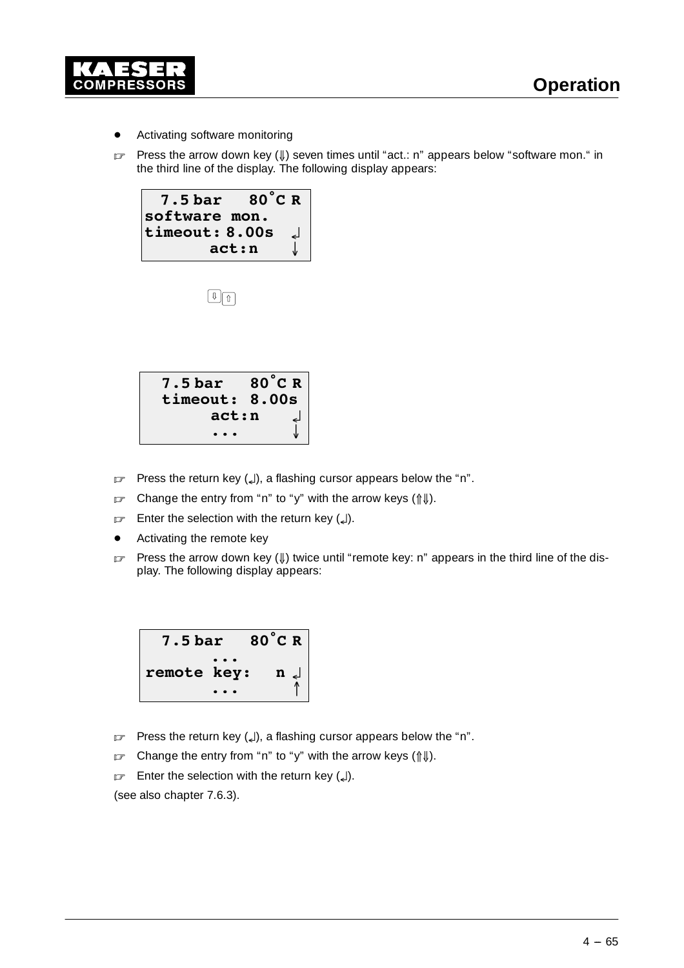

- Activating software monitoring
- **Press the arrow down key (** $\downarrow$ ) seven times until "act.: n" appears below "software mon." in the third line of the display. The following display appears:



 $\sqrt{2}$ 



- $\mathbb{F}$  Press the return key ( $\downarrow$ ), a flashing cursor appears below the "n".
- $\mathbb{F}$  Change the entry from "n" to "y" with the arrow keys ( $\mathcal{L}$ ).
- Enter the selection with the return key ( $\Box$ ).
- Activating the remote key
- **Press the arrow down key (** $\downarrow$ ) twice until "remote key: n" appears in the third line of the display. The following display appears:

| $7.5\,\mathrm{bar}$ |                                                                          | $80^{\circ}$ CR |   |  |
|---------------------|--------------------------------------------------------------------------|-----------------|---|--|
| remote key:         | $\bullet\bullet\bullet$                                                  |                 | n |  |
|                     | $\bullet\hspace{0.4mm}\bullet\hspace{0.4mm}\bullet\hspace{0.4mm}\bullet$ |                 |   |  |

- F Press the return key (U), a flashing cursor appears below the "n".
- $\mathbb{F}$  Change the entry from "n" to "y" with the arrow keys ( $\mathcal{L}$ ).
- Enter the selection with the return key ( $\Box$ ).

(see also chapter 7.6.3).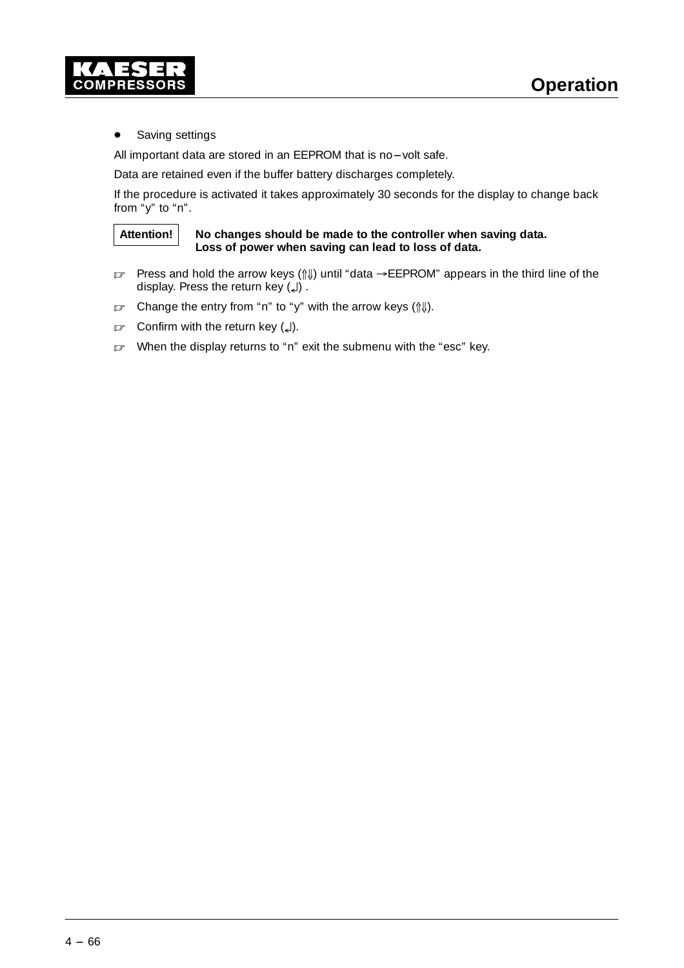

# • Saving settings

All important data are stored in an EEPROM that is no-volt safe.

Data are retained even if the buffer battery discharges completely.

If the procedure is activated it takes approximately 30 seconds for the display to change back from  $i y$ " to "n".

#### **No changes should be made to the controller when saving data. Loss of power when saving can lead to loss of data. Attention!**

- $\mathbb{F}$  Press and hold the arrow keys ( $\parallel \Downarrow$ ) until "data  $\rightarrow$  EEPROM" appears in the third line of the display. Press the return key  $(\downarrow)$ .
- $\mathbb{F}$  Change the entry from "n" to "y" with the arrow keys ( $\mathcal{L}(\mathcal{V})$ ).
- $\mathbb{F}$  Confirm with the return key (2).
- When the display returns to "n" exit the submenu with the "esc" key.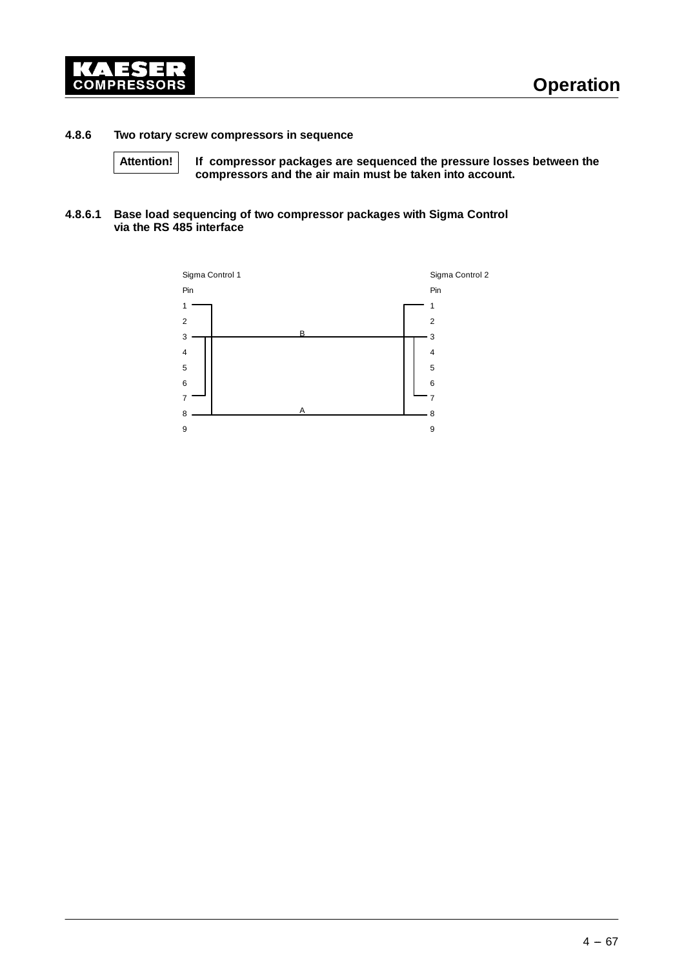

### **4.8.6 Two rotary screw compressors in sequence**

**Attention!**

**If compressor packages are sequenced the pressure losses between the compressors and the air main must be taken into account.**

#### **4.8.6.1 Base load sequencing of two compressor packages with Sigma Control via the RS 485 interface**

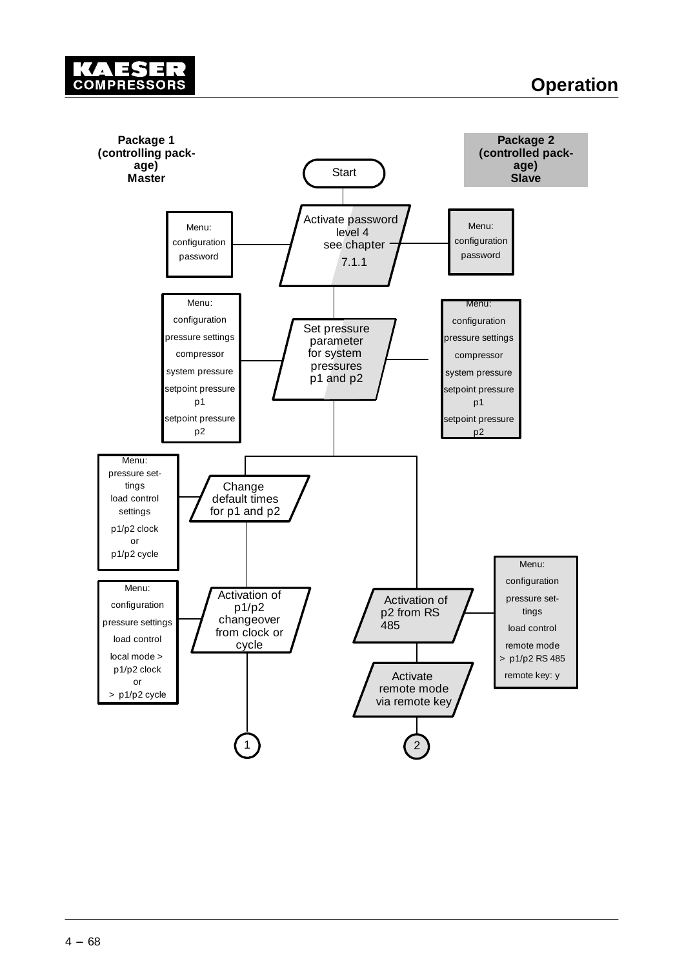# **COMPRESSORS**

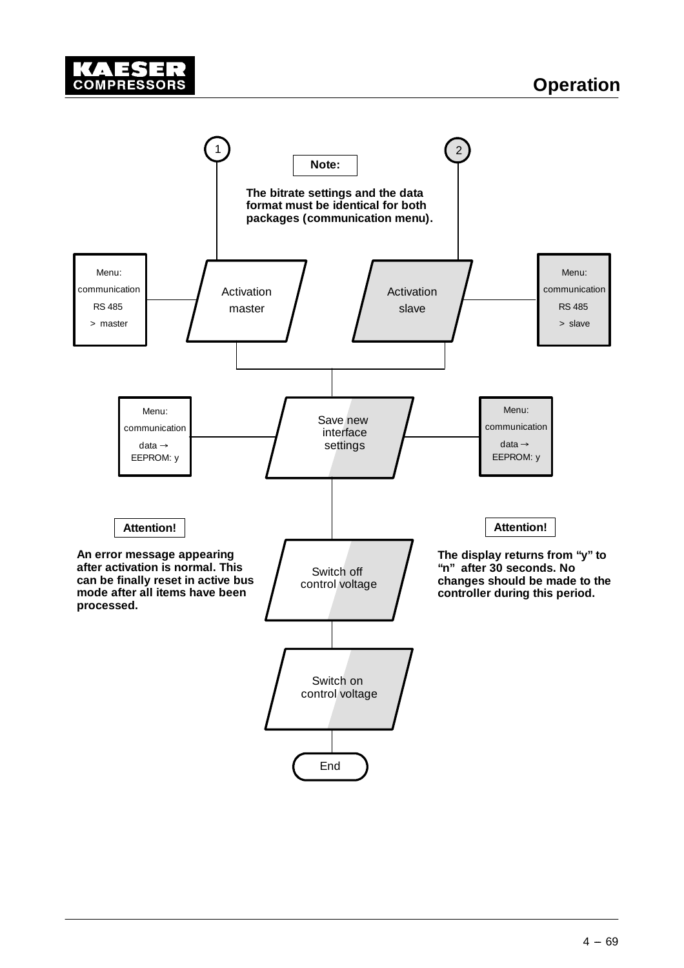

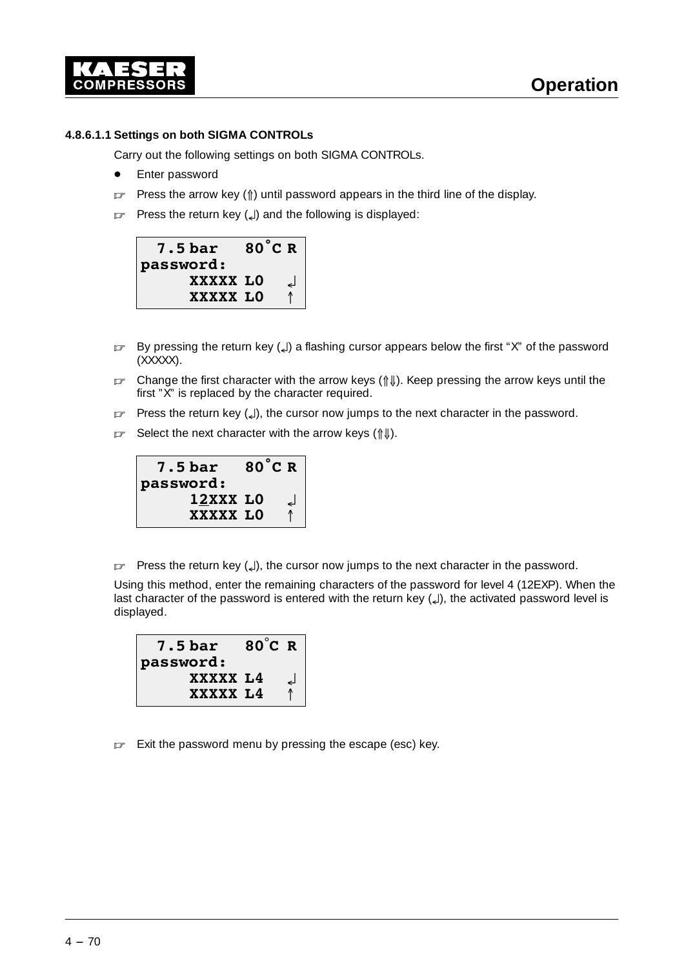

### **4.8.6.1.1 Settings on both SIGMA CONTROLs**

Carry out the following settings on both SIGMA CONTROLs.

- **•** Enter password
- $F$  Press the arrow key ( $\uparrow$ ) until password appears in the third line of the display.
- $\mathbb{F}$  Press the return key (1) and the following is displayed:



- By pressing the return key ( $\downarrow$ ) a flashing cursor appears below the first "X" of the password (XXXXX).
- $\mathbb{F}$  Change the first character with the arrow keys ( $\mathbb{N}$ ). Keep pressing the arrow keys until the first "X" is replaced by the character required.
- $\mathbb{F}$  Press the return key ( $\downarrow$ ), the cursor now jumps to the next character in the password.
- $\mathbb{F}$  Select the next character with the arrow keys ( $\mathcal{L}$ ).

| 7.5 <sub>bar</sub> | $80^{\circ}$ CR |
|--------------------|-----------------|
| password:          |                 |
| 12XXX LO           |                 |
| XXXXX LO           | ↑               |

Press the return key (U), the cursor now jumps to the next character in the password.

Using this method, enter the remaining characters of the password for level 4 (12EXP). When the last character of the password is entered with the return key  $(\downarrow)$ , the activated password level is displayed.

| 7.5 <sub>bar</sub> | $80^{\circ}$ C R $ $ |  |
|--------------------|----------------------|--|
| password:          |                      |  |
| XXXXX L4           |                      |  |
| XXXXX L4           |                      |  |

 $\mathbb{F}$  Exit the password menu by pressing the escape (esc) key.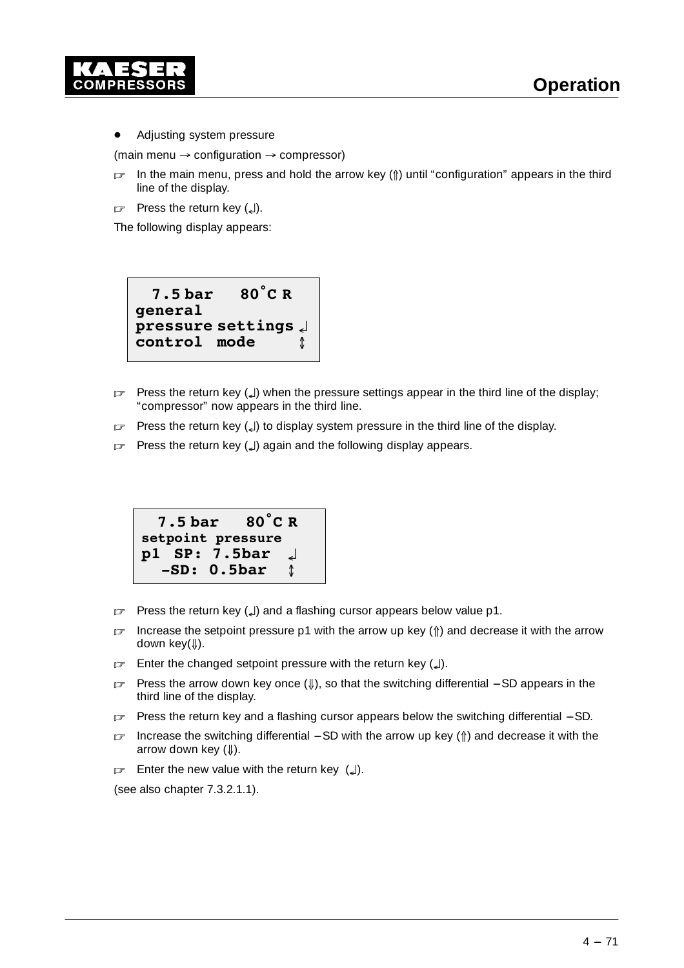

Adjusting system pressure

(main menu  $\rightarrow$  configuration  $\rightarrow$  compressor)

- In the main menu, press and hold the arrow key ( $\hat{p}$ ) until "configuration" appears in the third line of the display.
- $\mathbb{F}$  Press the return key (1).

The following display appears:

 $7.5 \,\text{bar}$   $80^{\circ} \text{C}$  R **general pressure settings FRAUGHER** CONTROL **ROOT** 

- Press the return key ( $\downarrow$ ) when the pressure settings appear in the third line of the display; "compressor" now appears in the third line.
- Press the return key ( $\downarrow$ ) to display system pressure in the third line of the display.
- Press the return key (<) again and the following display appears.



- Press the return key ( $\downarrow$ ) and a flashing cursor appears below value p1.
- Increase the setpoint pressure p1 with the arrow up key ( $\Uparrow$ ) and decrease it with the arrow down key(Ä).
- Enter the changed setpoint pressure with the return key ( $\downarrow$ ).
- **Press the arrow down key once (** $\Downarrow$ ), so that the switching differential  $-SD$  appears in the third line of the display.
- **Press the return key and a flashing cursor appears below the switching differential -SD.**
- Increase the switching differential  $-SD$  with the arrow up key ( $\Uparrow$ ) and decrease it with the arrow down key  $(\Downarrow)$ .
- Enter the new value with the return key  $(1)$ .

(see also chapter 7.3.2.1.1).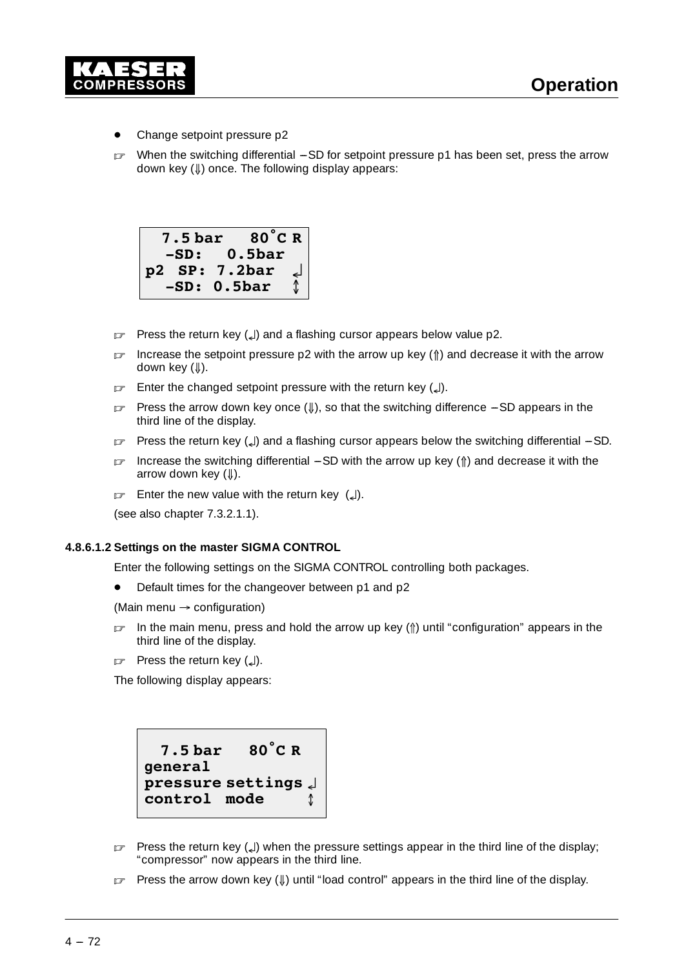

- Change setpoint pressure p2
- $\blacktriangleright$  When the switching differential  $-SD$  for setpoint pressure p1 has been set, press the arrow down key  $(\Downarrow)$  once. The following display appears:

 $7.5 \,\text{bar}$   $80^{\circ} \text{C}$  R  $-SD: 0.5bar$ **p2 SP: 7.2bar**  $-SD: 0.5bar$ 

- $\mathbb{F}$  Press the return key ( $\downarrow$ ) and a flashing cursor appears below value p2.
- Increase the setpoint pressure p2 with the arrow up key ( $\Uparrow$ ) and decrease it with the arrow down key (Ä).
- $\mathbb{F}$  Enter the changed setpoint pressure with the return key (2).
- **Press the arrow down key once (** $\parallel$ ), so that the switching difference  $-SD$  appears in the third line of the display.
- $F$  Press the return key ( $\downarrow$ ) and a flashing cursor appears below the switching differential -SD.
- Increase the switching differential  $-SD$  with the arrow up key ( $\Uparrow$ ) and decrease it with the arrow down key  $(\|)$ .
- Enter the new value with the return key ( $\downarrow$ ).

(see also chapter 7.3.2.1.1).

### **4.8.6.1.2 Settings on the master SIGMA CONTROL**

Enter the following settings on the SIGMA CONTROL controlling both packages.

- Default times for the changeover between p1 and p2

(Main menu  $\rightarrow$  configuration)

- In the main menu, press and hold the arrow up key ( $\hat{p}$ ) until "configuration" appears in the third line of the display.
- $\mathbb{F}$  Press the return key (1).

```
7.5 \,\text{bar} 80^{\circ}CR
\thetaA
pressure settings
control mode 1
```
- Press the return key ( $\downarrow$ ) when the pressure settings appear in the third line of the display; "compressor" now appears in the third line.
- $\mathbb{F}$  Press the arrow down key ( $\Downarrow$ ) until "load control" appears in the third line of the display.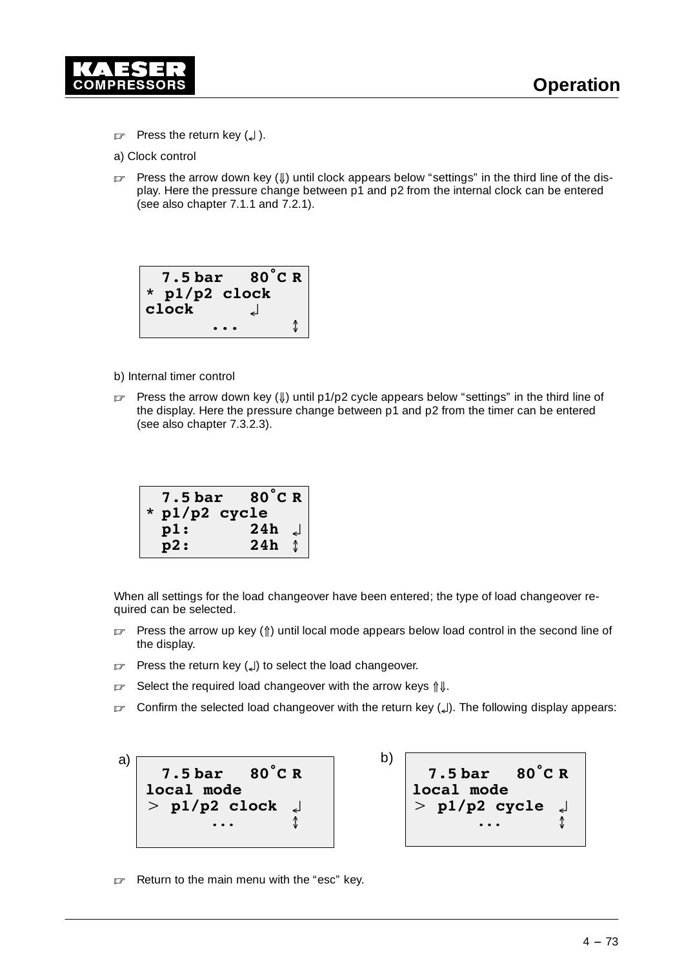

- $\mathbb{F}$  Press the return key ( $\downarrow$ ).
- a) Clock control
- **Press the arrow down key (** $\Downarrow$ ) until clock appears below "settings" in the third line of the display. Here the pressure change between p1 and p2 from the internal clock can be entered (see also chapter 7.1.1 and 7.2.1).

| 7.5 <sub>bar</sub> | $80^{\circ}$ CR |
|--------------------|-----------------|
| * p1/p2 clock      |                 |
| clock              |                 |
|                    |                 |

- b) Internal timer control
- **Press the arrow down key (** $\parallel$ ) until p1/p2 cycle appears below "settings" in the third line of the display. Here the pressure change between p1 and p2 from the timer can be entered (see also chapter 7.3.2.3).

|         | 7.5 <sub>bar</sub> | $80^{\circ}$ CR     |
|---------|--------------------|---------------------|
| $\star$ | $p1/p2$ cycle      |                     |
|         | $pi$ :             | 24h<br>↲            |
|         | $p2$ :             | $\mathbf{r}$<br>24h |

When all settings for the load changeover have been entered; the type of load changeover required can be selected.

- $F$  Press the arrow up key ( $\Uparrow$ ) until local mode appears below load control in the second line of the display.
- $\mathbb{F}$  Press the return key (2) to select the load changeover.
- $\mathbb{F}$  Select the required load changeover with the arrow keys  $\mathbb{N}$ .
- $\mathbb{F}$  Confirm the selected load changeover with the return key ( $\downarrow$ ). The following display appears:

 $7.5 \,\text{bar}$   $80^{\circ} \text{C}$  R **local** mode > p1/p2 clock<br>**CO** ...  $\ddotsc$ a) b)



 $F$  Return to the main menu with the "esc" key.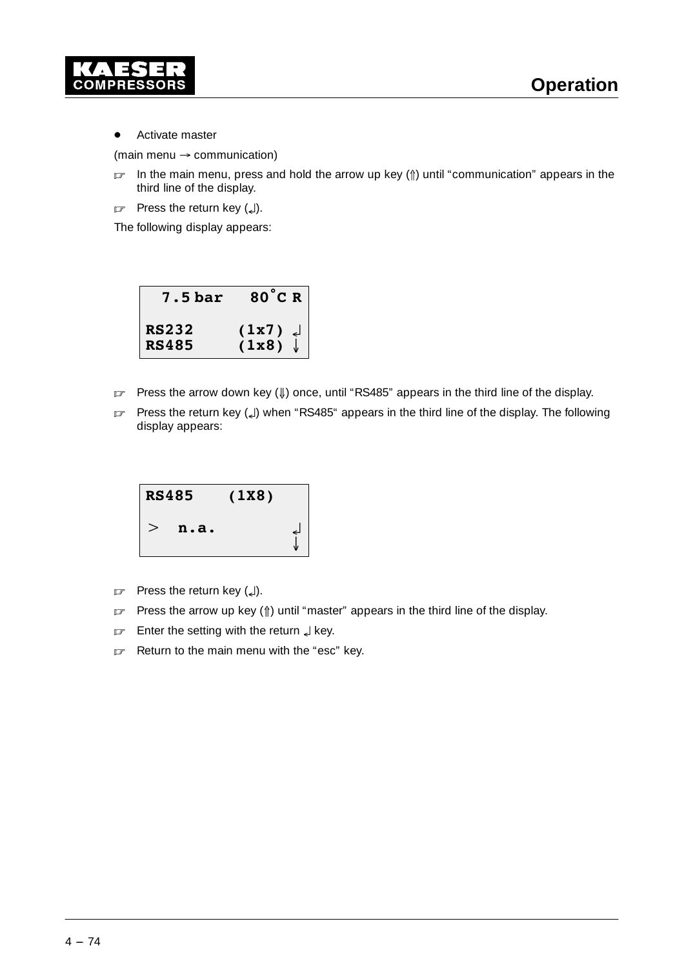• Activate master

s

**COMPR** 

(main menu  $\rightarrow$  communication)

- In the main menu, press and hold the arrow up key ( $\Uparrow$ ) until "communication" appears in the third line of the display.
- $F$  Press the return key ( $\downarrow$ ).

| <b>7.5 bar</b> | $80^{\circ}$ CR |
|----------------|-----------------|
| <b>RS232</b>   | (1x7)           |
| <b>RS485</b>   | (1x8)           |

- Press the arrow down key ( $\Downarrow$ ) once, until "RS485" appears in the third line of the display.
- Press the return key ( $\downarrow$ ) when "RS485" appears in the third line of the display. The following display appears:



- $\mathbb{F}$  Press the return key ( $\downarrow$ ).
- **Press the arrow up key (f) until "master" appears in the third line of the display.**
- $\mathbb{F}$  Enter the setting with the return  $\downarrow$  key.
- $F$  Return to the main menu with the "esc" key.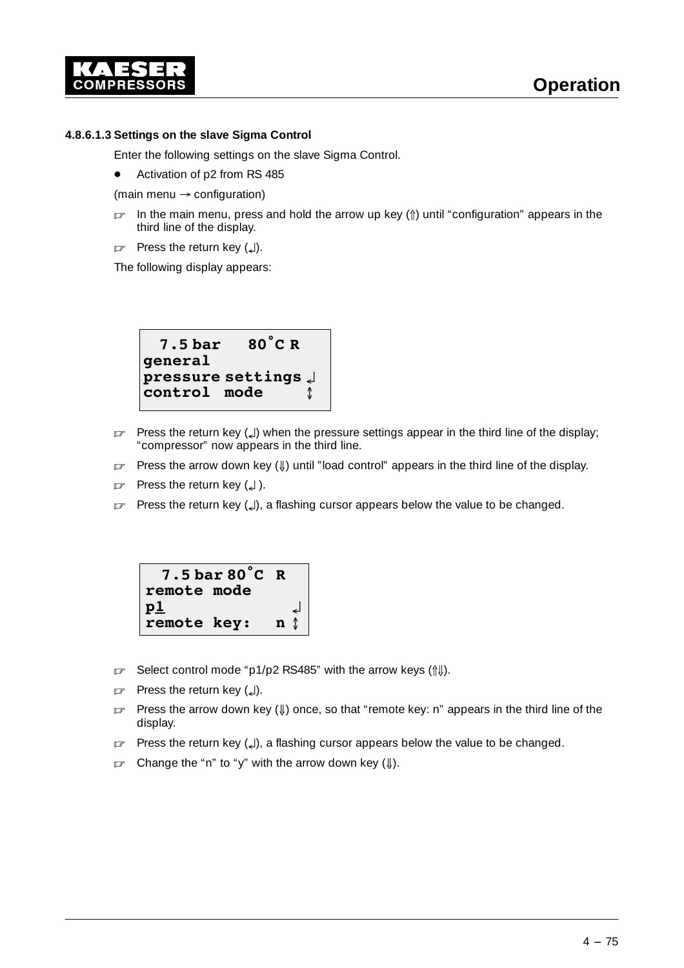

#### **4.8.6.1.3 Settings on the slave Sigma Control**

Enter the following settings on the slave Sigma Control.

● Activation of p2 from RS 485

(main menu  $\rightarrow$  configuration)

- $\mathbb{F}$  In the main menu, press and hold the arrow up key ( $\Uparrow$ ) until "configuration" appears in the third line of the display.
- $F$  Press the return key ( $\Box$ ).

 $7.5 \text{ bar}$  80 $\degree$ CR **general pressure settings FRAUE CONTROL MODE** 1

- Press the return key ( $\Box$ ) when the pressure settings appear in the third line of the display; "compressor" now appears in the third line.
- $\mathbb{F}$  Press the arrow down key ( $\Downarrow$ ) until "load control" appears in the third line of the display.
- $F$  Press the return key ( $\Box$ ).
- Press the return key ( $\Box$ ), a flashing cursor appears below the value to be changed.

 $7.5 \text{ bar } 80^{\circ} \text{C}$  R remote mode  $p1$ remote key: n 1

- $\mathbb{F}$  Select control mode "p1/p2 RS485" with the arrow keys ( $\parallel\Downarrow$ ).
- $F$  Press the return key (
- $\mathbb{F}$  Press the arrow down key ( $\Downarrow$ ) once, so that "remote key: n" appears in the third line of the display.
- $F$  Press the return key ( $\downarrow$ ), a flashing cursor appears below the value to be changed.
- $\mathbb{F}$  Change the "n" to "y" with the arrow down key ( $\downarrow$ ).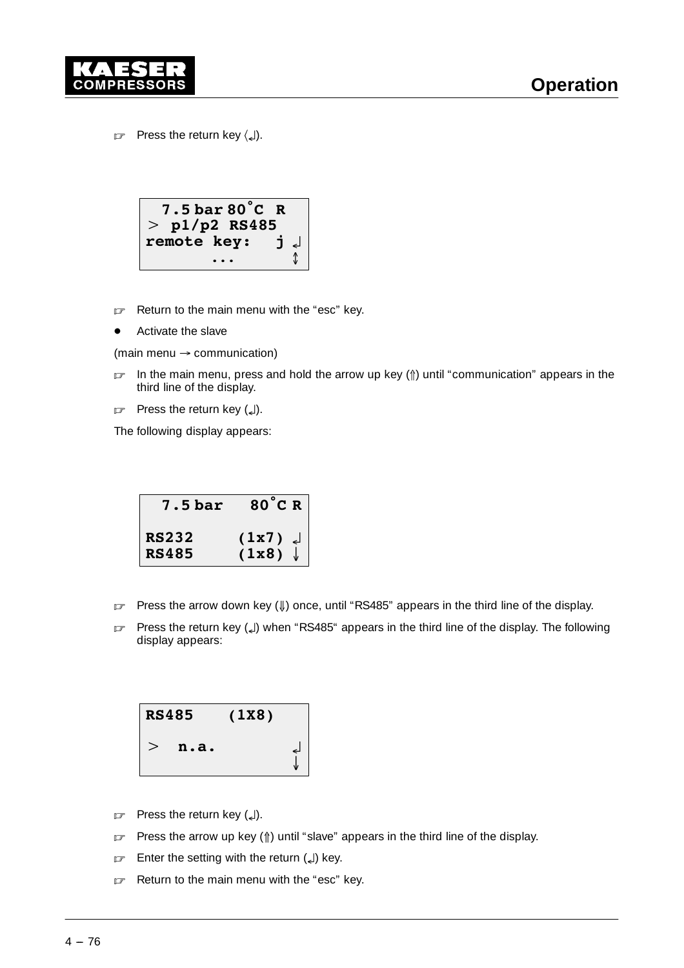

 $\mathbb{F}$  Press the return key  $\langle \mathbf{I} \rangle$ .

**7.5 bar 80°C R** > p1/p2 RS485<br>remote key: j **remote key:** j  $\downarrow$  $\cdot \cdot$   $\cdot$   $\uparrow$ 

- $F$  Return to the main menu with the "esc" key.
- Activate the slave

(main menu  $\rightarrow$  communication)

- In the main menu, press and hold the arrow up key ( $\Uparrow$ ) until "communication" appears in the third line of the display.
- $\mathbb{F}$  Press the return key ( $\downarrow$ ).

| <b>7.5 bar</b> | $80^{\circ}$ CR    |
|----------------|--------------------|
| <b>RS232</b>   | $(1x7)$<br>$(1x8)$ |
| <b>RS485</b>   | $\downarrow$       |

- **Press the arrow down key (** $\parallel$ **) once, until "RS485" appears in the third line of the display.**
- **Press the return key (** $\Box$ ) when "RS485" appears in the third line of the display. The following display appears:



- $F$  Press the return key ( $\Box$ ).
- $F =$  Press the arrow up key ( $\parallel$ ) until "slave" appears in the third line of the display.
- Enter the setting with the return  $($ ) key.
- $F$  Return to the main menu with the "esc" key.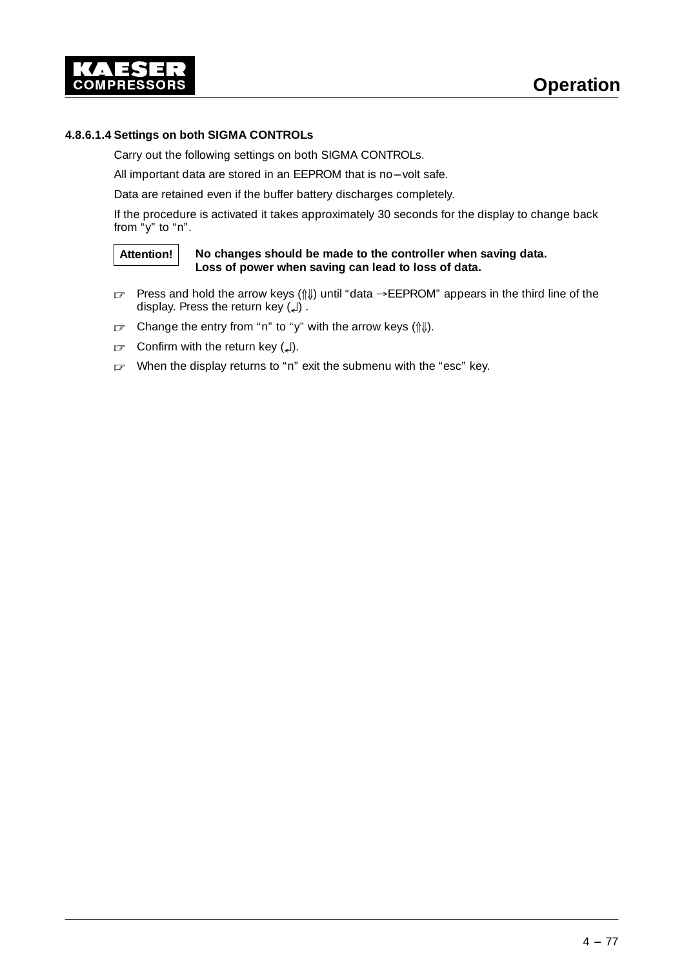

### **4.8.6.1.4 Settings on both SIGMA CONTROLs**

Carry out the following settings on both SIGMA CONTROLs.

All important data are stored in an EEPROM that is no-volt safe.

Data are retained even if the buffer battery discharges completely.

If the procedure is activated it takes approximately 30 seconds for the display to change back from "y" to "n".

#### **No changes should be made to the controller when saving data. Loss of power when saving can lead to loss of data. Attention!**

- **Press and hold the arrow keys (f)) until "data**  $\rightarrow$  **EEPROM" appears in the third line of the** display. Press the return key  $(\downarrow)$ .
- $\mathbb{F}$  Change the entry from "n" to "y" with the arrow keys ( $\mathcal{L}$ ).
- $\mathbb{F}$  Confirm with the return key (
- $\mathbb{F}$  When the display returns to "n" exit the submenu with the "esc" key.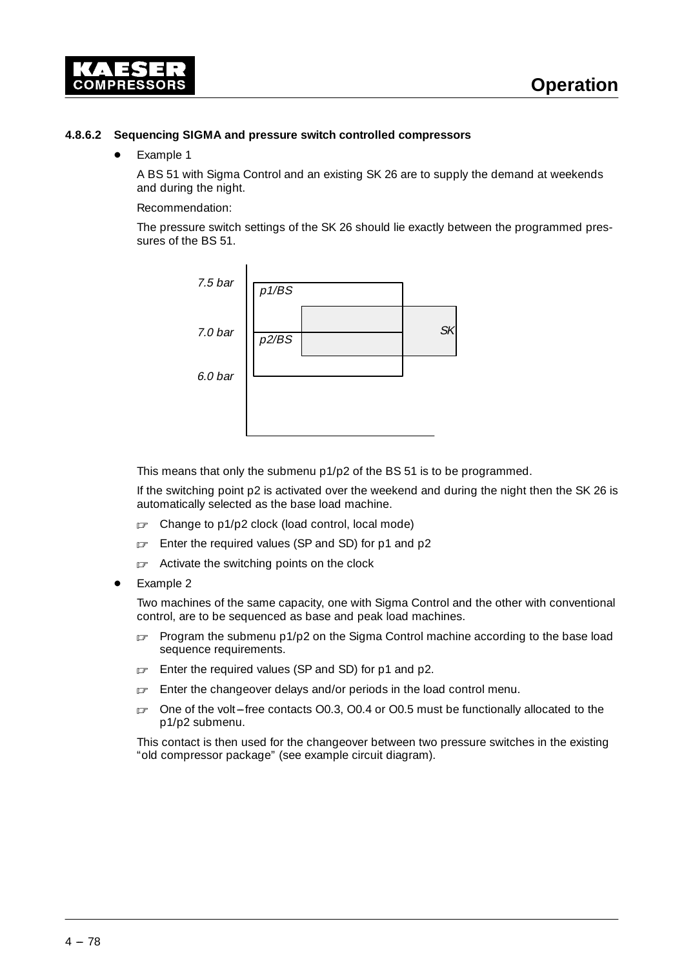

### **4.8.6.2 Sequencing SIGMA and pressure switch controlled compressors**

#### Example 1

A BS 51 with Sigma Control and an existing SK 26 are to supply the demand at weekends and during the night.

Recommendation:

The pressure switch settings of the SK 26 should lie exactly between the programmed pressures of the BS 51.



This means that only the submenu p1/p2 of the BS 51 is to be programmed.

If the switching point p2 is activated over the weekend and during the night then the SK 26 is automatically selected as the base load machine.

- $\mathbb{F}$  Change to p1/p2 clock (load control, local mode)
- $\mathbb{F}$  Enter the required values (SP and SD) for p1 and p2
- $\mathbb{F}$  Activate the switching points on the clock
- Example 2

Two machines of the same capacity, one with Sigma Control and the other with conventional control, are to be sequenced as base and peak load machines.

- $F$  Program the submenu p1/p2 on the Sigma Control machine according to the base load sequence requirements.
- $F$  Enter the required values (SP and SD) for p1 and p2.
- $F$  Enter the changeover delays and/or periods in the load control menu.
- $\blacktriangleright$  One of the volt-free contacts O0.3, O0.4 or O0.5 must be functionally allocated to the p1/p2 submenu.

This contact is then used for the changeover between two pressure switches in the existing "old compressor package" (see example circuit diagram).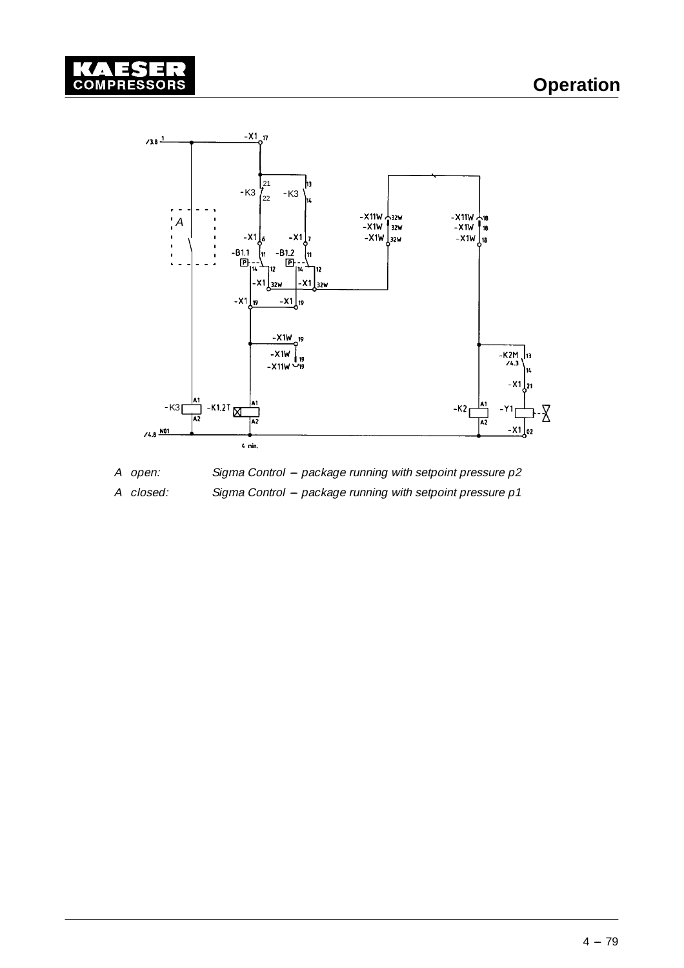



| A open:   | Sigma Control - package running with setpoint pressure p2 |
|-----------|-----------------------------------------------------------|
| A closed: | Sigma Control - package running with setpoint pressure p1 |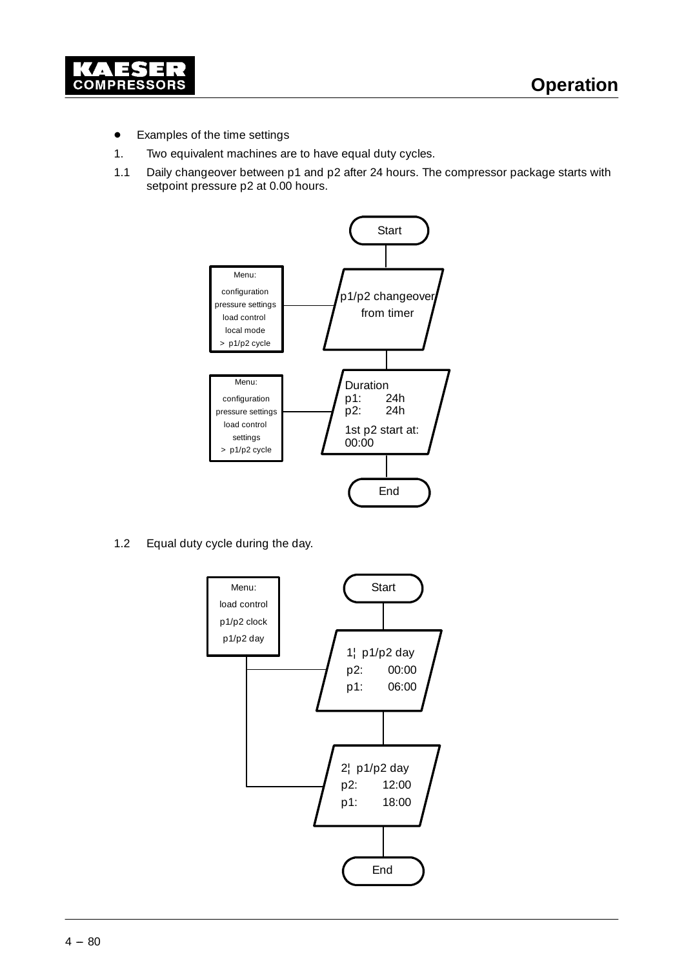

c

**COMPRESSOR** 

- 1. Two equivalent machines are to have equal duty cycles.
- 1.1 Daily changeover between p1 and p2 after 24 hours. The compressor package starts with setpoint pressure p2 at 0.00 hours.



1.2 Equal duty cycle during the day.

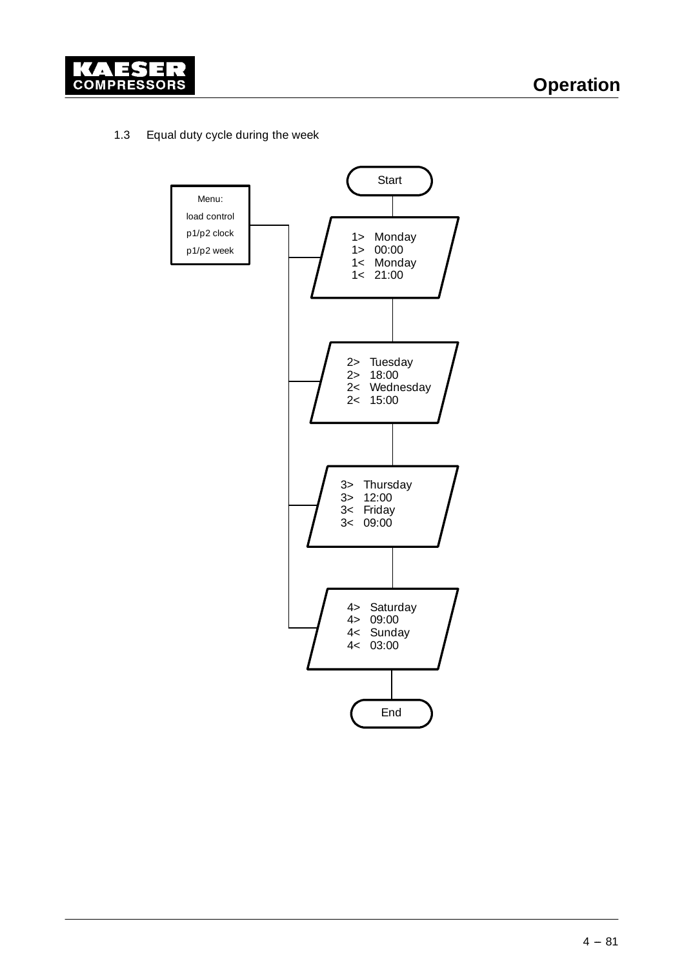

### 1.3 Equal duty cycle during the week

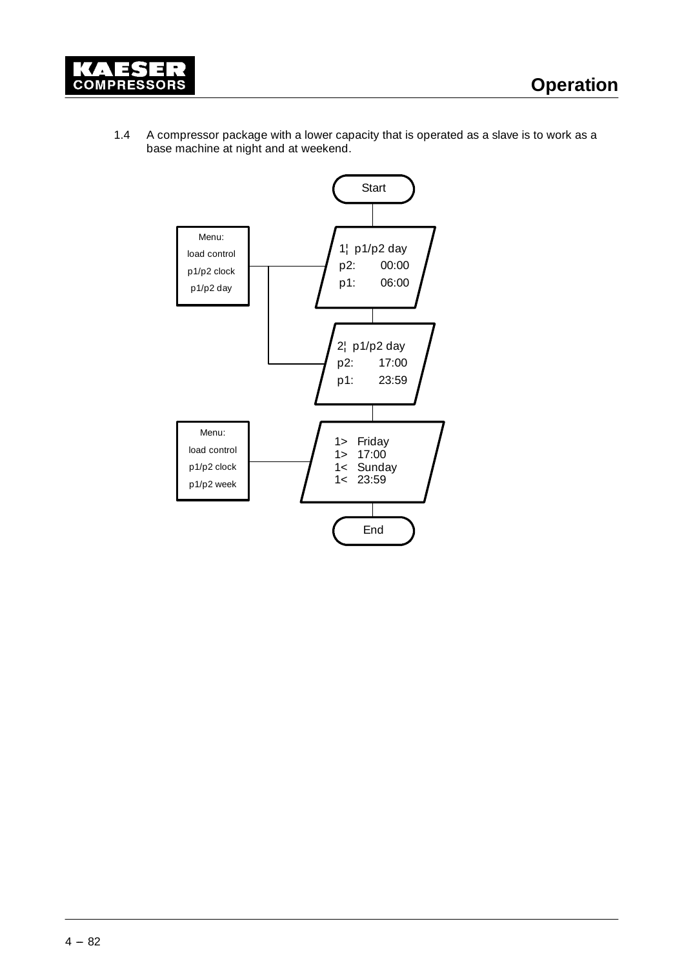

1.4 A compressor package with a lower capacity that is operated as a slave is to work as a base machine at night and at weekend.

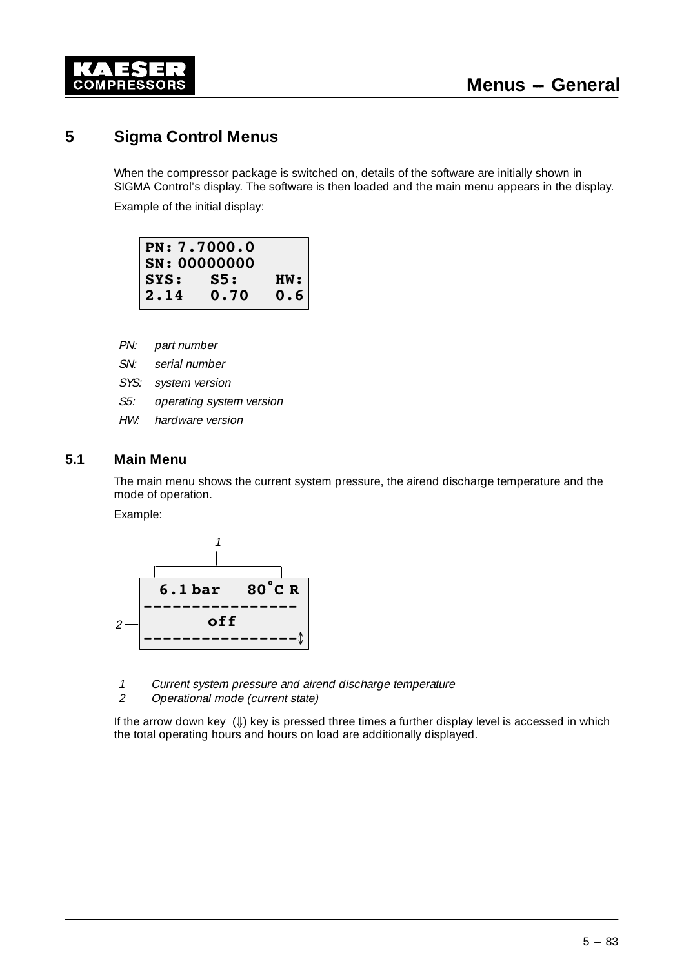

### **5 Sigma Control Menus**

When the compressor package is switched on, details of the software are initially shown in SIGMA Control's display. The software is then loaded and the main menu appears in the display.

Example of the initial display:

| PN: 7.7000.0<br><b>SN: 00000000</b> |      |     |
|-------------------------------------|------|-----|
| <b>SYS:</b>                         | SS:  | HW: |
| 2.14                                | 0.70 | 0.6 |

- PN: part number
- SN: serial number
- SYS: system version
- S5: operating system version
- HW: hardware version

### **5.1 Main Menu**

The main menu shows the current system pressure, the airend discharge temperature and the mode of operation.

Example:



- 1 Current system pressure and airend discharge temperature
- 2 Operational mode (current state)

If the arrow down key  $(\Downarrow)$  key is pressed three times a further display level is accessed in which the total operating hours and hours on load are additionally displayed.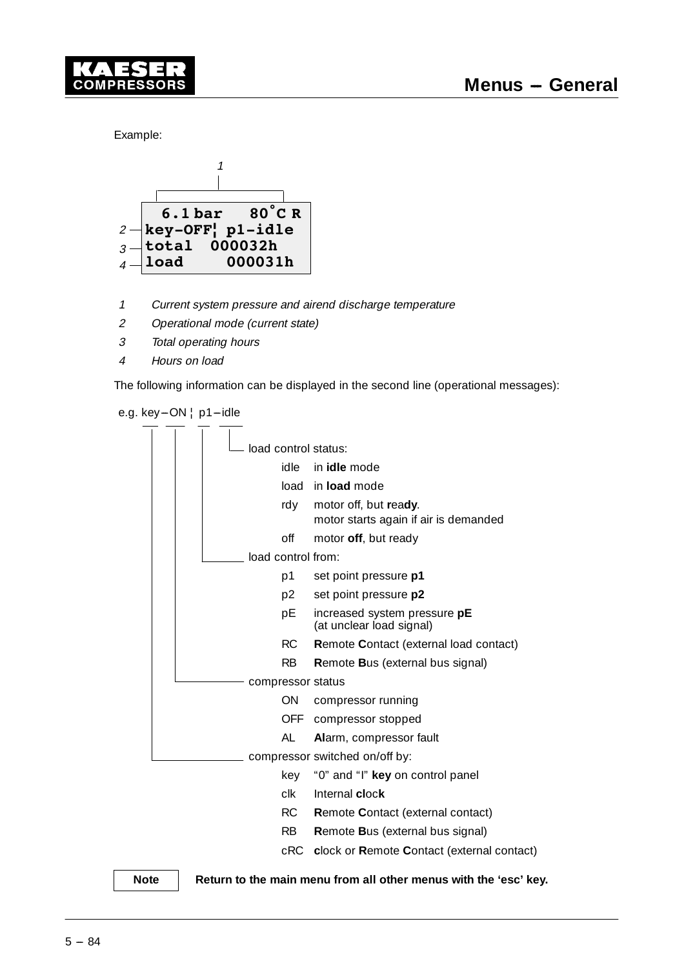

Example:



- 1 Current system pressure and airend discharge temperature
- 2 Operational mode (current state)
- 3 Total operating hours
- 4 Hours on load

The following information can be displayed in the second line (operational messages):

```
e.g. key-ON |p1-idle
```
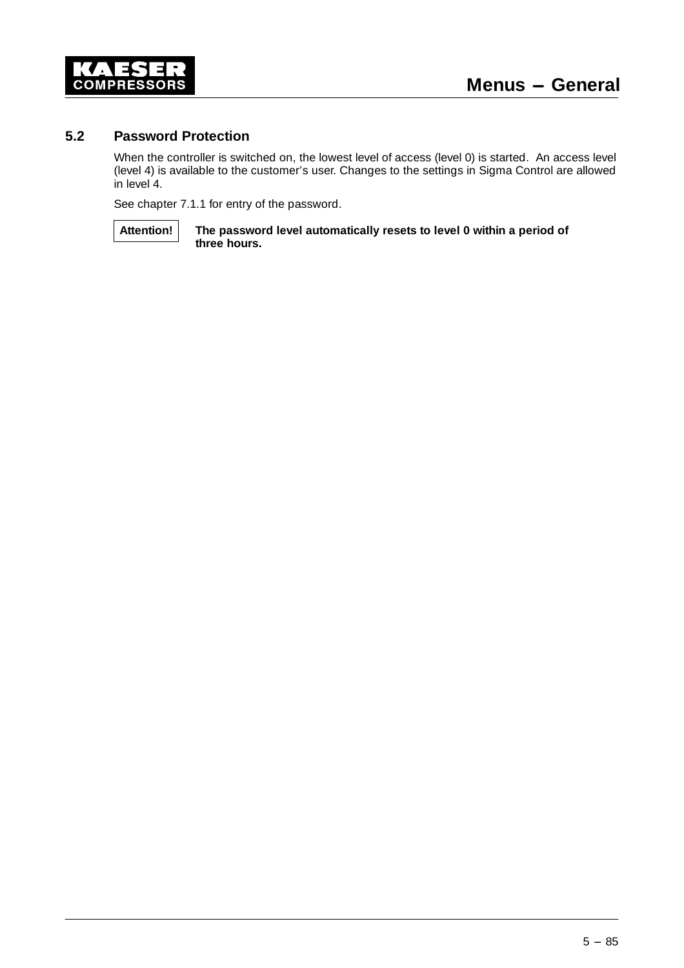

### **5.2 Password Protection**

**Attention!**

When the controller is switched on, the lowest level of access (level 0) is started. An access level (level 4) is available to the customer's user. Changes to the settings in Sigma Control are allowed in level 4.

See chapter 7.1.1 for entry of the password.

**The password level automatically resets to level 0 within a period of three hours.**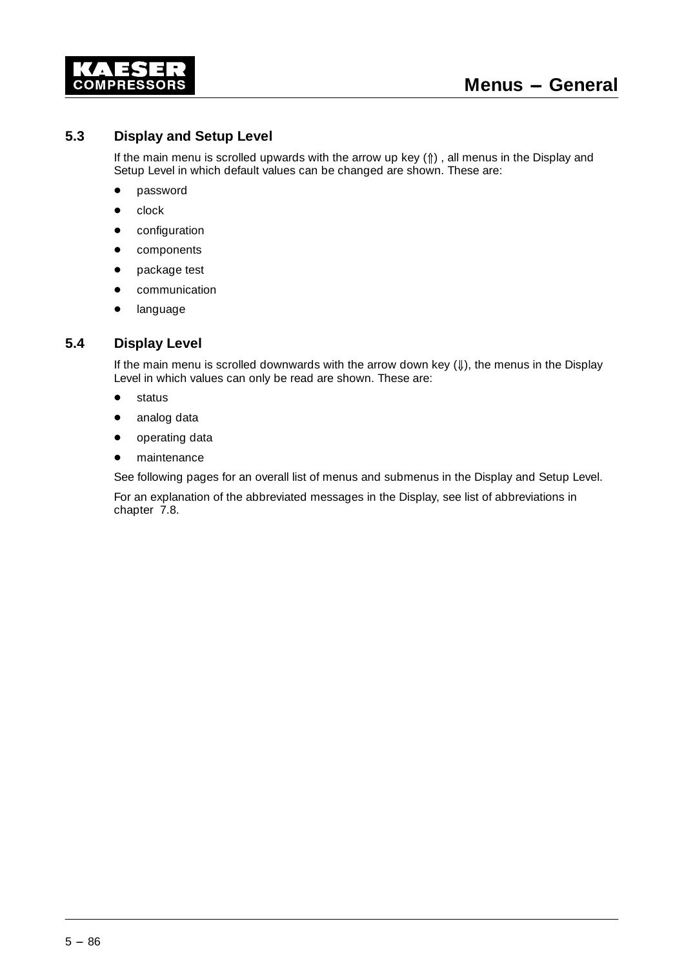

### **5.3 Display and Setup Level**

If the main menu is scrolled upwards with the arrow up key  $(\Uparrow)$ , all menus in the Display and Setup Level in which default values can be changed are shown. These are:

- password
- clock
- configuration
- components
- package test
- $\bullet$  communication
- language

### **5.4 Display Level**

If the main menu is scrolled downwards with the arrow down key  $(\Downarrow)$ , the menus in the Display Level in which values can only be read are shown. These are:

- status
- analog data
- operating data
- **•** maintenance

See following pages for an overall list of menus and submenus in the Display and Setup Level.

For an explanation of the abbreviated messages in the Display, see list of abbreviations in chapter 7.8.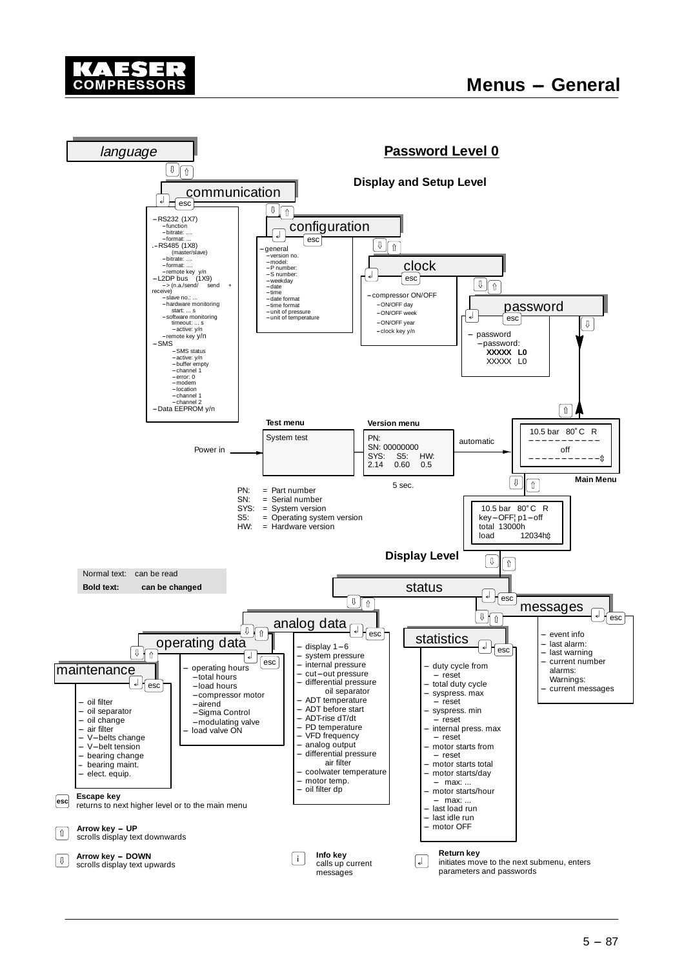

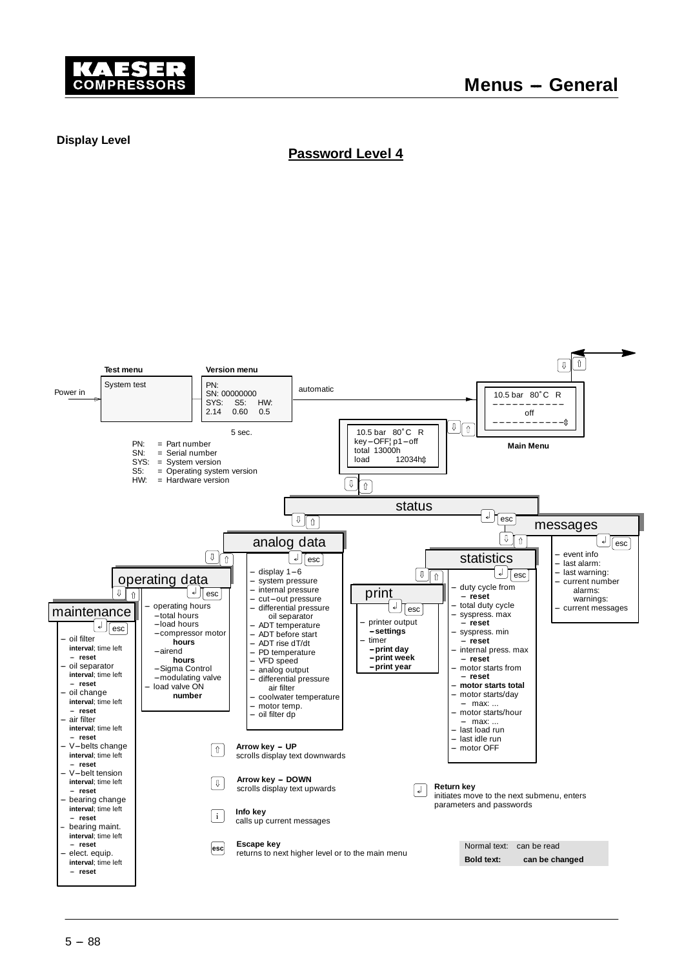

### **Display Level**

### **Password Level 4**

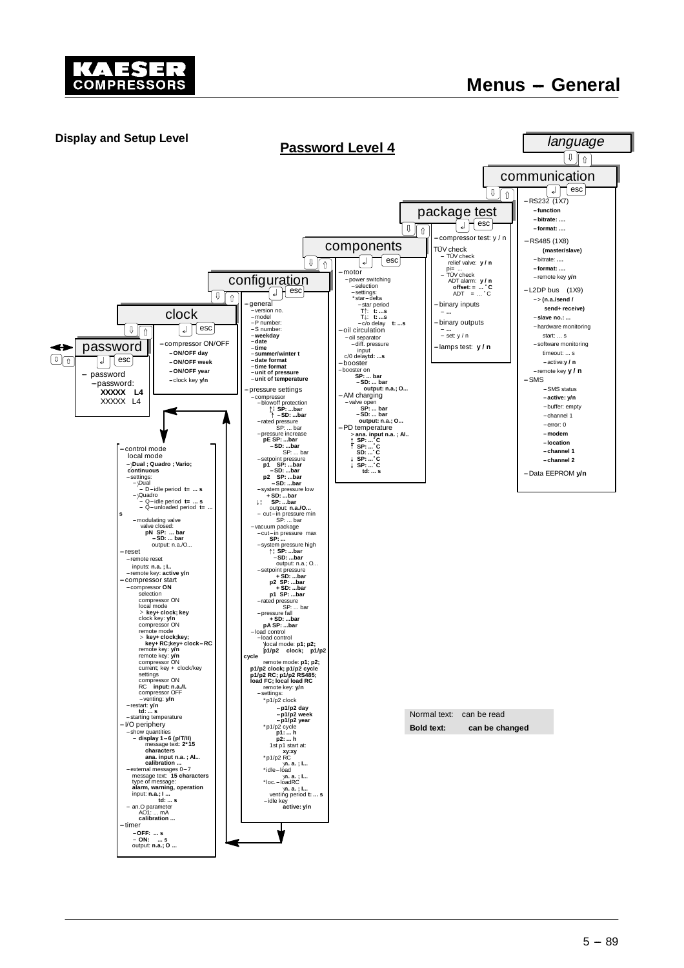

### Menus - General

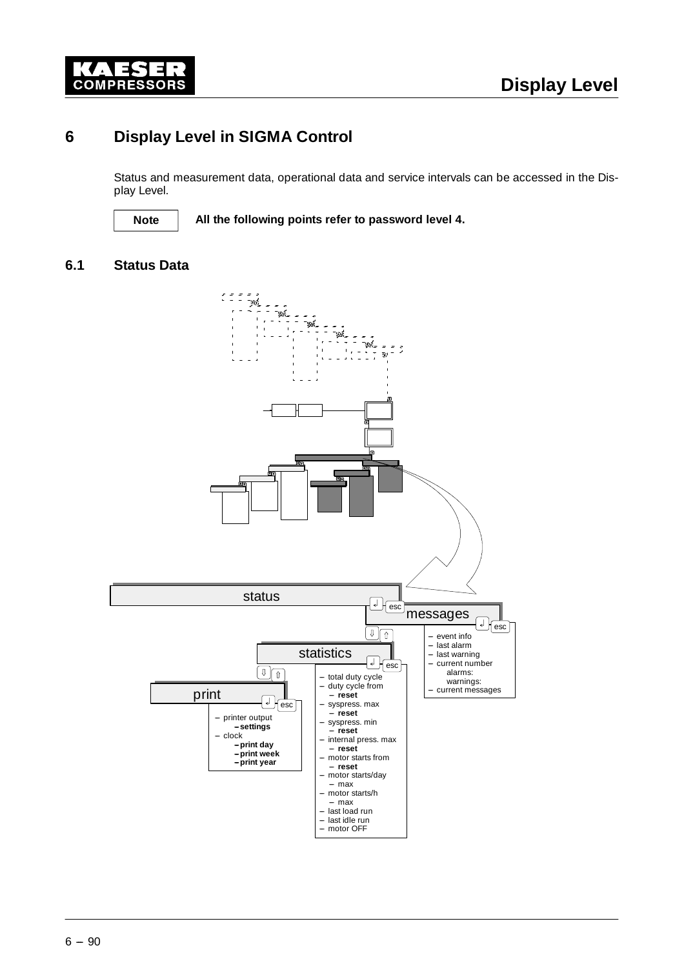

### **6 Display Level in SIGMA Control**

Status and measurement data, operational data and service intervals can be accessed in the Display Level.

**Note**

**All the following points refer to password level 4.**

### **6.1 Status Data**

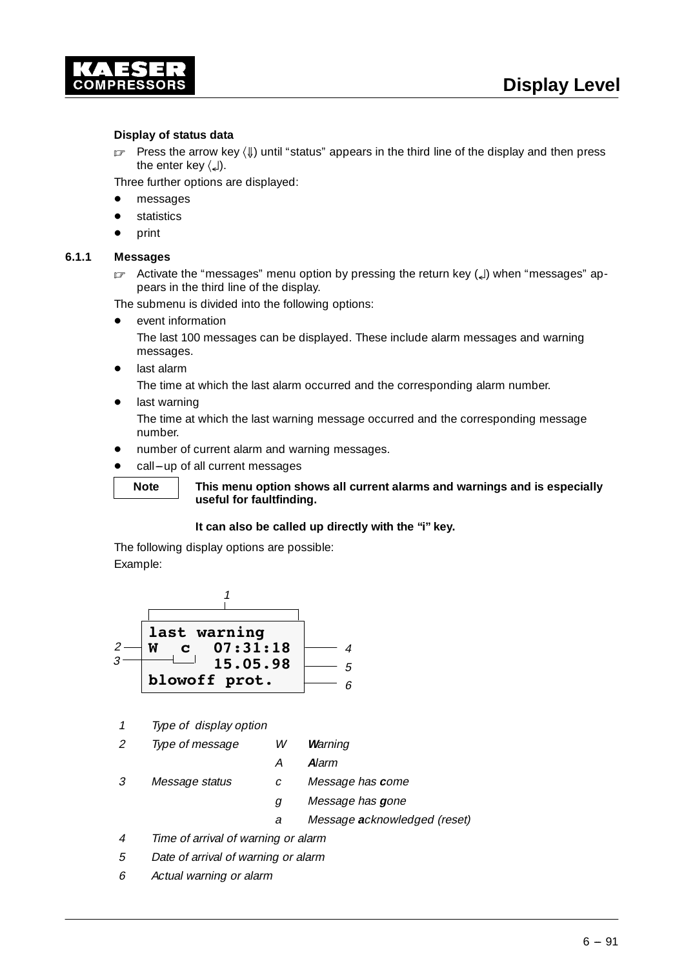

### **Display of status data**

**Press the arrow key**  $\langle \Downarrow \rangle$  until "status" appears in the third line of the display and then press the enter key  $\langle \underline{\hspace{0.1cm}} \rangle$ .

Three further options are displayed:

- messages
- statistics
- print

### **6.1.1 Messages**

 $\mathbb{F}$  Activate the "messages" menu option by pressing the return key ( $\Box$ ) when "messages" appears in the third line of the display.

The submenu is divided into the following options:

event information

The last 100 messages can be displayed. These include alarm messages and warning messages.

last alarm

The time at which the last alarm occurred and the corresponding alarm number.

last warning

The time at which the last warning message occurred and the corresponding message number.

- number of current alarm and warning messages.
- call-up of all current messages

```
Note
```
**This menu option shows all current alarms and warnings and is especially useful for faultfinding.**

**It can also be called up directly with the "i" key.**

The following display options are possible: Example:



- 1 Type of display option
- 2 Type of message W **W**arning
	- A **A**larm
- 3 Message status <sup>c</sup> Message has **<sup>c</sup>**ome
	-
	- g Message has **g**one
	- <sup>a</sup> Message **<sup>a</sup>**cknowledged (reset)
- 4 Time of arrival of warning or alarm
- 5 Date of arrival of warning or alarm
- 6 Actual warning or alarm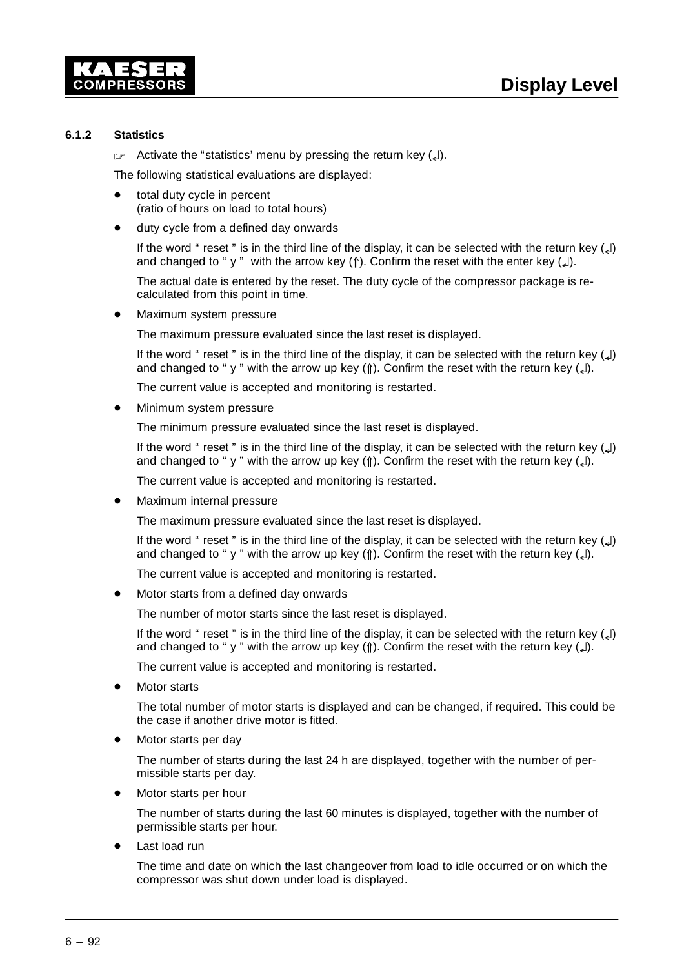

### **6.1.2 Statistics**

 $\mathbb{F}$  Activate the "statistics' menu by pressing the return key ( $\downarrow$ ).

The following statistical evaluations are displayed:

- total duty cycle in percent (ratio of hours on load to total hours)
- duty cycle from a defined day onwards

If the word " reset " is in the third line of the display, it can be selected with the return key  $(L)$ and changed to " y " with the arrow key ( $\uparrow$ ). Confirm the reset with the enter key ( $\downarrow$ ).

The actual date is entered by the reset. The duty cycle of the compressor package is recalculated from this point in time.

Maximum system pressure

The maximum pressure evaluated since the last reset is displayed.

If the word " reset " is in the third line of the display, it can be selected with the return key  $\Box$ and changed to " y " with the arrow up key ( $\phi$ ). Confirm the reset with the return key ( $\phi$ ).

The current value is accepted and monitoring is restarted.

Minimum system pressure

The minimum pressure evaluated since the last reset is displayed.

If the word " reset " is in the third line of the display, it can be selected with the return key  $(\Box)$ and changed to " y " with the arrow up key ( $\phi$ ). Confirm the reset with the return key ( $\phi$ ).

The current value is accepted and monitoring is restarted.

Maximum internal pressure

The maximum pressure evaluated since the last reset is displayed.

If the word " reset " is in the third line of the display, it can be selected with the return key  $(\Box)$ and changed to " y " with the arrow up key ( $\parallel$ ). Confirm the reset with the return key ( $\parallel$ ).

The current value is accepted and monitoring is restarted.

Motor starts from a defined day onwards

The number of motor starts since the last reset is displayed.

If the word " reset " is in the third line of the display, it can be selected with the return key  $(2)$ and changed to " y " with the arrow up key ( $\parallel$ ). Confirm the reset with the return key ( $\perp$ ).

The current value is accepted and monitoring is restarted.

Motor starts

The total number of motor starts is displayed and can be changed, if required. This could be the case if another drive motor is fitted.

Motor starts per day

The number of starts during the last 24 h are displayed, together with the number of permissible starts per day.

Motor starts per hour

The number of starts during the last 60 minutes is displayed, together with the number of permissible starts per hour.

Last load run

The time and date on which the last changeover from load to idle occurred or on which the compressor was shut down under load is displayed.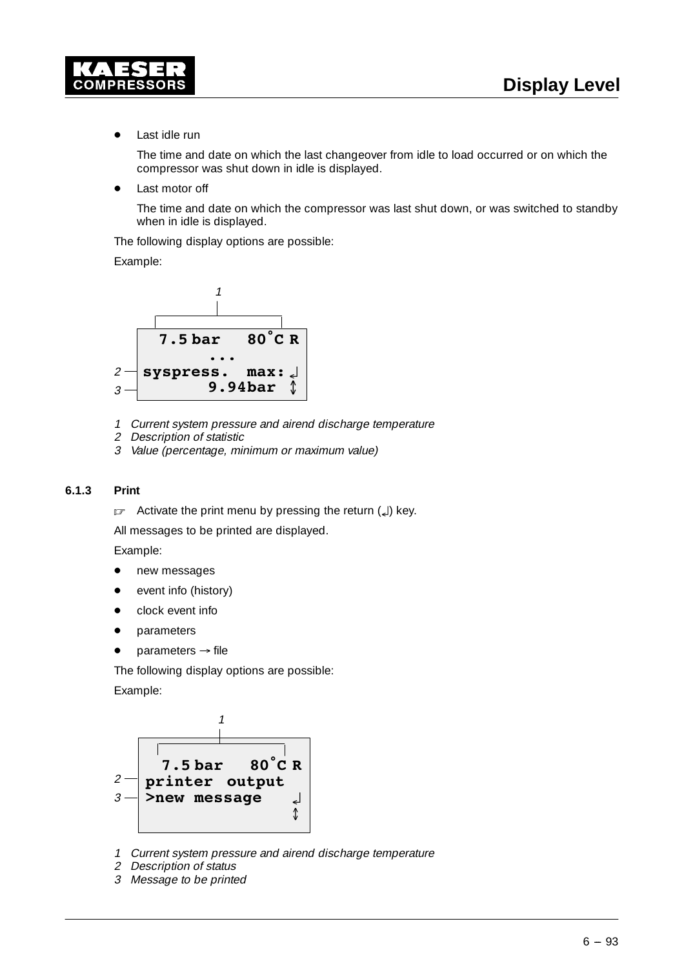

Last idle run

The time and date on which the last changeover from idle to load occurred or on which the compressor was shut down in idle is displayed.

• Last motor off

The time and date on which the compressor was last shut down, or was switched to standby when in idle is displayed.

The following display options are possible:

Example:



- 1 Current system pressure and airend discharge temperature
- 2 Description of statistic
- 3 Value (percentage, minimum or maximum value)

### **6.1.3 Print**

 $\mathbb{F}$  Activate the print menu by pressing the return ( $\downarrow$ ) key.

All messages to be printed are displayed.

Example:

- new messages
- event info (history)
- clock event info
- parameters
- $parameters \rightarrow file$

The following display options are possible: Example:



- 1 Current system pressure and airend discharge temperature
- 2 Description of status
- 3 Message to be printed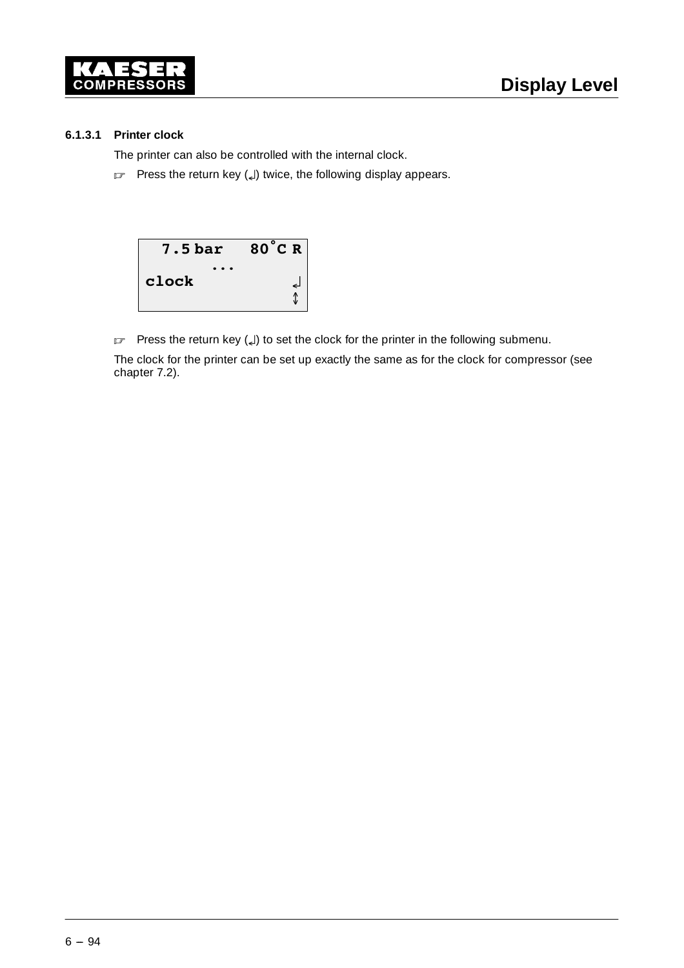

**COMPRESSORS** 

The printer can also be controlled with the internal clock.

 $\mathbb{F}$  Press the return key (<) twice, the following display appears.

| 7.5 <sub>bar</sub> | $80^{\circ}$ CR |
|--------------------|-----------------|
| .<br>clock         |                 |

**Press the return key (** $\downarrow$ ) to set the clock for the printer in the following submenu.

The clock for the printer can be set up exactly the same as for the clock for compressor (see chapter 7.2).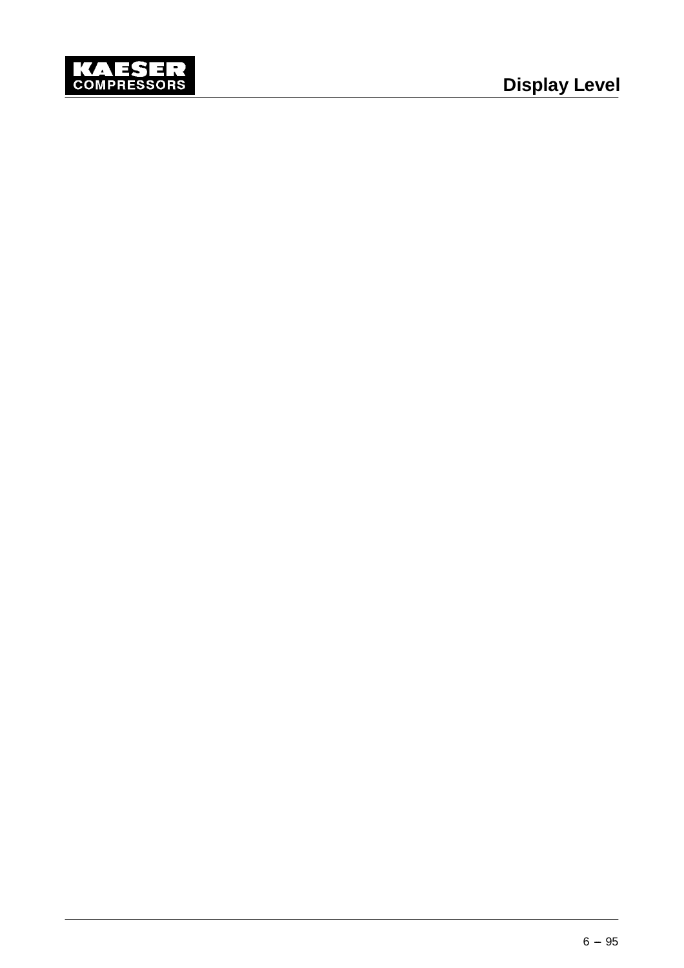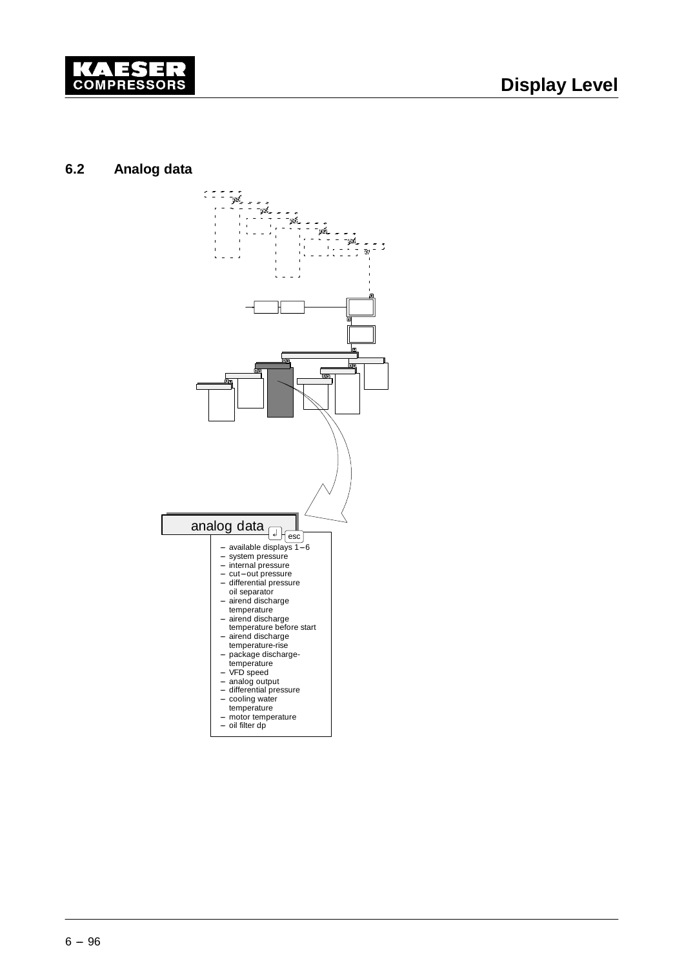

### **6.2 Analog data**

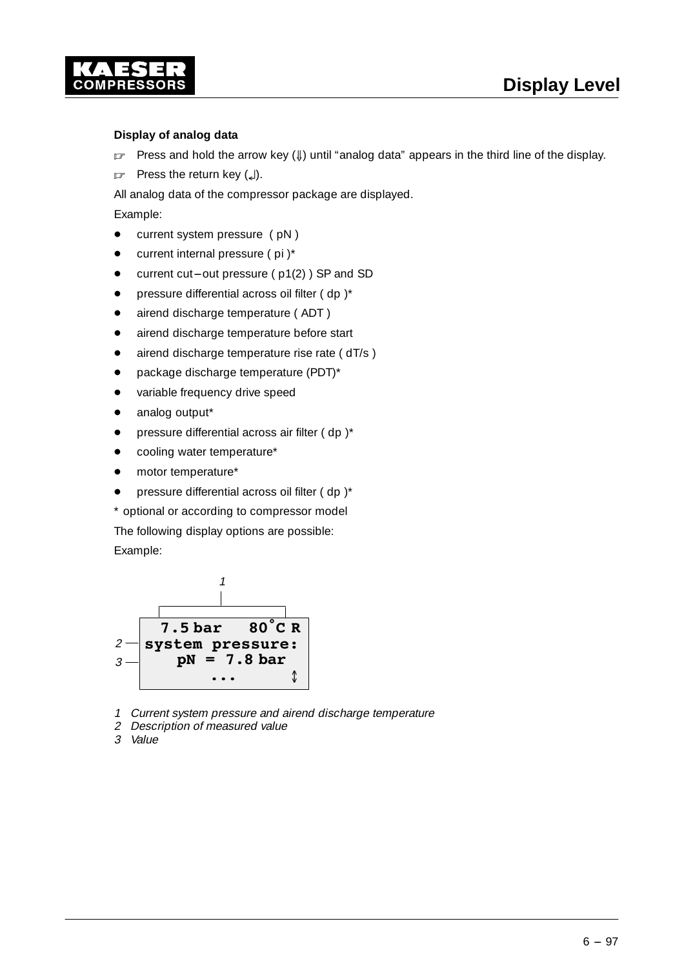

### **Display of analog data**

- **Press and hold the arrow key (** $\parallel$ ) until "analog data" appears in the third line of the display.
- $F$  Press the return key (1).

All analog data of the compressor package are displayed.

Example:

- current system pressure ( pN )
- $\bullet$  current internal pressure (pi)\*
- current cut--out pressure ( $p1(2)$ ) SP and SD
- pressure differential across oil filter ( dp )\*
- airend discharge temperature (ADT)
- airend discharge temperature before start
- airend discharge temperature rise rate ( dT/s )
- package discharge temperature (PDT)\*
- variable frequency drive speed
- analog output\*
- pressure differential across air filter ( dp )\*
- cooling water temperature\*
- $\bullet$  motor temperature\*
- pressure differential across oil filter ( dp )\*

\* optional or according to compressor model

The following display options are possible: Example:



1 Current system pressure and airend discharge temperature

- 2 Description of measured value
- 3 Value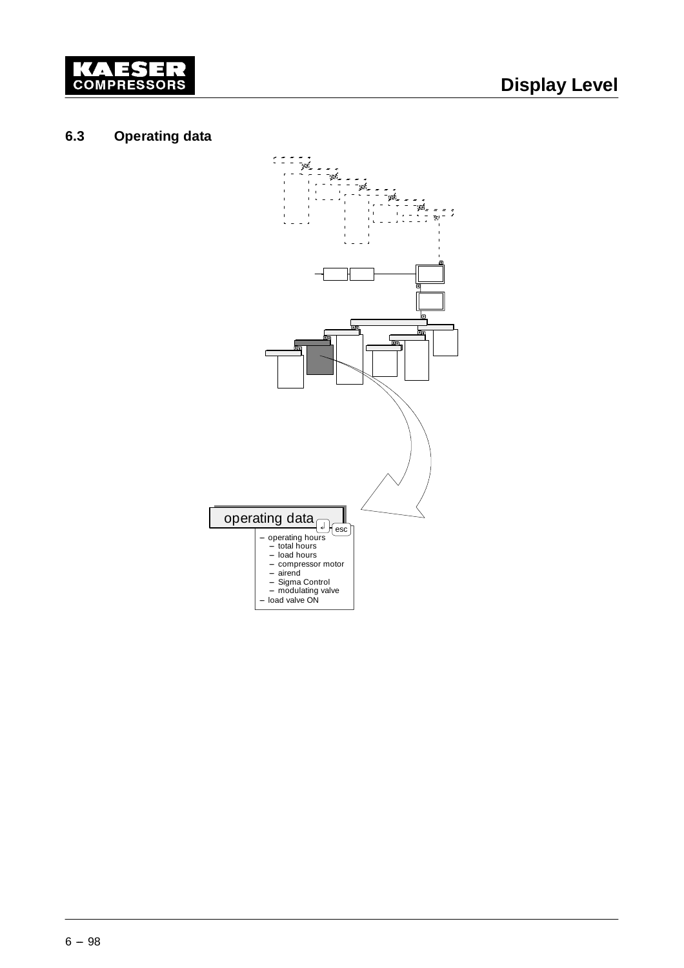

### **6.3 Operating data**

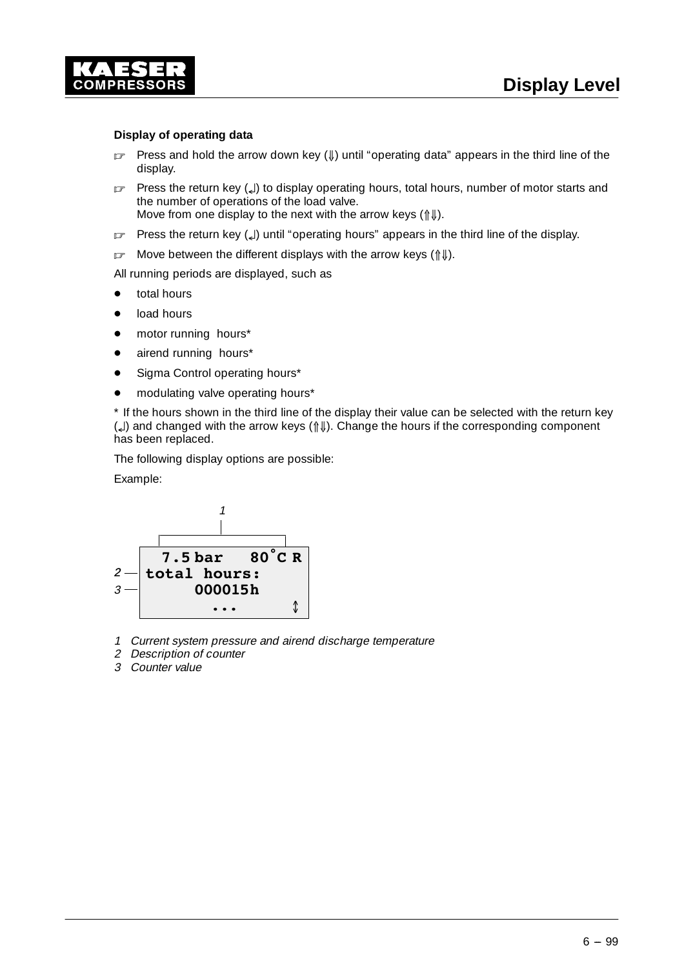

### **Display of operating data**

- **Press and hold the arrow down key (** $\parallel$ ) until "operating data" appears in the third line of the display.
- F Press the return key (U) to display operating hours, total hours, number of motor starts and the number of operations of the load valve. Move from one display to the next with the arrow keys ( $\Uparrow\Downarrow$ ).
- **Press the return key (** $\angle$ ) until "operating hours" appears in the third line of the display.
- **Move between the different displays with the arrow keys (** $\mathcal{N}$ **)**.

All running periods are displayed, such as

- total hours
- load hours
- motor running hours\*
- airend running hours\*
- Sigma Control operating hours\*
- modulating valve operating hours\*

\* If the hours shown in the third line of the display their value can be selected with the return key ( $\downarrow$ ) and changed with the arrow keys ( $\Uparrow \Downarrow$ ). Change the hours if the corresponding component has been replaced.

The following display options are possible:

Example:



- 1 Current system pressure and airend discharge temperature
- 2 Description of counter
- 3 Counter value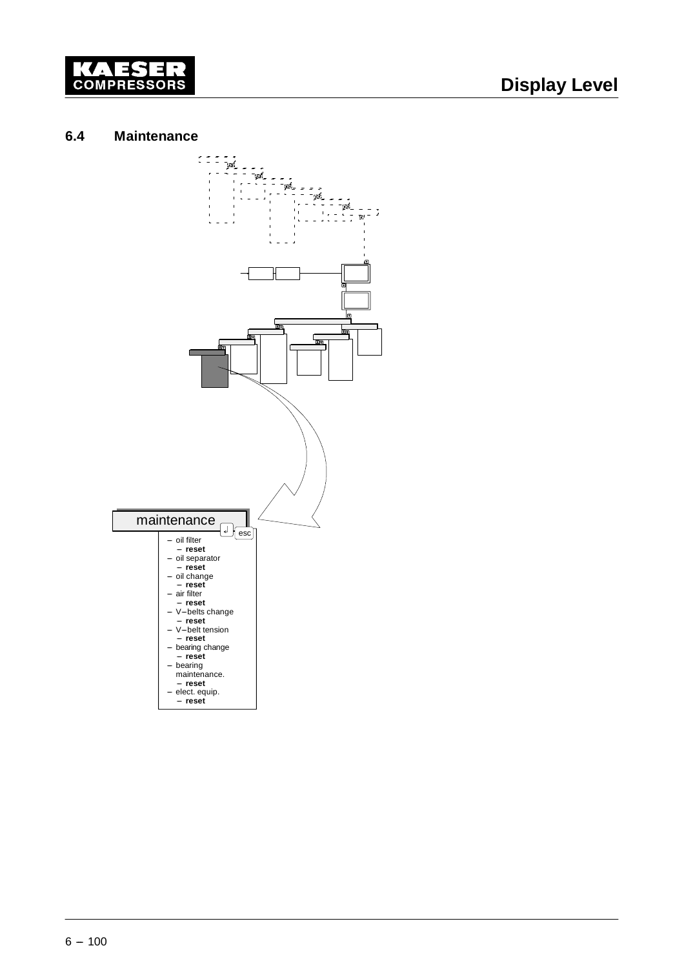

## **Display Level**

### **6.4 Maintenance**

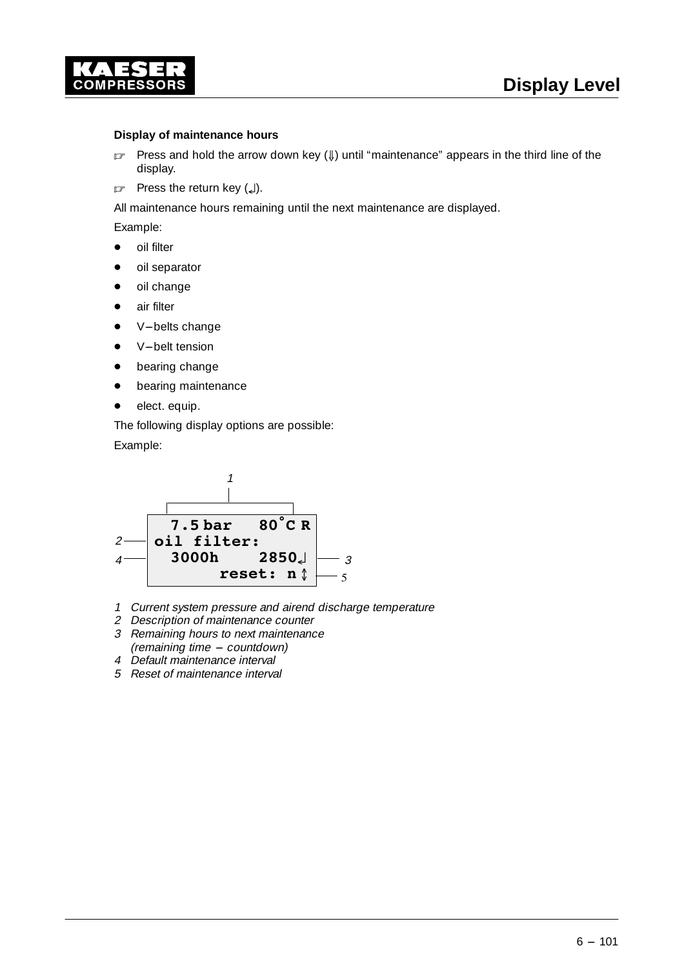

### **Display of maintenance hours**

- $\mathbb{F}$  Press and hold the arrow down key ( $\Downarrow$ ) until "maintenance" appears in the third line of the display.
- $F$  Press the return key ( $\downarrow$ ).

All maintenance hours remaining until the next maintenance are displayed.

Example:

- oil filter
- oil separator
- oil change
- air filter
- V-belts change
- V-belt tension
- $\bullet$  bearing change
- bearing maintenance
- $\bullet$  elect. equip.

The following display options are possible:

Example:



- 1 Current system pressure and airend discharge temperature
- 2 Description of maintenance counter
- 3 Remaining hours to next maintenance  $(remaining time - countdown)$
- 4 Default maintenance interval
- 5 Reset of maintenance interval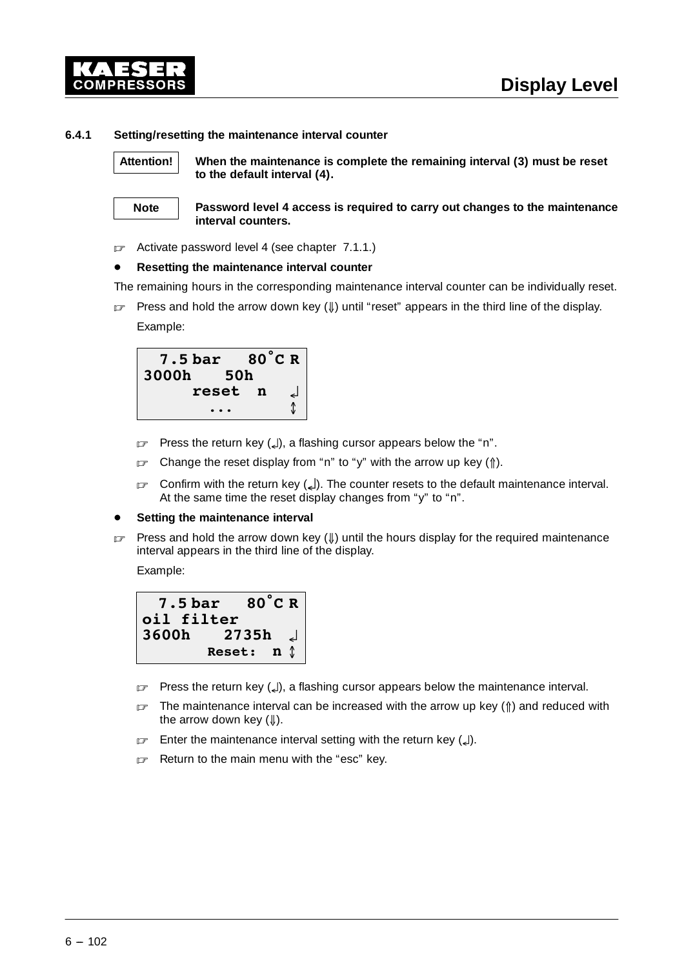

### **6.4.1 Setting/resetting the maintenance interval counter**



**When the maintenance is complete the remaining interval (3) must be reset to the default interval (4).**



**Password level 4 access is required to carry out changes to the maintenance interval counters.**

 $F$  Activate password level 4 (see chapter 7.1.1.)

### - **Resetting the maintenance interval counter**

The remaining hours in the corresponding maintenance interval counter can be individually reset.

**Press and hold the arrow down key (** $\downarrow$ ) until "reset" appears in the third line of the display. Example:



- $\mathbb{F}$  Press the return key (U), a flashing cursor appears below the "n".
- $\mathbb{F}$  Change the reset display from "n" to "y" with the arrow up key (1).
- $\mathbb{F}$  Confirm with the return key ( $\Box$ ). The counter resets to the default maintenance interval. At the same time the reset display changes from "y" to "n".

### - **Setting the maintenance interval**

**Press and hold the arrow down key (** $\Downarrow$ **) until the hours display for the required maintenance** interval appears in the third line of the display.

Example:



- **Press the return key (** $\Box$ ), a flashing cursor appears below the maintenance interval.
- $\mathbb{F}$  The maintenance interval can be increased with the arrow up key (1) and reduced with the arrow down key  $(\Downarrow)$ .
- Enter the maintenance interval setting with the return key ( $\downarrow$ ).
- $F$  Return to the main menu with the "esc" key.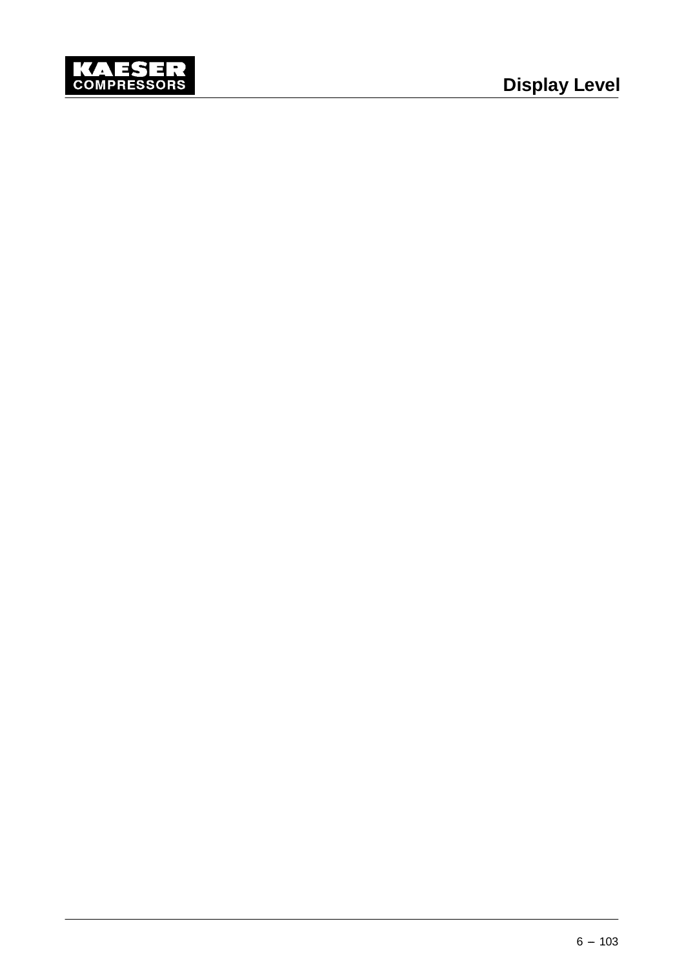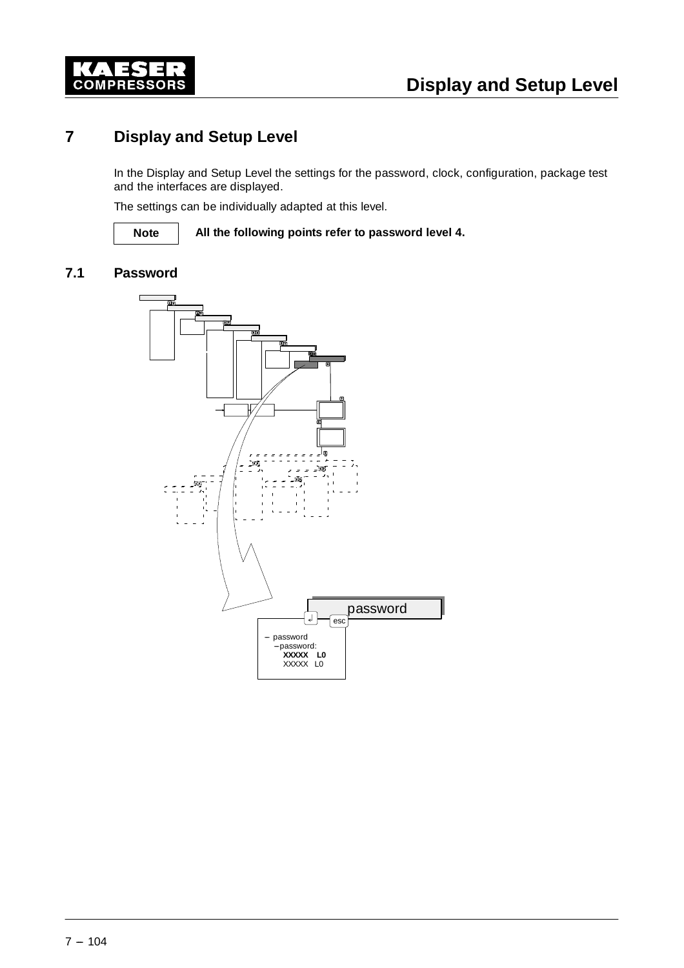

# **7 Display and Setup Level**

In the Display and Setup Level the settings for the password, clock, configuration, package test and the interfaces are displayed.

The settings can be individually adapted at this level.

**Note**

**All the following points refer to password level 4.**

# **7.1 Password**

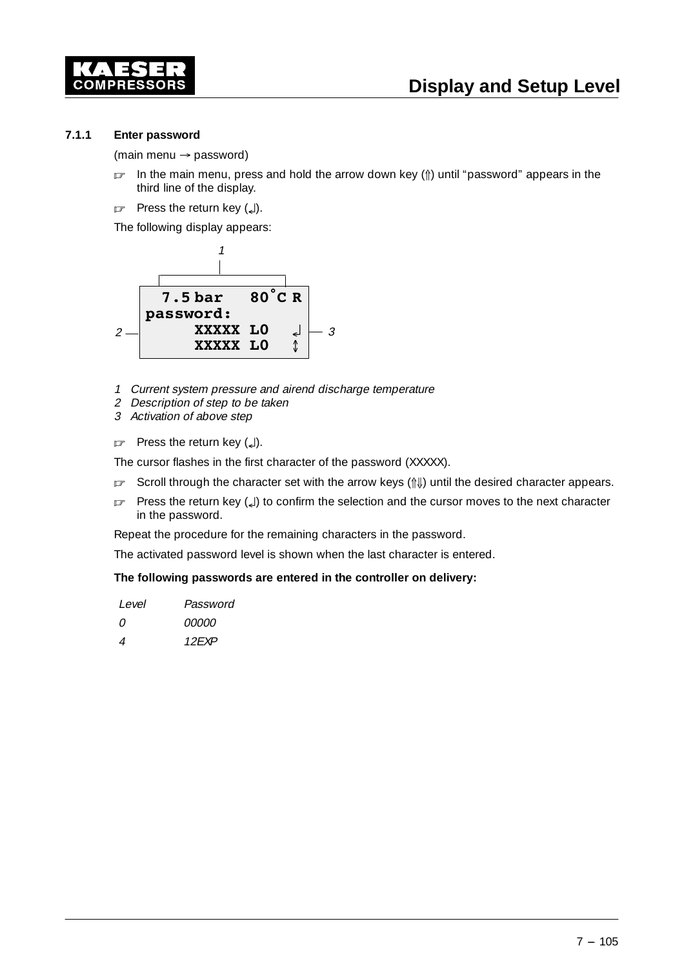### **7.1.1 Enter password**

(main menu  $\rightarrow$  password)

- In the main menu, press and hold the arrow down key ( $\Uparrow$ ) until "password" appears in the third line of the display.
- $F$  Press the return key (1).

The following display appears:



- 1 Current system pressure and airend discharge temperature
- 2 Description of step to be taken
- 3 Activation of above step
- $\mathbb{F}$  Press the return key ( $\downarrow$ ).

The cursor flashes in the first character of the password (XXXXX).

- $\mathbb{F}$  Scroll through the character set with the arrow keys ( $\parallel \Downarrow$ ) until the desired character appears.
- $\mathbb{F}$  Press the return key ( $\downarrow$ ) to confirm the selection and the cursor moves to the next character in the password.

Repeat the procedure for the remaining characters in the password.

The activated password level is shown when the last character is entered.

# **The following passwords are entered in the controller on delivery:**

| Level          | Password     |
|----------------|--------------|
| 0              | 00000        |
| $\overline{4}$ | <i>12EXP</i> |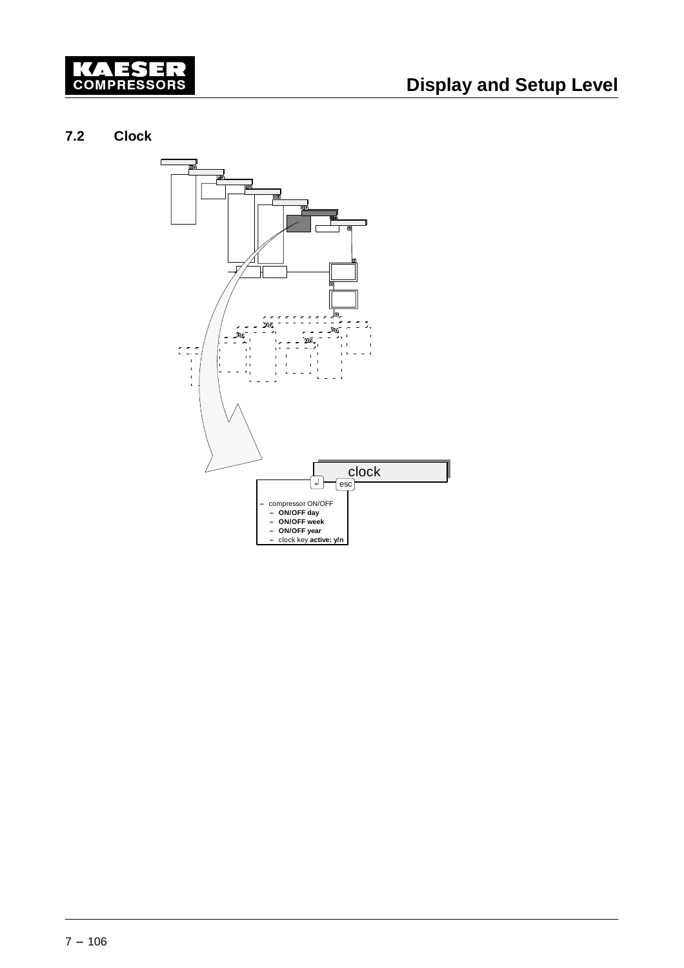

# **7.2 Clock**

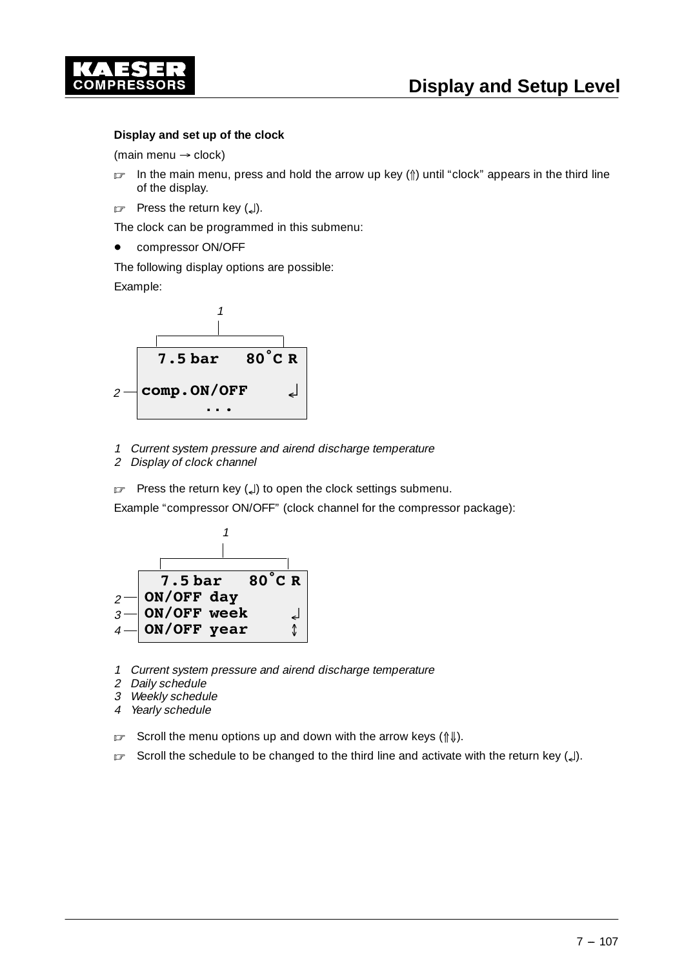

# **Display and set up of the clock**

(main menu  $\rightarrow$  clock)

- In the main menu, press and hold the arrow up key  $(\Uparrow)$  until "clock" appears in the third line of the display.
- $\mathbb{F}$  Press the return key ( $\downarrow$ ).

The clock can be programmed in this submenu:

 $\bullet$  compressor ON/OFF

The following display options are possible:

Example:



- 1 Current system pressure and airend discharge temperature
- 2 Display of clock channel
- $\mathbb{F}$  Press the return key (1) to open the clock settings submenu.

Example "compressor ON/OFF" (clock channel for the compressor package):



- 1 Current system pressure and airend discharge temperature
- 2 Daily schedule
- 3 Weekly schedule
- 4 Yearly schedule
- $\mathbb{F}$  Scroll the menu options up and down with the arrow keys ( $\mathcal{L}$ ).
- $\mathbb{F}$  Scroll the schedule to be changed to the third line and activate with the return key (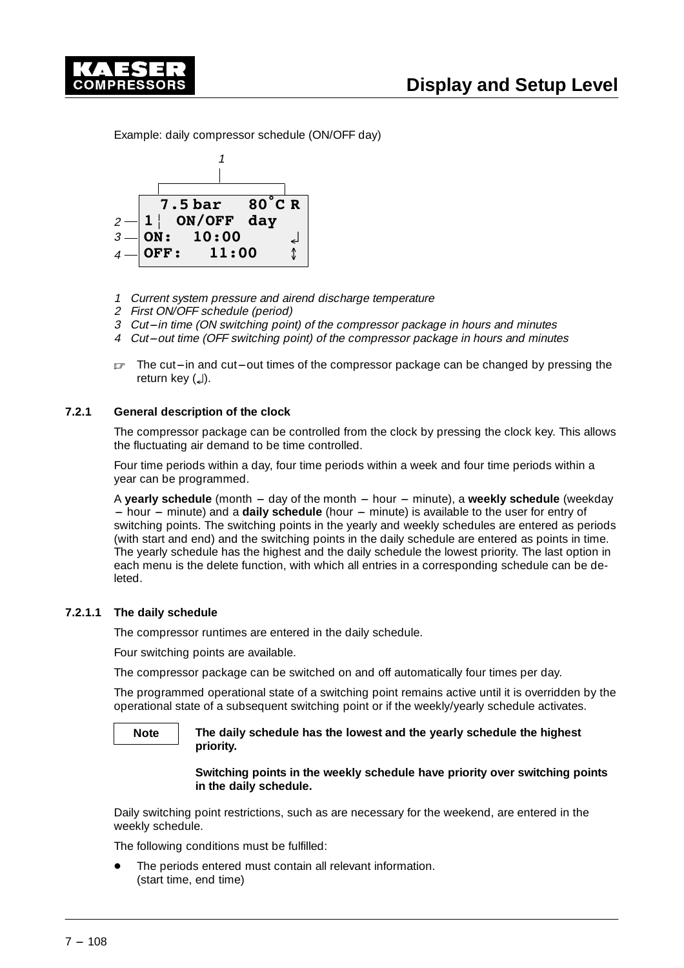

Example: daily compressor schedule (ON/OFF day)



- 1 Current system pressure and airend discharge temperature
- 2 First ON/OFF schedule (period)
- 3 Cut-in time (ON switching point) of the compressor package in hours and minutes
- 4 Cut-out time (OFF switching point) of the compressor package in hours and minutes
- $\mathbb{F}$  The cut--in and cut--out times of the compressor package can be changed by pressing the return key  $(\downarrow)$ .

#### **7.2.1 General description of the clock**

The compressor package can be controlled from the clock by pressing the clock key. This allows the fluctuating air demand to be time controlled.

Four time periods within a day, four time periods within a week and four time periods within a year can be programmed.

A **yearly schedule** (month -- day of the month -- hour -- minute), a **weekly schedule** (weekday -- hour -- minute) and a **daily schedule** (hour -- minute) is available to the user for entry of switching points. The switching points in the yearly and weekly schedules are entered as periods (with start and end) and the switching points in the daily schedule are entered as points in time. The yearly schedule has the highest and the daily schedule the lowest priority. The last option in each menu is the delete function, with which all entries in a corresponding schedule can be deleted.

# **7.2.1.1 The daily schedule**

The compressor runtimes are entered in the daily schedule.

Four switching points are available.

The compressor package can be switched on and off automatically four times per day.

The programmed operational state of a switching point remains active until it is overridden by the operational state of a subsequent switching point or if the weekly/yearly schedule activates.

**Note**

#### **The daily schedule has the lowest and the yearly schedule the highest priority.**

#### **Switching points in the weekly schedule have priority over switching points in the daily schedule.**

Daily switching point restrictions, such as are necessary for the weekend, are entered in the weekly schedule.

The following conditions must be fulfilled:

The periods entered must contain all relevant information. (start time, end time)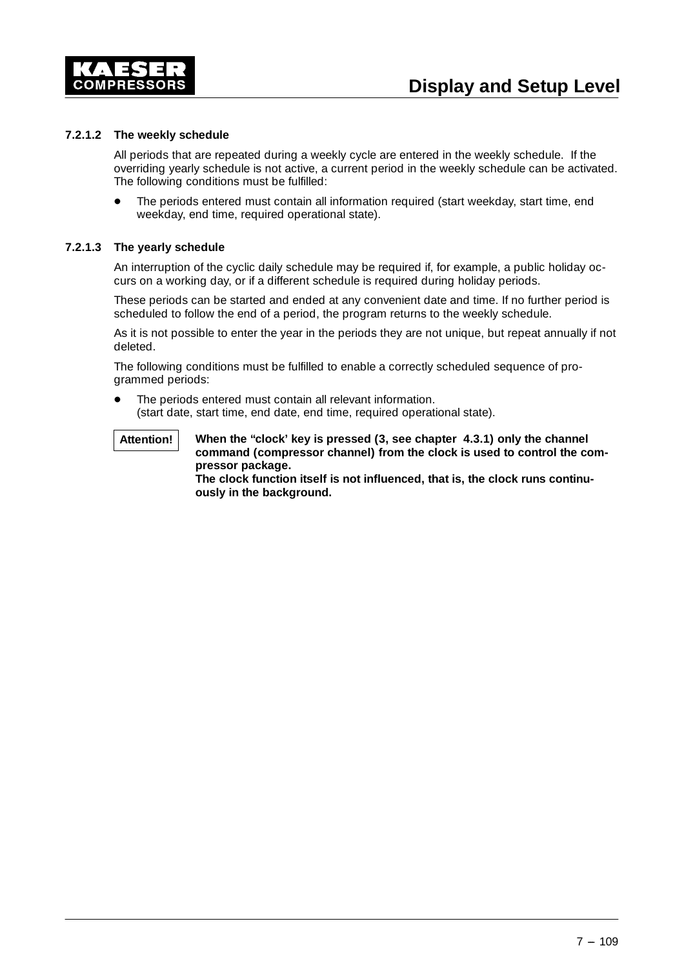

# **7.2.1.2 The weekly schedule**

All periods that are repeated during a weekly cycle are entered in the weekly schedule. If the overriding yearly schedule is not active, a current period in the weekly schedule can be activated. The following conditions must be fulfilled:

- The periods entered must contain all information required (start weekday, start time, end weekday, end time, required operational state).

#### **7.2.1.3 The yearly schedule**

An interruption of the cyclic daily schedule may be required if, for example, a public holiday occurs on a working day, or if a different schedule is required during holiday periods.

These periods can be started and ended at any convenient date and time. If no further period is scheduled to follow the end of a period, the program returns to the weekly schedule.

As it is not possible to enter the year in the periods they are not unique, but repeat annually if not deleted.

The following conditions must be fulfilled to enable a correctly scheduled sequence of programmed periods:

The periods entered must contain all relevant information. (start date, start time, end date, end time, required operational state).

**Attention!**

**When the "clock' key is pressed (3, see chapter 4.3.1) only the channel command (compressor channel) from the clock is used to control the compressor package.**

**The clock function itself is not influenced, that is, the clock runs continuously in the background.**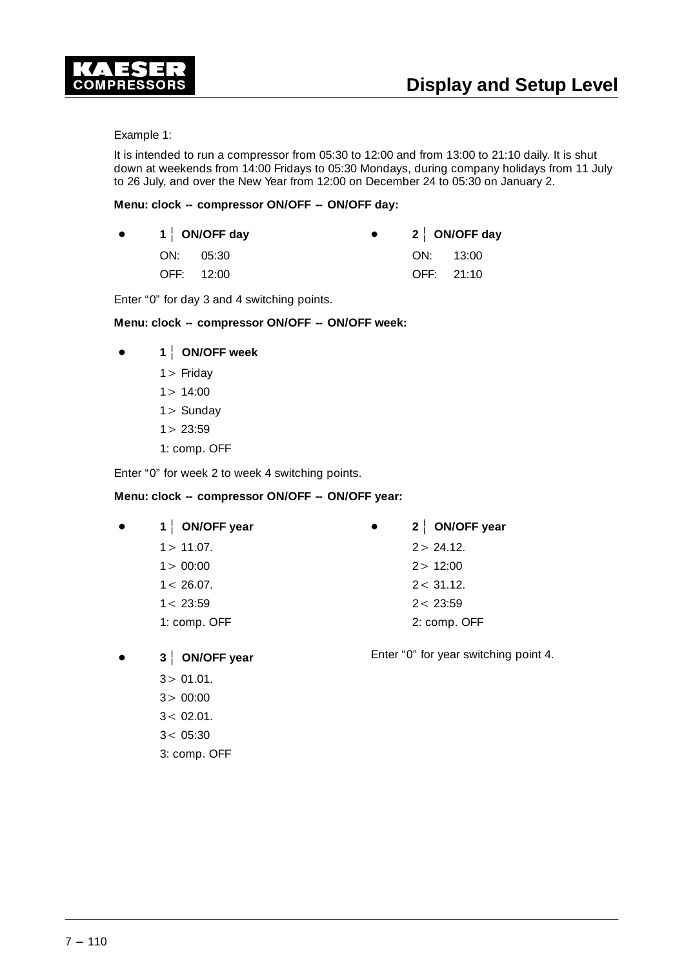

Example 1:

It is intended to run a compressor from 05:30 to 12:00 and from 13:00 to 21:10 daily. It is shut down at weekends from 14:00 Fridays to 05:30 Mondays, during company holidays from 11 July to 26 July, and over the New Year from 12:00 on December 24 to 05:30 on January 2.

# Menu: clock -- compressor ON/OFF -- ON/OFF day:

| $\bullet$ and the set of $\bullet$ | 1 ON/OFF day | $\bullet$ $\qquad$ | $2 \mid$ ON/OFF day |
|------------------------------------|--------------|--------------------|---------------------|
|                                    | ON: 05:30    |                    | ON: 13:00           |
|                                    | OFF: 12:00   |                    | OFF: 21:10          |

Enter "0" for day 3 and 4 switching points.

**Menu: clock -- compressor ON/OFF -- ON/OFF week:**

- **1**Î **ON/OFF week**
	- $1$  Friday
	- $1 > 14:00$
	- $1 >$  Sundav
	- $1 > 23:59$
	- 1: comp. OFF

Enter "0" for week 2 to week 4 switching points.

#### **Menu: clock -- compressor ON/OFF -- ON/OFF year:**

| $\bullet$ | 1 ON/OFF year | $2$ ON/OFF year |
|-----------|---------------|-----------------|
|           | $1 > 11.07$ . | 2 > 24.12       |
|           | 1 > 00:00     | 2 > 12:00       |
|           | $1 < 26.07$ . | $2 < 31.12$ .   |
|           | 1 < 23.59     | 2 < 23:59       |
|           | 1: comp. OFF  | 2: comp. OFF    |
|           |               |                 |

- $3 > 01.01$ .
- $3 > 00:00$
- $3 < 02.01$ .
- $3 < 05:30$
- 3: comp. OFF

**4 3 1 ON/OFF year Enter "0" for year switching point 4.**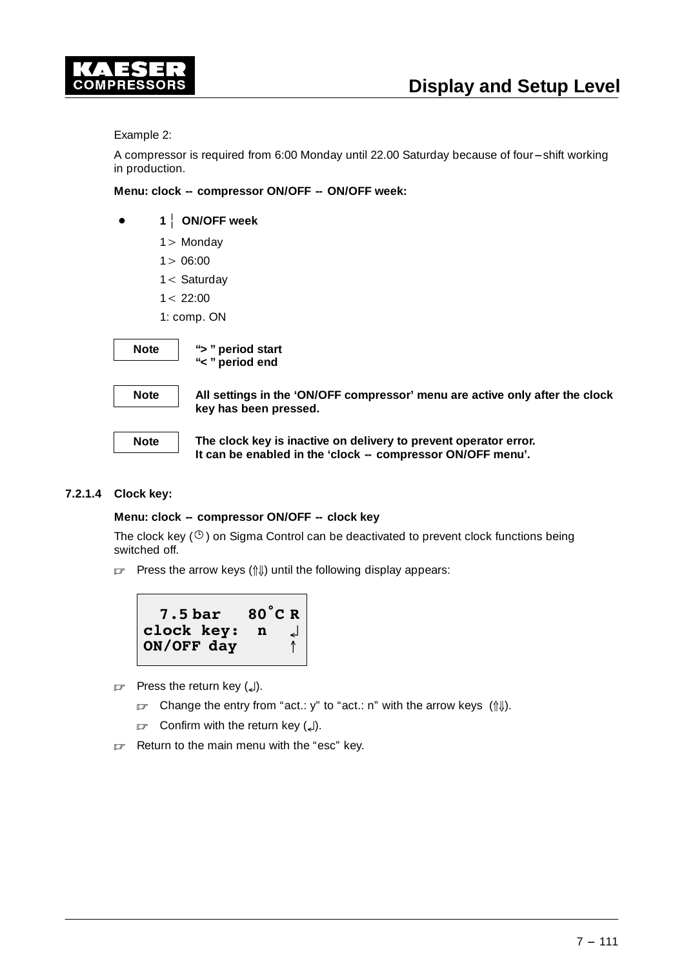

# Example 2:

A compressor is required from 6:00 Monday until 22.00 Saturday because of four-shift working in production.

Menu: clock -- compressor ON/OFF -- ON/OFF week:

- **1**Î **ON/OFF week**
	- $1 >$  Monday
	- $1 > 06:00$
	- $1 <$  Saturday
	- $1 < 22:00$

1: comp. ON



**"> " period start "< " period end**

**Note**

**Note**

**All settings in the 'ON/OFF compressor' menu are active only after the clock key has been pressed.**

**The clock key is inactive on delivery to prevent operator error. It can be enabled in the 'clock -- compressor ON/OFF menu'.**

# **7.2.1.4 Clock key:**

# **Menu: clock -- compressor ON/OFF -- clock key**

The clock key ( $\circled{0}$ ) on Sigma Control can be deactivated to prevent clock functions being switched off.

 $\mathbb{F}$  Press the arrow keys ( $\parallel \Downarrow$ ) until the following display appears:



- $F$  Press the return key (1).
	- $\mathbb{F}$  Change the entry from "act.: y" to "act.: n" with the arrow keys ( $\mathcal{L}(\mathcal{V})$ ).
	- Confirm with the return key  $(2)$ .
- $F$  Return to the main menu with the "esc" key.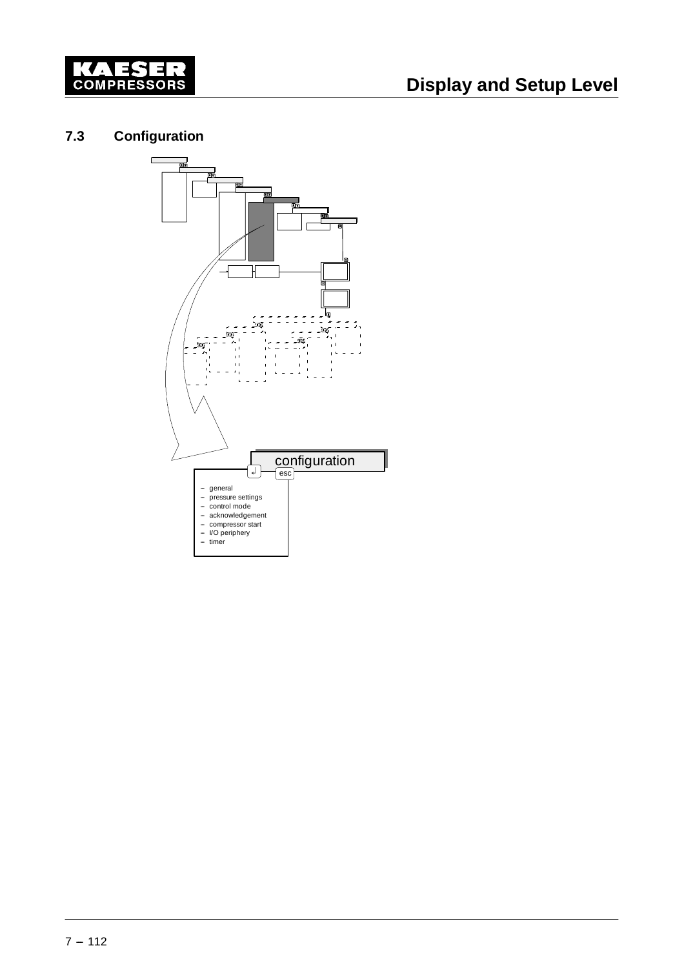

# **Display and Setup Level**

# **7.3 Configuration**

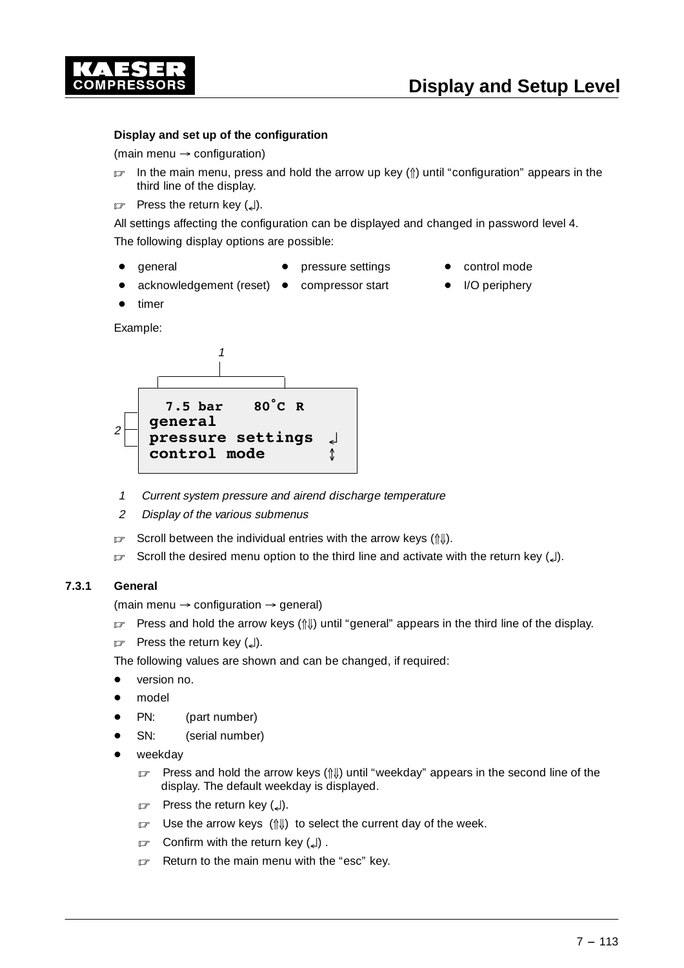

# **Display and set up of the configuration**

(main menu  $\rightarrow$  configuration)

- In the main menu, press and hold the arrow up key ( $\Uparrow$ ) until "configuration" appears in the third line of the display.
- $\mathbb{F}$  Press the return key ( $\downarrow$ ).

All settings affecting the configuration can be displayed and changed in password level 4. The following display options are possible:

- 
- general pressure settings control mode
- 
- acknowledgement (reset) compressor start I/O periphery
- 
- 

- timer

Example:



- 1 Current system pressure and airend discharge temperature
- 2 Display of the various submenus
- $\mathbb{F}$  Scroll between the individual entries with the arrow keys ( $\mathbb{N}$ ).
- Scroll the desired menu option to the third line and activate with the return key ( $\Box$ ).

# **7.3.1 General**

(main menu  $\rightarrow$  configuration  $\rightarrow$  general)

- **Press and hold the arrow keys (fill) until "general" appears in the third line of the display.**
- $\mathbb{F}$  Press the return key (J).

The following values are shown and can be changed, if required:

- version no.
- model
- PN: (part number)
- SN: (serial number)
- weekday
	- **Press and hold the arrow keys (fll) until "weekday" appears in the second line of the** display. The default weekday is displayed.
	- $F =$  Press the return key (2).
	- $\mathbb{F}$  Use the arrow keys ( $\mathcal{L}$ ) to select the current day of the week.
	- $\mathbb{F}$  Confirm with the return key (1).
	- $F$  Return to the main menu with the "esc" key.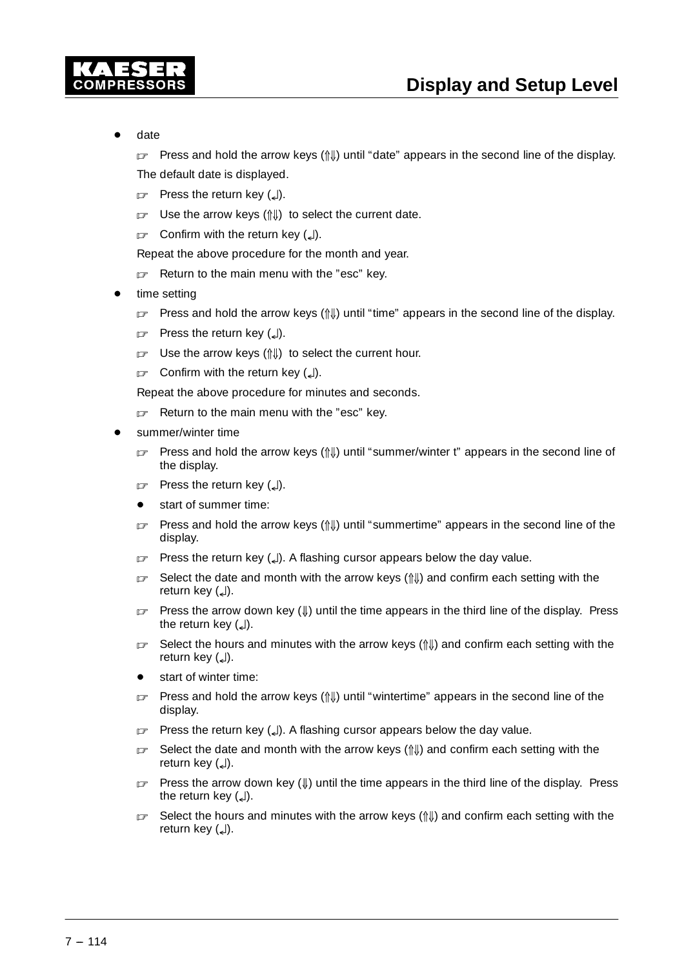date

**Press and hold the arrow keys (f)) until "date" appears in the second line of the display.** The default date is displayed.

- **Press the return key (2).**
- $\mathbb{F}$  Use the arrow keys ( $\mathbb{N}$ ) to select the current date.
- $\mathbb{F}$  Confirm with the return key (

Repeat the above procedure for the month and year.

- $F$  Return to the main menu with the "esc" key.
- time setting
	- **Press and hold the arrow keys (f)) until "time" appears in the second line of the display.**
	- $F$  Press the return key (1).
	- $\mathbb{F}$  Use the arrow keys ( $\mathcal{L}$ ) to select the current hour.
	- Confirm with the return key  $(2)$ .

Repeat the above procedure for minutes and seconds.

- $F$  Return to the main menu with the "esc" key.
- summer/winter time
	- **Press and hold the arrow keys (** $\parallel \parallel$ **) until "summer/winter t" appears in the second line of** the display.
	- $F$  Press the return key (1).
	- start of summer time:
	- **Press and hold the arrow keys (** $\|\|\$ ) until "summertime" appears in the second line of the display.
	- $\mathbb{F}$  Press the return key (U). A flashing cursor appears below the day value.
	- $\mathbb{F}$  Select the date and month with the arrow keys ( $\mathcal{F}(\mathcal{F})$ ) and confirm each setting with the return key  $(\Box)$ .
	- $\mathbb{F}$  Press the arrow down key (I) until the time appears in the third line of the display. Press the return key  $(\Box)$ .
	- $\Box$  Select the hours and minutes with the arrow keys ( $\parallel\Downarrow$ ) and confirm each setting with the return key  $(\Box)$ .
	- start of winter time:
	- **Press and hold the arrow keys (** $\|\|\$ ) until "wintertime" appears in the second line of the display.
	- $\mathbb{F}$  Press the return key (1). A flashing cursor appears below the day value.
	- $\blacktriangleright$  Select the date and month with the arrow keys ( $\uparrow\downarrow\downarrow$ ) and confirm each setting with the return key  $(\Box)$ .
	- **Press the arrow down key (** $\downarrow$ ) until the time appears in the third line of the display. Press the return key  $(\downarrow)$ .
	- $\mathbb{F}$  Select the hours and minutes with the arrow keys ( $\mathbb{N}$ ) and confirm each setting with the return key  $(\Box)$ .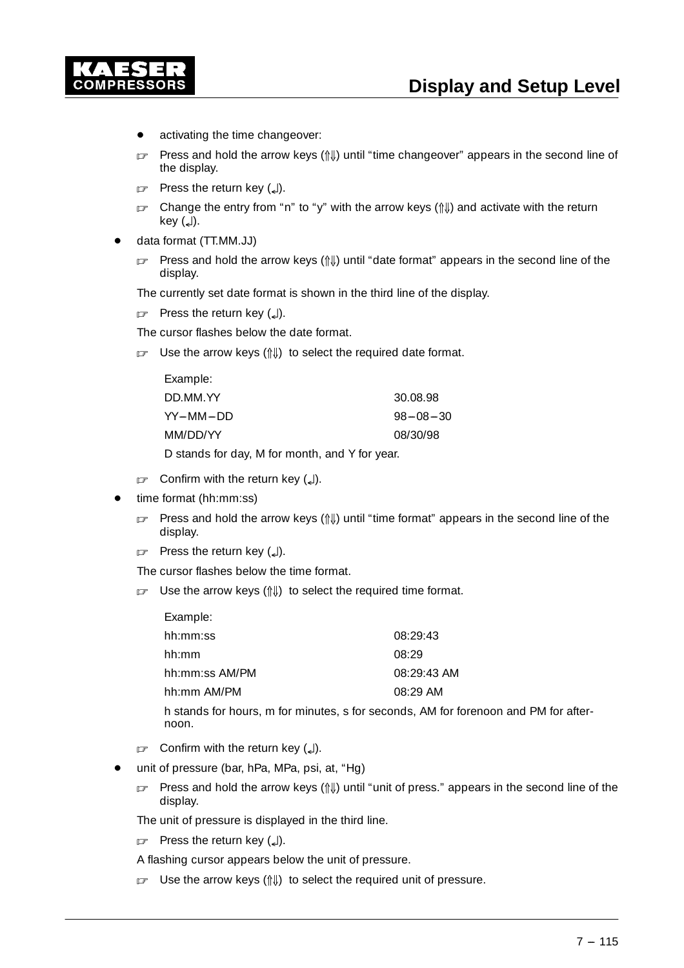

- activating the time changeover:
- Press and hold the arrow keys ( $\Uparrow\Downarrow$ ) until "time changeover" appears in the second line of the display.
- $\mathbb{F}$  Press the return key ( $\downarrow$ ).
- $\mathbb{F}$  Change the entry from "n" to "y" with the arrow keys ( $\mathbb{N}$ ) and activate with the return  $key$  ( $\Box$ ).
- data format (TT.MM.JJ)
	- **Press and hold the arrow keys (f)) until "date format" appears in the second line of the** display.

The currently set date format is shown in the third line of the display.

 $\mathbb{F}$  Press the return key ( $\mathcal{L}$ ).

The cursor flashes below the date format.

 $\mathbb{F}$  Use the arrow keys ( $\mathbb{N}$ ) to select the required date format.

Example: DD.MM.YY 30.08.98 YY--MM--DD 98-08-30 MM/DD/YY 08/30/98

D stands for day, M for month, and Y for year.

- Confirm with the return key  $(2)$ .
- time format (hh:mm:ss)
	- **Press and hold the arrow keys (f)) until "time format" appears in the second line of the** display.
	- $F$  Press the return key ( $\Box$ ).

The cursor flashes below the time format.

 $\mathbb{F}$  Use the arrow keys ( $\mathcal{L}$ ) to select the required time format.

| Example:                                                      |             |
|---------------------------------------------------------------|-------------|
| hh:mm:ss                                                      | 08:29:43    |
| hh:mm                                                         | 08:29       |
| hh:mm:ss AM/PM                                                | 08:29:43 AM |
| hh:mm AM/PM                                                   | 08:29 AM    |
| h stands for hours, m for minutes, s for seconds. AM for fore |             |

tes, s for seconds, AM for forenoon and PM for afternoon.

- Confirm with the return key ( $\downarrow$ ).
- unit of pressure (bar, hPa, MPa, psi, at, "Hg)
	- **Press and hold the arrow keys (fll) until "unit of press." appears in the second line of the** display.

The unit of pressure is displayed in the third line.

 $F =$  Press the return key (2).

A flashing cursor appears below the unit of pressure.

 $\mathbb{F}$  Use the arrow keys ( $\mathcal{L}$ ) to select the required unit of pressure.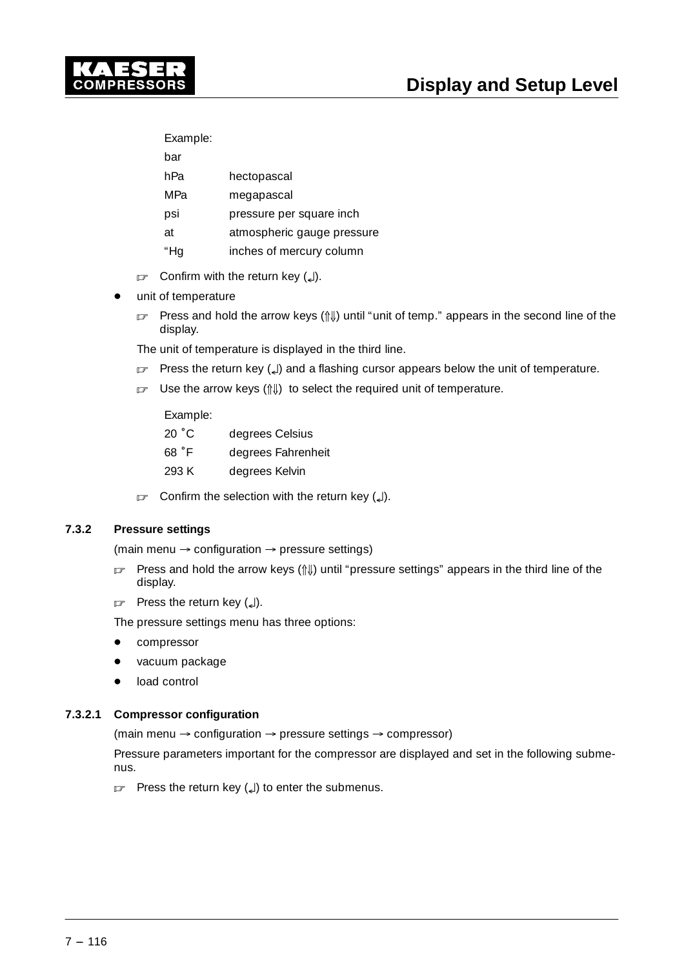Example:

bar

- hPa hectopascal
- MPa megapascal
- psi pressure per square inch
- at atmospheric gauge pressure
- "Hg inches of mercury column
- $\mathbb{F}$  Confirm with the return key ( $\Box$ ).
- unit of temperature
	- **Press and hold the arrow keys (f)) until "unit of temp." appears in the second line of the** display.

The unit of temperature is displayed in the third line.

- Press the return key ( $\downarrow$ ) and a flashing cursor appears below the unit of temperature.
- $\mathbb{F}$  Use the arrow keys ( $\parallel \Downarrow$ ) to select the required unit of temperature.

Example:

| 20 °C | degrees Celsius    |
|-------|--------------------|
| 68 °F | degrees Fahrenheit |
| 293 K | degrees Kelvin     |

Confirm the selection with the return key ( $\downarrow$ ).

# **7.3.2 Pressure settings**

(main menu  $\rightarrow$  configuration  $\rightarrow$  pressure settings)

- $\mathbb{F}$  Press and hold the arrow keys ( $\mathbb{N}$ ) until "pressure settings" appears in the third line of the display.
- $F$  Press the return key ( $\Box$ ).

The pressure settings menu has three options:

- compressor
- vacuum package
- load control

# **7.3.2.1 Compressor configuration**

(main menu  $\rightarrow$  configuration  $\rightarrow$  pressure settings  $\rightarrow$  compressor)

Pressure parameters important for the compressor are displayed and set in the following submenus.

 $\mathbb{F}$  Press the return key ( $\downarrow$ ) to enter the submenus.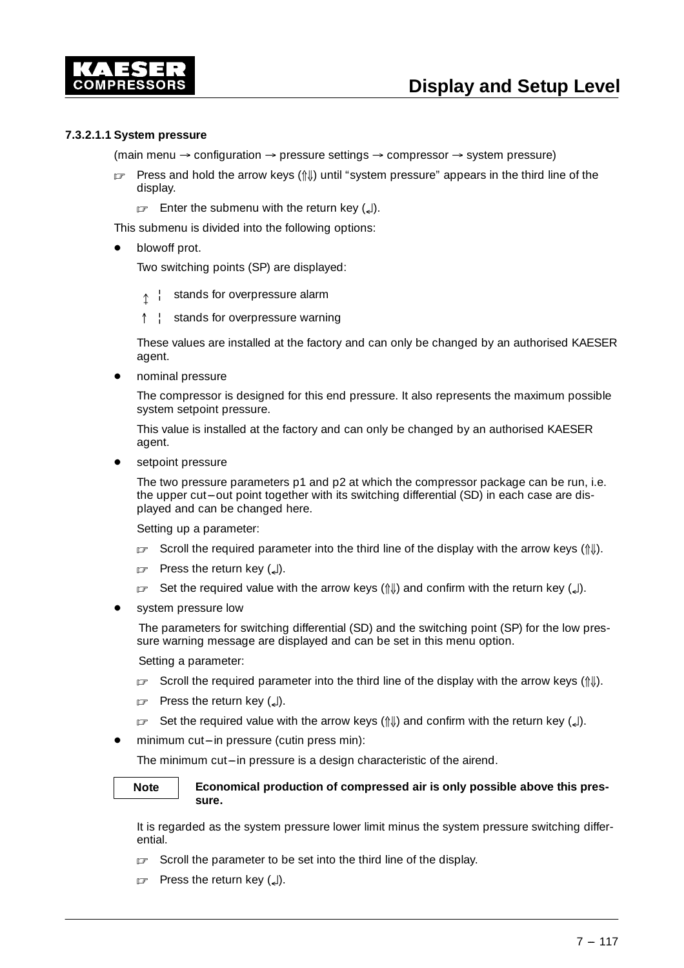#### **7.3.2.1.1 System pressure**

**COMPR** 

(main menu  $\rightarrow$  configuration  $\rightarrow$  pressure settings  $\rightarrow$  compressor  $\rightarrow$  system pressure)

- **Press and hold the arrow keys (fll) until "system pressure" appears in the third line of the** display.
	- $E =$  Enter the submenu with the return key (2).

This submenu is divided into the following options:

- blowoff prot.

Two switching points (SP) are displayed:

- $\uparrow$   $\downarrow$  stands for overpressure alarm
- ↑ ¦ stands for overpressure warning

These values are installed at the factory and can only be changed by an authorised KAESER agent.

nominal pressure

The compressor is designed for this end pressure. It also represents the maximum possible system setpoint pressure.

This value is installed at the factory and can only be changed by an authorised KAESER agent.

setpoint pressure

The two pressure parameters p1 and p2 at which the compressor package can be run, i.e. the upper cut-out point together with its switching differential (SD) in each case are displayed and can be changed here.

Setting up a parameter:

- $\vec{r}$  Scroll the required parameter into the third line of the display with the arrow keys ( $\hat{p}$ ll).
- $\mathbb{F}$  Press the return key (1).
- $\mathbb{F}$  Set the required value with the arrow keys ( $\parallel\parallel$ ) and confirm with the return key ( $\perp$ ).
- system pressure low

The parameters for switching differential (SD) and the switching point (SP) for the low pressure warning message are displayed and can be set in this menu option.

Setting a parameter:

- $\mathbb{F}$  Scroll the required parameter into the third line of the display with the arrow keys ( $\mathbb{N}$ ).
- $\mathbb{F}$  Press the return key (1).
- $\mathbb{F}$  Set the required value with the arrow keys ( $\parallel\parallel$ ) and confirm with the return key ( $\downarrow$ ).
- $minimum$  cut $-$ in pressure (cutin press min):

The minimum cut-in pressure is a design characteristic of the airend.

**Economical production of compressed air is only possible above this pressure.**

It is regarded as the system pressure lower limit minus the system pressure switching differential.

- $\mathbb{F}$  Scroll the parameter to be set into the third line of the display.
- Press the return key  $(\Box)$ .

**Note**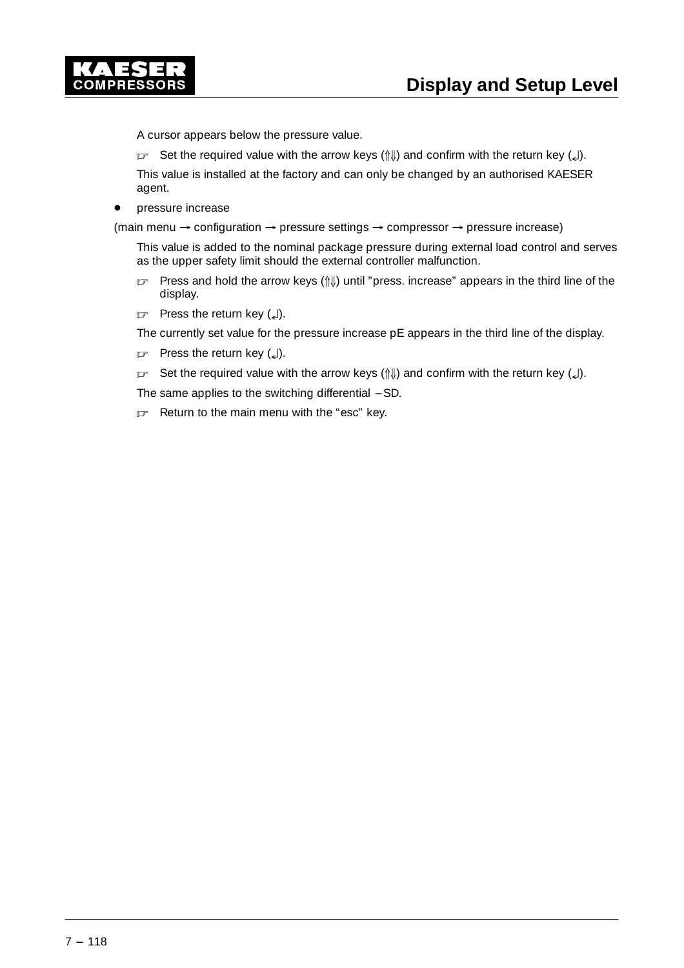A cursor appears below the pressure value.

 $\mathbb{F}$  Set the required value with the arrow keys ( $\parallel\Downarrow$ ) and confirm with the return key ( $\perp$ ).

This value is installed at the factory and can only be changed by an authorised KAESER agent.

pressure increase

(main menu  $\rightarrow$  configuration  $\rightarrow$  pressure settings  $\rightarrow$  compressor  $\rightarrow$  pressure increase)

This value is added to the nominal package pressure during external load control and serves as the upper safety limit should the external controller malfunction.

- **Press and hold the arrow keys (** $\parallel$ ) until "press. increase" appears in the third line of the display.
- $\mathbb{F}$  Press the return key ( $\downarrow$ ).

The currently set value for the pressure increase pE appears in the third line of the display.

- $F$  Press the return key (1).
- $\mathbb{F}$  Set the required value with the arrow keys ( $\parallel \parallel$ ) and confirm with the return key ( $\perp$ ).

The same applies to the switching differential  $-SD$ .

 $F$  Return to the main menu with the "esc" key.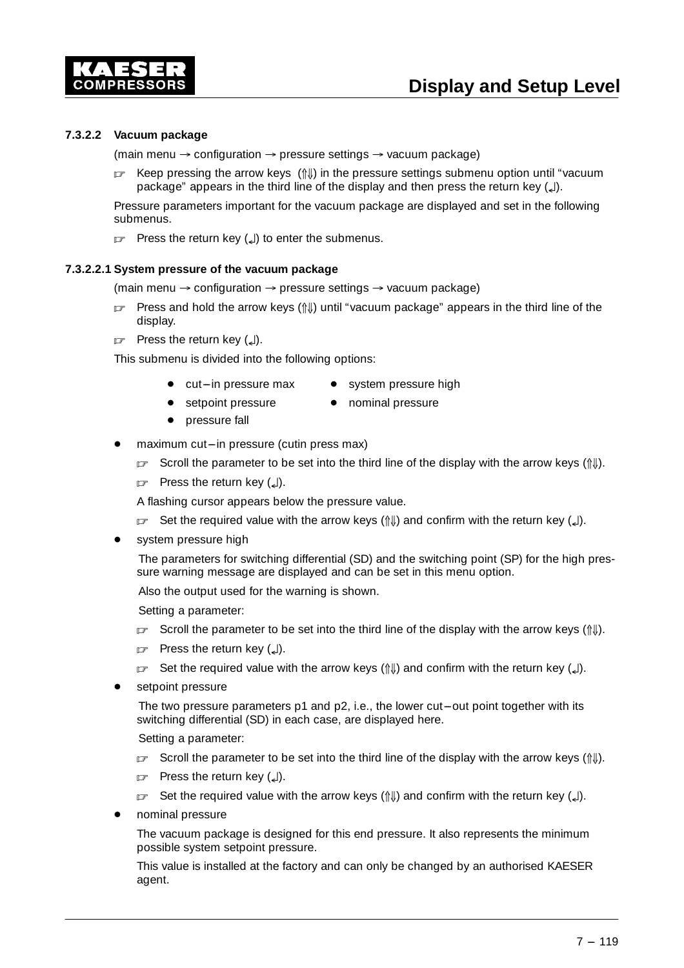# **7.3.2.2 Vacuum package**

(main menu  $\rightarrow$  configuration  $\rightarrow$  pressure settings  $\rightarrow$  vacuum package)

 $\mathbb{F}$  Keep pressing the arrow keys  $(\mathbb{N})$  in the pressure settings submenu option until "vacuum package" appears in the third line of the display and then press the return key  $(2)$ .

Pressure parameters important for the vacuum package are displayed and set in the following submenus.

 $\mathbb{F}$  Press the return key (1) to enter the submenus.

### **7.3.2.2.1 System pressure of the vacuum package**

(main menu  $\rightarrow$  configuration  $\rightarrow$  pressure settings  $\rightarrow$  vacuum package)

- $F$  Press and hold the arrow keys ( $\parallel \parallel$ ) until "vacuum package" appears in the third line of the display.
- $F$  Press the return key (1).

This submenu is divided into the following options:

- cut-in pressure max system pressure high
	- nominal pressure
- pressure fall

• setpoint pressure

- maximum cut-in pressure (cutin press max)
	- $\mathbb{F}$  Scroll the parameter to be set into the third line of the display with the arrow keys ( $\mathbb{N}$ ).
	- $\mathbb{F}$  Press the return key (1).
	- A flashing cursor appears below the pressure value.
	- $\mathbb{F}$  Set the required value with the arrow keys ( $\parallel \Downarrow$ ) and confirm with the return key ( $\downarrow$ ).
- system pressure high

The parameters for switching differential (SD) and the switching point (SP) for the high pressure warning message are displayed and can be set in this menu option.

Also the output used for the warning is shown.

Setting a parameter:

- $\mathbb{F}$  Scroll the parameter to be set into the third line of the display with the arrow keys ( $\mathbb{N}$ ).
- $F$  Press the return key (1).
- $\mathbb{F}$  Set the required value with the arrow keys ( $\mathbb{N}$ ) and confirm with the return key ( $\mathbb{L}$ ).
- setpoint pressure

The two pressure parameters  $p1$  and  $p2$ , i.e., the lower cut-out point together with its switching differential (SD) in each case, are displayed here.

Setting a parameter:

- $\mathbb{F}$  Scroll the parameter to be set into the third line of the display with the arrow keys ( $\mathbb{N}$ ).
- $\mathbb{F}$  Press the return key (1).
- Set the required value with the arrow keys ( $\parallel\Downarrow$ ) and confirm with the return key ( $\downarrow$ ).
- nominal pressure

The vacuum package is designed for this end pressure. It also represents the minimum possible system setpoint pressure.

This value is installed at the factory and can only be changed by an authorised KAESER agent.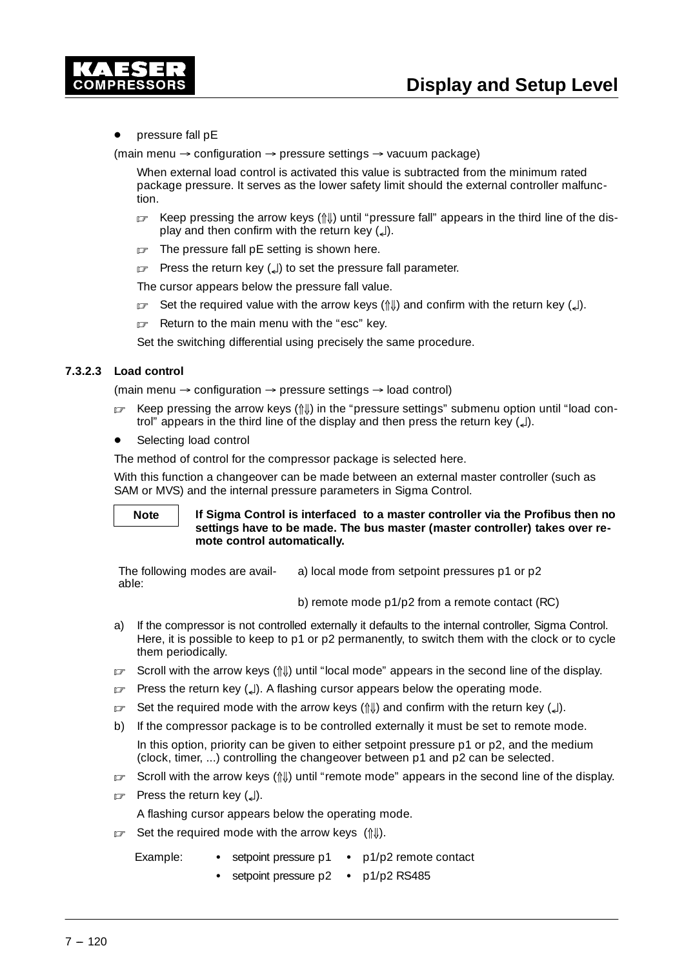

pressure fall pE

(main menu  $\rightarrow$  configuration  $\rightarrow$  pressure settings  $\rightarrow$  vacuum package)

When external load control is activated this value is subtracted from the minimum rated package pressure. It serves as the lower safety limit should the external controller malfunction.

- $\mathbb{F}$  Keep pressing the arrow keys ( $\parallel \Downarrow$ ) until "pressure fall" appears in the third line of the display and then confirm with the return key  $(2)$ .
- $\mathbb{F}$  The pressure fall pE setting is shown here.
- $\mathbb{F}$  Press the return key ( $\downarrow$ ) to set the pressure fall parameter.

The cursor appears below the pressure fall value.

- $\mathbb{F}$  Set the required value with the arrow keys ( $\parallel\parallel$ ) and confirm with the return key ( $\perp$ ).
- $F$  Return to the main menu with the "esc" key.

Set the switching differential using precisely the same procedure.

# **7.3.2.3 Load control**

(main menu  $\rightarrow$  configuration  $\rightarrow$  pressure settings  $\rightarrow$  load control)

- $F$  Keep pressing the arrow keys ( $\parallel \parallel$ ) in the "pressure settings" submenu option until "load control" appears in the third line of the display and then press the return key  $(\underline{\ }).$
- Selecting load control

The method of control for the compressor package is selected here.

With this function a changeover can be made between an external master controller (such as SAM or MVS) and the internal pressure parameters in Sigma Control.

**Note**

### **If Sigma Control is interfaced to a master controller via the Profibus then no settings have to be made. The bus master (master controller) takes over remote control automatically.**

The following modes are available: a) local mode from setpoint pressures p1 or p2

b) remote mode p1/p2 from a remote contact (RC)

- a) If the compressor is not controlled externally it defaults to the internal controller, Sigma Control. Here, it is possible to keep to p1 or p2 permanently, to switch them with the clock or to cycle them periodically.
- $\mathbb{F}$  Scroll with the arrow keys ( $\|\Downarrow$ ) until "local mode" appears in the second line of the display.
- **Press the return key (** $\angle$ ). A flashing cursor appears below the operating mode.
- Set the required mode with the arrow keys  $(\{\downarrow\})$  and confirm with the return key ( $\{\downarrow\}$ ).
- b) If the compressor package is to be controlled externally it must be set to remote mode.

In this option, priority can be given to either setpoint pressure  $p1$  or  $p2$ , and the medium (clock, timer, ...) controlling the changeover between p1 and p2 can be selected.

- $\mathbb{F}$  Scroll with the arrow keys ( $\|\|\$ ) until "remote mode" appears in the second line of the display.
- $\mathbb{F}$  Press the return key (J).

A flashing cursor appears below the operating mode.

 $\mathbb{F}$  Set the required mode with the arrow keys (fill).

- Example: setpoint pressure p1 p1/p2 remote contact
	- setpoint pressure p2 · p1/p2 RS485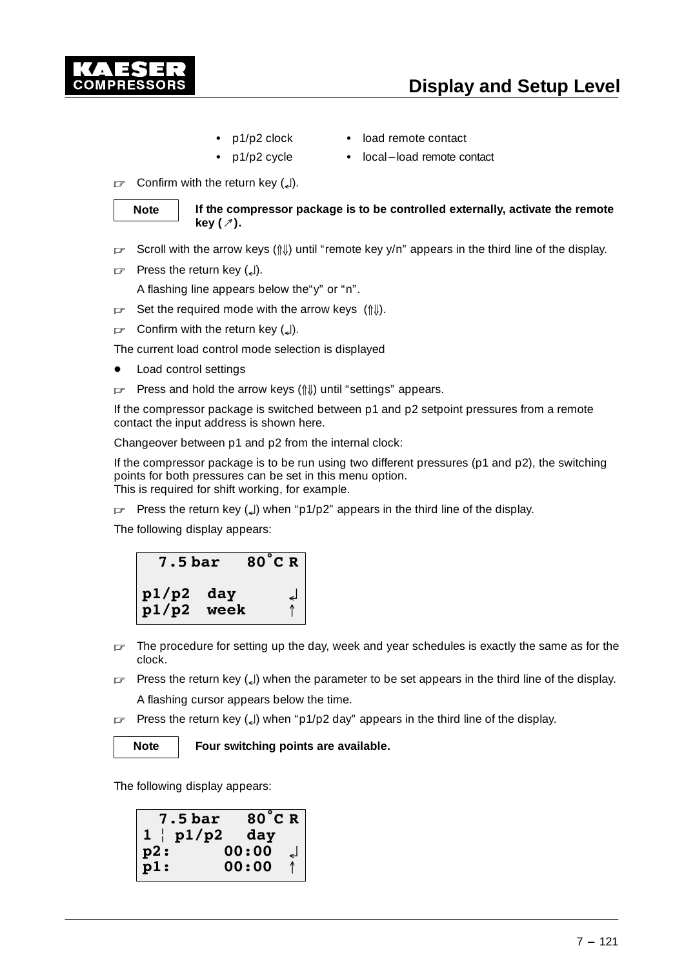

# **Display and Setup Level**

- - p1/p2 clock · load remote contact
- 
- p1/p2 cycle · local-load remote contact
- $\mathbb{F}$  Confirm with the return key ( $\downarrow$ ).

**Note**

**If the compressor package is to be controlled externally, activate the remote**  $key ( \n\mathcal{P}).$ 

- $\mathbb{F}$  Scroll with the arrow keys ( $\mathbb{N}$ ) until "remote key y/n" appears in the third line of the display.
- $F$  Press the return key (2).

A flashing line appears below the"y" or "n".

- $\mathbb{F}$  Set the required mode with the arrow keys ( $\mathcal{L}(\mathcal{V})$ ).
- $\mathbb{F}$  Confirm with the return key (2).

The current load control mode selection is displayed

- Load control settings
- $\mathbb{F}$  Press and hold the arrow keys ( $\parallel \parallel$ ) until "settings" appears.

If the compressor package is switched between p1 and p2 setpoint pressures from a remote contact the input address is shown here.

Changeover between p1 and p2 from the internal clock:

If the compressor package is to be run using two different pressures ( $p1$  and  $p2$ ), the switching points for both pressures can be set in this menu option. This is required for shift working, for example.

Press the return key ( $\downarrow$ ) when "p1/p2" appears in the third line of the display.

The following display appears:

| 7.5 <sub>bar</sub> |             | $80^{\circ}$ CR |
|--------------------|-------------|-----------------|
| $p1/p2$<br>$p1/p2$ | day<br>week | e               |

- $\mathbb{F}$  The procedure for setting up the day, week and year schedules is exactly the same as for the clock.
- Press the return key ( $\downarrow$ ) when the parameter to be set appears in the third line of the display. A flashing cursor appears below the time.
- **Press the return key (**a) when "p1/p2 day" appears in the third line of the display.

**Note**

**Four switching points are available.**

The following display appears:

| 7.5 <sub>bar</sub> | $80^{\circ}$ CR |
|--------------------|-----------------|
| p1/p2<br>$1 \vert$ | day             |
| $p2$ :             | 00:00<br>لے     |
| $pi$ :             | 00:00<br>ᠰ      |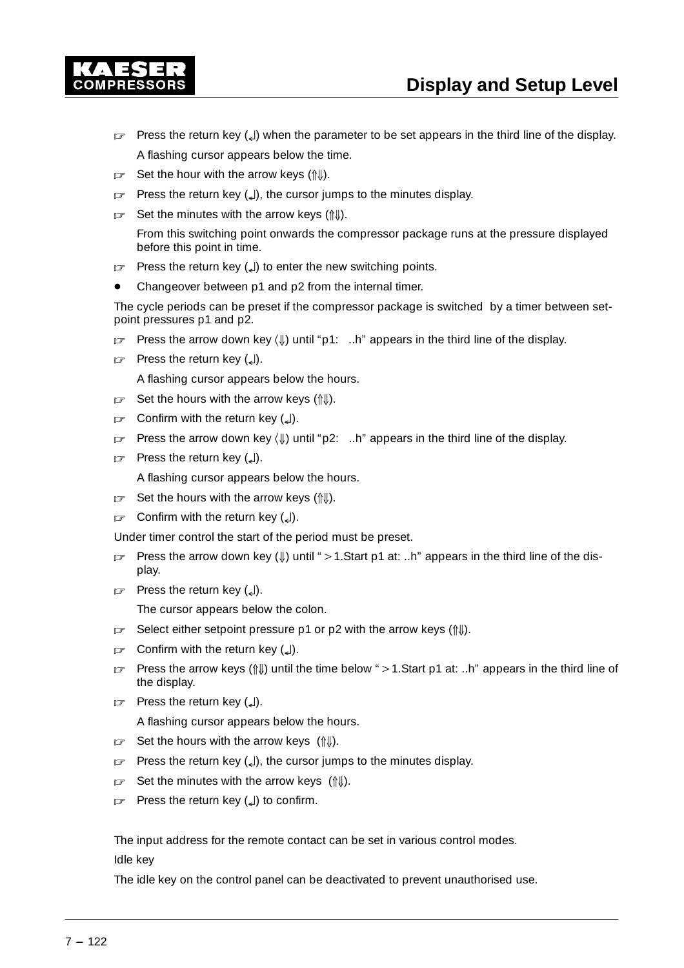- Press the return key ( $\Box$ ) when the parameter to be set appears in the third line of the display. A flashing cursor appears below the time.
- $\mathbb{F}$  Set the hour with the arrow keys ( $\mathbb{N}$ ).

COMPR

- $\mathbb{F}$  Press the return key ( $\downarrow$ ), the cursor jumps to the minutes display.
- $\mathbb{F}$  Set the minutes with the arrow keys ( $\mathbb{N}$ ).

From this switching point onwards the compressor package runs at the pressure displayed before this point in time.

- Press the return key  $(\Box)$  to enter the new switching points.
- Changeover between p1 and p2 from the internal timer.

The cycle periods can be preset if the compressor package is switched by a timer between setpoint pressures p1 and p2.

- **Press the arrow down key**  $\langle \parallel \rangle$  until "p1: ..h" appears in the third line of the display.
- $F$  Press the return key ( $\Box$ ).

A flashing cursor appears below the hours.

- $\mathbb{F}$  Set the hours with the arrow keys ( $\mathbb{N}$ ).
- $\mathbb{F}$  Confirm with the return key (
- **Press the arrow down key**  $(\Downarrow)$  **until "p2:** ..h" appears in the third line of the display.
- $F$  Press the return key ( $\Box$ ).

A flashing cursor appears below the hours.

- $\mathbb{F}$  Set the hours with the arrow keys ( $\mathbb{N}$ ).
- $\mathbb{F}$  Confirm with the return key ( $\downarrow$ ).

Under timer control the start of the period must be preset.

- **Press the arrow down key (** $\downarrow$ ) until "> 1.Start p1 at: ..h" appears in the third line of the display.
- $\mathbb{F}$  Press the return key (1).

The cursor appears below the colon.

- $\mathbb{F}$  Select either setpoint pressure p1 or p2 with the arrow keys ( $\mathcal{L}(\mathbb{U})$ ).
- Confirm with the return key ( $\Box$ ).
- **Press the arrow keys (fll) until the time below "** > 1.Start p1 at: ..h" appears in the third line of the display.
- $F$  Press the return key ( $\Box$ ).

A flashing cursor appears below the hours.

- $\mathbb{F}$  Set the hours with the arrow keys ( $\mathbb{I}$ ).
- $\mathbb{F}$  Press the return key (1), the cursor jumps to the minutes display.
- $\mathbb{F}$  Set the minutes with the arrow keys (fill).
- $F$  Press the return key ( $\Box$ ) to confirm.

The input address for the remote contact can be set in various control modes.

Idle key

The idle key on the control panel can be deactivated to prevent unauthorised use.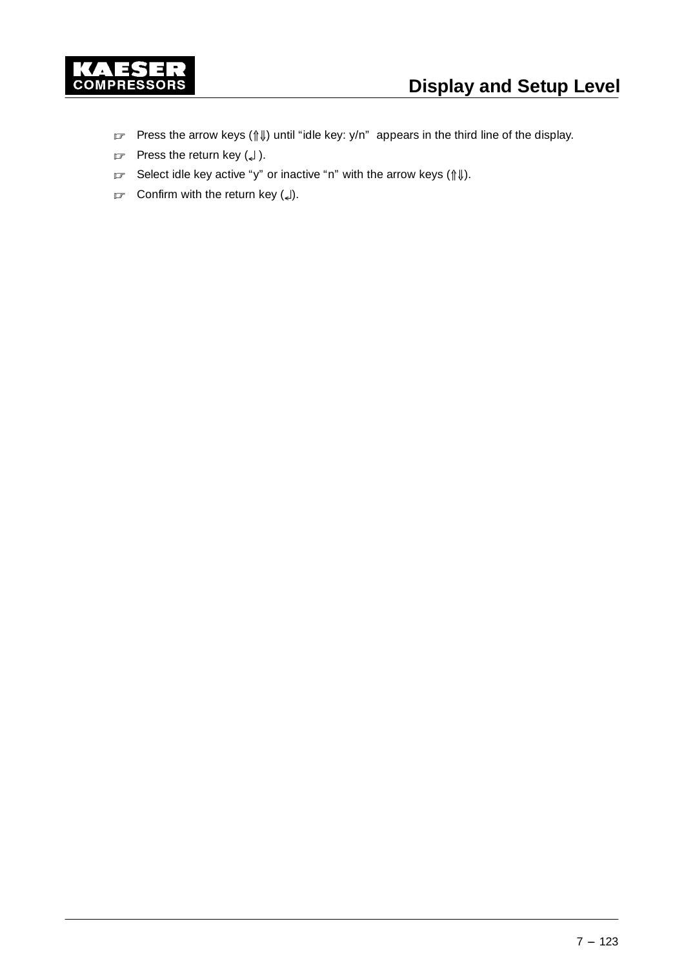

- **Press the arrow keys (** $\Uparrow \Downarrow$ ) until "idle key: y/n" appears in the third line of the display.
- $\mathbb{F}$  Press the return key ( $\downarrow$ ).
- $\mathbb{F}$  Select idle key active "y" or inactive "n" with the arrow keys ( $\Uparrow \Downarrow$ ).
- $\mathbb{F}$  Confirm with the return key (U).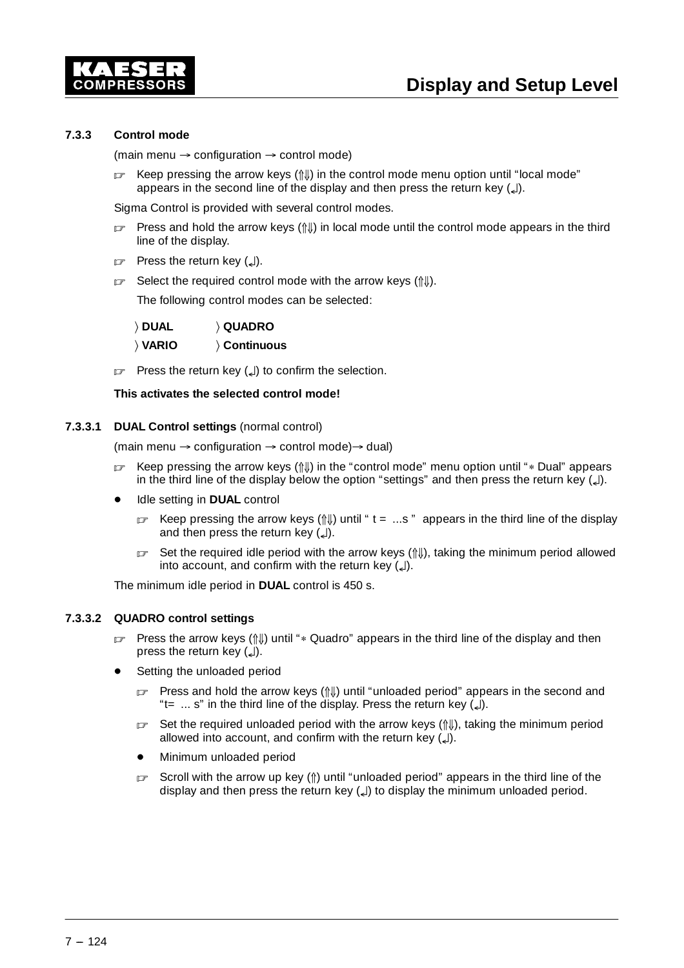### **7.3.3 Control mode**

(main menu  $\rightarrow$  configuration  $\rightarrow$  control mode)

 $\blacktriangleright$  Keep pressing the arrow keys (fill) in the control mode menu option until "local mode" appears in the second line of the display and then press the return key  $(1)$ .

Sigma Control is provided with several control modes.

- **Press and hold the arrow keys (fl)) in local mode until the control mode appears in the third** line of the display.
- $F$  Press the return key (1).
- $\mathbb{F}$  Select the required control mode with the arrow keys ( $\mathbb{N}$ ).

The following control modes can be selected:

- Ö **VARIO** Ö **Continuous**
- $F$  Press the return key ( $\downarrow$ ) to confirm the selection.

#### **This activates the selected control mode!**

#### **7.3.3.1 DUAL Control settings** (normal control)

(main menu  $\rightarrow$  configuration  $\rightarrow$  control mode)  $\rightarrow$  dual)

- $\mathbb{F}$  Keep pressing the arrow keys ( $\|\Downarrow$ ) in the "control mode" menu option until "\* Dual" appears in the third line of the display below the option "settings" and then press the return key  $(2)$ .
- Idle setting in **DUAL** control
	- Keep pressing the arrow keys ( $\parallel \Downarrow$ ) until " t = ...s " appears in the third line of the display and then press the return key  $(\Box)$ .
	- $\mathbb{F}$  Set the required idle period with the arrow keys ( $\mathbb{N}$ ), taking the minimum period allowed into account, and confirm with the return key  $(\Box)$ .

The minimum idle period in **DUAL** control is 450 s.

# **7.3.3.2 QUADRO control settings**

- **Press the arrow keys (f), until "**\* Quadro" appears in the third line of the display and then press the return key  $(\Box)$ .
- Setting the unloaded period
	- **Press and hold the arrow keys (f)) until "unloaded period" appears in the second and** "t= ... s" in the third line of the display. Press the return key  $(2)$ .
	- $\mathbb{F}$  Set the required unloaded period with the arrow keys ( $\mathbb{N}$ ), taking the minimum period allowed into account, and confirm with the return key  $(2)$ .
	- $\bullet$  Minimum unloaded period
	- Scroll with the arrow up key  $(\Uparrow)$  until "unloaded period" appears in the third line of the display and then press the return key  $\Box$  to display the minimum unloaded period.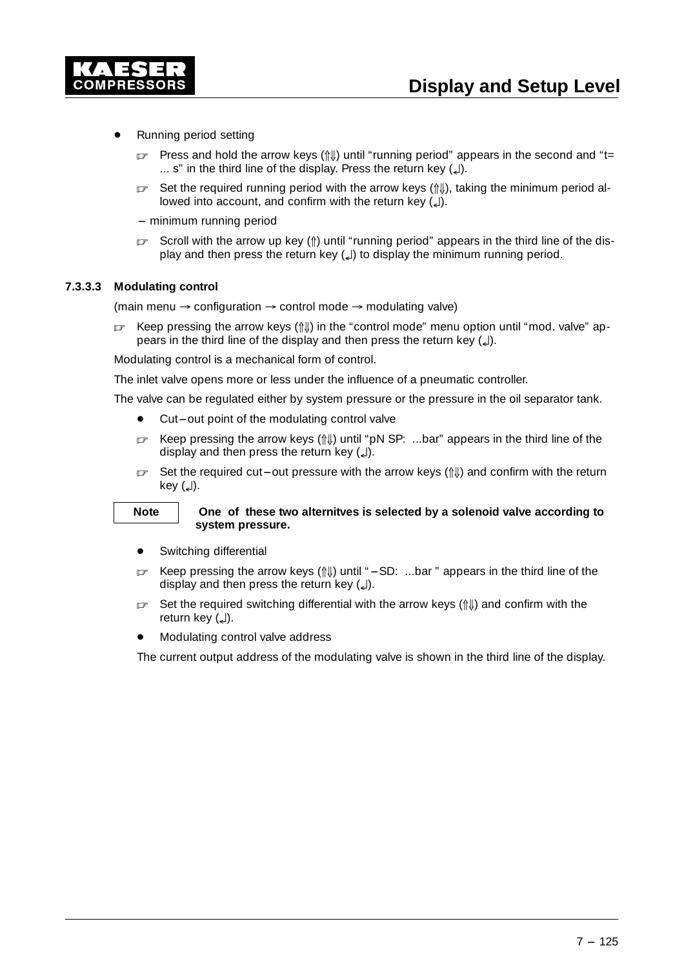

- Running period setting
	- $F$  Press and hold the arrow keys ( $\parallel \parallel$ ) until "running period" appears in the second and "t= ... s" in the third line of the display. Press the return key  $(\underline{\ }).$
	- $\mathbb{F}$  Set the required running period with the arrow keys ( $\mathcal{D}$ ), taking the minimum period allowed into account, and confirm with the return key  $(2)$ .
	- minimum running period
	- $\mathbb{F}$  Scroll with the arrow up key (1) until "running period" appears in the third line of the display and then press the return key  $\Box$  to display the minimum running period.

#### **7.3.3.3 Modulating control**

(main menu  $\rightarrow$  configuration  $\rightarrow$  control mode  $\rightarrow$  modulating valve)

F Keep pressing the arrow keys ( $\|\Downarrow$ ) in the "control mode" menu option until "mod. valve" appears in the third line of the display and then press the return key  $(\underline{\ }).$ 

Modulating control is a mechanical form of control.

The inlet valve opens more or less under the influence of a pneumatic controller.

The valve can be regulated either by system pressure or the pressure in the oil separator tank.

- Cut-out point of the modulating control valve
- Keep pressing the arrow keys ( $\|\|\$ ) until "pN SP: ...bar" appears in the third line of the display and then press the return key  $(2)$ .
- $\mathbb{F}$  Set the required cut-out pressure with the arrow keys ( $\mathbb{N}$ ) and confirm with the return  $key$  ( $\Box$ ).

**Note**

#### **One of these two alternitves is selected by a solenoid valve according to system pressure.**

- Switching differential
- F Keep pressing the arrow keys ( $\Uparrow\Downarrow$ ) until "-SD: ...bar " appears in the third line of the display and then press the return key  $( )$ .
- $\mathbb{F}$  Set the required switching differential with the arrow keys ( $\mathcal{P}(\mathcal{P})$ ) and confirm with the return key  $(\Box)$ .
- Modulating control valve address

The current output address of the modulating valve is shown in the third line of the display.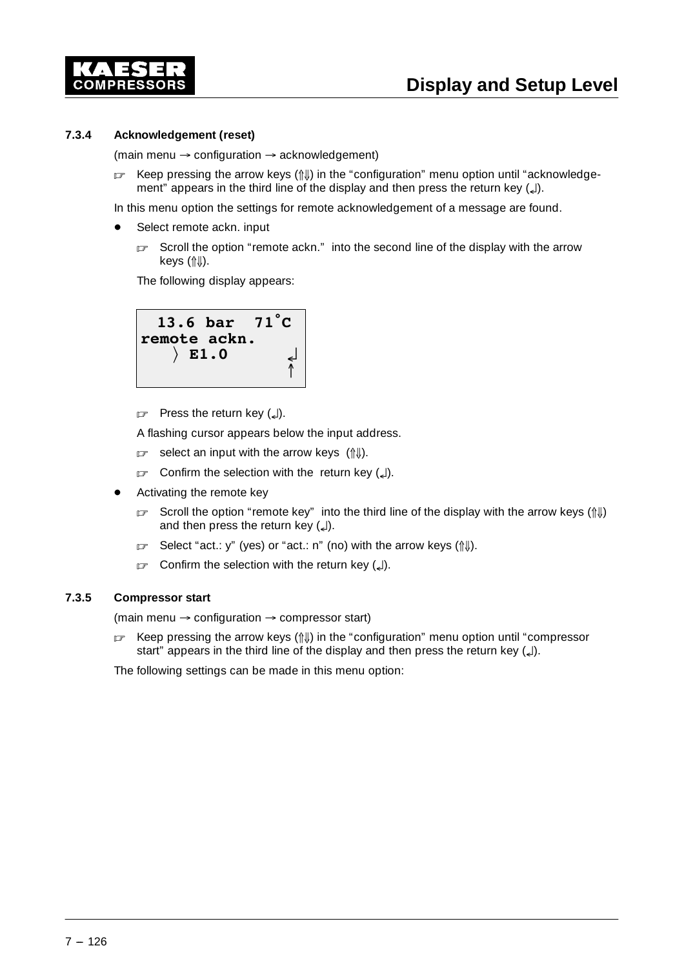

# **7.3.4 Acknowledgement (reset)**

(main menu  $\rightarrow$  configuration  $\rightarrow$  acknowledgement)

 $\blacktriangleright$  Keep pressing the arrow keys (fll) in the "configuration" menu option until "acknowledgement" appears in the third line of the display and then press the return key ( $\downarrow$ ).

In this menu option the settings for remote acknowledgement of a message are found.

- Select remote ackn. input
	- $\mathbb{F}$  Scroll the option "remote ackn." into the second line of the display with the arrow keys  $(f\|)$ .

The following display appears:

 $13.6 \text{ bar}$   $71^{\circ} \text{C}$ remote ackn.  $\rangle$  E1.0  $\Box$  $\uparrow$ 

 $F$  Press the return key (1).

A flashing cursor appears below the input address.

- $\mathbb{F}$  select an input with the arrow keys ( $\mathcal{L}(\mathcal{V})$ ).
- $\mathbb{F}$  Confirm the selection with the return key ( $\downarrow$ ).
- Activating the remote key
	- $\mathbb{F}$  Scroll the option "remote key" into the third line of the display with the arrow keys  $(\mathbb{N})$ and then press the return key  $(\Box)$ .
	- $\mathbb{F}$  Select "act.: y" (yes) or "act.: n" (no) with the arrow keys ( $\mathcal{L}$ ).
	- $\mathbb{F}$  Confirm the selection with the return key (1).

# **7.3.5 Compressor start**

(main menu  $\rightarrow$  configuration  $\rightarrow$  compressor start)

F Keep pressing the arrow keys  $(\dagger\Downarrow)$  in the "configuration" menu option until "compressor start" appears in the third line of the display and then press the return key ( $\Box$ ).

The following settings can be made in this menu option: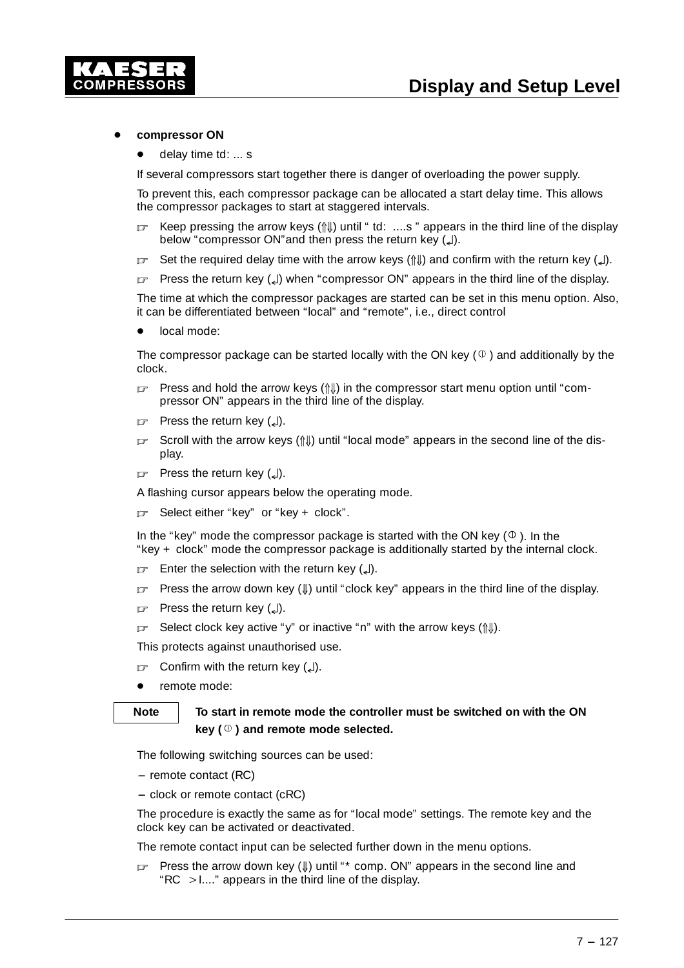

### - **compressor ON**

 $\bullet$  delay time td: ... s

If several compressors start together there is danger of overloading the power supply.

To prevent this, each compressor package can be allocated a start delay time. This allows the compressor packages to start at staggered intervals.

- $\mathbb{F}$  Keep pressing the arrow keys ( $\mathbb{N}$ ) until " td: ....s " appears in the third line of the display below "compressor ON" and then press the return key ( $\downarrow$ ).
- $\mathbb{F}$  Set the required delay time with the arrow keys ( $\mathbb{N}$ ) and confirm with the return key ( $\mathbb{L}$ ).
- **Press the return key (** $\Box$ ) when "compressor ON" appears in the third line of the display.

The time at which the compressor packages are started can be set in this menu option. Also, it can be differentiated between "local" and "remote", i.e., direct control

local mode:

The compressor package can be started locally with the ON key ( $\mathbb{O}$ ) and additionally by the clock.

- **Press and hold the arrow keys (fill) in the compressor start menu option until "com**pressor ON" appears in the third line of the display.
- $F$  Press the return key ( $\Box$ ).
- $\mathbb{F}$  Scroll with the arrow keys ( $\|\|\$ ) until "local mode" appears in the second line of the display.
- $\mathbb{F}$  Press the return key ( $\Box$ ).

A flashing cursor appears below the operating mode.

Select either "key" or "key + clock".

In the "key" mode the compressor package is started with the ON key  $(①)$ . In the "key + clock" mode the compressor package is additionally started by the internal clock.

- Enter the selection with the return key ( $\downarrow$ ).
- **Press the arrow down key (** $\parallel$ ) until "clock key" appears in the third line of the display.
- $\mathbb{F}$  Press the return key ( $\Box$ ).
- $\mathbb{F}$  Select clock key active "y" or inactive "n" with the arrow keys ( $\mathcal{L}$ ).

This protects against unauthorised use.

- Confirm with the return key  $(2)$ .
- remote mode:

```
Note
```
# **To start in remote mode the controller must be switched on with the ON key ( ) and remote mode selected.**

The following switching sources can be used:

- remote contact (RC)
- clock or remote contact (cRC)

The procedure is exactly the same as for "local mode" settings. The remote key and the clock key can be activated or deactivated.

The remote contact input can be selected further down in the menu options.

 $\mathbb{F}$  Press the arrow down key ( $\Downarrow$ ) until "\* comp. ON" appears in the second line and "RC  $>$  I...." appears in the third line of the display.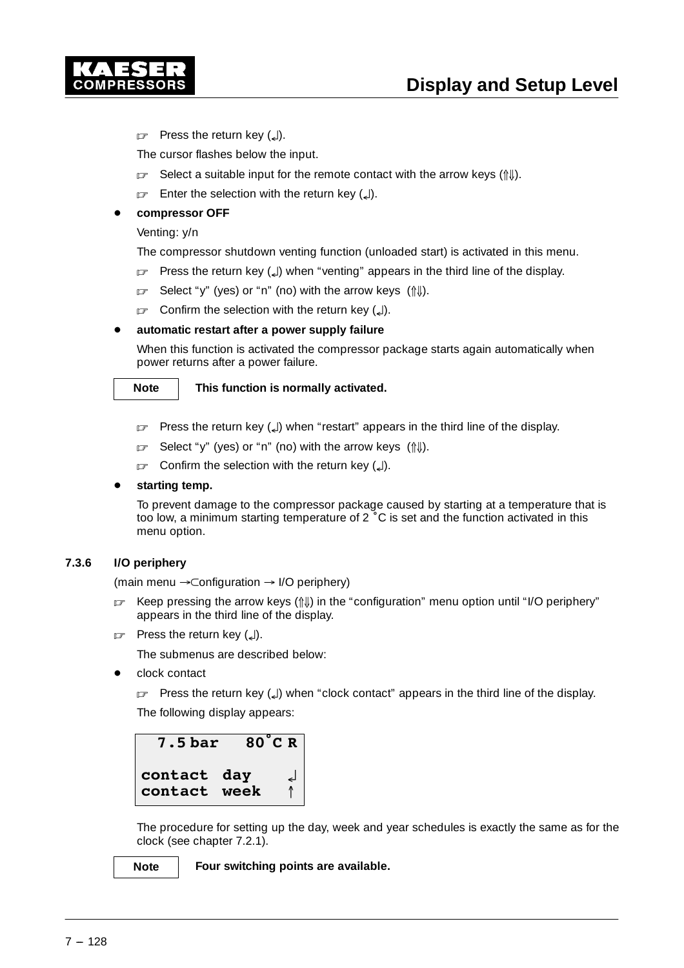

 $\mathbb{F}$  Press the return key (1).

The cursor flashes below the input.

- $\mathbb{F}$  Select a suitable input for the remote contact with the arrow keys ( $\mathbb{N}$ ).
- Enter the selection with the return key ( $\Box$ ).

### - **compressor OFF**

Venting: y/n

**COMPR** 

The compressor shutdown venting function (unloaded start) is activated in this menu.

- Press the return key (1) when "venting" appears in the third line of the display.
- $\mathbb{F}$  Select "y" (yes) or "n" (no) with the arrow keys ( $\mathbb{N}$ ).
- $\mathbb{F}$  Confirm the selection with the return key (1).

#### - **automatic restart after a power supply failure**

When this function is activated the compressor package starts again automatically when power returns after a power failure.

#### **Note**

#### **This function is normally activated.**

- Press the return key ( $\Box$ ) when "restart" appears in the third line of the display.
- $\mathbb{F}$  Select "y" (yes) or "n" (no) with the arrow keys ( $\mathcal{L}$ ).
- Confirm the selection with the return key ( $\downarrow$ ).

#### - **starting temp.**

To prevent damage to the compressor package caused by starting at a temperature that is too low, a minimum starting temperature of 2  $\degree$ C is set and the function activated in this menu option.

# **7.3.6 I/O periphery**

(main menu  $\rightarrow$  Configuration  $\rightarrow$  I/O periphery)

- F Keep pressing the arrow keys ( $\parallel \Downarrow$ ) in the "configuration" menu option until "I/O periphery" appears in the third line of the display.
- $F$  Press the return key ( $\Box$ ).

The submenus are described below:

clock contact

Press the return key ( $\downarrow$ ) when "clock contact" appears in the third line of the display. The following display appears:

| 7.5 <sub>bar</sub>          | $80^{\circ}$ CR |
|-----------------------------|-----------------|
| contact day<br>contact week | ┙               |

The procedure for setting up the day, week and year schedules is exactly the same as for the clock (see chapter 7.2.1).

**Note**

**Four switching points are available.**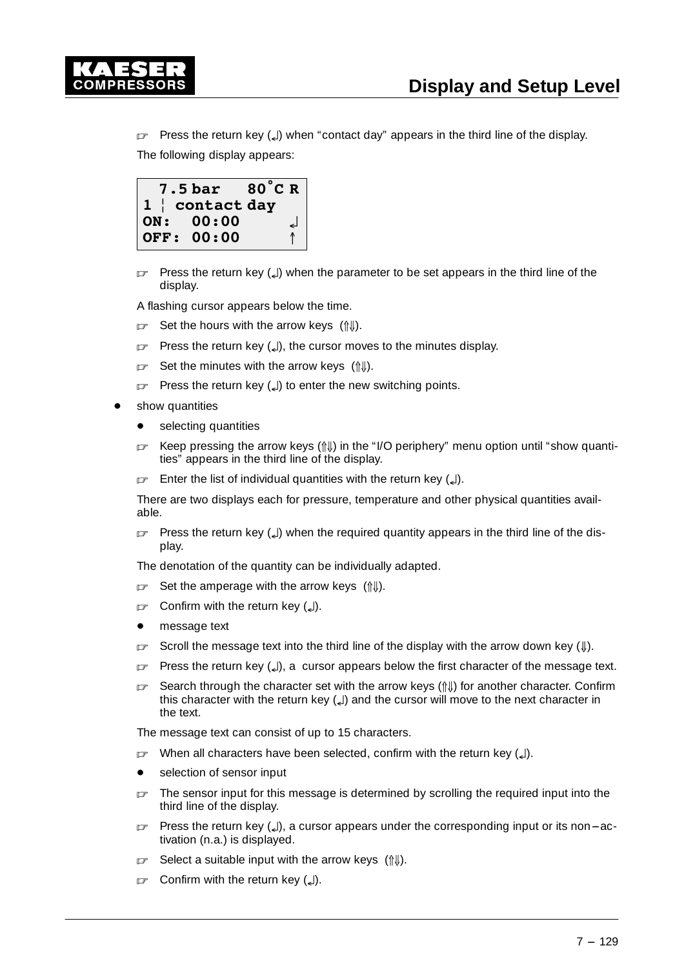**Press the return key (** $\Box$ ) when "contact day" appears in the third line of the display.

The following display appears:

 $7.5 \,\text{bar}$   $80^\circ \text{C}$  R 1 **contact day 21 <b>2012 2013 2014 2014 OFF: 00:00 1** 

 $\mathbb{F}$  Press the return key ( $\Box$ ) when the parameter to be set appears in the third line of the display.

A flashing cursor appears below the time.

- $F$  Set the hours with the arrow keys ( $\Uparrow$ ll).
- $\mathbb{F}$  Press the return key ( $\downarrow$ ), the cursor moves to the minutes display.
- $\mathbb{F}$  Set the minutes with the arrow keys ( $\mathbb{N}$ ).
- $\mathbb{F}$  Press the return key ( $\downarrow$ ) to enter the new switching points.
- show quantities
	- selecting quantities
	- F Keep pressing the arrow keys ( $\parallel\Downarrow$ ) in the "I/O periphery" menu option until "show quantities" appears in the third line of the display.
	- $\mathbb{F}$  Enter the list of individual quantities with the return key ( $\downarrow$ ).

There are two displays each for pressure, temperature and other physical quantities available.

Press the return key ( $\downarrow$ ) when the required quantity appears in the third line of the display.

The denotation of the quantity can be individually adapted.

- $\mathbb{F}$  Set the amperage with the arrow keys ( $\mathbb{N}$ ).
- $\mathbb{F}$  Confirm with the return key ( $\downarrow$ ).
- message text
- $\mathbb{F}$  Scroll the message text into the third line of the display with the arrow down key ( $\|$ ).
- Press the return key (1), a cursor appears below the first character of the message text.
- Search through the character set with the arrow keys  $(\Uparrow \Downarrow)$  for another character. Confirm this character with the return key  $(2)$  and the cursor will move to the next character in the text.

The message text can consist of up to 15 characters.

- When all characters have been selected, confirm with the return key ( $\downarrow$ ).
- selection of sensor input
- $\mathbb{F}$  The sensor input for this message is determined by scrolling the required input into the third line of the display.
- $\blacktriangleright$  Press the return key ( $\blacktriangleleft$ ), a cursor appears under the corresponding input or its non--activation (n.a.) is displayed.
- $\mathbb{F}$  Select a suitable input with the arrow keys ( $\mathcal{L}(\mathcal{V})$ ).
- Confirm with the return key  $(\Box)$ .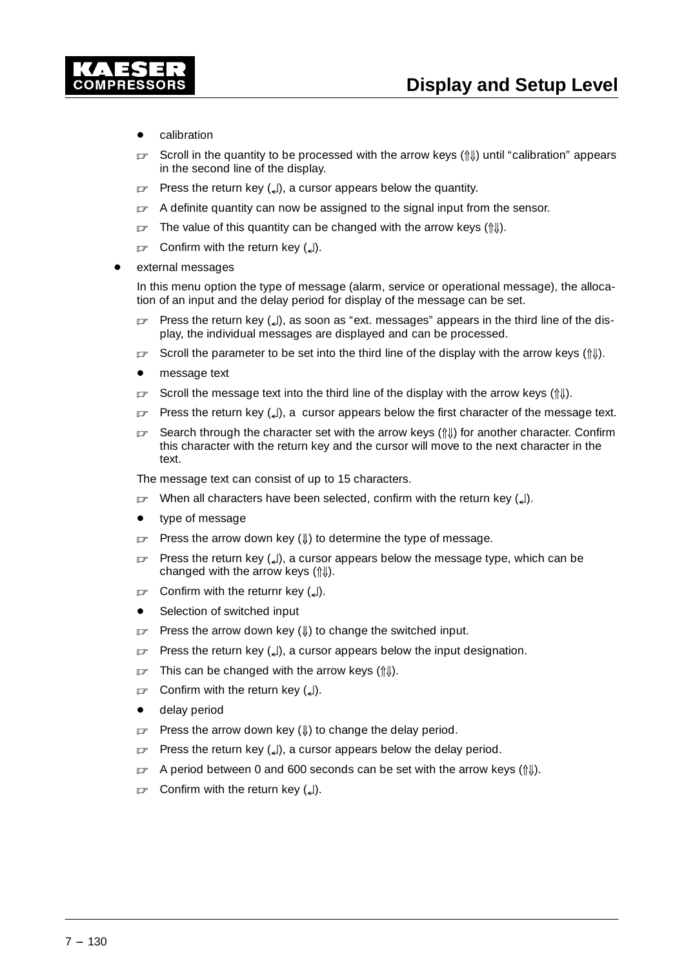- calibration
- $\blacktriangleright$  Scroll in the quantity to be processed with the arrow keys ( $\Uparrow$ ) until "calibration" appears in the second line of the display.
- $\mathbb{F}$  Press the return key ( $\downarrow$ ), a cursor appears below the quantity.
- $\mathbb{F}$  A definite quantity can now be assigned to the signal input from the sensor.
- $\mathbb{F}$  The value of this quantity can be changed with the arrow keys ( $\mathcal{L}(\mathcal{V})$ ).
- $\mathbb{F}$  Confirm with the return key (2).
- external messages

In this menu option the type of message (alarm, service or operational message), the allocation of an input and the delay period for display of the message can be set.

- Fress the return key (<), as soon as "ext. messages" appears in the third line of the display, the individual messages are displayed and can be processed.
- $\mathbb{F}$  Scroll the parameter to be set into the third line of the display with the arrow keys ( $\mathbb{N}$ ).
- message text
- $\mathbb{F}$  Scroll the message text into the third line of the display with the arrow keys ( $\mathbb{N}$ ).
- Press the return key ( $\Box$ ), a cursor appears below the first character of the message text.
- $\mathbb{F}$  Search through the character set with the arrow keys ( $\mathbb{N}$ ) for another character. Confirm this character with the return key and the cursor will move to the next character in the text.

The message text can consist of up to 15 characters.

- When all characters have been selected, confirm with the return key  $(1)$ .
- type of message
- $\mathbb{F}$  Press the arrow down key (1) to determine the type of message.
- **Press the return key (** $\Box$ ), a cursor appears below the message type, which can be changed with the arrow keys  $(\Uparrow \Downarrow)$ .
- $\mathbb{F}$  Confirm with the returnr key ( $\downarrow$ ).
- Selection of switched input
- $\mathbb{F}$  Press the arrow down key ( $\Downarrow$ ) to change the switched input.
- **Press the return key (** $\Box$ ), a cursor appears below the input designation.
- $\mathbb{F}$  This can be changed with the arrow keys ( $\mathcal{L}(\mathcal{V})$ ).
- $\mathbb{F}$  Confirm with the return key (2).
- delay period
- $\mathbb{F}$  Press the arrow down key ( $\parallel$ ) to change the delay period.
- $\mathbb{F}$  Press the return key (1), a cursor appears below the delay period.
- $\mathbb{F}$  A period between 0 and 600 seconds can be set with the arrow keys ( $\mathbb{I}$ ).
- Confirm with the return key  $(\Box)$ .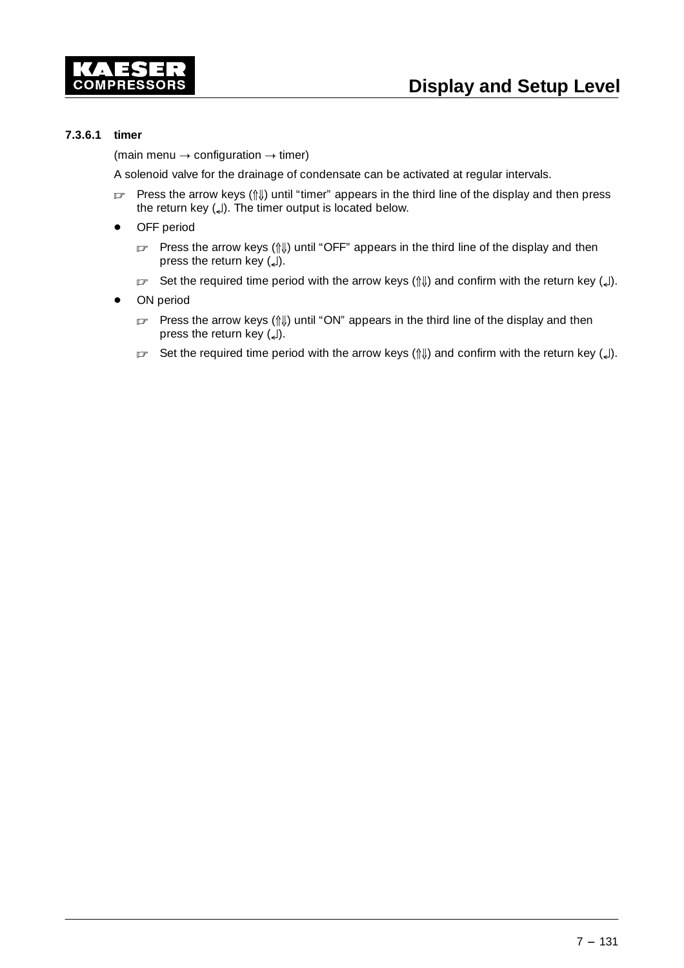

# **7.3.6.1 timer**

(main menu  $\rightarrow$  configuration  $\rightarrow$  timer)

A solenoid valve for the drainage of condensate can be activated at regular intervals.

- **Press the arrow keys (** $\parallel \Downarrow$ ) until "timer" appears in the third line of the display and then press the return key ( $\downarrow$ ). The timer output is located below.
- OFF period
	- $\mathbb{F}$  Press the arrow keys ( $\parallel\Downarrow$ ) until "OFF" appears in the third line of the display and then press the return key  $(\Box)$ .
	- $\mathbb{F}$  Set the required time period with the arrow keys ( $\mathbb{N}$ ) and confirm with the return key ( $\mathbb{I}$ ).
- ON period
	- **Press the arrow keys (fll) until "ON" appears in the third line of the display and then** press the return key  $(\downarrow)$ .
	- $\mathbb{F}$  Set the required time period with the arrow keys ( $\parallel \Downarrow$ ) and confirm with the return key ( $\downarrow$ ).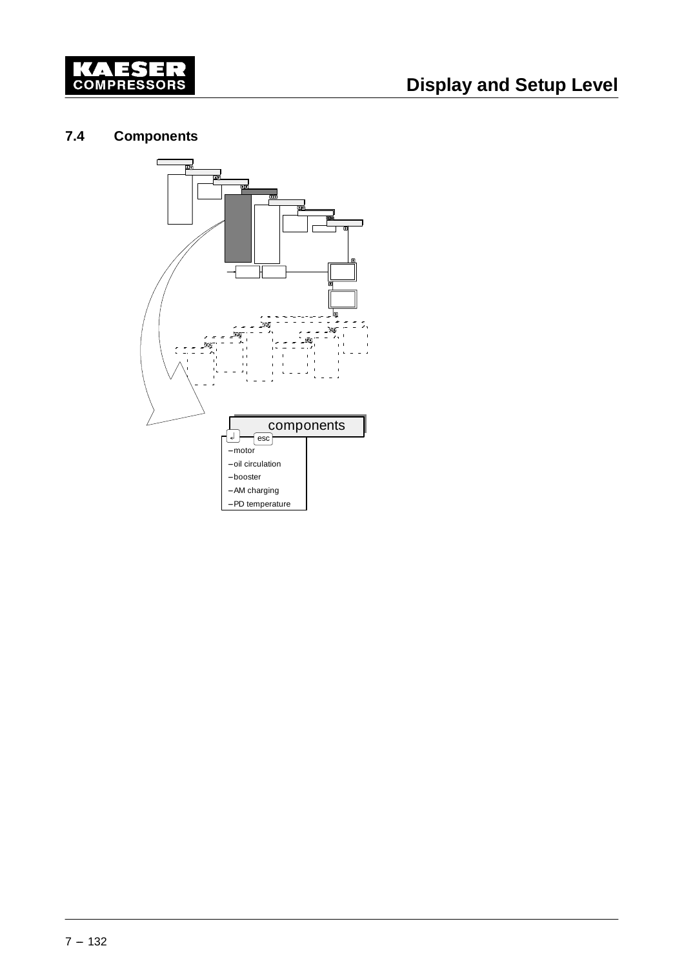

# **Display and Setup Level**

# **7.4 Components**

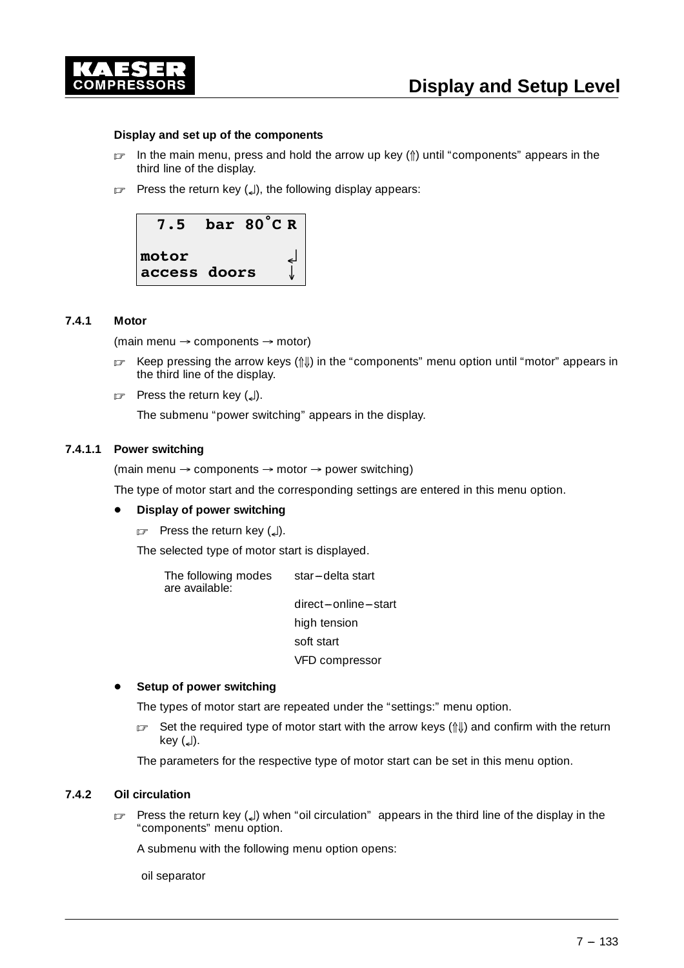

#### **Display and set up of the components**

- In the main menu, press and hold the arrow up key  $(\Uparrow)$  until "components" appears in the third line of the display.
- $\mathbb{F}$  Press the return key ( $\downarrow$ ), the following display appears:

| 7.5                   |  | bar $80^{\circ}$ CR |
|-----------------------|--|---------------------|
| motor<br>access doors |  |                     |

# **7.4.1 Motor**

(main menu  $\rightarrow$  components  $\rightarrow$  motor)

- $\mathbb{F}$  Keep pressing the arrow keys ( $\|\cdot\|$ ) in the "components" menu option until "motor" appears in the third line of the display.
- $\mathbb{F}$  Press the return key ( $\downarrow$ ).

The submenu "power switching" appears in the display.

# **7.4.1.1 Power switching**

(main menu  $\rightarrow$  components  $\rightarrow$  motor  $\rightarrow$  power switching)

The type of motor start and the corresponding settings are entered in this menu option.

#### **Display of power switching**

 $\mathbb{F}$  Press the return key ( $\downarrow$ ).

The selected type of motor start is displayed.

The following modes are available: star-delta start

direct-online-start high tension soft start VFD compressor

#### - **Setup of power switching**

The types of motor start are repeated under the "settings:" menu option.

 $\mathbb{F}$  Set the required type of motor start with the arrow keys ( $\mathcal{P}(\mathcal{P})$ ) and confirm with the return key  $(\Box)$ .

The parameters for the respective type of motor start can be set in this menu option.

# **7.4.2 Oil circulation**

 $\mathbb{F}$  Press the return key ( $\Box$ ) when "oil circulation" appears in the third line of the display in the "components" menu option.

A submenu with the following menu option opens:

oil separator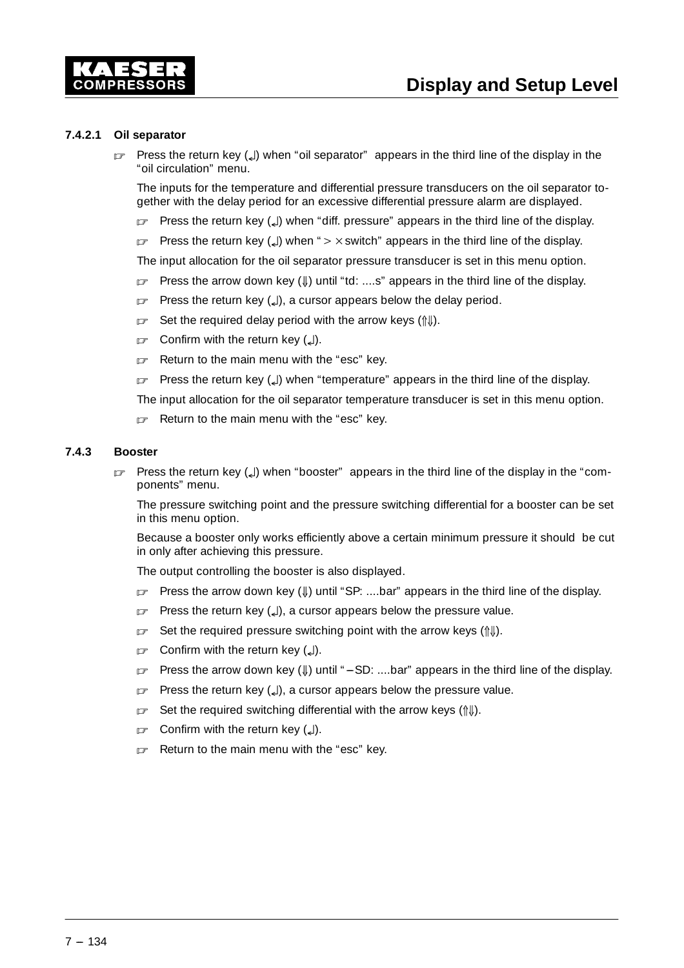### **7.4.2.1 Oil separator**

Press the return key  $(\Box)$  when "oil separator" appears in the third line of the display in the "oil circulation" menu.

The inputs for the temperature and differential pressure transducers on the oil separator together with the delay period for an excessive differential pressure alarm are displayed.

- **Press the return key (** $\Box$ ) when "diff. pressure" appears in the third line of the display.
- Press the return key ( $\downarrow$ ) when " $> \times$  switch" appears in the third line of the display.

The input allocation for the oil separator pressure transducer is set in this menu option.

- $\mathbb{F}$  Press the arrow down key ( $\Downarrow$ ) until "td: ....s" appears in the third line of the display.
- $\mathbb{F}$  Press the return key (1), a cursor appears below the delay period.
- $\mathbb{F}$  Set the required delay period with the arrow keys ( $\mathbb{N}$ ).
- $\mathbb{F}$  Confirm with the return key (2).
- $F$  Return to the main menu with the "esc" key.
- Press the return key ( $\downarrow$ ) when "temperature" appears in the third line of the display.

The input allocation for the oil separator temperature transducer is set in this menu option.

 $F$  Return to the main menu with the "esc" key.

#### **7.4.3 Booster**

Fress the return key (U) when "booster" appears in the third line of the display in the "components" menu.

The pressure switching point and the pressure switching differential for a booster can be set in this menu option.

Because a booster only works efficiently above a certain minimum pressure it should be cut in only after achieving this pressure.

The output controlling the booster is also displayed.

- **Press the arrow down key (II) until "SP: ....bar" appears in the third line of the display.**
- $\mathbb{F}$  Press the return key (1), a cursor appears below the pressure value.
- $\mathbb{F}$  Set the required pressure switching point with the arrow keys ( $\mathcal{L}(\mathbb{U})$ ).
- $\mathbb{F}$  Confirm with the return key (J).
- $\mathbb{F}$  Press the arrow down key ( $\Downarrow$ ) until "-SD: ....bar" appears in the third line of the display.
- **Press the return key (1), a cursor appears below the pressure value.**
- $\mathbb{F}$  Set the required switching differential with the arrow keys ( $\Uparrow \Downarrow$ ).
- $\mathbb{F}$  Confirm with the return key (
- $F$  Return to the main menu with the "esc" key.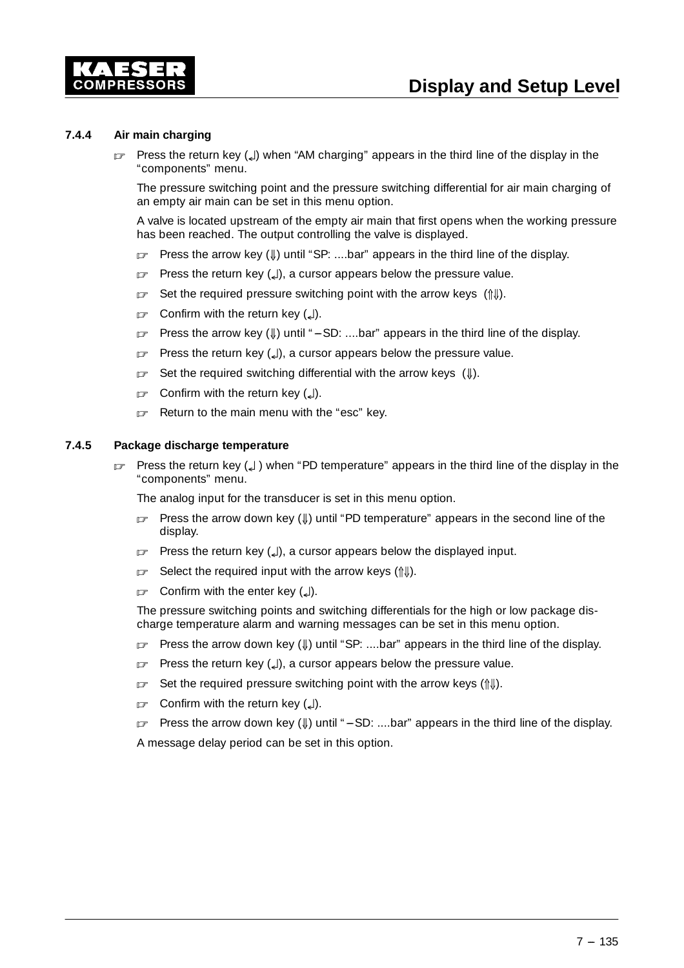# **7.4.4 Air main charging**

Press the return key  $($ ) when "AM charging" appears in the third line of the display in the "components" menu.

The pressure switching point and the pressure switching differential for air main charging of an empty air main can be set in this menu option.

A valve is located upstream of the empty air main that first opens when the working pressure has been reached. The output controlling the valve is displayed.

- **Press the arrow key (** $\downarrow$ ) until "SP: ....bar" appears in the third line of the display.
- **Press the return key (** $\Box$ ), a cursor appears below the pressure value.
- $\mathbb{F}$  Set the required pressure switching point with the arrow keys ( $\mathcal{L}(\mathcal{V})$ ).
- Confirm with the return key  $(2)$ .
- **Press the arrow key (** $\downarrow$ ) until "-SD: ....bar" appears in the third line of the display.
- $\mathbb{F}$  Press the return key (1), a cursor appears below the pressure value.
- $\mathbb{F}$  Set the required switching differential with the arrow keys (1).
- Confirm with the return key  $(1)$ .
- $F$  Return to the main menu with the "esc" key.

### **7.4.5 Package discharge temperature**

 $\mathbb{F}$  Press the return key ( $\downarrow$ ) when "PD temperature" appears in the third line of the display in the "components" menu.

The analog input for the transducer is set in this menu option.

- **Press the arrow down key (** $\downarrow$ ) until "PD temperature" appears in the second line of the display.
- **Press the return key (** $\Box$ ), a cursor appears below the displayed input.
- $\mathbb{F}$  Select the required input with the arrow keys ( $\mathcal{L}$ ).
- $\mathbb{F}$  Confirm with the enter key (2).

The pressure switching points and switching differentials for the high or low package discharge temperature alarm and warning messages can be set in this menu option.

- **Press the arrow down key (** $\Downarrow$ **) until "SP: ....bar" appears in the third line of the display.**
- $\mathbb{F}$  Press the return key ( $\downarrow$ ), a cursor appears below the pressure value.
- $\mathbb{F}$  Set the required pressure switching point with the arrow keys ( $\mathbb{I}(\mathbb{I})$ ).
- $\mathbb{F}$  Confirm with the return key ( $\downarrow$ ).
- $\mathbb{F}$  Press the arrow down key ( $\Downarrow$ ) until "-SD: ....bar" appears in the third line of the display.

A message delay period can be set in this option.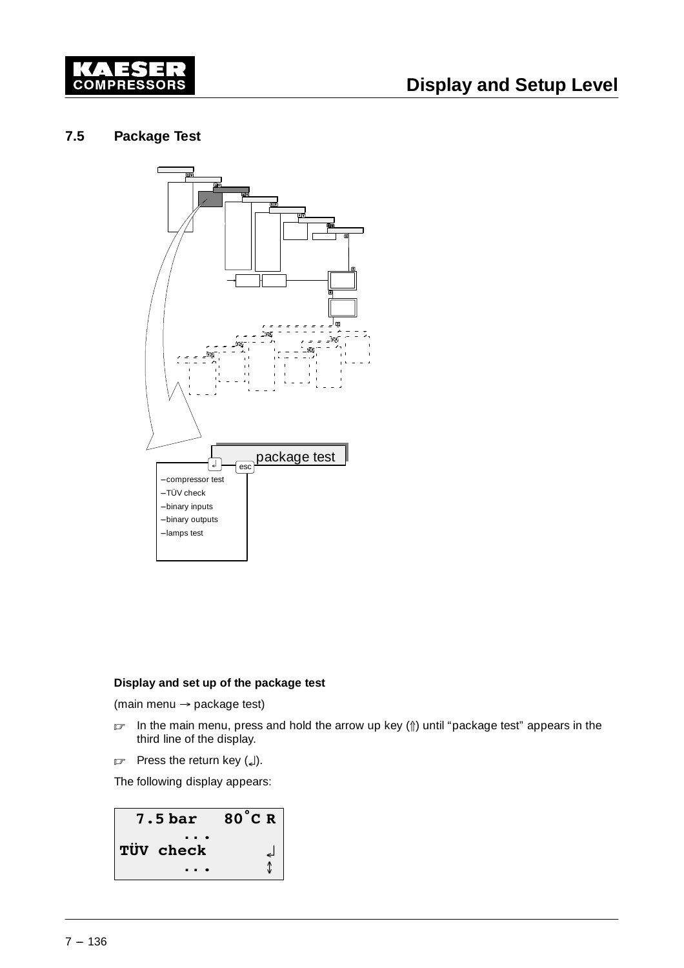

# **7.5 Package Test**



### **Display and set up of the package test**

(main menu  $\rightarrow$  package test)

- In the main menu, press and hold the arrow up key (1) until "package test" appears in the third line of the display.
- $F$  Press the return key ( $\downarrow$ ).

The following display appears:

| 7.5 <sub>bar</sub> | $80^{\circ}$ CR |
|--------------------|-----------------|
| TÜV check          |                 |
|                    | √<br>ا          |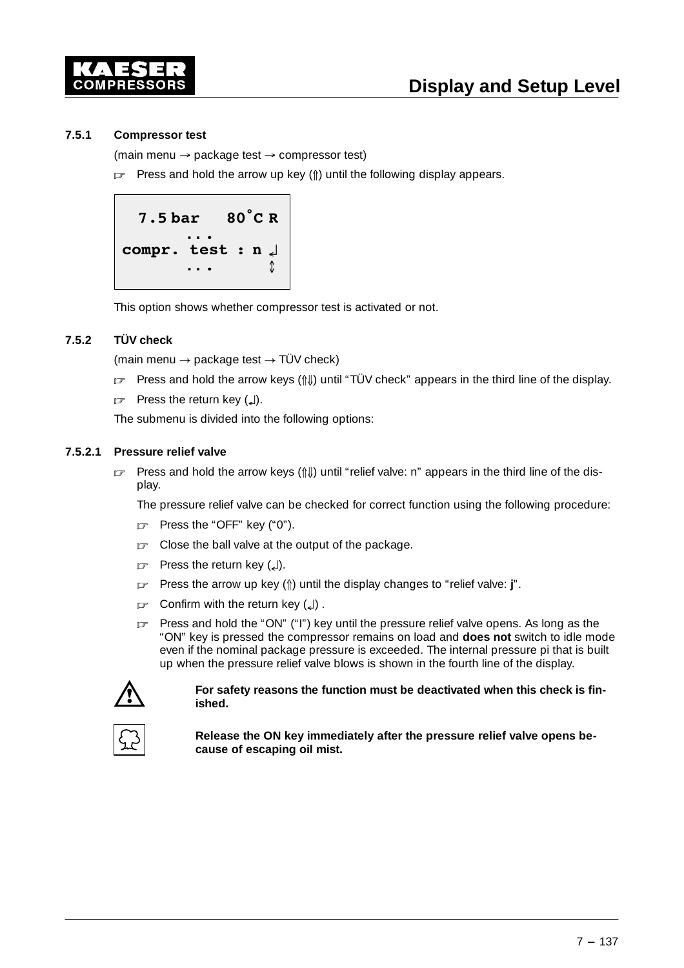

# **7.5.1 Compressor test**

(main menu  $\rightarrow$  package test  $\rightarrow$  compressor test)

 $\mathbb{F}$  Press and hold the arrow up key (t) until the following display appears.

```
7.5 \text{ bar} 80^{\circ}CR

compr. test : n
          . . . . . . 0
```
This option shows whether compressor test is activated or not.

# **7.5.2 TÜV check**

(main menu  $\rightarrow$  package test  $\rightarrow$  TÜV check)

- **Press and hold the arrow keys (fll) until "TÜV check" appears in the third line of the display.**
- $F$  Press the return key (1).

The submenu is divided into the following options:

# **7.5.2.1 Pressure relief valve**

**Press and hold the arrow keys (fill) until "relief valve: n" appears in the third line of the dis**play.

The pressure relief valve can be checked for correct function using the following procedure:

- Foress the "OFF" key ("0").
- $\mathbb{F}$  Close the ball valve at the output of the package.
- $\mathbb{F}$  Press the return key (1).
- **Press the arrow up key (1) until the display changes to "relief valve: j".**
- $\mathbb{F}$  Confirm with the return key ( $\Box$ ).
- $\mathbb{F}$  Press and hold the "ON" ("|") key until the pressure relief valve opens. As long as the "ON" key is pressed the compressor remains on load and **does not** switch to idle mode even if the nominal package pressure is exceeded. The internal pressure pi that is built up when the pressure relief valve blows is shown in the fourth line of the display.



**For safety reasons the function must be deactivated when this check is finished.**



**Release the ON key immediately after the pressure relief valve opens because of escaping oil mist.**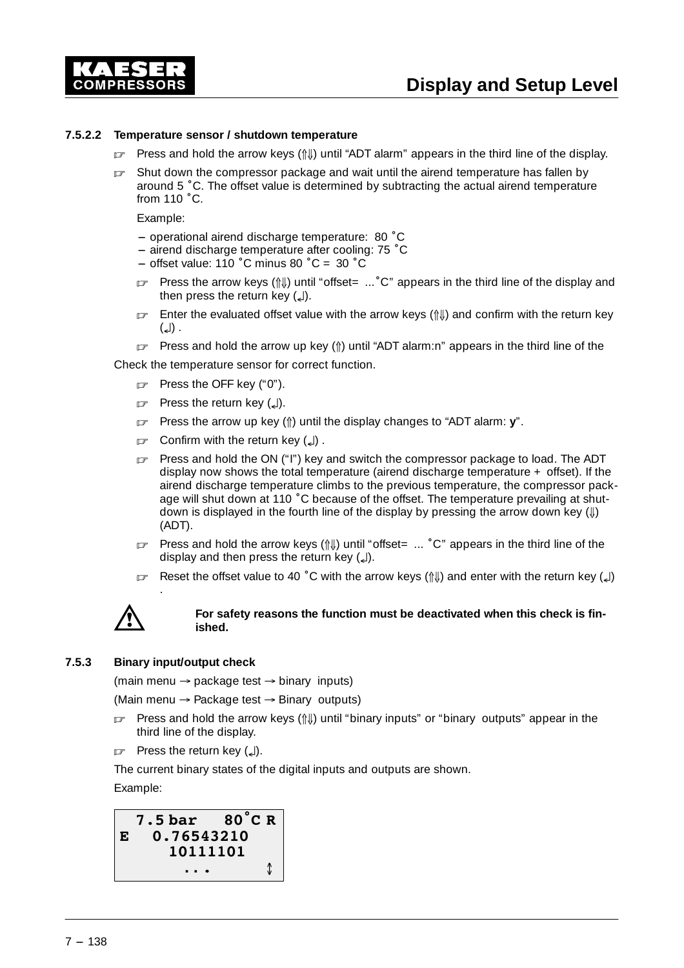

### **7.5.2.2 Temperature sensor / shutdown temperature**

- **Press and hold the arrow keys (fill) until "ADT alarm" appears in the third line of the display.**
- $\mathbb{F}$  Shut down the compressor package and wait until the airend temperature has fallen by around 5 °C. The offset value is determined by subtracting the actual airend temperature from  $110 °C$ .

Example:

- operational airend discharge temperature: 80 °C
- $-$  airend discharge temperature after cooling: 75 °C
- $-$  offset value: 110 °C minus 80 °C = 30 °C
- **Press the arrow keys (** $\|\|\$ ) until "offset= ... °C" appears in the third line of the display and then press the return key  $(\downarrow)$ .
- $\mathbb{F}$  Enter the evaluated offset value with the arrow keys ( $\mathbb{N}$ ) and confirm with the return key  $(\lrcorner)$ .
- **Press and hold the arrow up key (f) until "ADT alarm:n" appears in the third line of the**

Check the temperature sensor for correct function.

- $F$  Press the OFF key ("0").
- $\mathbb{F}$  Press the return key (1).
- **Press the arrow up key (f) until the display changes to "ADT alarm: <b>y**".
- $\mathbb{F}$  Confirm with the return key (2).
- $\mathbb{F}$  Press and hold the ON ("I") key and switch the compressor package to load. The ADT display now shows the total temperature (airend discharge temperature + offset). If the airend discharge temperature climbs to the previous temperature, the compressor package will shut down at 110 °C because of the offset. The temperature prevailing at shutdown is displayed in the fourth line of the display by pressing the arrow down key  $(\|)$ (ADT).
- **Press and hold the arrow keys (fll) until "offset= ... °C" appears in the third line of the** display and then press the return key  $(2)$ .
- Reset the offset value to 40 °C with the arrow keys ( $\parallel$ ) and enter with the return key ( $\perp$ )



#### **For safety reasons the function must be deactivated when this check is finished.**

# **7.5.3 Binary input/output check**

.

(main menu  $\rightarrow$  package test  $\rightarrow$  binary inputs)

(Main menu  $\rightarrow$  Package test  $\rightarrow$  Binary outputs)

- **Press and hold the arrow keys (f)) until "binary inputs" or "binary outputs" appear in the** third line of the display.
- $F$  Press the return key (1).

The current binary states of the digital inputs and outputs are shown.

Example:

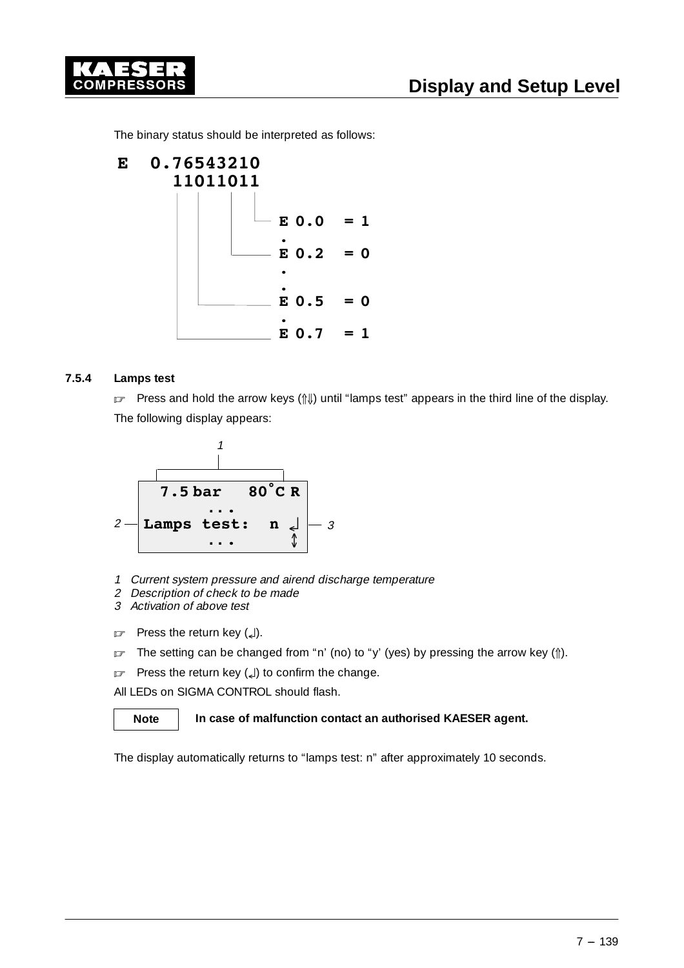

The binary status should be interpreted as follows:



#### **7.5.4 Lamps test**

**Press and hold the arrow keys (fll) until "lamps test" appears in the third line of the display.** The following display appears:



- 1 Current system pressure and airend discharge temperature
- 2 Description of check to be made
- 3 Activation of above test
- $\mathbb{F}$  Press the return key ( $\downarrow$ ).
- $\mathbb{F}$  The setting can be changed from "n' (no) to "y' (yes) by pressing the arrow key ( $\Uparrow$ ).
- $\mathbb{F}$  Press the return key ( $\downarrow$ ) to confirm the change.

All LEDs on SIGMA CONTROL should flash.

#### **Note**

#### **In case of malfunction contact an authorised KAESER agent.**

The display automatically returns to "lamps test: n" after approximately 10 seconds.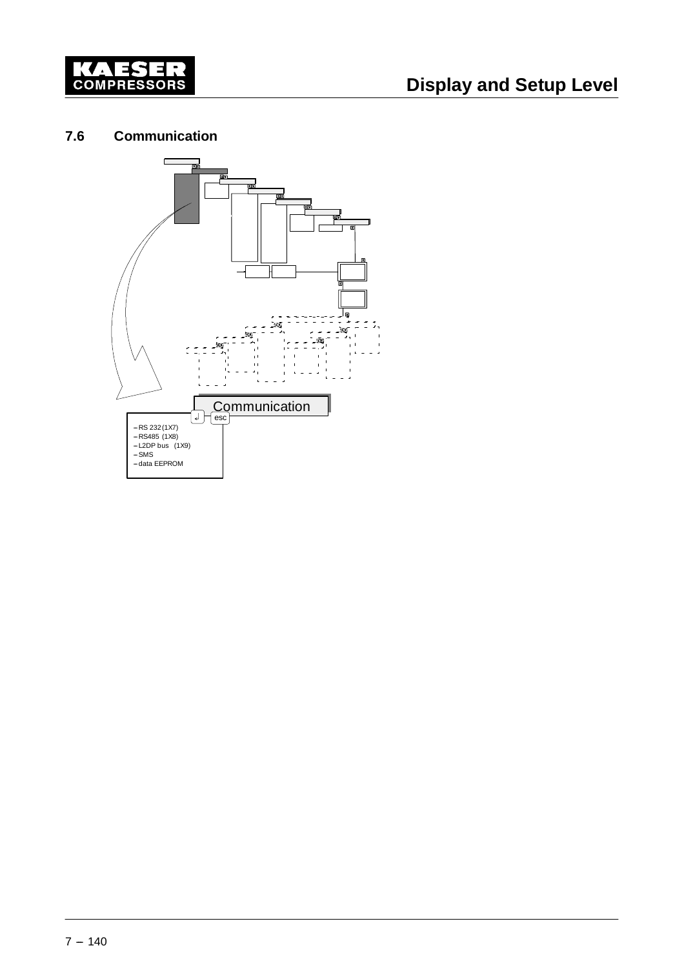

# **Display and Setup Level**

## **7.6 Communication**

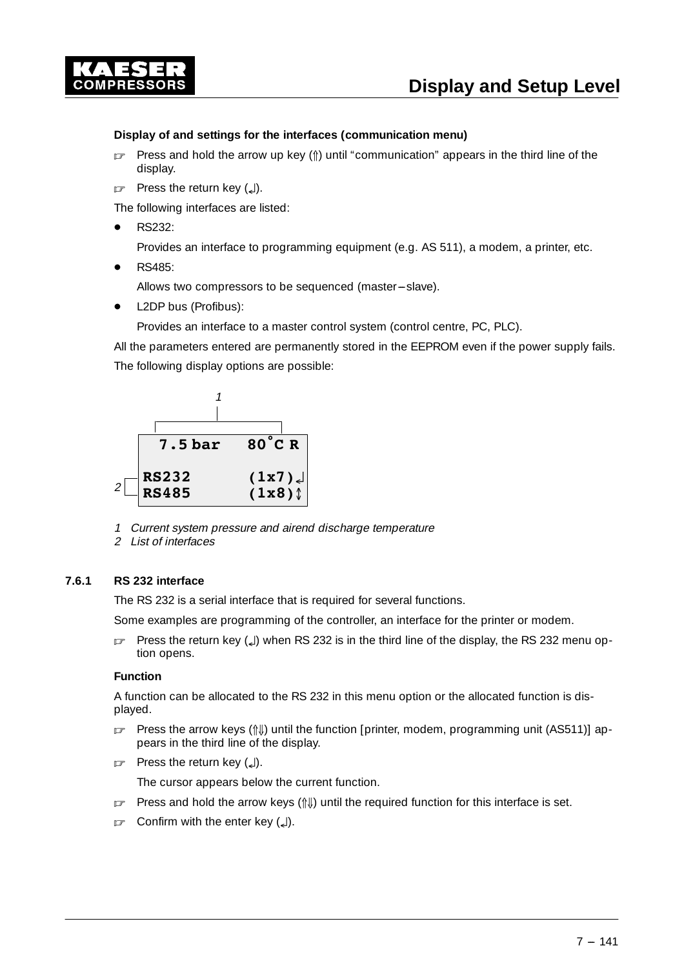

#### **Display of and settings for the interfaces (communication menu)**

- **Press and hold the arrow up key (f) until "communication" appears in the third line of the** display.
- $\mathbb{F}$  Press the return key ( $\downarrow$ ).

The following interfaces are listed:

RS232:

Provides an interface to programming equipment (e.g. AS 511), a modem, a printer, etc.

- RS485:

Allows two compressors to be sequenced (master-slave).

L2DP bus (Profibus):

Provides an interface to a master control system (control centre, PC, PLC).

All the parameters entered are permanently stored in the EEPROM even if the power supply fails. The following display options are possible:



- 1 Current system pressure and airend discharge temperature
- 2 List of interfaces

#### **7.6.1 RS 232 interface**

The RS 232 is a serial interface that is required for several functions.

Some examples are programming of the controller, an interface for the printer or modem.

Press the return key ( $\downarrow$ ) when RS 232 is in the third line of the display, the RS 232 menu option opens.

#### **Function**

A function can be allocated to the RS 232 in this menu option or the allocated function is displayed.

- **Press the arrow keys (fl) until the function [printer, modem, programming unit (AS511)] ap**pears in the third line of the display.
- $F$  Press the return key (1).

The cursor appears below the current function.

- **Press and hold the arrow keys (f)) until the required function for this interface is set.**
- $\mathbb{F}$  Confirm with the enter key (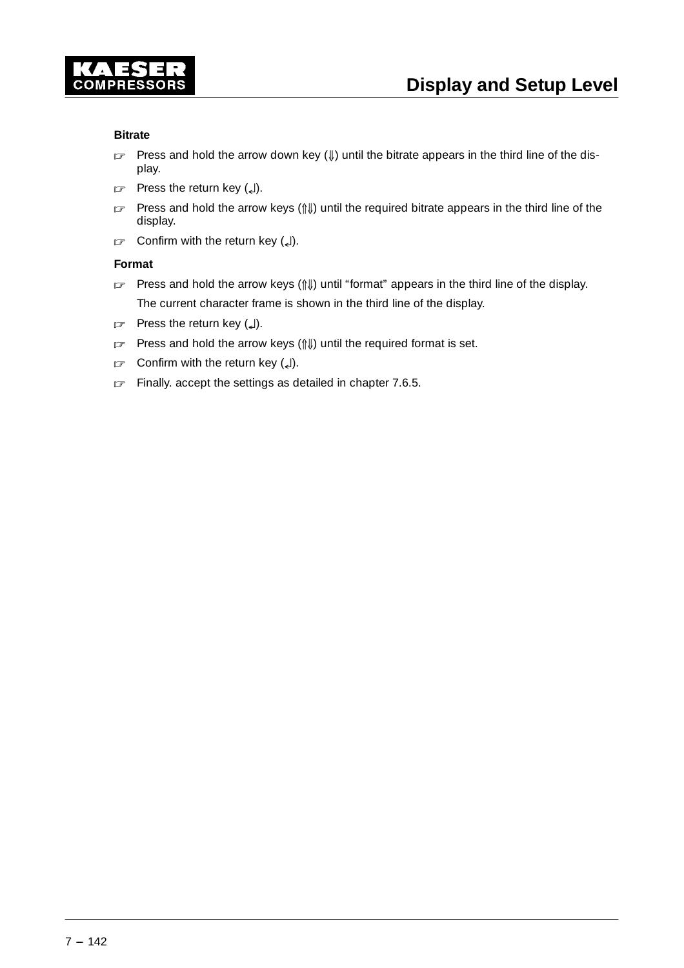

#### **Bitrate**

- Press and hold the arrow down key ( $\downarrow$ ) until the bitrate appears in the third line of the display.
- $\mathbb{F}$  Press the return key ( $\downarrow$ ).
- **Press and hold the arrow keys (fll) until the required bitrate appears in the third line of the** display.
- $\mathbb{F}$  Confirm with the return key (

#### **Format**

- **Press and hold the arrow keys (fll) until "format" appears in the third line of the display.** The current character frame is shown in the third line of the display.
- $F$  Press the return key ( $\Box$ ).
- **Press and hold the arrow keys (** $\parallel \Downarrow$ ) until the required format is set.
- $\mathbb{F}$  Confirm with the return key (
- $F$  Finally. accept the settings as detailed in chapter 7.6.5.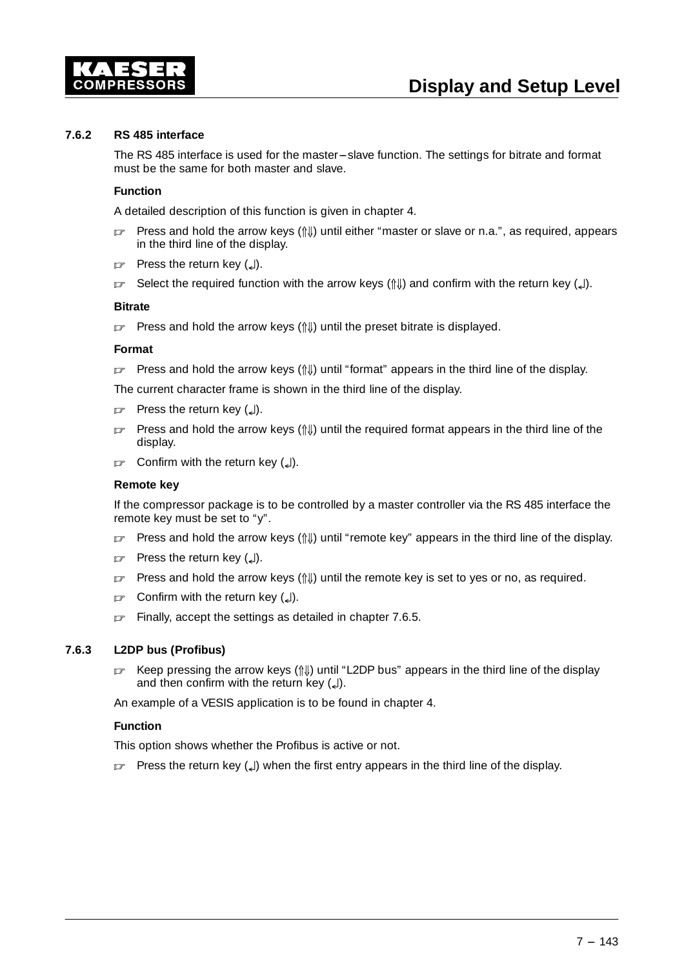

#### **7.6.2 RS 485 interface**

The RS 485 interface is used for the master-slave function. The settings for bitrate and format must be the same for both master and slave.

#### **Function**

A detailed description of this function is given in chapter 4.

- **Press and hold the arrow keys (** $\parallel\Downarrow$ ) until either "master or slave or n.a.", as required, appears in the third line of the display.
- $\mathbb{F}$  Press the return key (2).
- Select the required function with the arrow keys ( $\parallel \Downarrow$ ) and confirm with the return key (

#### **Bitrate**

**Press and hold the arrow keys (** $\|\|\$ ) until the preset bitrate is displayed.

#### **Format**

**Press and hold the arrow keys (f)) until "format" appears in the third line of the display.** 

The current character frame is shown in the third line of the display.

- Press the return key  $(\Box)$ .
- **Press and hold the arrow keys (fill) until the required format appears in the third line of the** display.
- Confirm with the return key  $(2)$ .

#### **Remote key**

If the compressor package is to be controlled by a master controller via the RS 485 interface the remote key must be set to "y".

- **Press and hold the arrow keys (f)) until "remote key" appears in the third line of the display.**
- $F$  Press the return key (1).
- **Press and hold the arrow keys (f)) until the remote key is set to yes or no, as required.**
- $\mathbb{F}$  Confirm with the return key (
- $\mathbb{F}$  Finally, accept the settings as detailed in chapter 7.6.5.

#### **7.6.3 L2DP bus (Profibus)**

 $\mathbb{F}$  Keep pressing the arrow keys ( $\mathcal{L}(\mathcal{V})$  until "L2DP bus" appears in the third line of the display and then confirm with the return key  $($ 

An example of a VESIS application is to be found in chapter 4.

#### **Function**

This option shows whether the Profibus is active or not.

Press the return key ( $\downarrow$ ) when the first entry appears in the third line of the display.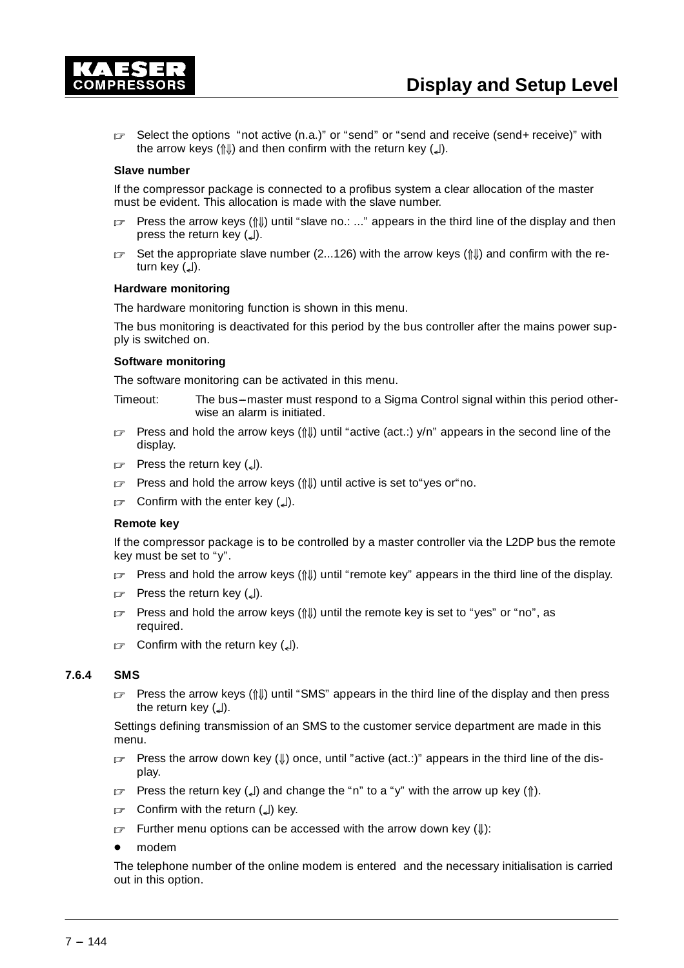$\mathbb{F}$  Select the options "not active (n.a.)" or "send" or "send and receive (send+ receive)" with the arrow keys ( $\left(\parallel\right)$ ) and then confirm with the return key ( $\perp$ ).

#### **Slave number**

If the compressor package is connected to a profibus system a clear allocation of the master must be evident. This allocation is made with the slave number.

- $F$  Press the arrow keys ( $\parallel\Downarrow$ ) until "slave no.: ..." appears in the third line of the display and then press the return key  $(\Box)$ .
- $\blacktriangleright$  Set the appropriate slave number (2...126) with the arrow keys ( $\parallel\Downarrow$ ) and confirm with the return key  $(\Box)$ .

#### **Hardware monitoring**

The hardware monitoring function is shown in this menu.

The bus monitoring is deactivated for this period by the bus controller after the mains power supply is switched on.

#### **Software monitoring**

The software monitoring can be activated in this menu.

- Timeout: The bus-master must respond to a Sigma Control signal within this period otherwise an alarm is initiated.
- **Press and hold the arrow keys (fill) until "active (act.:) y/n" appears in the second line of the** display.
- $\mathbb{F}$  Press the return key (1).
- **Press and hold the arrow keys (** $\|\|\$ **) until active is set to yes or no.**
- $\mathbb{F}$  Confirm with the enter key ( $\downarrow$ ).

#### **Remote key**

If the compressor package is to be controlled by a master controller via the L2DP bus the remote key must be set to "y".

- **Press and hold the arrow keys (fill) until "remote key" appears in the third line of the display.**
- $\mathbb{F}$  Press the return key (1).
- Press and hold the arrow keys ( $\left(\mathbb{N}\right)$ ) until the remote key is set to "yes" or "no", as required.
- $\mathbb{F}$  Confirm with the return key (1).

#### **7.6.4 SMS**

**Press the arrow keys (fll) until "SMS" appears in the third line of the display and then press** the return key  $(\Box)$ .

Settings defining transmission of an SMS to the customer service department are made in this menu.

- **Press the arrow down key (** $\Downarrow$ ) once, until "active (act.:)" appears in the third line of the display.
- $\mathbb{F}$  Press the return key ( $\downarrow$ ) and change the "n" to a "y" with the arrow up key ( $\Uparrow$ ).
- Confirm with the return  $(\Box)$  key.
- $\mathbb{F}$  Further menu options can be accessed with the arrow down key ( $\parallel$ ):
- modem

The telephone number of the online modem is entered and the necessary initialisation is carried out in this option.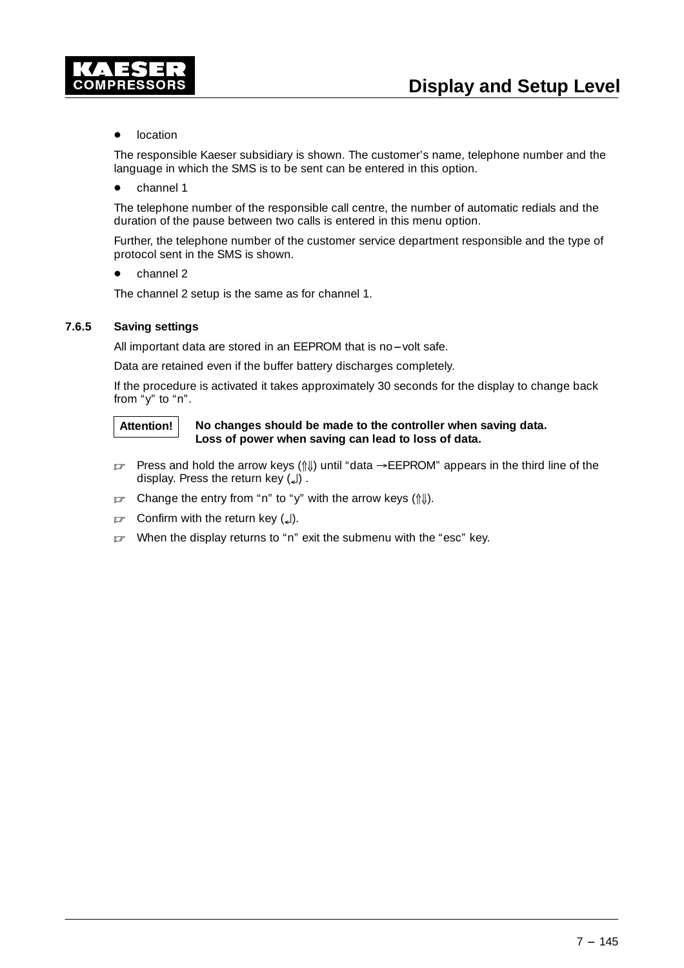



**location** 

The responsible Kaeser subsidiary is shown. The customer's name, telephone number and the language in which the SMS is to be sent can be entered in this option.

channel 1

The telephone number of the responsible call centre, the number of automatic redials and the duration of the pause between two calls is entered in this menu option.

Further, the telephone number of the customer service department responsible and the type of protocol sent in the SMS is shown.

channel 2

The channel 2 setup is the same as for channel 1.

#### **7.6.5 Saving settings**

All important data are stored in an EEPROM that is no-volt safe.

Data are retained even if the buffer battery discharges completely.

If the procedure is activated it takes approximately 30 seconds for the display to change back from "y" to "n".

## **Attention!**

#### **No changes should be made to the controller when saving data. Loss of power when saving can lead to loss of data.**

- **Press and hold the arrow keys (fll) until "data**  $\rightarrow$  **EEPROM" appears in the third line of the** display. Press the return key  $(\downarrow)$ .
- $\mathbb{F}$  Change the entry from "n" to "y" with the arrow keys ( $\mathcal{L}$ ).
- $\mathbb{F}$  Confirm with the return key (J).
- $\mathbb{F}$  When the display returns to "n" exit the submenu with the "esc" key.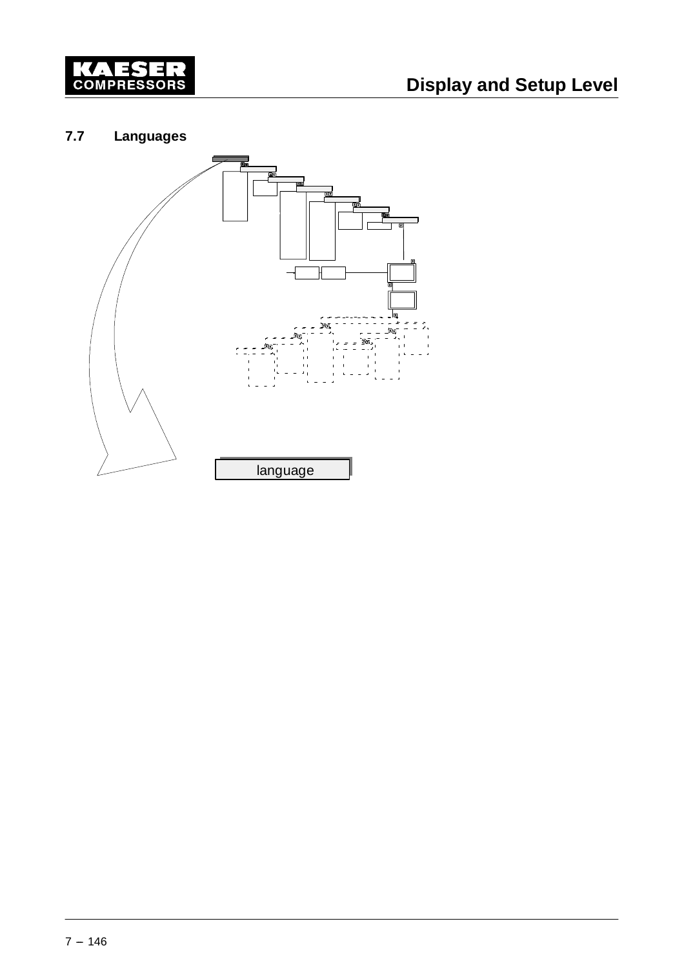

# **Display and Setup Level**

## **7.7 Languages**

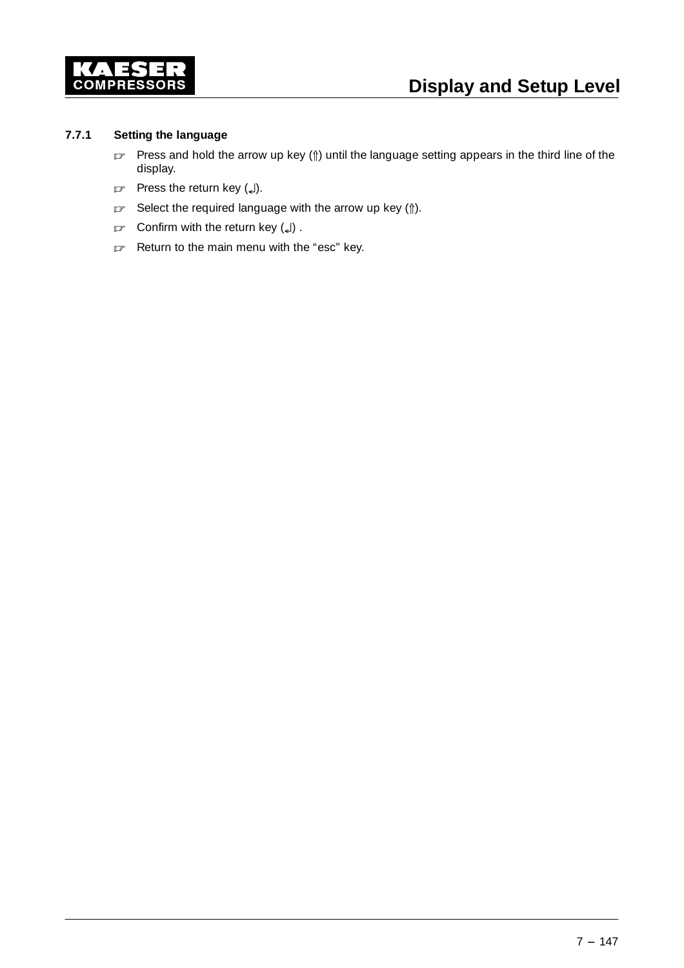### **7.7.1 Setting the language**

- $F$  Press and hold the arrow up key ( $\parallel$ ) until the language setting appears in the third line of the display.
- $\mathbb{F}$  Press the return key ( $\downarrow$ ).
- $\mathbb{F}$  Select the required language with the arrow up key (1).
- $\mathbb{F}$  Confirm with the return key ( $\downarrow$ ).
- $F$  Return to the main menu with the "esc" key.